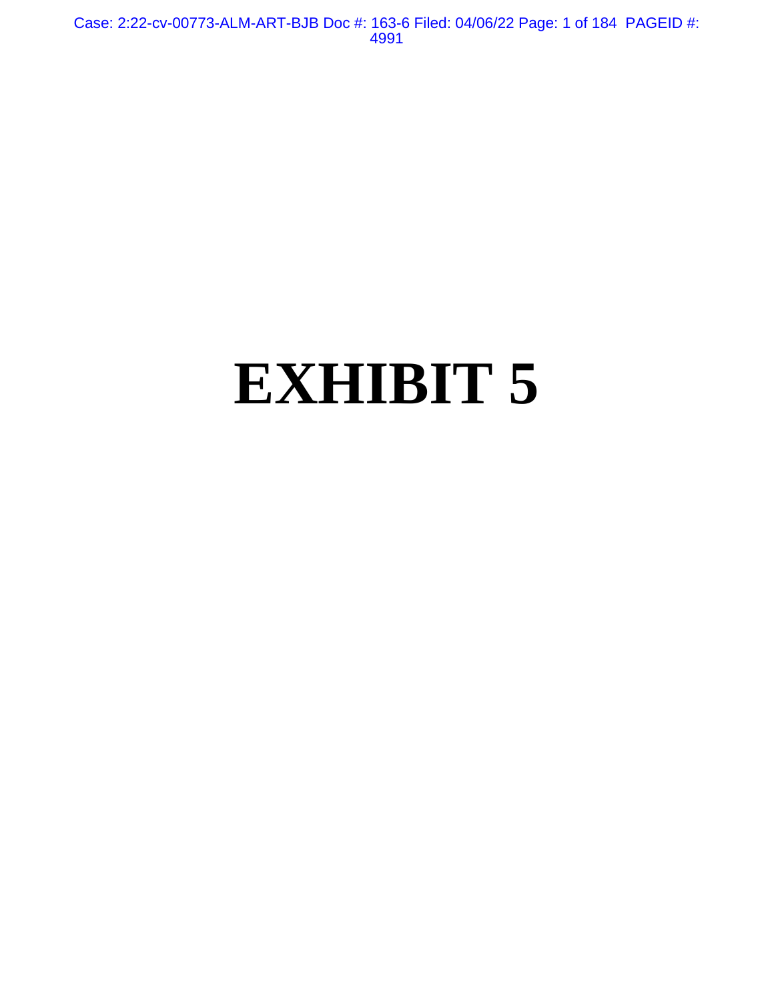Case: 2:22-cv-00773-ALM-ART-BJB Doc #: 163-6 Filed: 04/06/22 Page: 1 of 184 PAGEID #: 4991

# **EXHIBIT 5**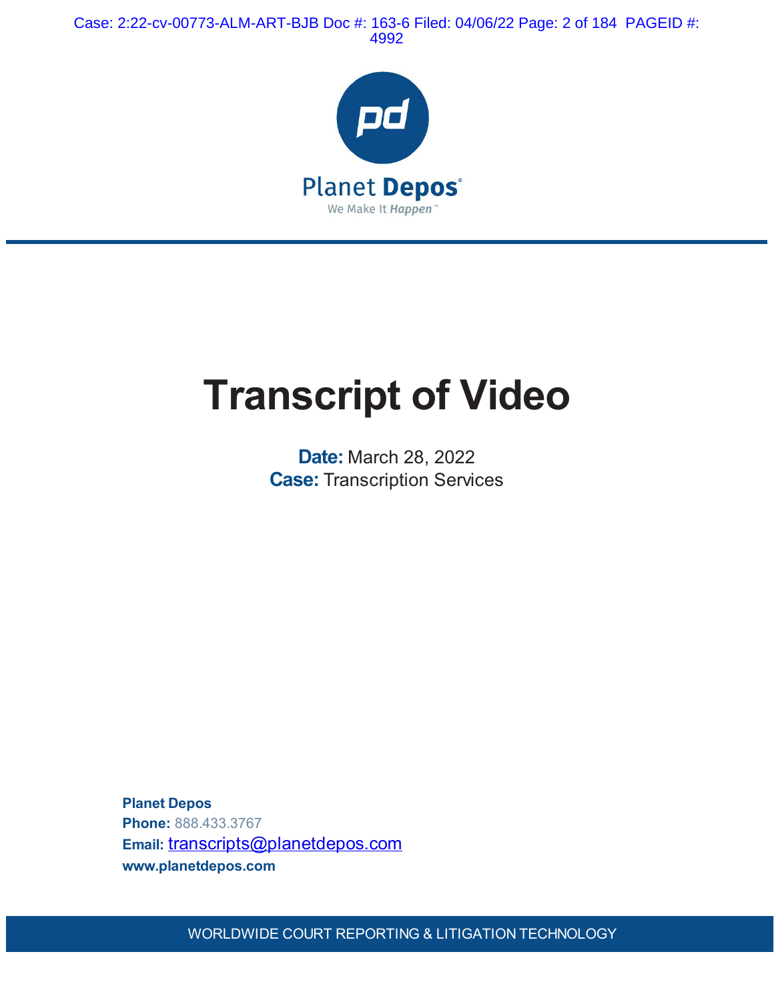Case: 2:22-cv-00773-ALM-ART-BJB Doc #: 163-6 Filed: 04/06/22 Page: 2 of 184 PAGEID #: 4992



## **Transcript of Video**

**Date:** March 28, 2022 **Case:** Transcription Services

**Planet Depos Phone:** 888.433.3767 Email: [transcripts@planetdepos.com](mailto:transcripts@planetdepos.com) **www.planetdepos.com**

WORLDWIDE COURT REPORTING & LITIGATION TECHNOLOGY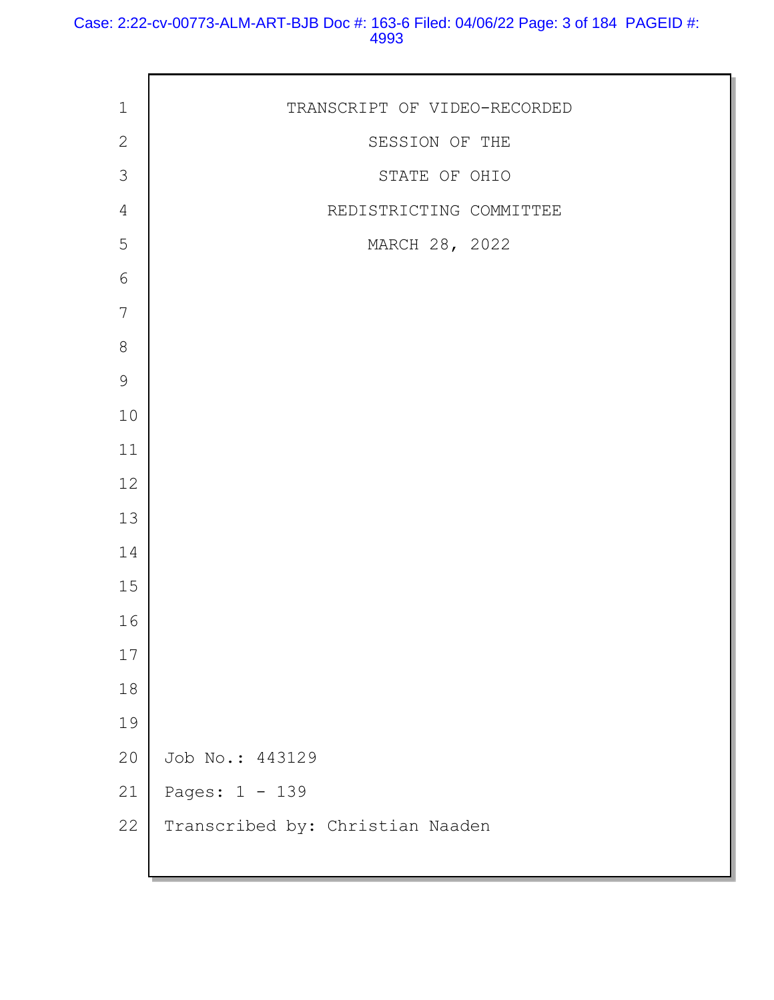#### Case: 2:22-cv-00773-ALM-ART-BJB Doc #: 163-6 Filed: 04/06/22 Page: 3 of 184 PAGEID #:

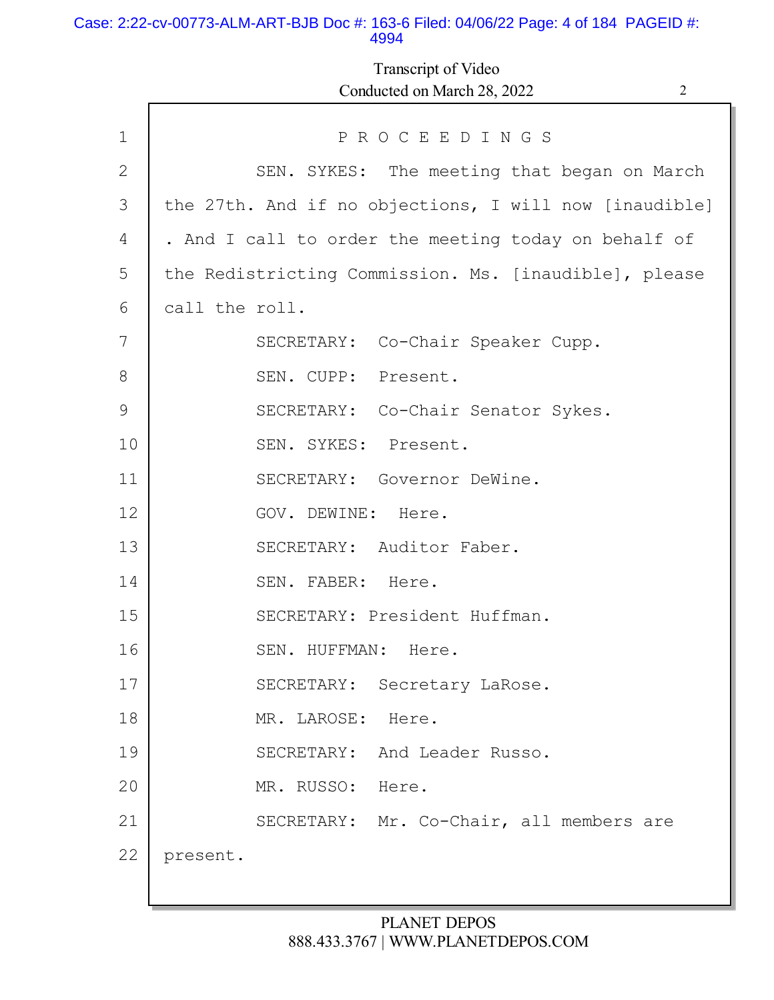#### Case: 2:22-cv-00773-ALM-ART-BJB Doc #: 163-6 Filed: 04/06/22 Page: 4 of 184 PAGEID #: 4994

## Transcript of Video Conducted on March 28, 2022 2

| $\mathbf 1$  | PROCEEDINGS                                            |
|--------------|--------------------------------------------------------|
| $\mathbf{2}$ | SEN. SYKES: The meeting that began on March            |
| 3            | the 27th. And if no objections, I will now [inaudible] |
| 4            | . And I call to order the meeting today on behalf of   |
| 5            | the Redistricting Commission. Ms. [inaudible], please  |
| 6            | call the roll.                                         |
| 7            | SECRETARY: Co-Chair Speaker Cupp.                      |
| 8            | SEN. CUPP: Present.                                    |
| 9            | SECRETARY: Co-Chair Senator Sykes.                     |
| 10           | SEN. SYKES: Present.                                   |
| 11           | SECRETARY: Governor DeWine.                            |
| 12           | GOV. DEWINE: Here.                                     |
| 13           | SECRETARY: Auditor Faber.                              |
| 14           | SEN. FABER: Here.                                      |
| 15           | SECRETARY: President Huffman.                          |
| 16           | SEN. HUFFMAN: Here.                                    |
| 17           | SECRETARY: Secretary LaRose.                           |
| 18           | MR. LAROSE:<br>Here.                                   |
| 19           | And Leader Russo.<br>SECRETARY:                        |
| 20           | MR. RUSSO:<br>Here.                                    |
| 21           | SECRETARY: Mr. Co-Chair, all members are               |
| 22           | present.                                               |
|              |                                                        |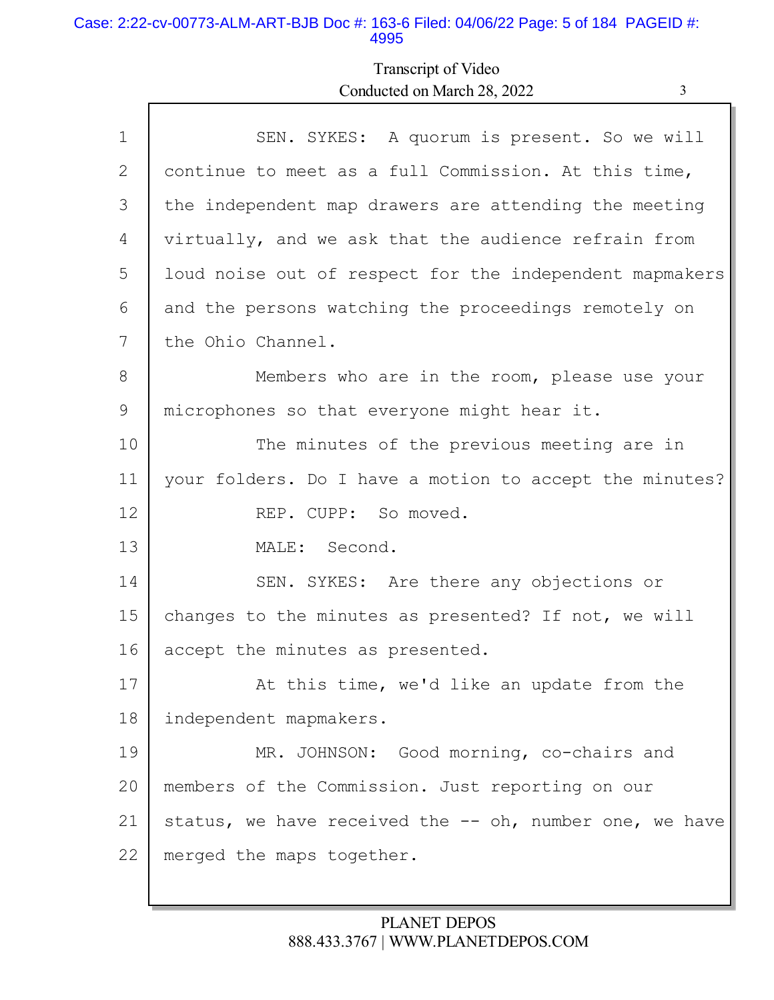#### Case: 2:22-cv-00773-ALM-ART-BJB Doc #: 163-6 Filed: 04/06/22 Page: 5 of 184 PAGEID #: 4995

## Transcript of Video Conducted on March 28, 2022 3

| SEN. SYKES: A quorum is present. So we will             |
|---------------------------------------------------------|
| continue to meet as a full Commission. At this time,    |
| the independent map drawers are attending the meeting   |
| virtually, and we ask that the audience refrain from    |
| loud noise out of respect for the independent mapmakers |
| and the persons watching the proceedings remotely on    |
| the Ohio Channel.                                       |
| Members who are in the room, please use your            |
| microphones so that everyone might hear it.             |
| The minutes of the previous meeting are in              |
| your folders. Do I have a motion to accept the minutes? |
| REP. CUPP: So moved.                                    |
| MALE: Second.                                           |
| SEN. SYKES: Are there any objections or                 |
| changes to the minutes as presented? If not, we will    |
| accept the minutes as presented.                        |
| At this time, we'd like an update from the              |
| independent mapmakers.                                  |
| MR. JOHNSON: Good morning, co-chairs and                |
| members of the Commission. Just reporting on our        |
| status, we have received the -- oh, number one, we have |
| merged the maps together.                               |
|                                                         |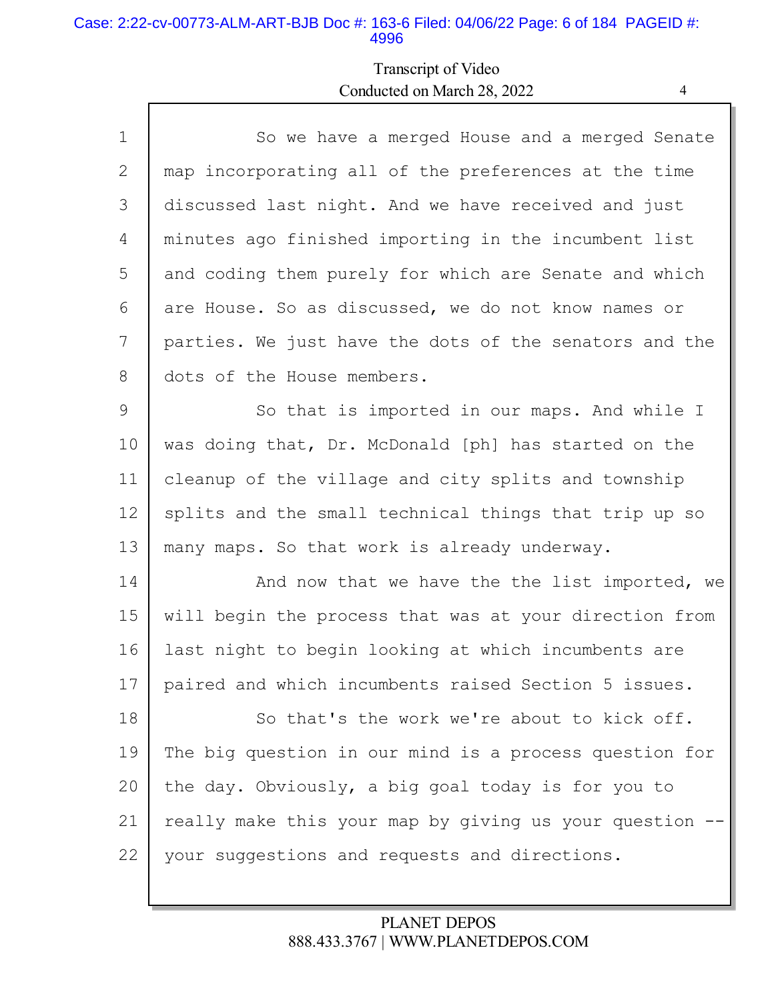#### Case: 2:22-cv-00773-ALM-ART-BJB Doc #: 163-6 Filed: 04/06/22 Page: 6 of 184 PAGEID #: 4996

Г

## Transcript of Video Conducted on March 28, 2022 4

| $\mathbf{1}$ | So we have a merged House and a merged Senate          |
|--------------|--------------------------------------------------------|
| 2            | map incorporating all of the preferences at the time   |
| 3            | discussed last night. And we have received and just    |
| 4            | minutes ago finished importing in the incumbent list   |
| 5            | and coding them purely for which are Senate and which  |
| 6            | are House. So as discussed, we do not know names or    |
| 7            | parties. We just have the dots of the senators and the |
| 8            | dots of the House members.                             |
| 9            | So that is imported in our maps. And while I           |
| 10           | was doing that, Dr. McDonald [ph] has started on the   |
| 11           | cleanup of the village and city splits and township    |
| 12           | splits and the small technical things that trip up so  |
| 13           | many maps. So that work is already underway.           |
| 14           | And now that we have the the list imported, we         |
| 15           | will begin the process that was at your direction from |
| 16           | last night to begin looking at which incumbents are    |
| 17           | paired and which incumbents raised Section 5 issues.   |
| 18           | So that's the work we're about to kick off.            |
| 19           | The big question in our mind is a process question for |
| 20           | the day. Obviously, a big goal today is for you to     |
| 21           | really make this your map by giving us your question - |
| 22           | your suggestions and requests and directions.          |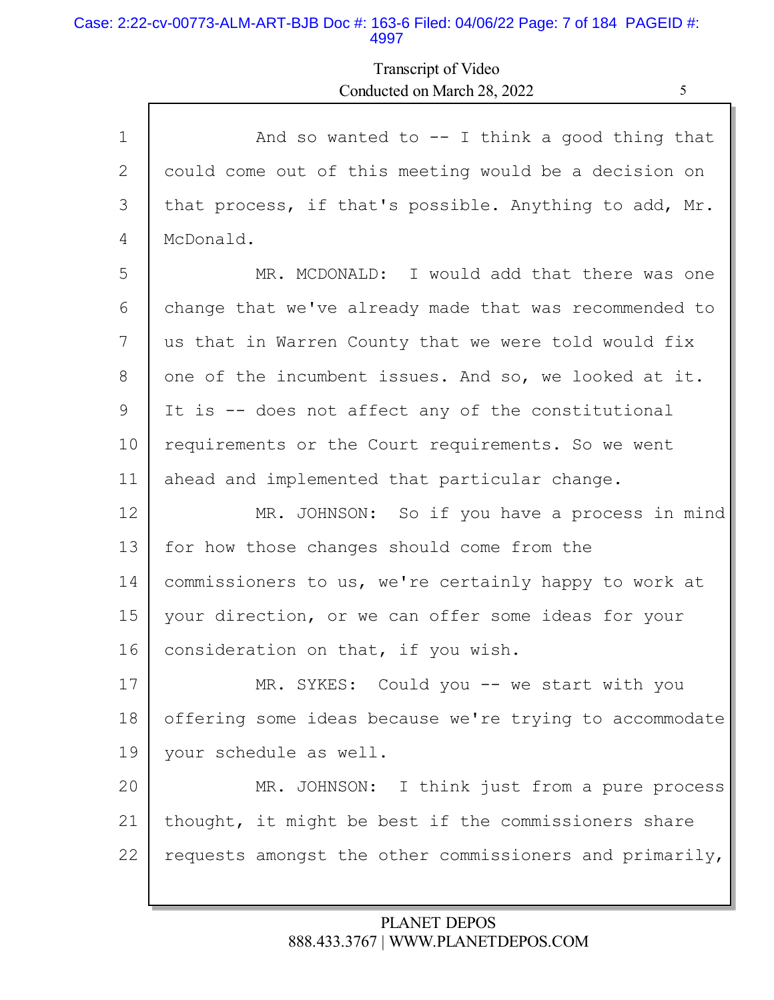#### Case: 2:22-cv-00773-ALM-ART-BJB Doc #: 163-6 Filed: 04/06/22 Page: 7 of 184 PAGEID #: 4997

## Transcript of Video Conducted on March 28, 2022 5

| $\mathbf{1}$ | And so wanted to $-$ I think a good thing that          |
|--------------|---------------------------------------------------------|
| 2            | could come out of this meeting would be a decision on   |
| 3            | that process, if that's possible. Anything to add, Mr.  |
| 4            | McDonald.                                               |
| 5            | MR. MCDONALD: I would add that there was one            |
| 6            | change that we've already made that was recommended to  |
| 7            | us that in Warren County that we were told would fix    |
| 8            | one of the incumbent issues. And so, we looked at it.   |
| 9            | It is -- does not affect any of the constitutional      |
| 10           | requirements or the Court requirements. So we went      |
| 11           | ahead and implemented that particular change.           |
| 12           | MR. JOHNSON: So if you have a process in mind           |
| 13           | for how those changes should come from the              |
| 14           | commissioners to us, we're certainly happy to work at   |
| 15           | your direction, or we can offer some ideas for your     |
| 16           | consideration on that, if you wish.                     |
| 17           | MR. SYKES: Could you -- we start with you               |
| 18           | offering some ideas because we're trying to accommodate |
| 19           | your schedule as well.                                  |
| 20           | MR. JOHNSON: I think just from a pure process           |
| 21           | thought, it might be best if the commissioners share    |
| 22           | requests amongst the other commissioners and primarily, |
|              |                                                         |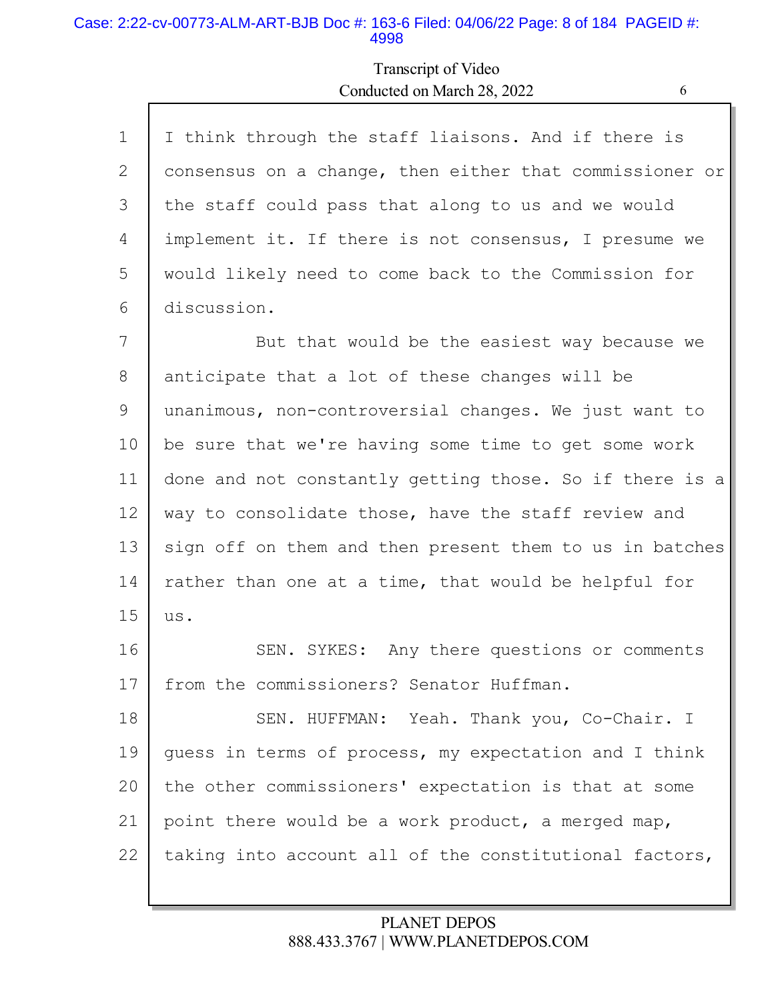#### Case: 2:22-cv-00773-ALM-ART-BJB Doc #: 163-6 Filed: 04/06/22 Page: 8 of 184 PAGEID #: 4998

Г

## Transcript of Video Conducted on March 28, 2022 6

Ы

| $\mathbf 1$ | I think through the staff liaisons. And if there is     |
|-------------|---------------------------------------------------------|
| 2           | consensus on a change, then either that commissioner or |
| 3           | the staff could pass that along to us and we would      |
| 4           | implement it. If there is not consensus, I presume we   |
| 5           | would likely need to come back to the Commission for    |
| 6           | discussion.                                             |
| 7           | But that would be the easiest way because we            |
| 8           | anticipate that a lot of these changes will be          |
| 9           | unanimous, non-controversial changes. We just want to   |
| 10          | be sure that we're having some time to get some work    |
| 11          | done and not constantly getting those. So if there is a |
| 12          | way to consolidate those, have the staff review and     |
| 13          | sign off on them and then present them to us in batches |
| 14          | rather than one at a time, that would be helpful for    |
| 15          | us.                                                     |
| 16          | SEN. SYKES: Any there questions or comments             |
| 17          | from the commissioners? Senator Huffman.                |
| 18          | SEN. HUFFMAN: Yeah. Thank you, Co-Chair. I              |
| 19          | guess in terms of process, my expectation and I think   |
| 20          | the other commissioners' expectation is that at some    |
| 21          | point there would be a work product, a merged map,      |
| 22          | taking into account all of the constitutional factors,  |
|             |                                                         |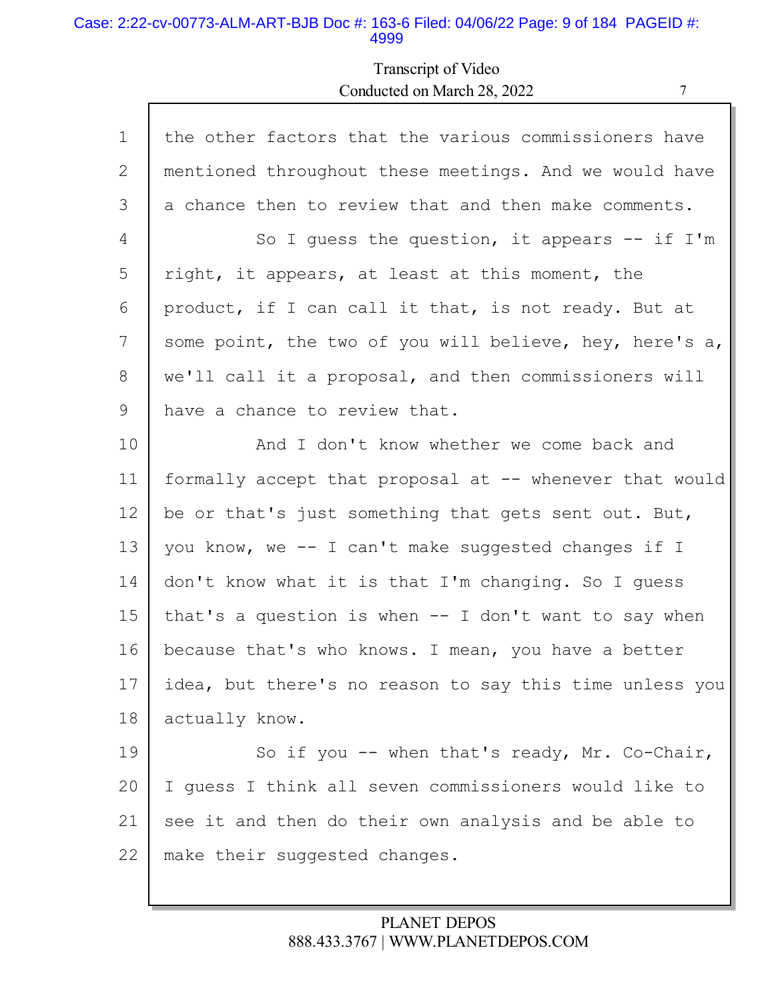#### Case: 2:22-cv-00773-ALM-ART-BJB Doc #: 163-6 Filed: 04/06/22 Page: 9 of 184 PAGEID #: 4999

## Transcript of Video Conducted on March 28, 2022 7

| $\mathbf 1$     | the other factors that the various commissioners have   |
|-----------------|---------------------------------------------------------|
| 2               | mentioned throughout these meetings. And we would have  |
| 3               | a chance then to review that and then make comments.    |
| 4               | So I quess the question, it appears $--$ if I'm         |
| 5               | right, it appears, at least at this moment, the         |
| 6               | product, if I can call it that, is not ready. But at    |
| $7\phantom{.0}$ | some point, the two of you will believe, hey, here's a, |
| 8               | we'll call it a proposal, and then commissioners will   |
| 9               | have a chance to review that.                           |
| 10              | And I don't know whether we come back and               |
| 11              | formally accept that proposal at -- whenever that would |
| 12              | be or that's just something that gets sent out. But,    |
| 13              | you know, we -- I can't make suggested changes if I     |
| 14              | don't know what it is that I'm changing. So I guess     |
| 15              | that's a question is when $--$ I don't want to say when |
| 16              | because that's who knows. I mean, you have a better     |
| 17              | idea, but there's no reason to say this time unless you |
| 18              | actually know.                                          |
| 19              | So if you -- when that's ready, Mr. Co-Chair,           |
| 20              | I guess I think all seven commissioners would like to   |
| 21              | see it and then do their own analysis and be able to    |
| 22              | make their suggested changes.                           |
|                 |                                                         |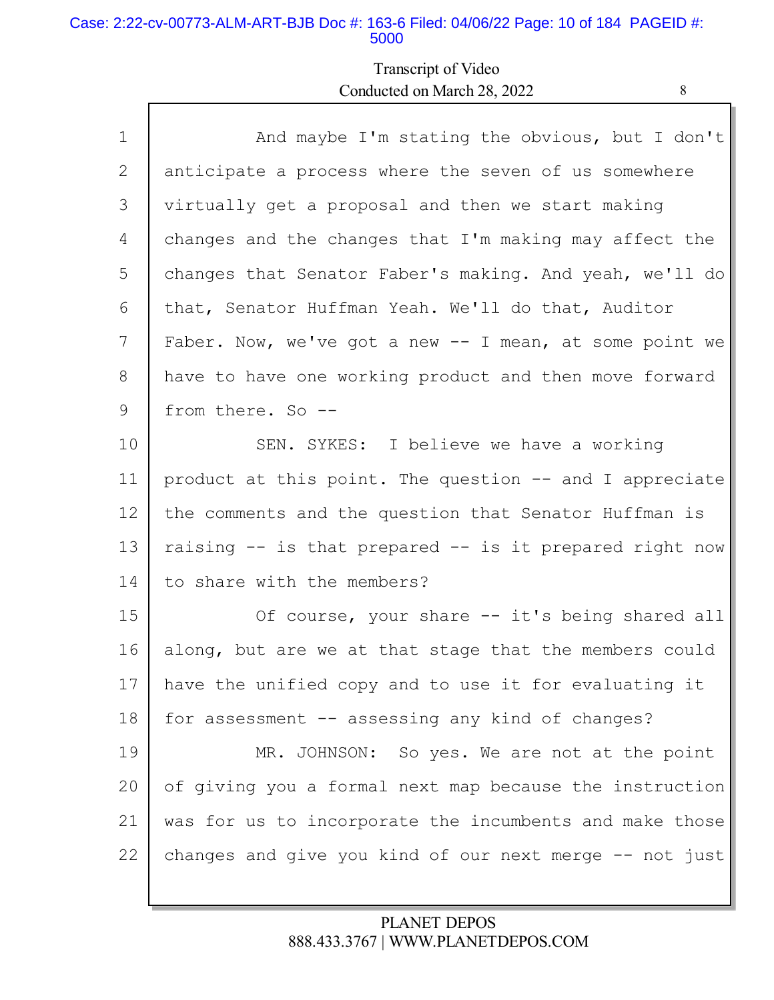#### Case: 2:22-cv-00773-ALM-ART-BJB Doc #: 163-6 Filed: 04/06/22 Page: 10 of 184 PAGEID #: 5000

Г

## Transcript of Video Conducted on March 28, 2022

| ۰,<br>i |  |
|---------|--|
| ۹       |  |

| $\mathbf 1$ | And maybe I'm stating the obvious, but I don't          |
|-------------|---------------------------------------------------------|
| 2           | anticipate a process where the seven of us somewhere    |
| 3           | virtually get a proposal and then we start making       |
| 4           | changes and the changes that I'm making may affect the  |
| 5           | changes that Senator Faber's making. And yeah, we'll do |
| 6           | that, Senator Huffman Yeah. We'll do that, Auditor      |
| 7           | Faber. Now, we've got a new -- I mean, at some point we |
| 8           | have to have one working product and then move forward  |
| 9           | from there. So --                                       |
| 10          | SEN. SYKES: I believe we have a working                 |
| 11          | product at this point. The question -- and I appreciate |
| 12          | the comments and the question that Senator Huffman is   |
| 13          | raising -- is that prepared -- is it prepared right now |
| 14          | to share with the members?                              |
| 15          | Of course, your share -- it's being shared all          |
| 16          | along, but are we at that stage that the members could  |
| 17          | have the unified copy and to use it for evaluating it   |
| 18          | for assessment -- assessing any kind of changes?        |
| 19          | MR. JOHNSON: So yes. We are not at the point            |
| 20          | of giving you a formal next map because the instruction |
| 21          | was for us to incorporate the incumbents and make those |
| 22          | changes and give you kind of our next merge -- not just |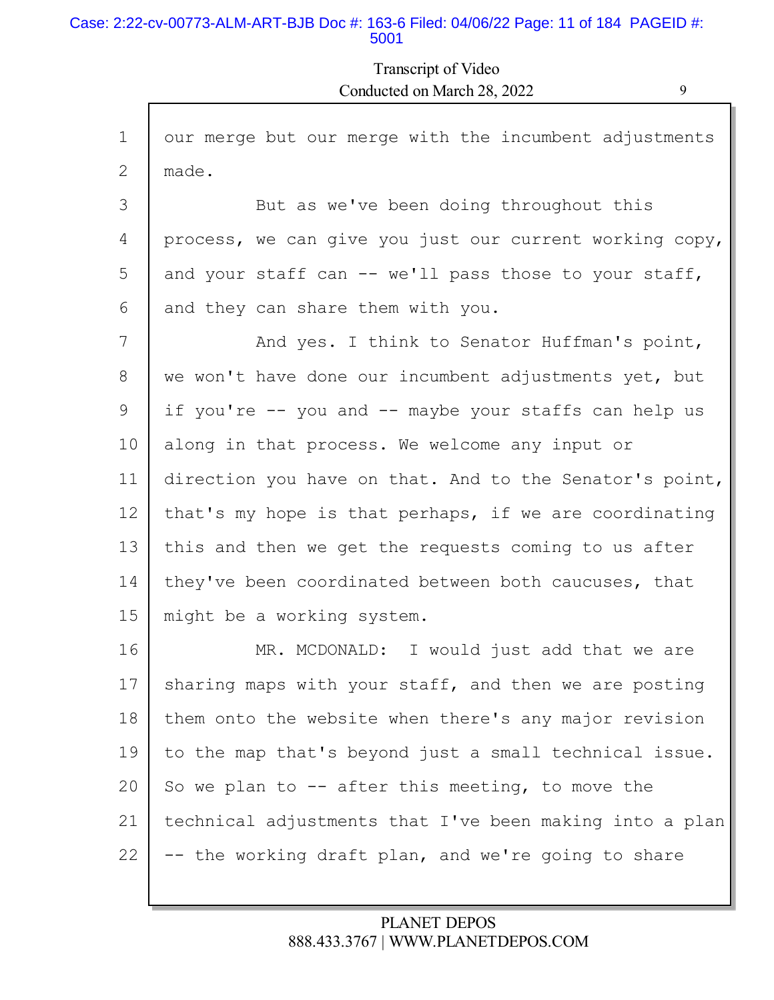#### Case: 2:22-cv-00773-ALM-ART-BJB Doc #: 163-6 Filed: 04/06/22 Page: 11 of 184 PAGEID #: 5001

Г

Transcript of Video Conducted on March 28, 2022 9

| $\mathbf 1$ | our merge but our merge with the incumbent adjustments  |
|-------------|---------------------------------------------------------|
| 2           | made.                                                   |
| 3           | But as we've been doing throughout this                 |
| 4           | process, we can give you just our current working copy, |
| 5           | and your staff can -- we'll pass those to your staff,   |
| 6           | and they can share them with you.                       |
| 7           | And yes. I think to Senator Huffman's point,            |
| 8           | we won't have done our incumbent adjustments yet, but   |
| 9           | if you're -- you and -- maybe your staffs can help us   |
| 10          | along in that process. We welcome any input or          |
| 11          | direction you have on that. And to the Senator's point, |
| 12          | that's my hope is that perhaps, if we are coordinating  |
| 13          | this and then we get the requests coming to us after    |
| 14          | they've been coordinated between both caucuses, that    |
| 15          | might be a working system.                              |
| 16          | MR. MCDONALD: I would just add that we are              |
| 17          | sharing maps with your staff, and then we are posting   |
| 18          | them onto the website when there's any major revision   |
| 19          | to the map that's beyond just a small technical issue.  |
| 20          | So we plan to $-$ after this meeting, to move the       |
| 21          | technical adjustments that I've been making into a plan |
| 22          | -- the working draft plan, and we're going to share     |
|             |                                                         |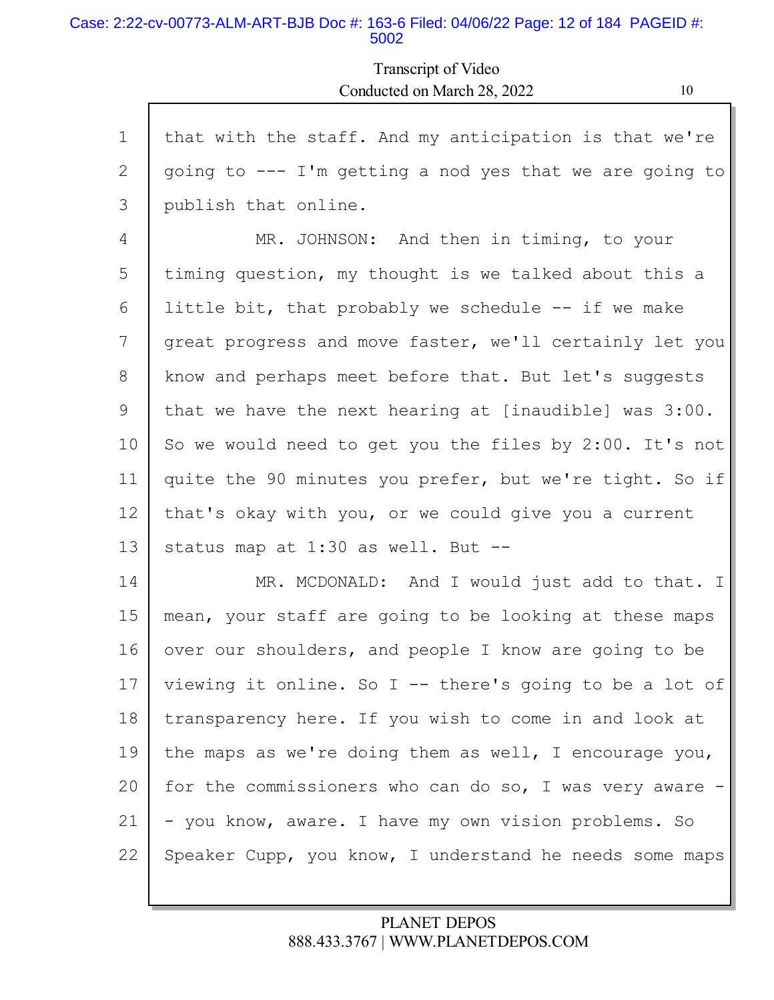#### Case: 2:22-cv-00773-ALM-ART-BJB Doc #: 163-6 Filed: 04/06/22 Page: 12 of 184 PAGEID #: 5002

Г

## Transcript of Video Conducted on March 28, 2022 10

| $\mathbf 1$ | that with the staff. And my anticipation is that we're    |
|-------------|-----------------------------------------------------------|
| 2           | going to $---$ I'm getting a nod yes that we are going to |
| 3           | publish that online.                                      |
| 4           | MR. JOHNSON: And then in timing, to your                  |
| 5           | timing question, my thought is we talked about this a     |
| 6           | little bit, that probably we schedule -- if we make       |
| 7           | great progress and move faster, we'll certainly let you   |
| 8           | know and perhaps meet before that. But let's suggests     |
| 9           | that we have the next hearing at [inaudible] was 3:00.    |
| 10          | So we would need to get you the files by 2:00. It's not   |
| 11          | quite the 90 minutes you prefer, but we're tight. So if   |
| 12          | that's okay with you, or we could give you a current      |
| 13          | status map at 1:30 as well. But --                        |
| 14          | MR. MCDONALD: And I would just add to that. I             |
| 15          | mean, your staff are going to be looking at these maps    |
| 16          | over our shoulders, and people I know are going to be     |
| 17          | viewing it online. So I -- there's going to be a lot of   |
| 18          | transparency here. If you wish to come in and look at     |
| 19          | the maps as we're doing them as well, I encourage you,    |
| 20          | for the commissioners who can do so, I was very aware $-$ |
| 21          | - you know, aware. I have my own vision problems. So      |
| 22          | Speaker Cupp, you know, I understand he needs some maps   |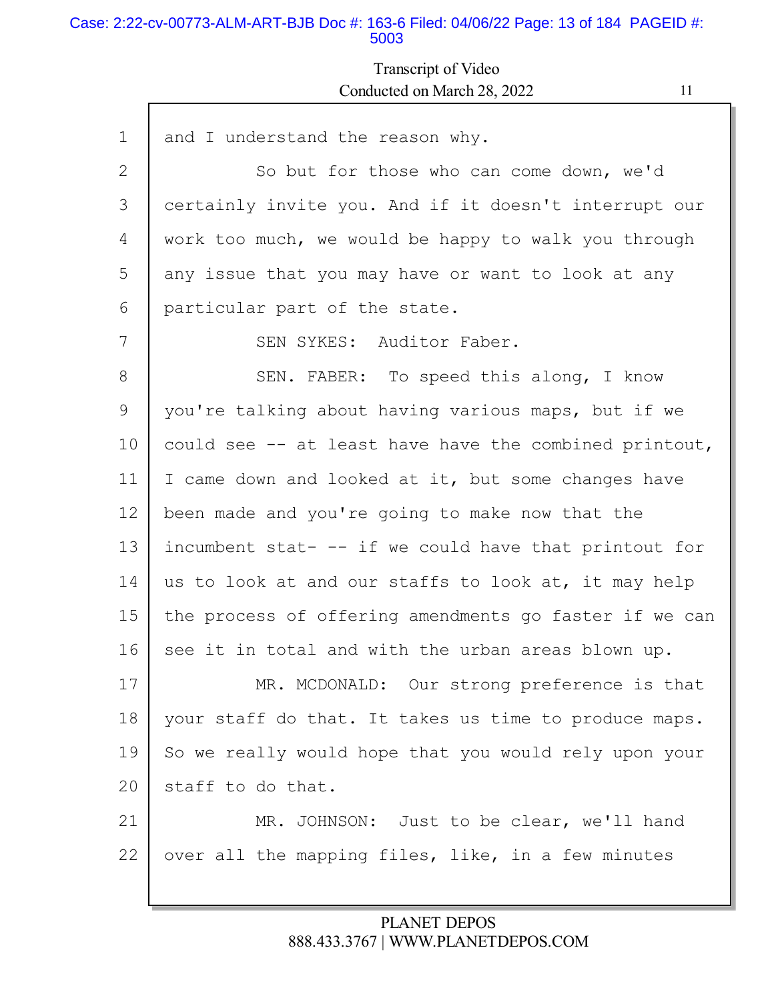#### Case: 2:22-cv-00773-ALM-ART-BJB Doc #: 163-6 Filed: 04/06/22 Page: 13 of 184 PAGEID #: 5003

Г

## Transcript of Video Conducted on March 28, 2022 11

| $\mathbf 1$ | and I understand the reason why.                       |
|-------------|--------------------------------------------------------|
| 2           | So but for those who can come down, we'd               |
| 3           | certainly invite you. And if it doesn't interrupt our  |
| 4           | work too much, we would be happy to walk you through   |
| 5           | any issue that you may have or want to look at any     |
| 6           | particular part of the state.                          |
| 7           | SEN SYKES: Auditor Faber.                              |
| 8           | SEN. FABER: To speed this along, I know                |
| 9           | you're talking about having various maps, but if we    |
| 10          | could see -- at least have have the combined printout, |
| 11          | I came down and looked at it, but some changes have    |
| 12          | been made and you're going to make now that the        |
| 13          | incumbent stat- -- if we could have that printout for  |
| 14          | us to look at and our staffs to look at, it may help   |
| 15          | the process of offering amendments go faster if we can |
| 16          | see it in total and with the urban areas blown up.     |
| 17          | MR. MCDONALD: Our strong preference is that            |
| 18          | your staff do that. It takes us time to produce maps.  |
| 19          | So we really would hope that you would rely upon your  |
| 20          | staff to do that.                                      |
| 21          | MR. JOHNSON: Just to be clear, we'll hand              |
| 22          | over all the mapping files, like, in a few minutes     |
|             |                                                        |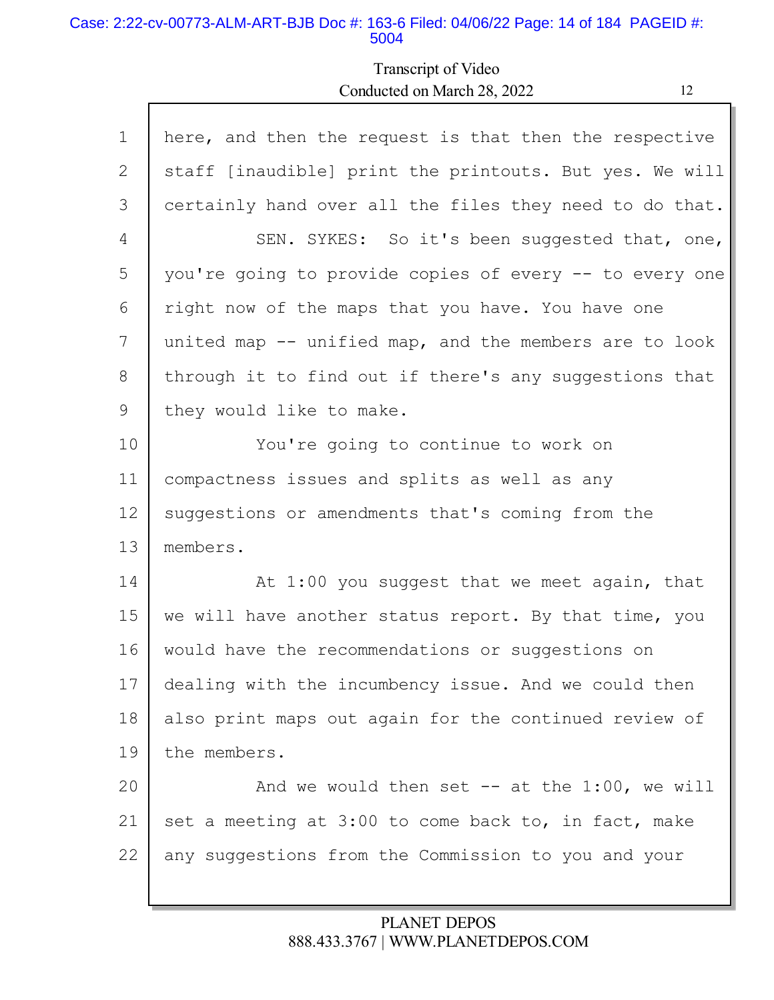#### Case: 2:22-cv-00773-ALM-ART-BJB Doc #: 163-6 Filed: 04/06/22 Page: 14 of 184 PAGEID #: 5004

Г

## Transcript of Video Conducted on March 28, 2022 12

| $\mathbf{1}$ | here, and then the request is that then the respective  |
|--------------|---------------------------------------------------------|
| 2            | staff [inaudible] print the printouts. But yes. We will |
| 3            | certainly hand over all the files they need to do that. |
| 4            | SEN. SYKES: So it's been suggested that, one,           |
| 5            | you're going to provide copies of every -- to every one |
| 6            | right now of the maps that you have. You have one       |
| 7            | united map -- unified map, and the members are to look  |
| 8            | through it to find out if there's any suggestions that  |
| 9            | they would like to make.                                |
| 10           | You're going to continue to work on                     |
| 11           | compactness issues and splits as well as any            |
| 12           | suggestions or amendments that's coming from the        |
| 13           | members.                                                |
| 14           | At 1:00 you suggest that we meet again, that            |
| 15           | we will have another status report. By that time, you   |
| 16           | would have the recommendations or suggestions on        |
| 17           | dealing with the incumbency issue. And we could then    |
| 18           | also print maps out again for the continued review of   |
| 19           | the members.                                            |
| 20           | And we would then set $--$ at the 1:00, we will         |
| 21           | set a meeting at 3:00 to come back to, in fact, make    |
| 22           | any suggestions from the Commission to you and your     |
|              |                                                         |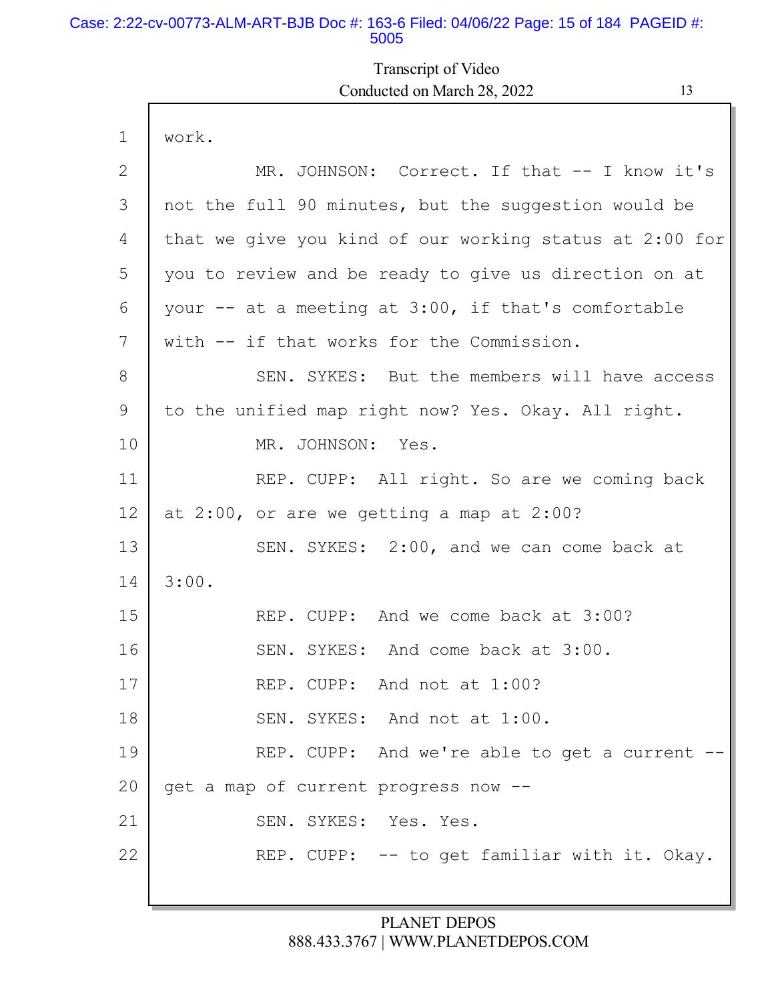#### Case: 2:22-cv-00773-ALM-ART-BJB Doc #: 163-6 Filed: 04/06/22 Page: 15 of 184 PAGEID #: 5005

I

## Transcript of Video Conducted on March 28, 2022 13

| $\mathbf 1$    | work.                                                   |  |  |
|----------------|---------------------------------------------------------|--|--|
| $\overline{2}$ | MR. JOHNSON: Correct. If that -- I know it's            |  |  |
| 3              | not the full 90 minutes, but the suggestion would be    |  |  |
| 4              | that we give you kind of our working status at 2:00 for |  |  |
| 5              | you to review and be ready to give us direction on at   |  |  |
| 6              | your -- at a meeting at 3:00, if that's comfortable     |  |  |
| 7              | with -- if that works for the Commission.               |  |  |
| 8              | SEN. SYKES: But the members will have access            |  |  |
| 9              | to the unified map right now? Yes. Okay. All right.     |  |  |
| 10             | MR. JOHNSON: Yes.                                       |  |  |
| 11             | REP. CUPP: All right. So are we coming back             |  |  |
| 12             | at $2:00$ , or are we getting a map at $2:00$ ?         |  |  |
| 13             | SEN. SYKES: 2:00, and we can come back at               |  |  |
| 14             | 3:00.                                                   |  |  |
| 15             | REP. CUPP: And we come back at 3:00?                    |  |  |
| 16             | SEN. SYKES: And come back at 3:00.                      |  |  |
| 17             | REP. CUPP: And not at 1:00?                             |  |  |
| 18             | SEN. SYKES: And not at 1:00.                            |  |  |
| 19             | REP. CUPP: And we're able to get a current --           |  |  |
| 20             | get a map of current progress now --                    |  |  |
| 21             | SEN. SYKES: Yes. Yes.                                   |  |  |
| 22             | REP. CUPP: -- to get familiar with it. Okay.            |  |  |
|                |                                                         |  |  |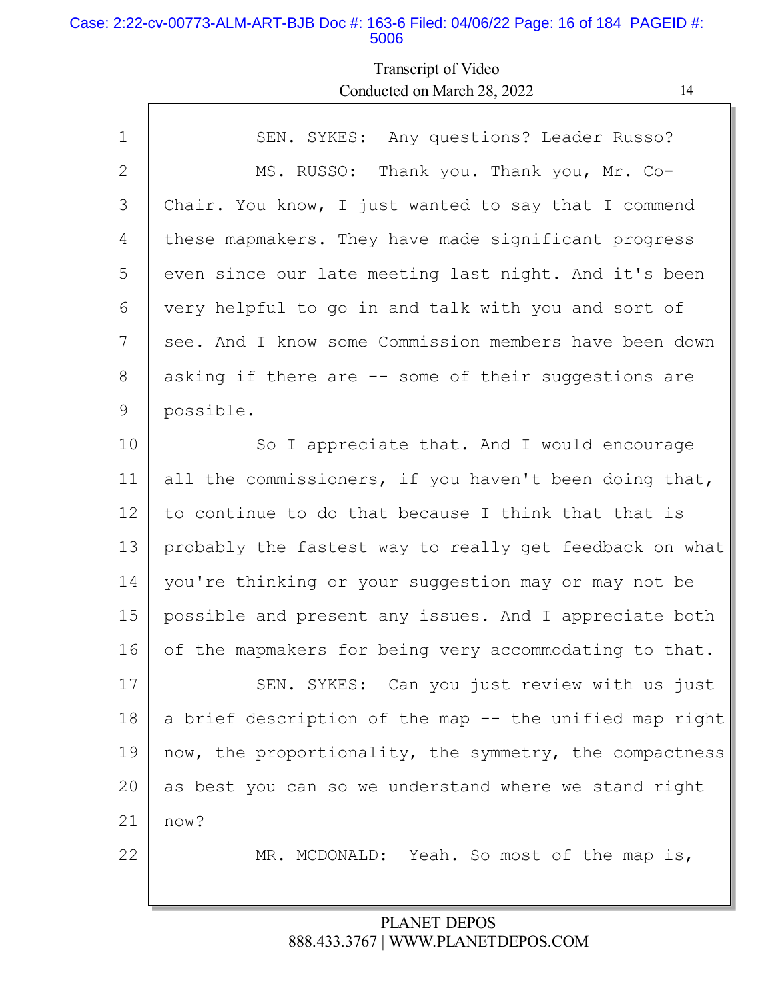#### Case: 2:22-cv-00773-ALM-ART-BJB Doc #: 163-6 Filed: 04/06/22 Page: 16 of 184 PAGEID #: 5006

Г

## Transcript of Video Conducted on March 28, 2022 14

| $\mathbf 1$    | SEN. SYKES: Any questions? Leader Russo?                |  |
|----------------|---------------------------------------------------------|--|
| $\overline{2}$ | MS. RUSSO: Thank you. Thank you, Mr. Co-                |  |
| 3              | Chair. You know, I just wanted to say that I commend    |  |
| 4              | these mapmakers. They have made significant progress    |  |
| 5              | even since our late meeting last night. And it's been   |  |
| 6              | very helpful to go in and talk with you and sort of     |  |
| 7              | see. And I know some Commission members have been down  |  |
| 8              | asking if there are -- some of their suggestions are    |  |
| 9              | possible.                                               |  |
| 10             | So I appreciate that. And I would encourage             |  |
| 11             | all the commissioners, if you haven't been doing that,  |  |
| 12             | to continue to do that because I think that that is     |  |
| 13             | probably the fastest way to really get feedback on what |  |
| 14             | you're thinking or your suggestion may or may not be    |  |
| 15             | possible and present any issues. And I appreciate both  |  |
| 16             | of the mapmakers for being very accommodating to that.  |  |
| 17             | SEN. SYKES: Can you just review with us just            |  |
| 18             | a brief description of the map -- the unified map right |  |
| 19             | now, the proportionality, the symmetry, the compactness |  |
| 20             | as best you can so we understand where we stand right   |  |
| 21             | now?                                                    |  |
| 22             | MR. MCDONALD: Yeah. So most of the map is,              |  |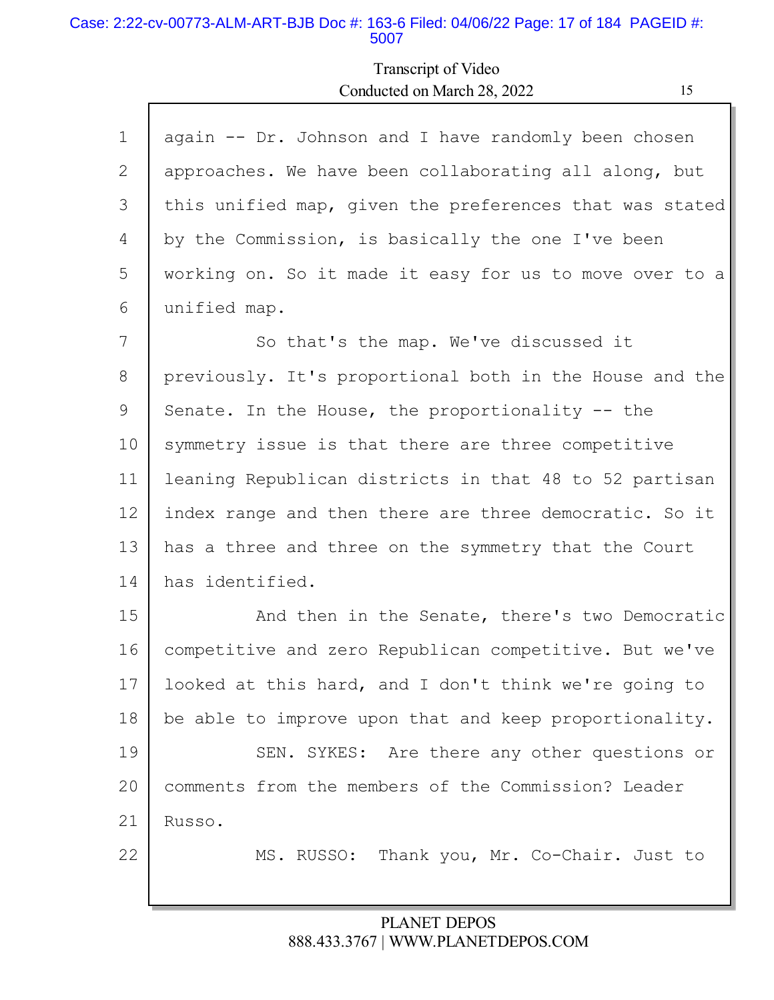#### Case: 2:22-cv-00773-ALM-ART-BJB Doc #: 163-6 Filed: 04/06/22 Page: 17 of 184 PAGEID #: 5007

Г

## Transcript of Video Conducted on March 28, 2022

| ۰            |
|--------------|
|              |
| I<br>I<br>۰. |
|              |

Ы

| $\mathbf 1$     | again -- Dr. Johnson and I have randomly been chosen    |
|-----------------|---------------------------------------------------------|
| 2               | approaches. We have been collaborating all along, but   |
| 3               | this unified map, given the preferences that was stated |
| 4               | by the Commission, is basically the one I've been       |
| 5               | working on. So it made it easy for us to move over to a |
| 6               | unified map.                                            |
| 7               | So that's the map. We've discussed it                   |
| 8               | previously. It's proportional both in the House and the |
| 9               | Senate. In the House, the proportionality -- the        |
| 10              | symmetry issue is that there are three competitive      |
| 11              | leaning Republican districts in that 48 to 52 partisan  |
| 12 <sup>°</sup> | index range and then there are three democratic. So it  |
| 13              | has a three and three on the symmetry that the Court    |
| 14              | has identified.                                         |
| 15              | And then in the Senate, there's two Democratic          |
| 16              | competitive and zero Republican competitive. But we've  |
| 17              | looked at this hard, and I don't think we're going to   |
| 18              | be able to improve upon that and keep proportionality.  |
| 19              | SEN. SYKES: Are there any other questions or            |
| 20              | comments from the members of the Commission? Leader     |
| 21              | Russo.                                                  |
| 22              | MS. RUSSO: Thank you, Mr. Co-Chair. Just to             |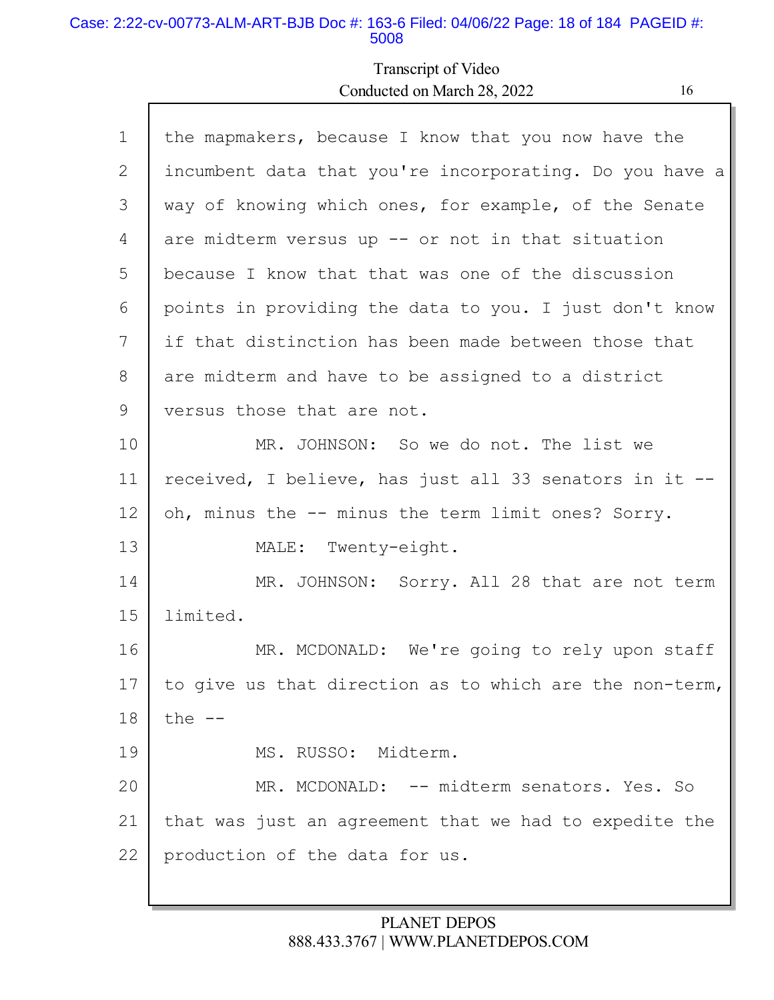#### Case: 2:22-cv-00773-ALM-ART-BJB Doc #: 163-6 Filed: 04/06/22 Page: 18 of 184 PAGEID #: 5008

Г

## Transcript of Video Conducted on March 28, 2022 16

| $\mathbf 1$ | the mapmakers, because I know that you now have the     |
|-------------|---------------------------------------------------------|
| 2           | incumbent data that you're incorporating. Do you have a |
| 3           | way of knowing which ones, for example, of the Senate   |
| 4           | are midterm versus up -- or not in that situation       |
| 5           | because I know that that was one of the discussion      |
| 6           | points in providing the data to you. I just don't know  |
| 7           | if that distinction has been made between those that    |
| 8           | are midterm and have to be assigned to a district       |
| 9           | versus those that are not.                              |
| 10          | MR. JOHNSON: So we do not. The list we                  |
| 11          | received, I believe, has just all 33 senators in it --  |
| 12          | oh, minus the -- minus the term limit ones? Sorry.      |
| 13          | MALE: Twenty-eight.                                     |
| 14          | MR. JOHNSON: Sorry. All 28 that are not term            |
| 15          | limited.                                                |
| 16          | MR. MCDONALD: We're going to rely upon staff            |
| 17          | to give us that direction as to which are the non-term, |
| 18          | the $--$                                                |
| 19          | MS. RUSSO: Midterm.                                     |
| 20          | MR. MCDONALD: -- midterm senators. Yes. So              |
| 21          | that was just an agreement that we had to expedite the  |
| 22          | production of the data for us.                          |
|             |                                                         |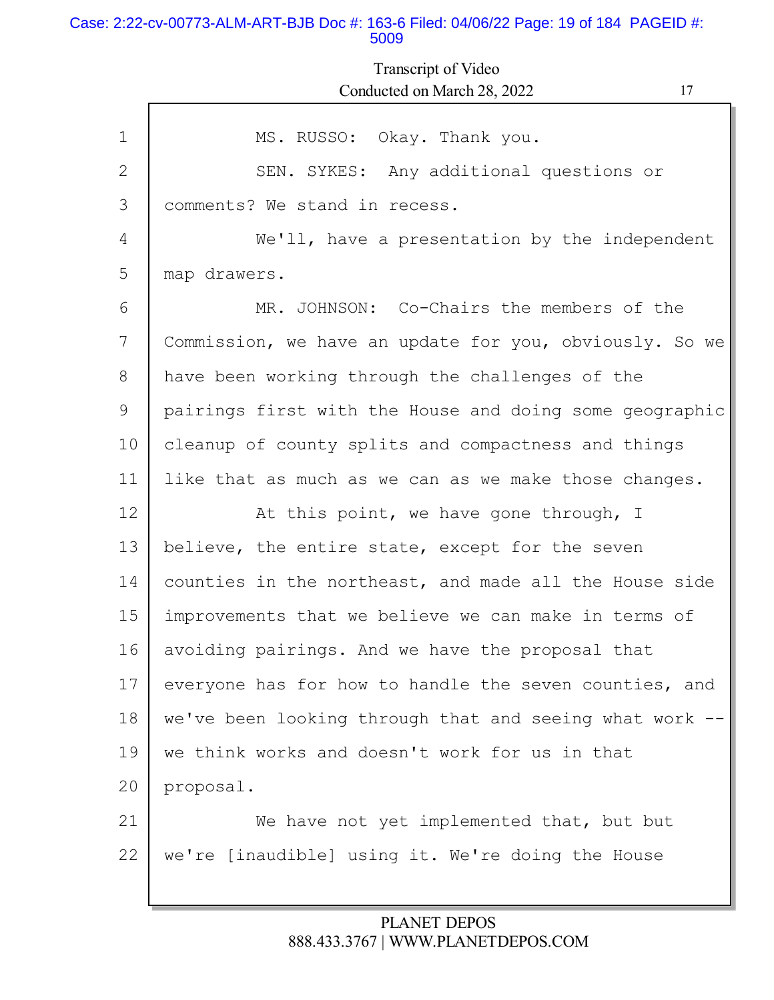#### Case: 2:22-cv-00773-ALM-ART-BJB Doc #: 163-6 Filed: 04/06/22 Page: 19 of 184 PAGEID #: 5009

Transcript of Video Conducted on March 28, 2022 17

| $\mathbf{1}$ | MS. RUSSO: Okay. Thank you.                             |
|--------------|---------------------------------------------------------|
| $\mathbf{2}$ | SEN. SYKES: Any additional questions or                 |
| 3            | comments? We stand in recess.                           |
| 4            | We'll, have a presentation by the independent           |
| 5            | map drawers.                                            |
| 6            | MR. JOHNSON: Co-Chairs the members of the               |
| 7            | Commission, we have an update for you, obviously. So we |
| 8            | have been working through the challenges of the         |
| 9            | pairings first with the House and doing some geographic |
| 10           | cleanup of county splits and compactness and things     |
| 11           | like that as much as we can as we make those changes.   |
| 12           | At this point, we have gone through, I                  |
| 13           | believe, the entire state, except for the seven         |
| 14           | counties in the northeast, and made all the House side  |
| 15           | improvements that we believe we can make in terms of    |
| 16           | avoiding pairings. And we have the proposal that        |
| 17           | everyone has for how to handle the seven counties, and  |
| 18           | we've been looking through that and seeing what work    |
| 19           | we think works and doesn't work for us in that          |
| 20           | proposal.                                               |
| 21           | We have not yet implemented that, but but               |
| 22           | we're [inaudible] using it. We're doing the House       |
|              |                                                         |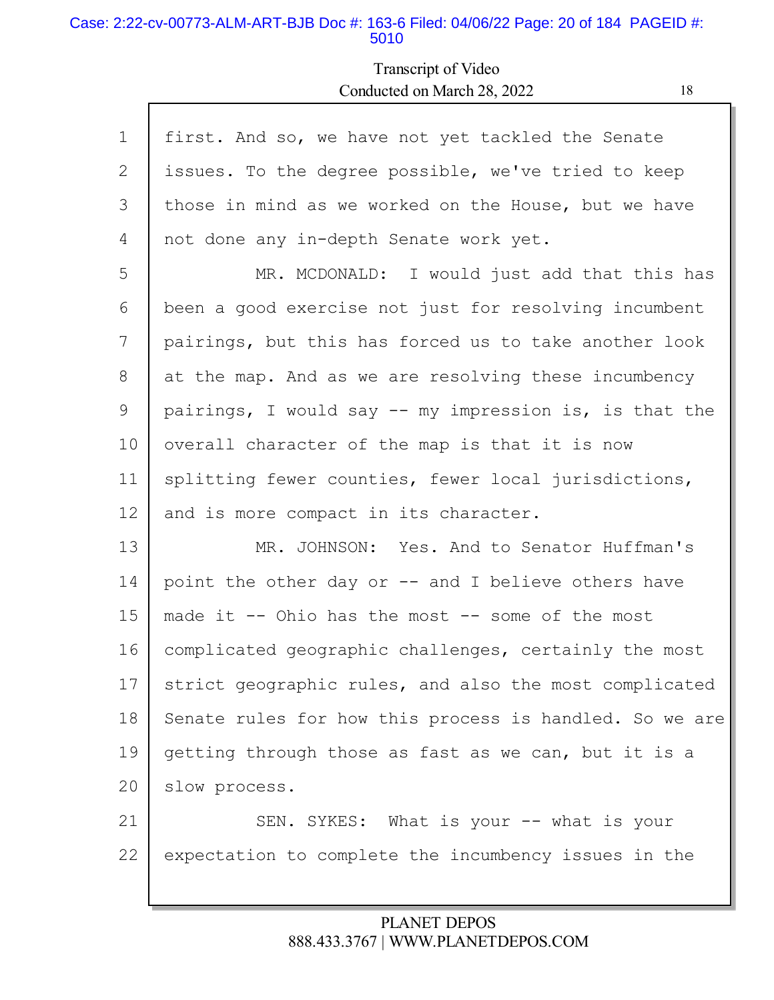#### Case: 2:22-cv-00773-ALM-ART-BJB Doc #: 163-6 Filed: 04/06/22 Page: 20 of 184 PAGEID #: 5010

Г

## Transcript of Video Conducted on March 28, 2022 18

| $\mathbf 1$ | first. And so, we have not yet tackled the Senate       |  |
|-------------|---------------------------------------------------------|--|
| 2           | issues. To the degree possible, we've tried to keep     |  |
| 3           | those in mind as we worked on the House, but we have    |  |
| 4           | not done any in-depth Senate work yet.                  |  |
| 5           | MR. MCDONALD: I would just add that this has            |  |
| 6           | been a good exercise not just for resolving incumbent   |  |
| 7           | pairings, but this has forced us to take another look   |  |
| 8           | at the map. And as we are resolving these incumbency    |  |
| 9           | pairings, I would say -- my impression is, is that the  |  |
| 10          | overall character of the map is that it is now          |  |
| 11          | splitting fewer counties, fewer local jurisdictions,    |  |
| 12          | and is more compact in its character.                   |  |
| 13          | MR. JOHNSON: Yes. And to Senator Huffman's              |  |
| 14          | point the other day or -- and I believe others have     |  |
| 15          | made it $--$ Ohio has the most $--$ some of the most    |  |
| 16          | complicated geographic challenges, certainly the most   |  |
| 17          | strict geographic rules, and also the most complicated  |  |
| 18          | Senate rules for how this process is handled. So we are |  |
| 19          | getting through those as fast as we can, but it is a    |  |
| 20          | slow process.                                           |  |
| 21          | SEN. SYKES: What is your -- what is your                |  |
| 22          | expectation to complete the incumbency issues in the    |  |
|             |                                                         |  |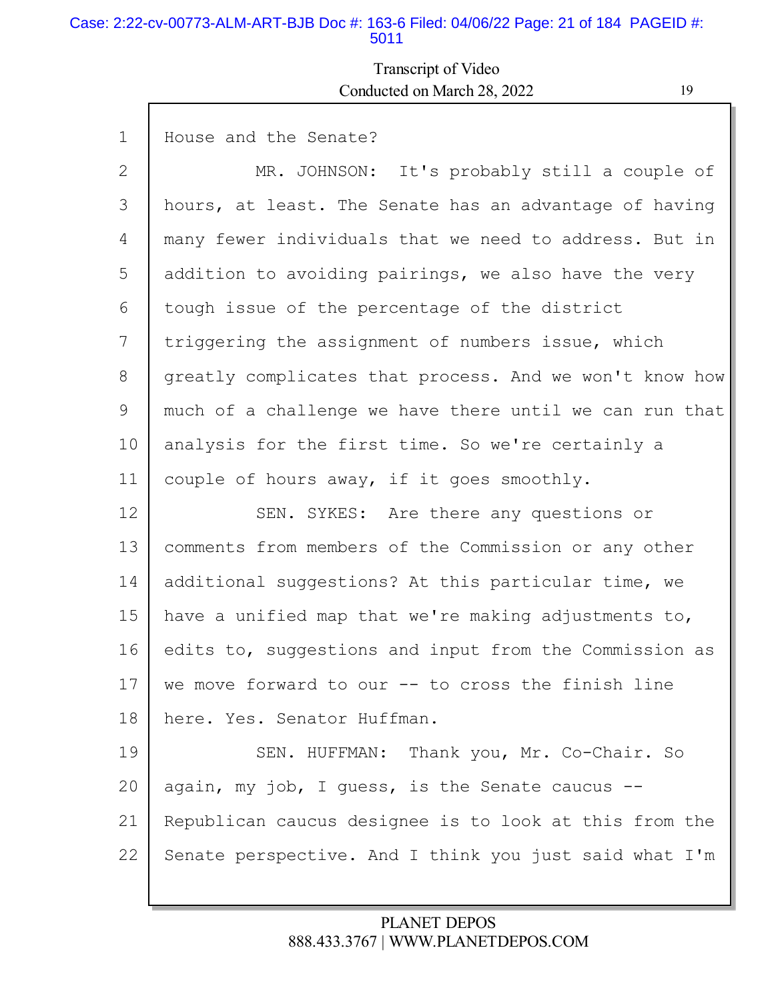#### Case: 2:22-cv-00773-ALM-ART-BJB Doc #: 163-6 Filed: 04/06/22 Page: 21 of 184 PAGEID #: 5011

Transcript of Video Conducted on March 28, 2022 19

1 2 3 4 5 6 7 8 9 10 11 12 13 14 15 16 17 18 19 20 21 22 House and the Senate? MR. JOHNSON: It's probably still a couple of hours, at least. The Senate has an advantage of having many fewer individuals that we need to address. But in addition to avoiding pairings, we also have the very tough issue of the percentage of the district triggering the assignment of numbers issue, which greatly complicates that process. And we won't know how much of a challenge we have there until we can run that analysis for the first time. So we're certainly a couple of hours away, if it goes smoothly. SEN. SYKES: Are there any questions or comments from members of the Commission or any other additional suggestions? At this particular time, we have a unified map that we're making adjustments to, edits to, suggestions and input from the Commission as we move forward to our -- to cross the finish line here. Yes. Senator Huffman. SEN. HUFFMAN: Thank you, Mr. Co-Chair. So again, my job, I quess, is the Senate caucus  $-$ Republican caucus designee is to look at this from the Senate perspective. And I think you just said what I'm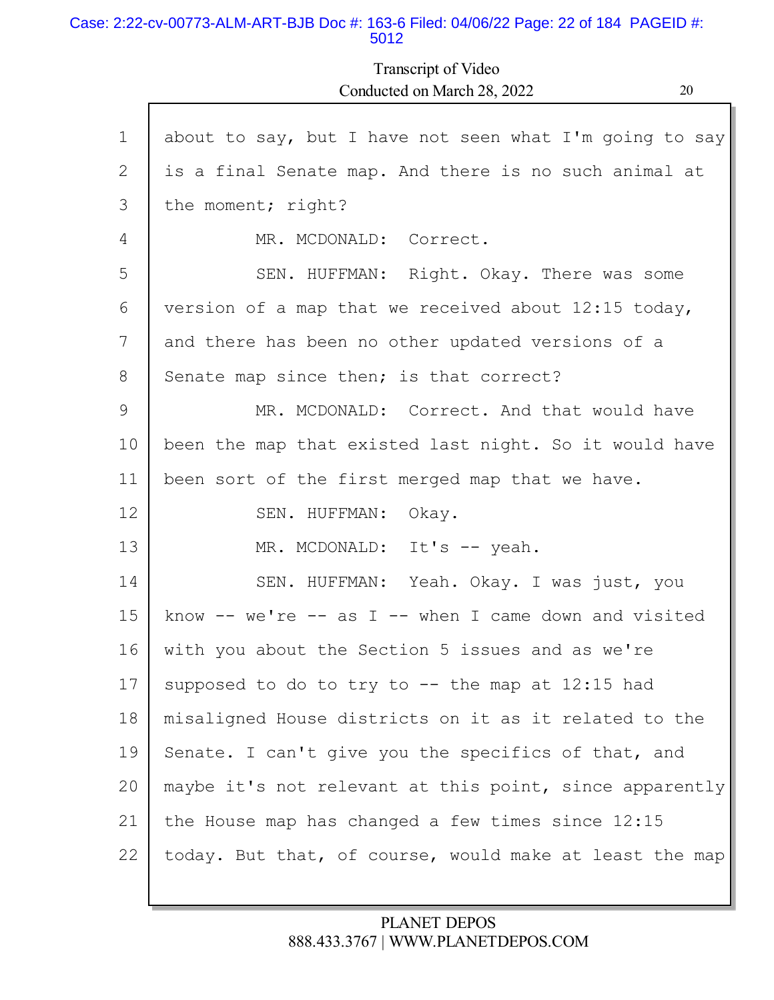#### Case: 2:22-cv-00773-ALM-ART-BJB Doc #: 163-6 Filed: 04/06/22 Page: 22 of 184 PAGEID #: 5012

Transcript of Video Conducted on March 28, 2022 20

| $\mathbf 1$ | about to say, but I have not seen what I'm going to say     |
|-------------|-------------------------------------------------------------|
| 2           | is a final Senate map. And there is no such animal at       |
| 3           | the moment; right?                                          |
| 4           | MR. MCDONALD: Correct.                                      |
| 5           | SEN. HUFFMAN: Right. Okay. There was some                   |
| 6           | version of a map that we received about 12:15 today,        |
| 7           | and there has been no other updated versions of a           |
| 8           | Senate map since then; is that correct?                     |
| 9           | MR. MCDONALD: Correct. And that would have                  |
| 10          | been the map that existed last night. So it would have      |
| 11          | been sort of the first merged map that we have.             |
| 12          | SEN. HUFFMAN: Okay.                                         |
| 13          | MR. MCDONALD: It's -- yeah.                                 |
| 14          | SEN. HUFFMAN: Yeah. Okay. I was just, you                   |
| 15          | know $--$ we're $--$ as I $--$ when I came down and visited |
| 16          | with you about the Section 5 issues and as we're            |
| 17          | supposed to do to try to $-$ the map at 12:15 had           |
| 18          | misaligned House districts on it as it related to the       |
| 19          | Senate. I can't give you the specifics of that, and         |
| 20          | maybe it's not relevant at this point, since apparently     |
| 21          | the House map has changed a few times since 12:15           |
| 22          | today. But that, of course, would make at least the map     |
|             |                                                             |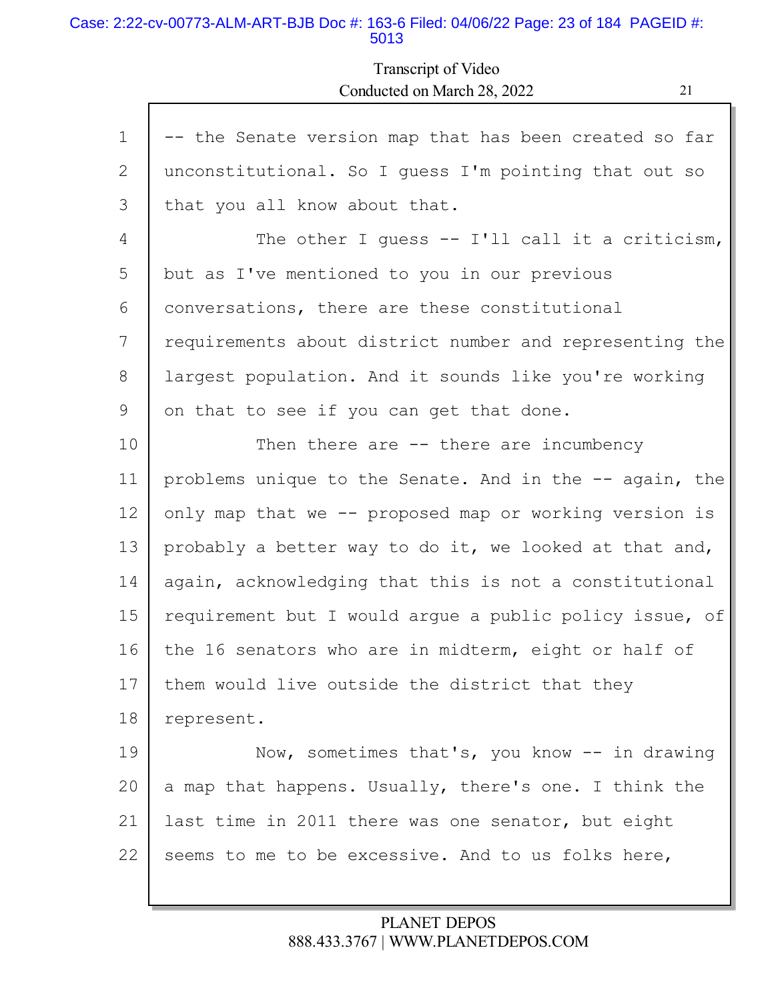#### Case: 2:22-cv-00773-ALM-ART-BJB Doc #: 163-6 Filed: 04/06/22 Page: 23 of 184 PAGEID #: 5013

Transcript of Video Conducted on March 28, 2022 21

| $\mathbf 1$ | -- the Senate version map that has been created so far  |  |
|-------------|---------------------------------------------------------|--|
| 2           | unconstitutional. So I guess I'm pointing that out so   |  |
| 3           | that you all know about that.                           |  |
| 4           | The other I quess $--$ I'll call it a criticism,        |  |
| 5           | but as I've mentioned to you in our previous            |  |
| 6           | conversations, there are these constitutional           |  |
| 7           | requirements about district number and representing the |  |
| 8           | largest population. And it sounds like you're working   |  |
| 9           | on that to see if you can get that done.                |  |
| 10          | Then there are $-$ there are incumbency                 |  |
| 11          | problems unique to the Senate. And in the -- again, the |  |
| 12          | only map that we -- proposed map or working version is  |  |
| 13          | probably a better way to do it, we looked at that and,  |  |
| 14          | again, acknowledging that this is not a constitutional  |  |
| 15          | requirement but I would argue a public policy issue, of |  |
| 16          | the 16 senators who are in midterm, eight or half of    |  |
| 17          | them would live outside the district that they          |  |
| 18          | represent.                                              |  |
| 19          | Now, sometimes that's, you know -- in drawing           |  |
| 20          | a map that happens. Usually, there's one. I think the   |  |
| 21          | last time in 2011 there was one senator, but eight      |  |
| 22          | seems to me to be excessive. And to us folks here,      |  |
|             |                                                         |  |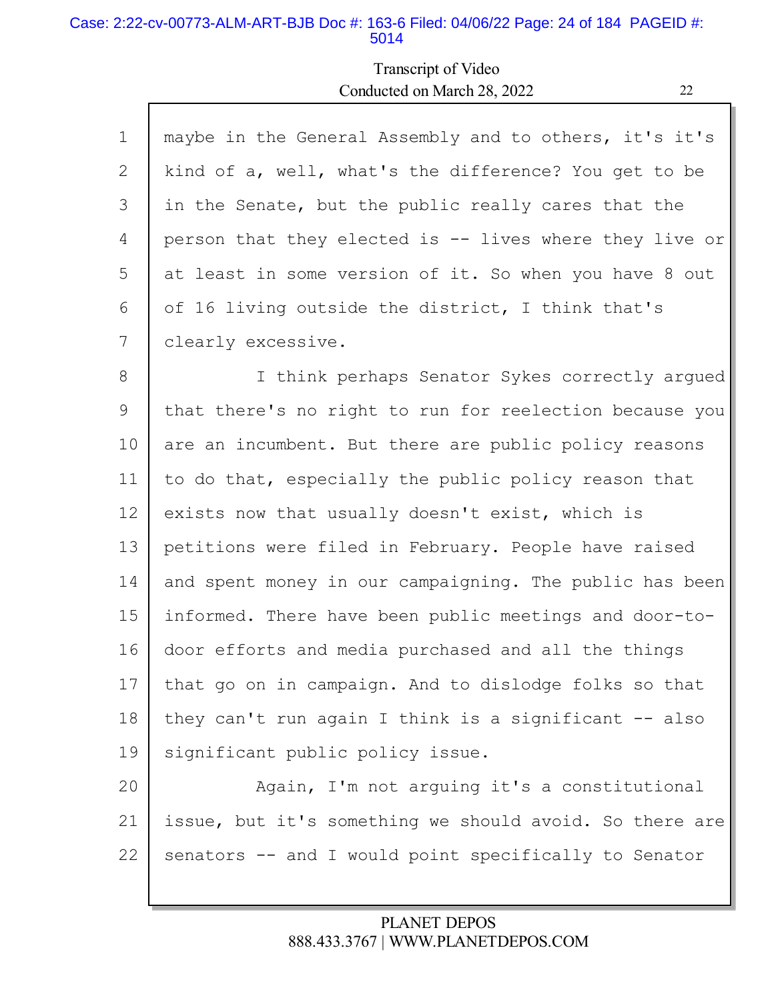#### Case: 2:22-cv-00773-ALM-ART-BJB Doc #: 163-6 Filed: 04/06/22 Page: 24 of 184 PAGEID #: 5014

## Transcript of Video Conducted on March 28, 2022 22

| $\mathbf 1$    | maybe in the General Assembly and to others, it's it's  |  |
|----------------|---------------------------------------------------------|--|
| $\overline{2}$ | kind of a, well, what's the difference? You get to be   |  |
| 3              | in the Senate, but the public really cares that the     |  |
| 4              | person that they elected is -- lives where they live or |  |
| 5              | at least in some version of it. So when you have 8 out  |  |
| 6              | of 16 living outside the district, I think that's       |  |
| 7              | clearly excessive.                                      |  |
| 8              | I think perhaps Senator Sykes correctly argued          |  |
| 9              | that there's no right to run for reelection because you |  |
| 10             | are an incumbent. But there are public policy reasons   |  |
| 11             | to do that, especially the public policy reason that    |  |
| 12             | exists now that usually doesn't exist, which is         |  |
| 13             | petitions were filed in February. People have raised    |  |
| 14             | and spent money in our campaigning. The public has been |  |
| 15             | informed. There have been public meetings and door-to-  |  |
| 16             | door efforts and media purchased and all the things     |  |
| 17             | that go on in campaign. And to dislodge folks so that   |  |
| 18             | they can't run again I think is a significant -- also   |  |
| 19             | significant public policy issue.                        |  |
| 20             | Again, I'm not arguing it's a constitutional            |  |

22

21

#### PLANET DEPOS 888.433.3767 | WWW.PLANETDEPOS.COM

issue, but it's something we should avoid. So there are

senators -- and I would point specifically to Senator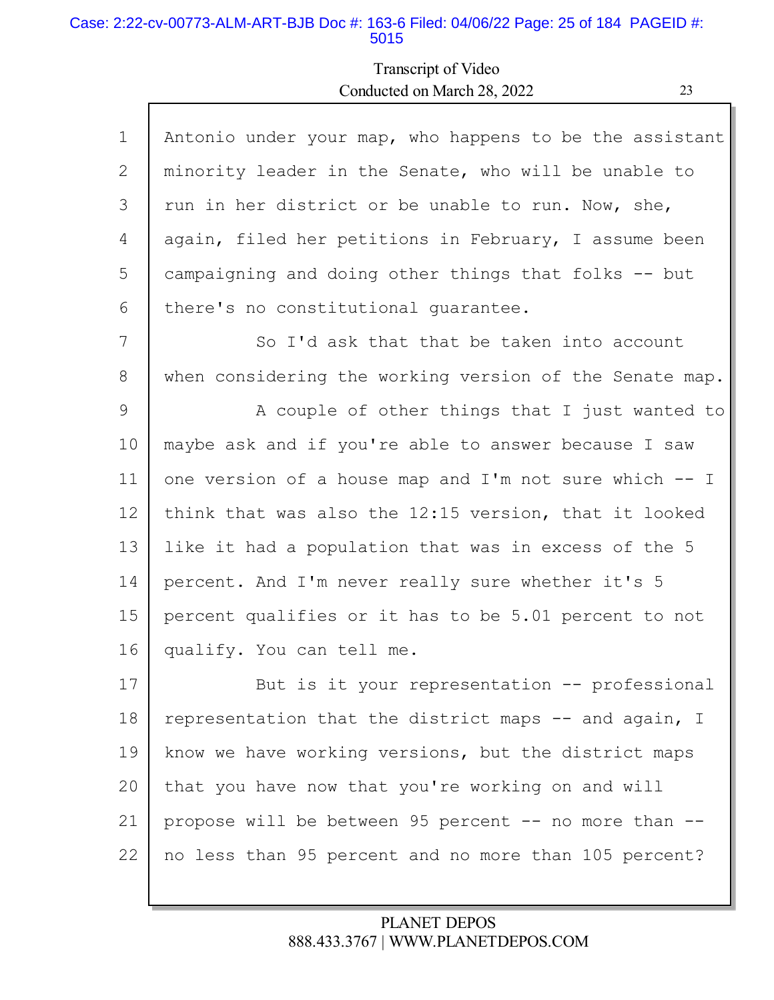#### Case: 2:22-cv-00773-ALM-ART-BJB Doc #: 163-6 Filed: 04/06/22 Page: 25 of 184 PAGEID #: 5015

Г

## Transcript of Video Conducted on March 28, 2022 23

Ъ

| $\mathbf{1}$ | Antonio under your map, who happens to be the assistant |  |
|--------------|---------------------------------------------------------|--|
| 2            | minority leader in the Senate, who will be unable to    |  |
| 3            | run in her district or be unable to run. Now, she,      |  |
| 4            | again, filed her petitions in February, I assume been   |  |
| 5            | campaigning and doing other things that folks -- but    |  |
| 6            | there's no constitutional quarantee.                    |  |
| 7            | So I'd ask that that be taken into account              |  |
| 8            | when considering the working version of the Senate map. |  |
| 9            | A couple of other things that I just wanted to          |  |
| 10           | maybe ask and if you're able to answer because I saw    |  |
| 11           | one version of a house map and I'm not sure which $-$ I |  |
| 12           | think that was also the 12:15 version, that it looked   |  |
| 13           | like it had a population that was in excess of the 5    |  |
| 14           | percent. And I'm never really sure whether it's 5       |  |
| 15           | percent qualifies or it has to be 5.01 percent to not   |  |
| 16           | qualify. You can tell me.                               |  |
| 17           | But is it your representation -- professional           |  |
| 18           | representation that the district maps -- and again, I   |  |
| 19           | know we have working versions, but the district maps    |  |
| 20           | that you have now that you're working on and will       |  |
| 21           | propose will be between 95 percent -- no more than --   |  |
| 22           | no less than 95 percent and no more than 105 percent?   |  |
|              |                                                         |  |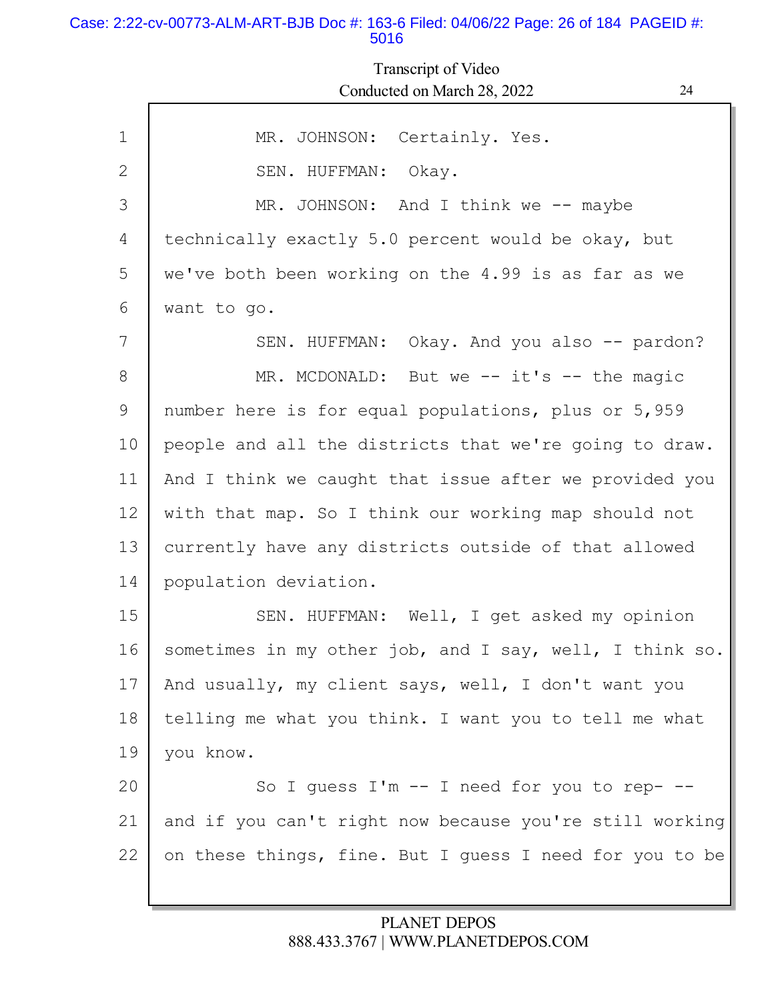#### Case: 2:22-cv-00773-ALM-ART-BJB Doc #: 163-6 Filed: 04/06/22 Page: 26 of 184 PAGEID #: 5016

Transcript of Video Conducted on March 28, 2022

| I |  |
|---|--|
|   |  |
| ш |  |

| $\mathbf 1$ | MR. JOHNSON: Certainly. Yes.                            |
|-------------|---------------------------------------------------------|
| 2           | SEN. HUFFMAN: Okay.                                     |
| 3           | MR. JOHNSON: And I think we -- maybe                    |
| 4           | technically exactly 5.0 percent would be okay, but      |
| 5           | we've both been working on the 4.99 is as far as we     |
| 6           | want to go.                                             |
| 7           | SEN. HUFFMAN: Okay. And you also -- pardon?             |
| 8           | MR. MCDONALD: But we -- it's -- the magic               |
| 9           | number here is for equal populations, plus or 5,959     |
| 10          | people and all the districts that we're going to draw.  |
| 11          | And I think we caught that issue after we provided you  |
| 12          | with that map. So I think our working map should not    |
| 13          | currently have any districts outside of that allowed    |
| 14          | population deviation.                                   |
| 15          | SEN. HUFFMAN: Well, I get asked my opinion              |
| 16          | sometimes in my other job, and I say, well, I think so. |
| 17          | And usually, my client says, well, I don't want you     |
| 18          | telling me what you think. I want you to tell me what   |
| 19          | you know.                                               |
| 20          | So I guess I'm -- I need for you to rep- --             |
| 21          | and if you can't right now because you're still working |
| 22          | on these things, fine. But I guess I need for you to be |
|             |                                                         |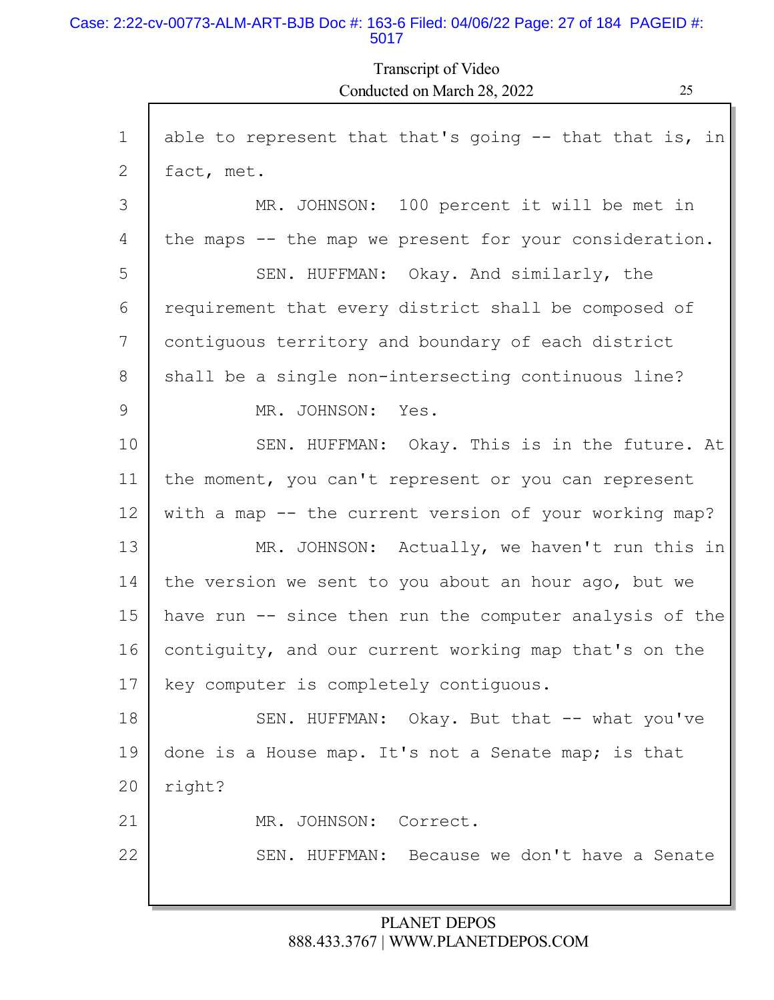#### Case: 2:22-cv-00773-ALM-ART-BJB Doc #: 163-6 Filed: 04/06/22 Page: 27 of 184 PAGEID #: 5017

Г

Transcript of Video Conducted on March 28, 2022 25

| $\mathbf 1$ | able to represent that that's going $-$ that that is, in |
|-------------|----------------------------------------------------------|
| 2           | fact, met.                                               |
| 3           | MR. JOHNSON: 100 percent it will be met in               |
| 4           | the maps -- the map we present for your consideration.   |
| 5           | SEN. HUFFMAN: Okay. And similarly, the                   |
| 6           | requirement that every district shall be composed of     |
| 7           | contiguous territory and boundary of each district       |
| 8           | shall be a single non-intersecting continuous line?      |
| 9           | MR. JOHNSON: Yes.                                        |
| 10          | SEN. HUFFMAN: Okay. This is in the future. At            |
| 11          | the moment, you can't represent or you can represent     |
| 12          | with a map -- the current version of your working map?   |
| 13          | MR. JOHNSON: Actually, we haven't run this in            |
| 14          | the version we sent to you about an hour ago, but we     |
| 15          | have run -- since then run the computer analysis of the  |
| 16          | contiguity, and our current working map that's on the    |
| 17          | key computer is completely contiguous.                   |
| 18          | SEN. HUFFMAN: Okay. But that -- what you've              |
| 19          | done is a House map. It's not a Senate map; is that      |
| 20          | right?                                                   |
| 21          | MR. JOHNSON: Correct.                                    |
| 22          | SEN. HUFFMAN: Because we don't have a Senate             |
|             |                                                          |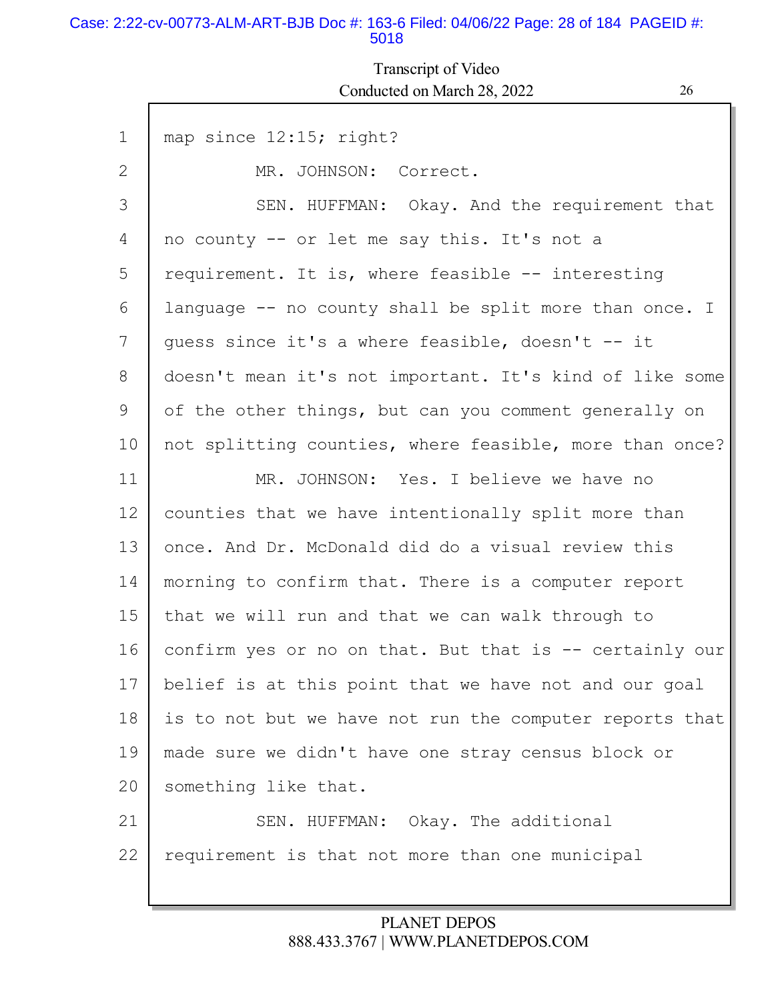#### Case: 2:22-cv-00773-ALM-ART-BJB Doc #: 163-6 Filed: 04/06/22 Page: 28 of 184 PAGEID #: 5018

## Transcript of Video Conducted on March 28, 2022 26

| $\mathbf{1}$ | map since 12:15; right?                                 |
|--------------|---------------------------------------------------------|
| 2            | MR. JOHNSON: Correct.                                   |
| 3            | SEN. HUFFMAN: Okay. And the requirement that            |
| 4            | no county -- or let me say this. It's not a             |
| 5            | requirement. It is, where feasible -- interesting       |
| 6            | language -- no county shall be split more than once. I  |
| 7            | guess since it's a where feasible, doesn't -- it        |
| 8            | doesn't mean it's not important. It's kind of like some |
| 9            | of the other things, but can you comment generally on   |
| 10           | not splitting counties, where feasible, more than once? |
| 11           | MR. JOHNSON: Yes. I believe we have no                  |
| 12           | counties that we have intentionally split more than     |
| 13           | once. And Dr. McDonald did do a visual review this      |
| 14           | morning to confirm that. There is a computer report     |
| 15           | that we will run and that we can walk through to        |
| 16           | confirm yes or no on that. But that is -- certainly our |
| 17           | belief is at this point that we have not and our goal   |
| 18           | is to not but we have not run the computer reports that |
| 19           | made sure we didn't have one stray census block or      |
| 20           | something like that.                                    |
| 21           | SEN. HUFFMAN: Okay. The additional                      |
| 22           | requirement is that not more than one municipal         |
|              |                                                         |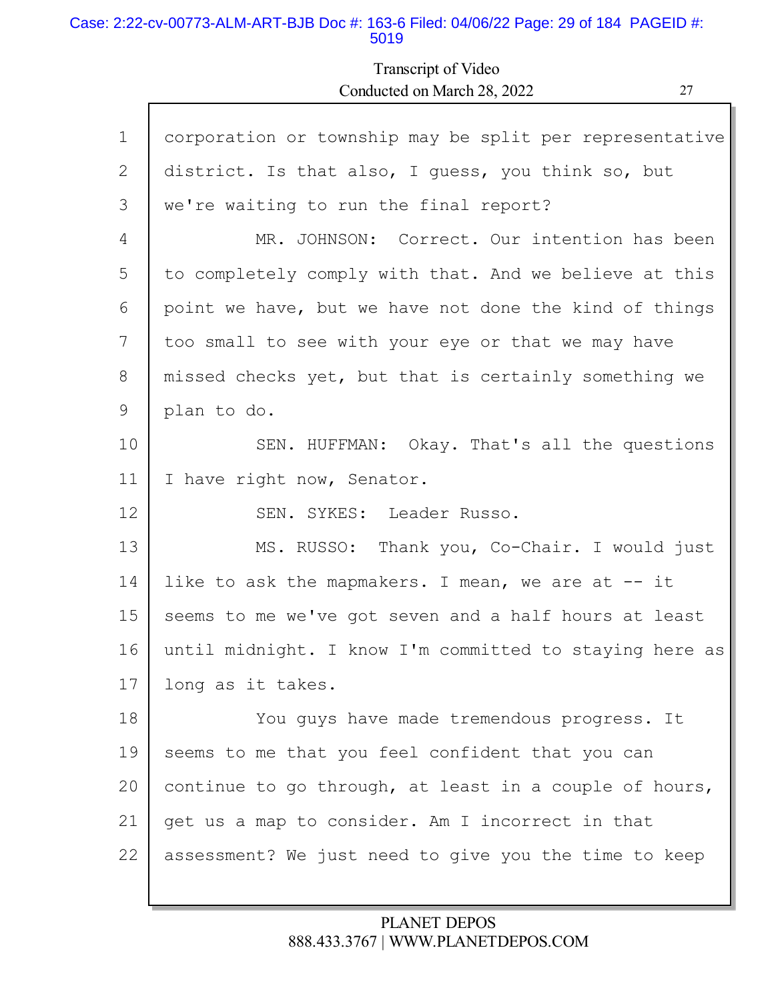#### Case: 2:22-cv-00773-ALM-ART-BJB Doc #: 163-6 Filed: 04/06/22 Page: 29 of 184 PAGEID #: 5019

Transcript of Video Conducted on March 28, 2022 27

| $\mathbf 1$ | corporation or township may be split per representative |
|-------------|---------------------------------------------------------|
| 2           | district. Is that also, I guess, you think so, but      |
| 3           | we're waiting to run the final report?                  |
| 4           | MR. JOHNSON: Correct. Our intention has been            |
| 5           | to completely comply with that. And we believe at this  |
| 6           | point we have, but we have not done the kind of things  |
| 7           | too small to see with your eye or that we may have      |
| 8           | missed checks yet, but that is certainly something we   |
| 9           | plan to do.                                             |
| 10          | SEN. HUFFMAN: Okay. That's all the questions            |
| 11          | I have right now, Senator.                              |
| 12          | SEN. SYKES: Leader Russo.                               |
| 13          | MS. RUSSO: Thank you, Co-Chair. I would just            |
| 14          | like to ask the mapmakers. I mean, we are at -- it      |
| 15          | seems to me we've got seven and a half hours at least   |
| 16          | until midnight. I know I'm committed to staying here as |
| 17          | long as it takes.                                       |
| 18          | You guys have made tremendous progress. It              |
| 19          | seems to me that you feel confident that you can        |
| 20          | continue to go through, at least in a couple of hours,  |
| 21          | get us a map to consider. Am I incorrect in that        |
| 22          | assessment? We just need to give you the time to keep   |
|             |                                                         |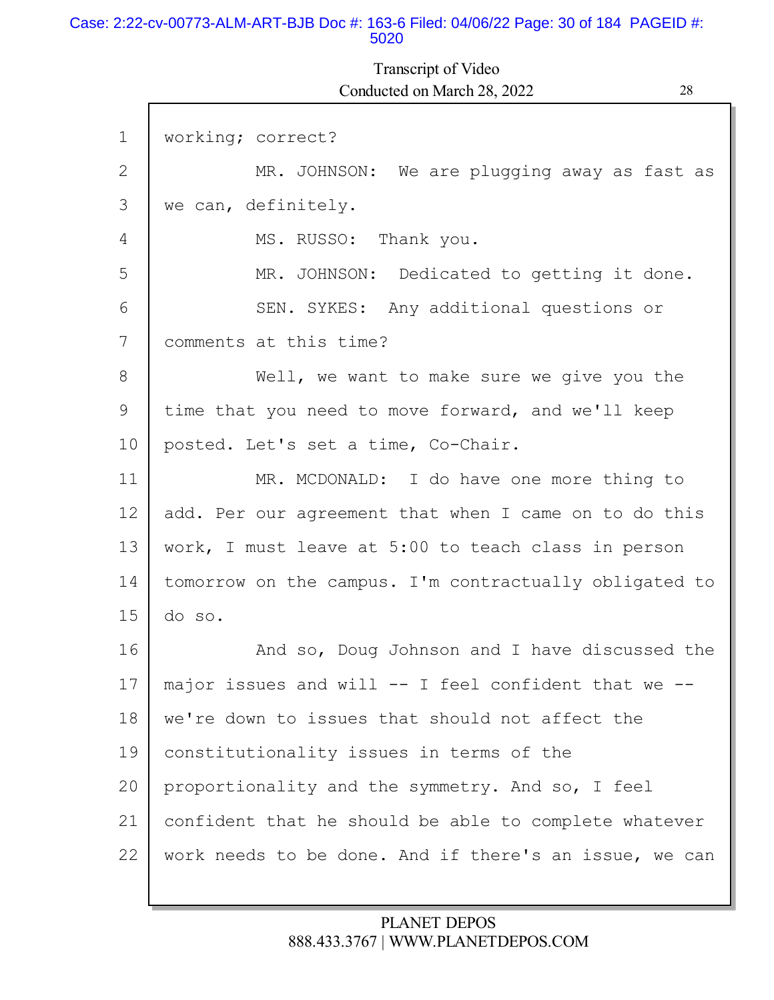#### Case: 2:22-cv-00773-ALM-ART-BJB Doc #: 163-6 Filed: 04/06/22 Page: 30 of 184 PAGEID #: 5020

## Transcript of Video

1 2 3 4 5 6 7 8 9 10 11 12 13 14 15 16 17 18 19 20 21 22 working; correct? MR. JOHNSON: We are plugging away as fast as we can, definitely. MS. RUSSO: Thank you. MR. JOHNSON: Dedicated to getting it done. SEN. SYKES: Any additional questions or comments at this time? Well, we want to make sure we give you the time that you need to move forward, and we'll keep posted. Let's set a time, Co-Chair. MR. MCDONALD: I do have one more thing to add. Per our agreement that when I came on to do this work, I must leave at 5:00 to teach class in person tomorrow on the campus. I'm contractually obligated to do so. And so, Doug Johnson and I have discussed the major issues and will  $--$  I feel confident that we  $-$ we're down to issues that should not affect the constitutionality issues in terms of the proportionality and the symmetry. And so, I feel confident that he should be able to complete whatever work needs to be done. And if there's an issue, we can Conducted on March 28, 2022 28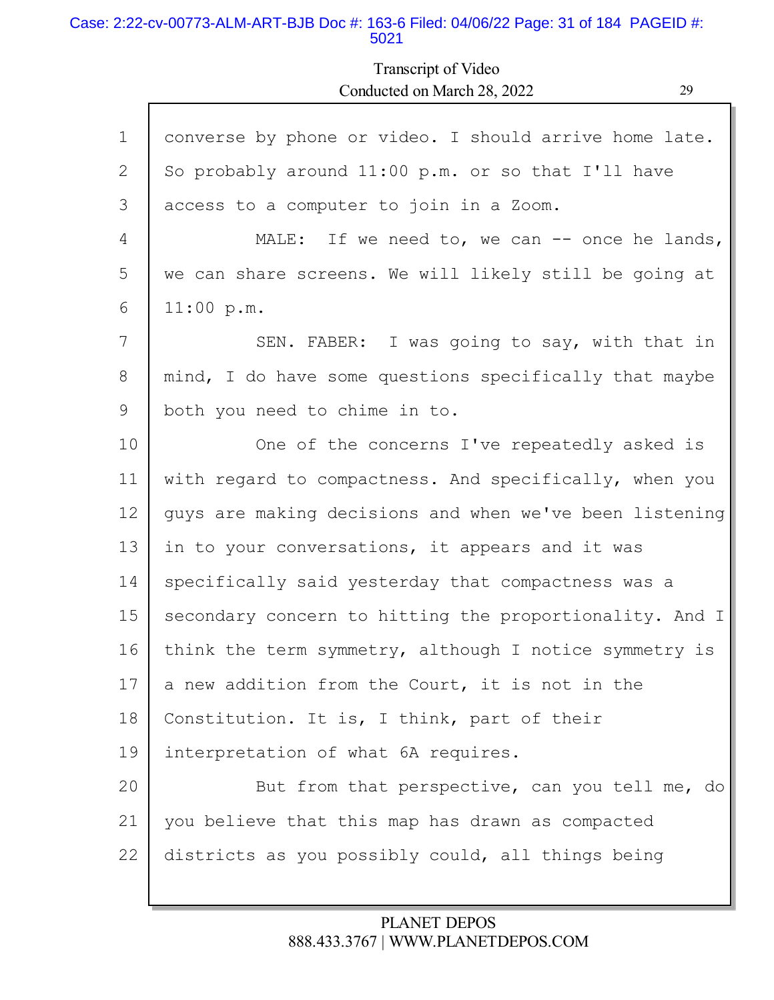#### Case: 2:22-cv-00773-ALM-ART-BJB Doc #: 163-6 Filed: 04/06/22 Page: 31 of 184 PAGEID #: 5021

Г

Transcript of Video Conducted on March 28, 2022 29

| $\mathbf 1$ | converse by phone or video. I should arrive home late.  |
|-------------|---------------------------------------------------------|
| 2           | So probably around 11:00 p.m. or so that I'll have      |
| 3           | access to a computer to join in a Zoom.                 |
| 4           | MALE: If we need to, we can $-$ once he lands,          |
| 5           | we can share screens. We will likely still be going at  |
| 6           | 11:00 p.m.                                              |
| 7           | SEN. FABER: I was going to say, with that in            |
| 8           | mind, I do have some questions specifically that maybe  |
| 9           | both you need to chime in to.                           |
| 10          | One of the concerns I've repeatedly asked is            |
| 11          | with regard to compactness. And specifically, when you  |
| 12          | guys are making decisions and when we've been listening |
| 13          | in to your conversations, it appears and it was         |
| 14          | specifically said yesterday that compactness was a      |
| 15          | secondary concern to hitting the proportionality. And I |
| 16          | think the term symmetry, although I notice symmetry is  |
| 17          | a new addition from the Court, it is not in the         |
| 18          | Constitution. It is, I think, part of their             |
| 19          | interpretation of what 6A requires.                     |
| 20          | But from that perspective, can you tell me, do          |
| 21          | you believe that this map has drawn as compacted        |
| 22          | districts as you possibly could, all things being       |
|             |                                                         |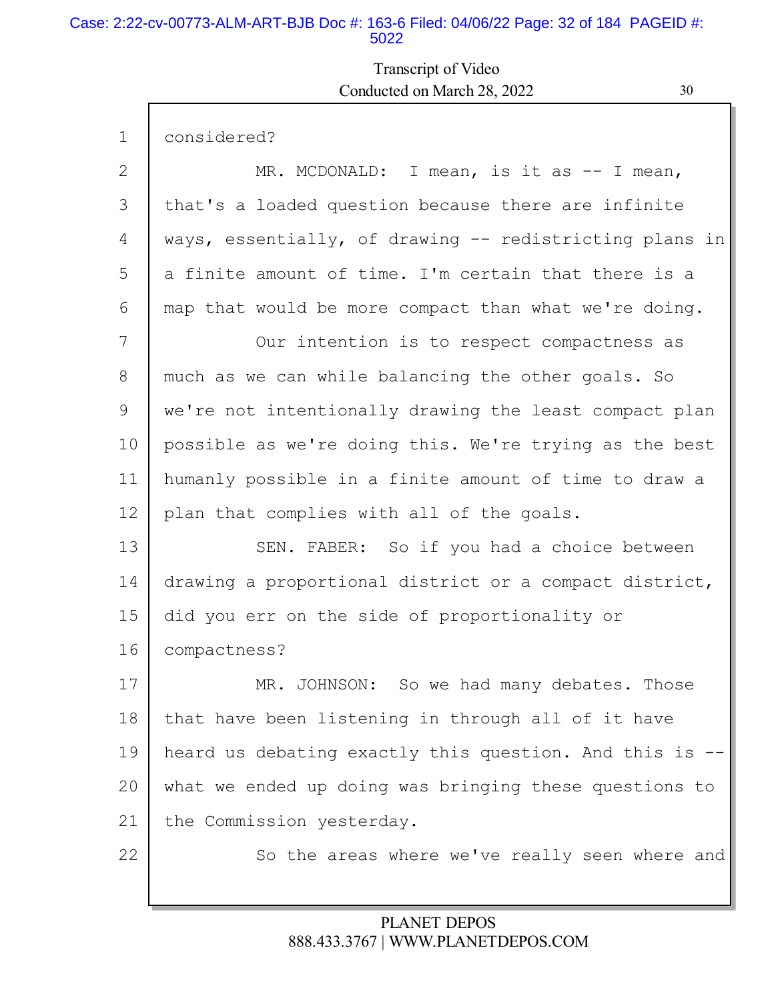#### Case: 2:22-cv-00773-ALM-ART-BJB Doc #: 163-6 Filed: 04/06/22 Page: 32 of 184 PAGEID #: 5022

Г

## Transcript of Video Conducted on March 28, 2022 30

L

| $\mathbf{1}$ | considered?                                             |
|--------------|---------------------------------------------------------|
| 2            | MR. MCDONALD: I mean, is it as -- I mean,               |
| 3            | that's a loaded question because there are infinite     |
| 4            | ways, essentially, of drawing -- redistricting plans in |
| 5            | a finite amount of time. I'm certain that there is a    |
| 6            | map that would be more compact than what we're doing.   |
| 7            | Our intention is to respect compactness as              |
| 8            | much as we can while balancing the other goals. So      |
| 9            | we're not intentionally drawing the least compact plan  |
| 10           | possible as we're doing this. We're trying as the best  |
| 11           | humanly possible in a finite amount of time to draw a   |
| 12           | plan that complies with all of the goals.               |
| 13           | SEN. FABER: So if you had a choice between              |
| 14           | drawing a proportional district or a compact district,  |
| 15           | did you err on the side of proportionality or           |
| 16           | compactness?                                            |
| 17           | MR. JOHNSON: So we had many debates. Those              |
| 18           | that have been listening in through all of it have      |
| 19           | heard us debating exactly this question. And this is -- |
| 20           | what we ended up doing was bringing these questions to  |
| 21           | the Commission yesterday.                               |
| 22           | So the areas where we've really seen where and          |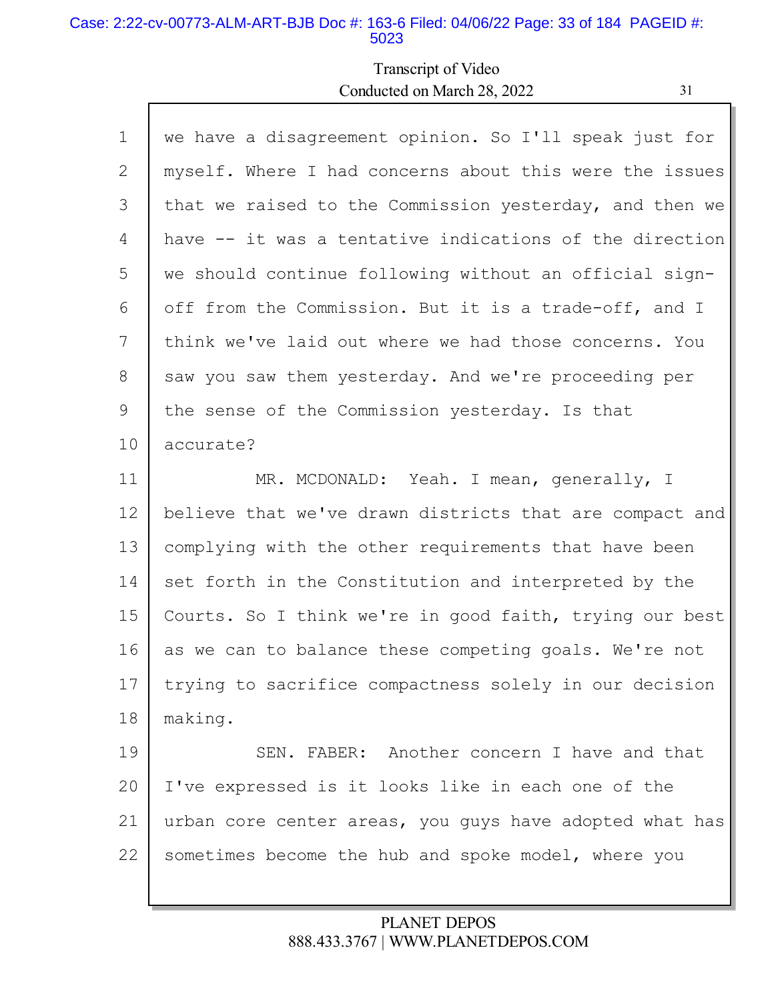#### Case: 2:22-cv-00773-ALM-ART-BJB Doc #: 163-6 Filed: 04/06/22 Page: 33 of 184 PAGEID #: 5023

Г

## Transcript of Video Conducted on March 28, 2022 31

Ы

| $\mathbf 1$ | we have a disagreement opinion. So I'll speak just for  |
|-------------|---------------------------------------------------------|
| 2           | myself. Where I had concerns about this were the issues |
| 3           | that we raised to the Commission yesterday, and then we |
| 4           | have -- it was a tentative indications of the direction |
| 5           | we should continue following without an official sign-  |
| 6           | off from the Commission. But it is a trade-off, and I   |
| 7           | think we've laid out where we had those concerns. You   |
| 8           | saw you saw them yesterday. And we're proceeding per    |
| 9           | the sense of the Commission yesterday. Is that          |
| 10          | accurate?                                               |
| 11          | MR. MCDONALD: Yeah. I mean, generally, I                |
| 12          | believe that we've drawn districts that are compact and |
| 13          | complying with the other requirements that have been    |
| 14          | set forth in the Constitution and interpreted by the    |
| 15          | Courts. So I think we're in good faith, trying our best |
| 16          | as we can to balance these competing goals. We're not   |
| 17          | trying to sacrifice compactness solely in our decision  |
| 18          | making.                                                 |
| 19          | SEN. FABER: Another concern I have and that             |
| 20          | I've expressed is it looks like in each one of the      |
| 21          | urban core center areas, you guys have adopted what has |
| 22          | sometimes become the hub and spoke model, where you     |
|             |                                                         |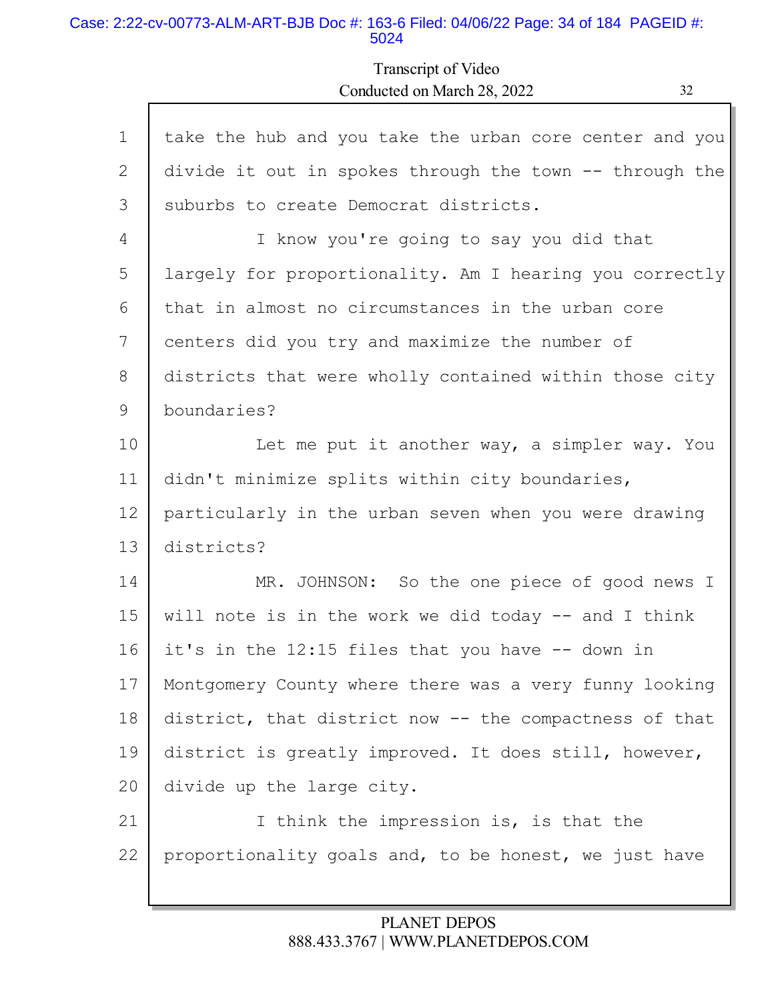#### Case: 2:22-cv-00773-ALM-ART-BJB Doc #: 163-6 Filed: 04/06/22 Page: 34 of 184 PAGEID #: 5024

## Transcript of Video Conducted on March 28, 2022 32

| $\mathbf 1$ | take the hub and you take the urban core center and you |
|-------------|---------------------------------------------------------|
| 2           | divide it out in spokes through the town -- through the |
| 3           | suburbs to create Democrat districts.                   |
| 4           | I know you're going to say you did that                 |
| 5           | largely for proportionality. Am I hearing you correctly |
| 6           | that in almost no circumstances in the urban core       |
| 7           | centers did you try and maximize the number of          |
| 8           | districts that were wholly contained within those city  |
| 9           | boundaries?                                             |
| 10          | Let me put it another way, a simpler way. You           |
| 11          | didn't minimize splits within city boundaries,          |
| 12          | particularly in the urban seven when you were drawing   |
| 13          | districts?                                              |
| 14          | MR. JOHNSON: So the one piece of good news I            |
| 15          | will note is in the work we did today $--$ and I think  |
| 16          | it's in the 12:15 files that you have -- down in        |
| 17          | Montgomery County where there was a very funny looking  |
| 18          | district, that district now -- the compactness of that  |
| 19          | district is greatly improved. It does still, however,   |
| 20          | divide up the large city.                               |
| 21          | I think the impression is, is that the                  |
| 22          | proportionality goals and, to be honest, we just have   |
|             |                                                         |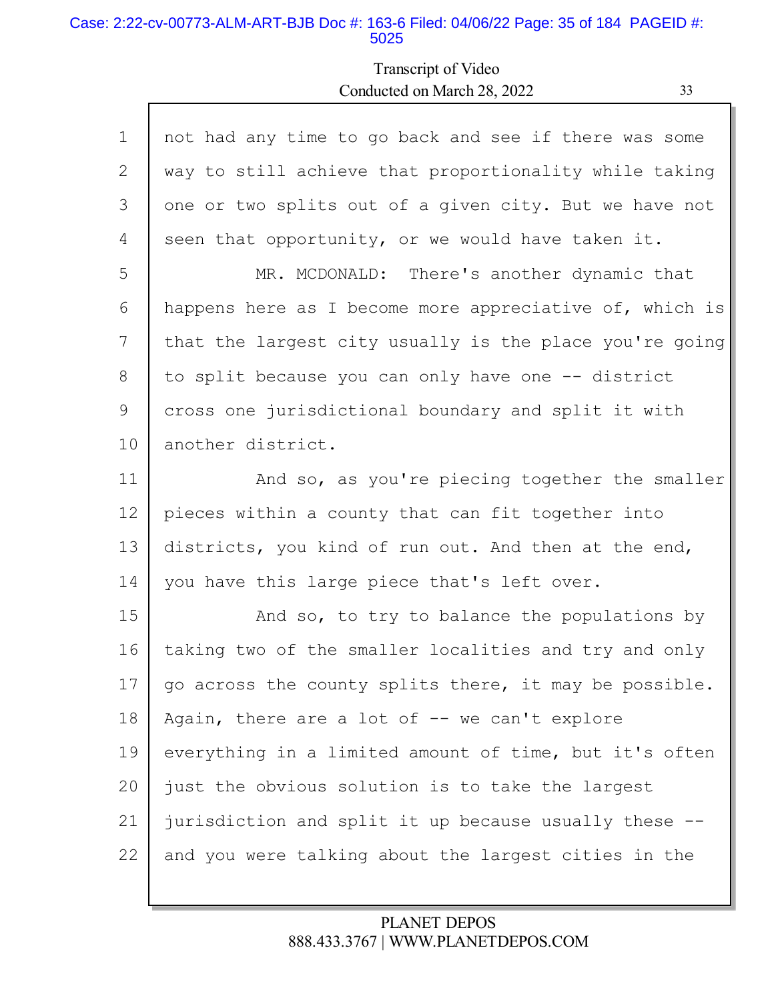#### Case: 2:22-cv-00773-ALM-ART-BJB Doc #: 163-6 Filed: 04/06/22 Page: 35 of 184 PAGEID #: 5025

Г

## Transcript of Video Conducted on March 28, 2022 33

L

| $\mathbf 1$ | not had any time to go back and see if there was some   |
|-------------|---------------------------------------------------------|
| 2           | way to still achieve that proportionality while taking  |
| 3           | one or two splits out of a given city. But we have not  |
| 4           | seen that opportunity, or we would have taken it.       |
| 5           | MR. MCDONALD: There's another dynamic that              |
| 6           | happens here as I become more appreciative of, which is |
| 7           | that the largest city usually is the place you're going |
| 8           | to split because you can only have one -- district      |
| 9           | cross one jurisdictional boundary and split it with     |
| 10          | another district.                                       |
| 11          | And so, as you're piecing together the smaller          |
| 12          | pieces within a county that can fit together into       |
| 13          | districts, you kind of run out. And then at the end,    |
| 14          | you have this large piece that's left over.             |
| 15          | And so, to try to balance the populations by            |
| 16          | taking two of the smaller localities and try and only   |
| 17          | go across the county splits there, it may be possible.  |
| 18          | Again, there are a lot of -- we can't explore           |
| 19          | everything in a limited amount of time, but it's often  |
| 20          | just the obvious solution is to take the largest        |
| 21          | jurisdiction and split it up because usually these --   |
| 22          | and you were talking about the largest cities in the    |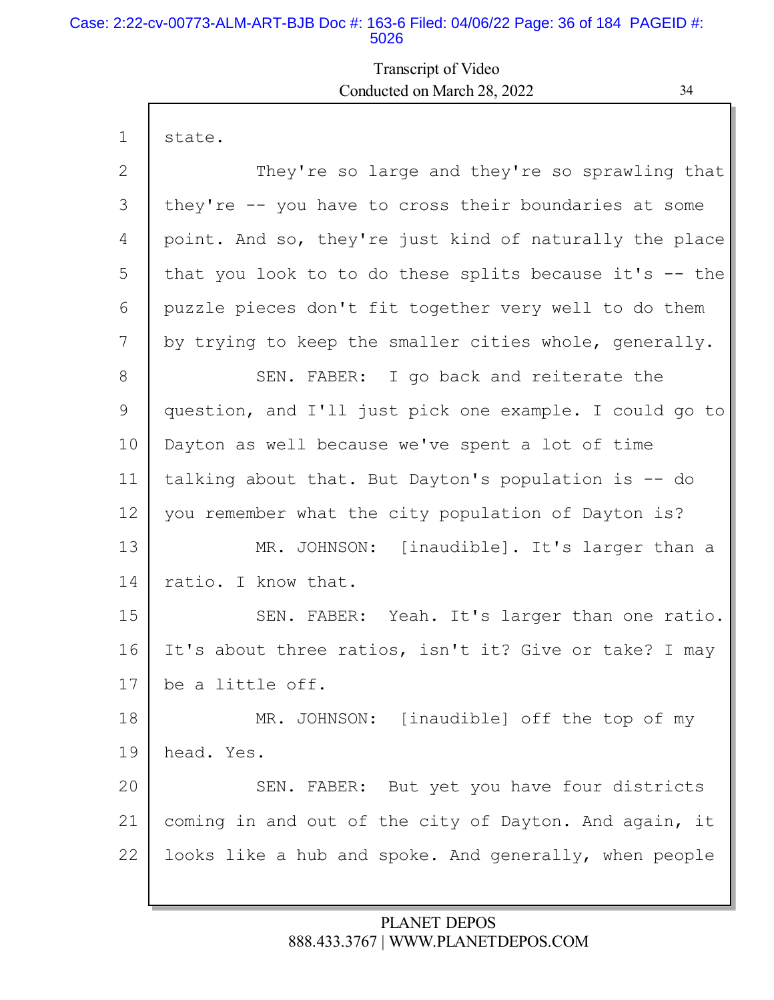#### Case: 2:22-cv-00773-ALM-ART-BJB Doc #: 163-6 Filed: 04/06/22 Page: 36 of 184 PAGEID #: 5026

## Transcript of Video Conducted on March 28, 2022 34

| $\mathbf{1}$ | state.                                                   |
|--------------|----------------------------------------------------------|
| 2            | They're so large and they're so sprawling that           |
| 3            | they're -- you have to cross their boundaries at some    |
| 4            | point. And so, they're just kind of naturally the place  |
| 5            | that you look to to do these splits because it's $-$ the |
| 6            | puzzle pieces don't fit together very well to do them    |
| 7            | by trying to keep the smaller cities whole, generally.   |
| 8            | SEN. FABER: I go back and reiterate the                  |
| 9            | question, and I'll just pick one example. I could go to  |
| 10           | Dayton as well because we've spent a lot of time         |
| 11           | talking about that. But Dayton's population is -- do     |
| 12           | you remember what the city population of Dayton is?      |
| 13           | MR. JOHNSON: [inaudible]. It's larger than a             |
| 14           | ratio. I know that.                                      |
| 15           | SEN. FABER: Yeah. It's larger than one ratio.            |
| 16           | It's about three ratios, isn't it? Give or take? I may   |
| 17           | be a little off.                                         |
| 18           | MR. JOHNSON: [inaudible] off the top of my               |
| 19           | head. Yes.                                               |
| 20           | SEN. FABER: But yet you have four districts              |
| 21           | coming in and out of the city of Dayton. And again, it   |
| 22           | looks like a hub and spoke. And generally, when people   |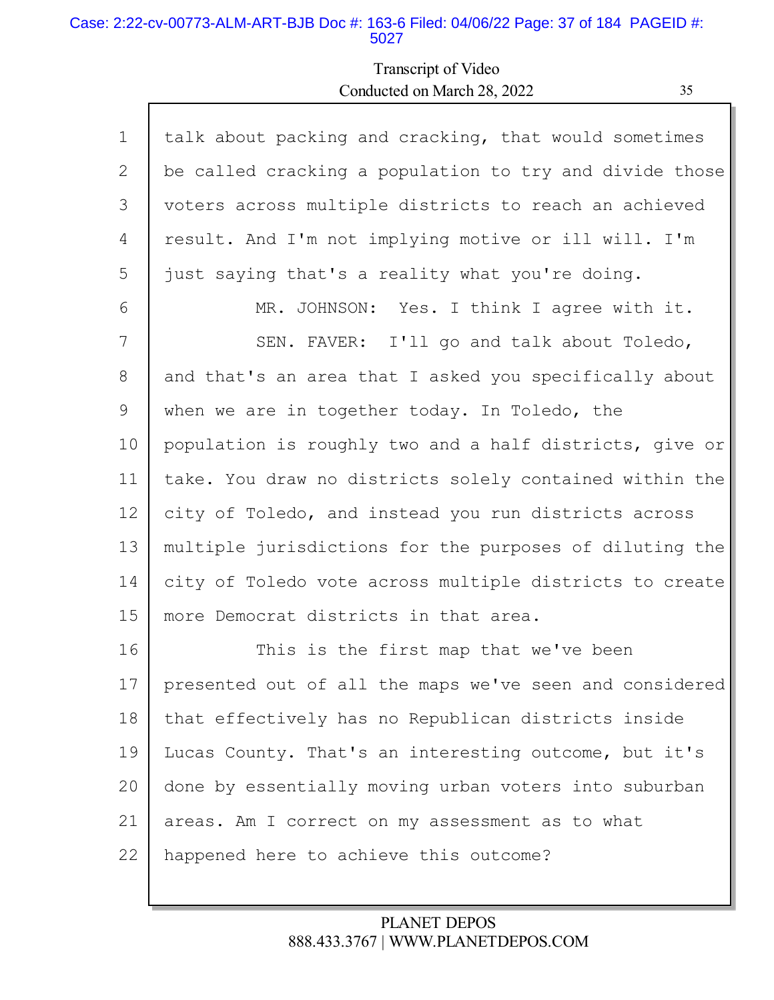### Case: 2:22-cv-00773-ALM-ART-BJB Doc #: 163-6 Filed: 04/06/22 Page: 37 of 184 PAGEID #: 5027

Г

# Transcript of Video Conducted on March 28, 2022 35

Ъ

| $\mathbf 1$ | talk about packing and cracking, that would sometimes   |
|-------------|---------------------------------------------------------|
| 2           | be called cracking a population to try and divide those |
| 3           | voters across multiple districts to reach an achieved   |
| 4           | result. And I'm not implying motive or ill will. I'm    |
| 5           | just saying that's a reality what you're doing.         |
| 6           | MR. JOHNSON: Yes. I think I agree with it.              |
| 7           | SEN. FAVER: I'll go and talk about Toledo,              |
| 8           | and that's an area that I asked you specifically about  |
| 9           | when we are in together today. In Toledo, the           |
| 10          | population is roughly two and a half districts, give or |
| 11          | take. You draw no districts solely contained within the |
| 12          | city of Toledo, and instead you run districts across    |
| 13          | multiple jurisdictions for the purposes of diluting the |
| 14          | city of Toledo vote across multiple districts to create |
| 15          | more Democrat districts in that area.                   |
| 16          | This is the first map that we've been                   |
| 17          | presented out of all the maps we've seen and considered |
| 18          | that effectively has no Republican districts inside     |
| 19          | Lucas County. That's an interesting outcome, but it's   |
| 20          | done by essentially moving urban voters into suburban   |
| 21          | areas. Am I correct on my assessment as to what         |
| 22          | happened here to achieve this outcome?                  |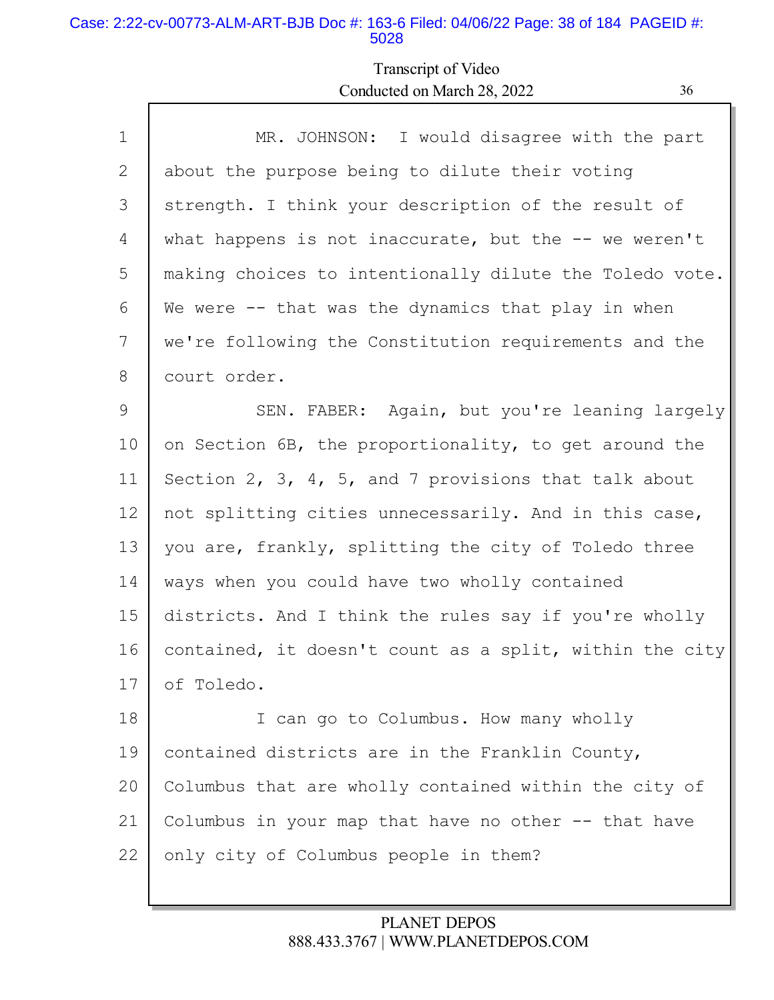### Case: 2:22-cv-00773-ALM-ART-BJB Doc #: 163-6 Filed: 04/06/22 Page: 38 of 184 PAGEID #: 5028

## Transcript of Video Conducted on March 28, 2022 36

| $\mathbf 1$ | MR. JOHNSON: I would disagree with the part                        |
|-------------|--------------------------------------------------------------------|
| 2           | about the purpose being to dilute their voting                     |
| 3           | strength. I think your description of the result of                |
| 4           | what happens is not inaccurate, but the $--$ we weren't            |
| 5           | making choices to intentionally dilute the Toledo vote.            |
| 6           | We were -- that was the dynamics that play in when                 |
| 7           | we're following the Constitution requirements and the              |
| 8           | court order.                                                       |
| 9           | SEN. FABER: Again, but you're leaning largely                      |
| 10          | on Section 6B, the proportionality, to get around the              |
| 11          | Section $2$ , $3$ , $4$ , $5$ , and $7$ provisions that talk about |
| 12          | not splitting cities unnecessarily. And in this case,              |
| 13          | you are, frankly, splitting the city of Toledo three               |
| 14          | ways when you could have two wholly contained                      |
| 15          | districts. And I think the rules say if you're wholly              |
| 16          | contained, it doesn't count as a split, within the city            |
| 17          | of Toledo.                                                         |
| 18          | I can go to Columbus. How many wholly                              |
| 19          | contained districts are in the Franklin County,                    |
| 20          | Columbus that are wholly contained within the city of              |
| 21          | Columbus in your map that have no other -- that have               |

22 only city of Columbus people in them?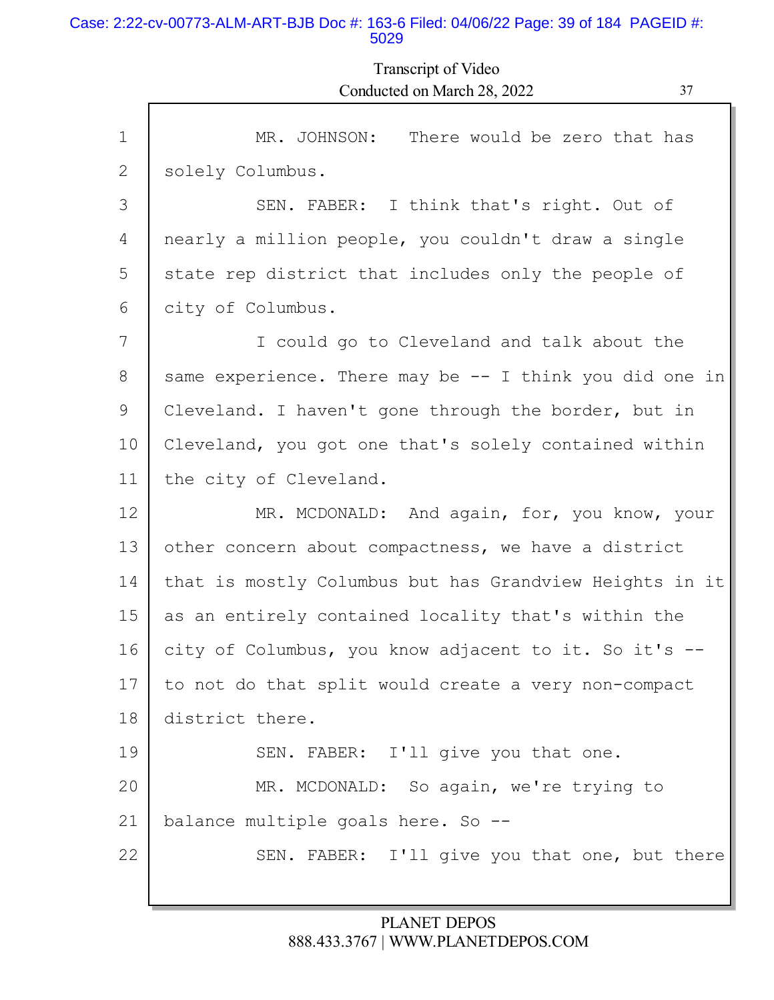#### Case: 2:22-cv-00773-ALM-ART-BJB Doc #: 163-6 Filed: 04/06/22 Page: 39 of 184 PAGEID #: 5029

Transcript of Video Conducted on March 28, 2022 37

| $\mathbf{1}$ | MR. JOHNSON:<br>There would be zero that has             |
|--------------|----------------------------------------------------------|
| 2            | solely Columbus.                                         |
| 3            | SEN. FABER: I think that's right. Out of                 |
| 4            | nearly a million people, you couldn't draw a single      |
| 5            | state rep district that includes only the people of      |
| 6            | city of Columbus.                                        |
| 7            | I could go to Cleveland and talk about the               |
| 8            | same experience. There may be $-$ I think you did one in |
| 9            | Cleveland. I haven't gone through the border, but in     |
| 10           | Cleveland, you got one that's solely contained within    |
| 11           | the city of Cleveland.                                   |
| 12           | MR. MCDONALD: And again, for, you know, your             |
| 13           | other concern about compactness, we have a district      |
| 14           | that is mostly Columbus but has Grandview Heights in it  |
| 15           | as an entirely contained locality that's within the      |
| 16           | city of Columbus, you know adjacent to it. So it's --    |
| 17           | to not do that split would create a very non-compact     |
| 18           | district there.                                          |
| 19           | SEN. FABER: I'll give you that one.                      |
| 20           | MR. MCDONALD: So again, we're trying to                  |
| 21           | balance multiple goals here. So --                       |
| 22           | SEN. FABER: I'll give you that one, but there            |
|              |                                                          |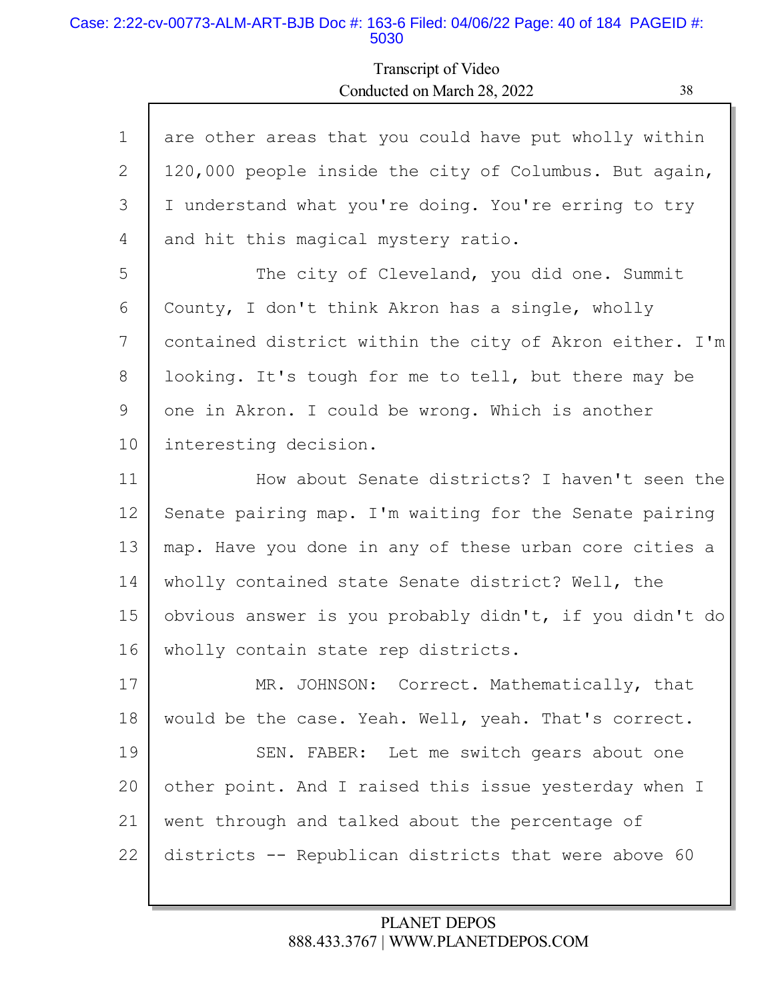#### Case: 2:22-cv-00773-ALM-ART-BJB Doc #: 163-6 Filed: 04/06/22 Page: 40 of 184 PAGEID #: 5030

# Transcript of Video Conducted on March 28, 2022 38

| $\mathbf 1$ | are other areas that you could have put wholly within   |
|-------------|---------------------------------------------------------|
| 2           | 120,000 people inside the city of Columbus. But again,  |
| 3           | I understand what you're doing. You're erring to try    |
| 4           | and hit this magical mystery ratio.                     |
| 5           | The city of Cleveland, you did one. Summit              |
| 6           | County, I don't think Akron has a single, wholly        |
| 7           | contained district within the city of Akron either. I'm |
| 8           | looking. It's tough for me to tell, but there may be    |
| 9           | one in Akron. I could be wrong. Which is another        |
| 10          | interesting decision.                                   |
| 11          | How about Senate districts? I haven't seen the          |
| 12          | Senate pairing map. I'm waiting for the Senate pairing  |
| 13          | map. Have you done in any of these urban core cities a  |
| 14          | wholly contained state Senate district? Well, the       |
| 15          | obvious answer is you probably didn't, if you didn't do |
| 16          | wholly contain state rep districts.                     |
| 17          | MR. JOHNSON: Correct. Mathematically, that              |
| 18          | would be the case. Yeah. Well, yeah. That's correct.    |
| 19          | SEN. FABER: Let me switch gears about one               |
| 20          | other point. And I raised this issue yesterday when I   |
|             |                                                         |
| 21          | went through and talked about the percentage of         |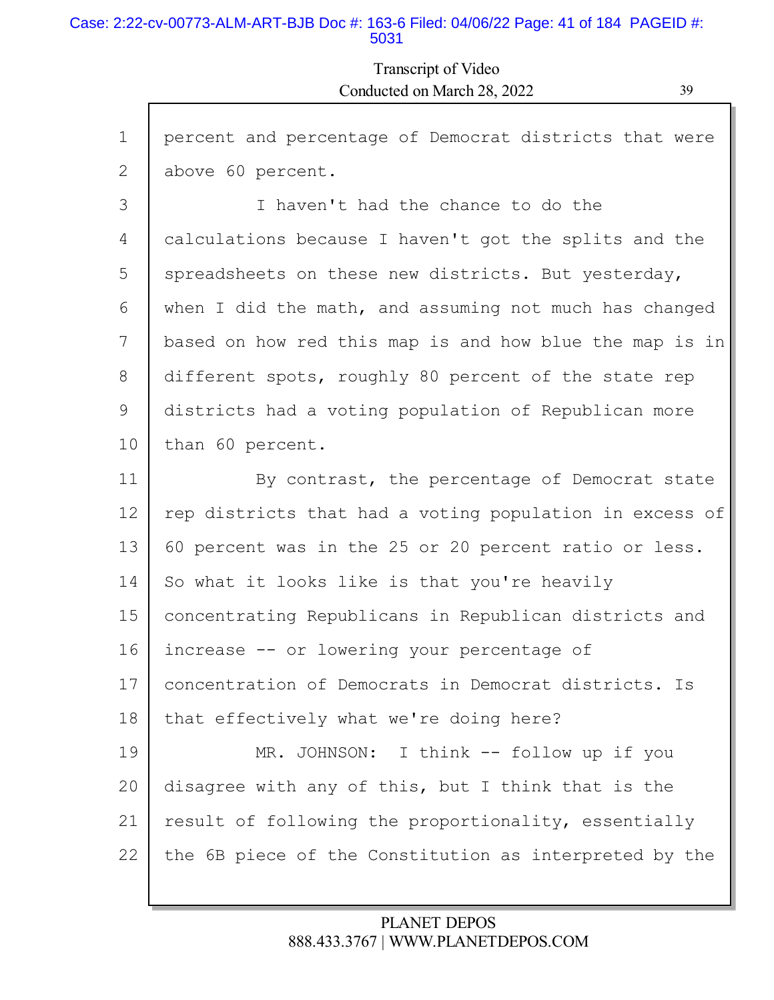#### Case: 2:22-cv-00773-ALM-ART-BJB Doc #: 163-6 Filed: 04/06/22 Page: 41 of 184 PAGEID #: 5031

# Transcript of Video Conducted on March 28, 2022 39

| $\mathbf 1$ | percent and percentage of Democrat districts that were  |
|-------------|---------------------------------------------------------|
| 2           | above 60 percent.                                       |
| 3           | I haven't had the chance to do the                      |
| 4           | calculations because I haven't got the splits and the   |
| 5           | spreadsheets on these new districts. But yesterday,     |
| 6           | when I did the math, and assuming not much has changed  |
| 7           | based on how red this map is and how blue the map is in |
| 8           | different spots, roughly 80 percent of the state rep    |
| 9           | districts had a voting population of Republican more    |
| 10          | than 60 percent.                                        |
| 11          | By contrast, the percentage of Democrat state           |
| 12          | rep districts that had a voting population in excess of |
| 13          | 60 percent was in the 25 or 20 percent ratio or less.   |
| 14          | So what it looks like is that you're heavily            |
| 15          | concentrating Republicans in Republican districts and   |
| 16          | increase -- or lowering your percentage of              |
| 17          | concentration of Democrats in Democrat districts. Is    |
| 18          | that effectively what we're doing here?                 |
| 19          | MR. JOHNSON: I think -- follow up if you                |
| 20          | disagree with any of this, but I think that is the      |
| 21          | result of following the proportionality, essentially    |
| 22          | the 6B piece of the Constitution as interpreted by the  |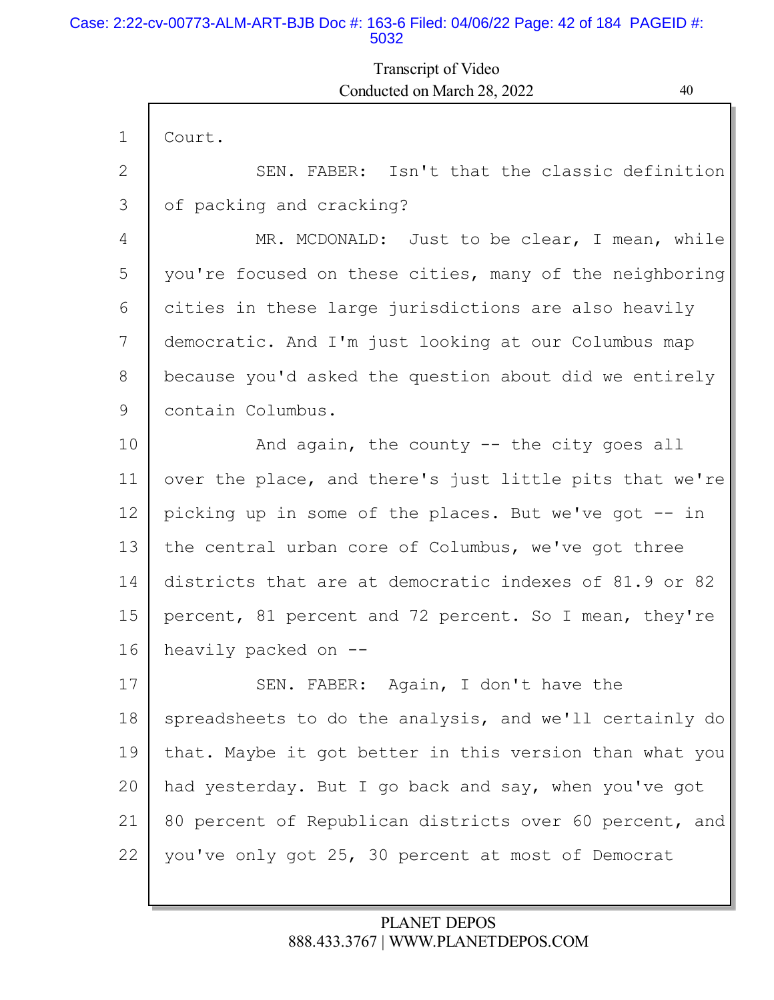### Case: 2:22-cv-00773-ALM-ART-BJB Doc #: 163-6 Filed: 04/06/22 Page: 42 of 184 PAGEID #: 5032

# Transcript of Video Conducted on March 28, 2022 40

| $\mathbf{1}$ | Court.                                                  |
|--------------|---------------------------------------------------------|
| 2            | SEN. FABER: Isn't that the classic definition           |
| 3            | of packing and cracking?                                |
| 4            | MR. MCDONALD: Just to be clear, I mean, while           |
| 5            | you're focused on these cities, many of the neighboring |
| 6            | cities in these large jurisdictions are also heavily    |
| 7            | democratic. And I'm just looking at our Columbus map    |
| 8            | because you'd asked the question about did we entirely  |
| 9            | contain Columbus.                                       |
| 10           | And again, the county $-$ the city goes all             |
| 11           | over the place, and there's just little pits that we're |
| 12           | picking up in some of the places. But we've got -- in   |
| 13           | the central urban core of Columbus, we've got three     |
| 14           | districts that are at democratic indexes of 81.9 or 82  |
| 15           | percent, 81 percent and 72 percent. So I mean, they're  |
| 16           | heavily packed on --                                    |
| 17           | SEN. FABER: Again, I don't have the                     |
| 18           | spreadsheets to do the analysis, and we'll certainly do |
| 19           | that. Maybe it got better in this version than what you |
| 20           | had yesterday. But I go back and say, when you've got   |
| 21           | 80 percent of Republican districts over 60 percent, and |
| 22           | you've only got 25, 30 percent at most of Democrat      |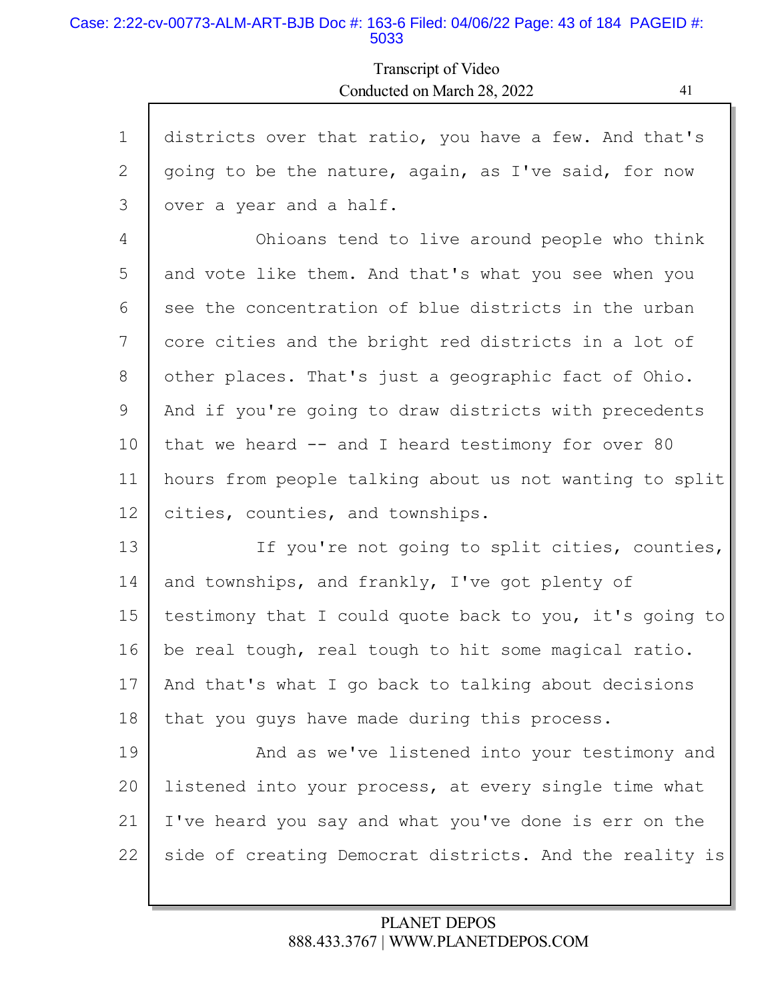#### Case: 2:22-cv-00773-ALM-ART-BJB Doc #: 163-6 Filed: 04/06/22 Page: 43 of 184 PAGEID #: 5033

Г

Transcript of Video Conducted on March 28, 2022 41

l

| $\mathbf 1$ | districts over that ratio, you have a few. And that's   |
|-------------|---------------------------------------------------------|
| 2           | going to be the nature, again, as I've said, for now    |
| 3           | over a year and a half.                                 |
| 4           | Ohioans tend to live around people who think            |
| 5           | and vote like them. And that's what you see when you    |
| 6           | see the concentration of blue districts in the urban    |
| 7           | core cities and the bright red districts in a lot of    |
| 8           | other places. That's just a geographic fact of Ohio.    |
| 9           | And if you're going to draw districts with precedents   |
| 10          | that we heard -- and I heard testimony for over 80      |
| 11          | hours from people talking about us not wanting to split |
| 12          | cities, counties, and townships.                        |
| 13          | If you're not going to split cities, counties,          |
| 14          | and townships, and frankly, I've got plenty of          |
| 15          | testimony that I could quote back to you, it's going to |
| 16          | be real tough, real tough to hit some magical ratio.    |
| 17          | And that's what I go back to talking about decisions    |
| 18          | that you guys have made during this process.            |
| 19          | And as we've listened into your testimony and           |
| 20          | listened into your process, at every single time what   |
| 21          | I've heard you say and what you've done is err on the   |
| 22          | side of creating Democrat districts. And the reality is |
|             |                                                         |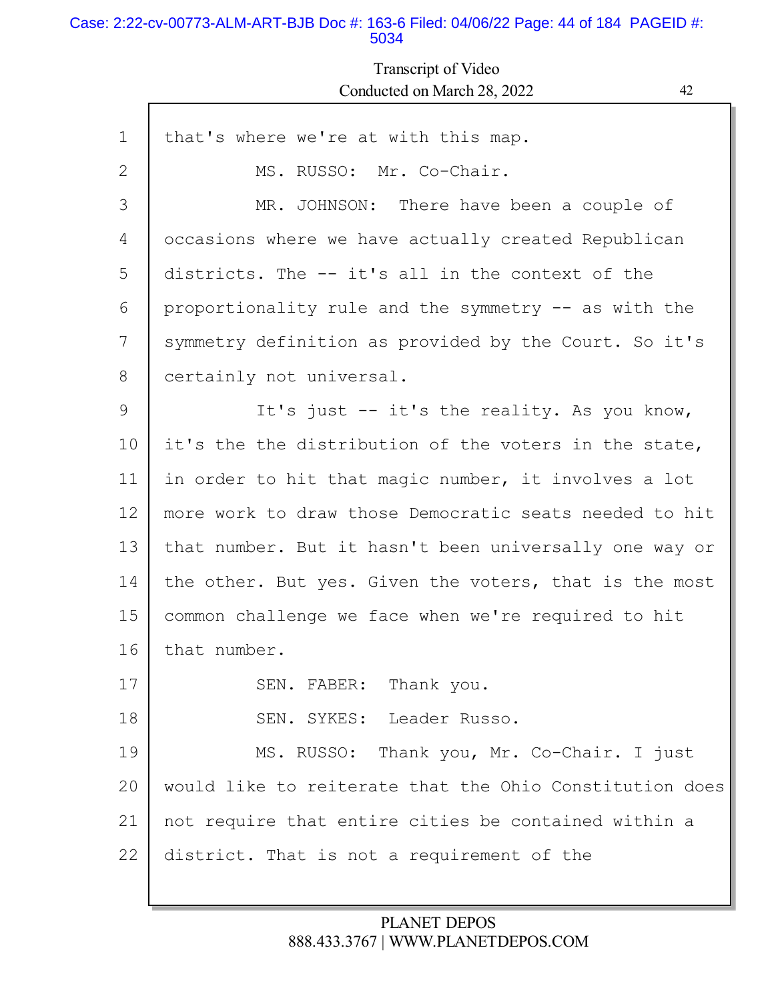#### Case: 2:22-cv-00773-ALM-ART-BJB Doc #: 163-6 Filed: 04/06/22 Page: 44 of 184 PAGEID #: 5034

Г

# Transcript of Video Conducted on March 28, 2022 42

| $\mathbf 1$ | that's where we're at with this map.                    |
|-------------|---------------------------------------------------------|
| 2           | MS. RUSSO: Mr. Co-Chair.                                |
| 3           | MR. JOHNSON: There have been a couple of                |
| 4           | occasions where we have actually created Republican     |
| 5           | districts. The -- it's all in the context of the        |
| 6           | proportionality rule and the symmetry -- as with the    |
| 7           | symmetry definition as provided by the Court. So it's   |
| 8           | certainly not universal.                                |
| 9           | It's just -- it's the reality. As you know,             |
| 10          | it's the the distribution of the voters in the state,   |
| 11          | in order to hit that magic number, it involves a lot    |
| 12          | more work to draw those Democratic seats needed to hit  |
| 13          | that number. But it hasn't been universally one way or  |
| 14          | the other. But yes. Given the voters, that is the most  |
| 15          | common challenge we face when we're required to hit     |
| 16          | that number.                                            |
| 17          | SEN. FABER: Thank you.                                  |
| 18          | SEN. SYKES: Leader Russo.                               |
| 19          | MS. RUSSO: Thank you, Mr. Co-Chair. I just              |
| 20          | would like to reiterate that the Ohio Constitution does |
| 21          | not require that entire cities be contained within a    |
| 22          | district. That is not a requirement of the              |
|             |                                                         |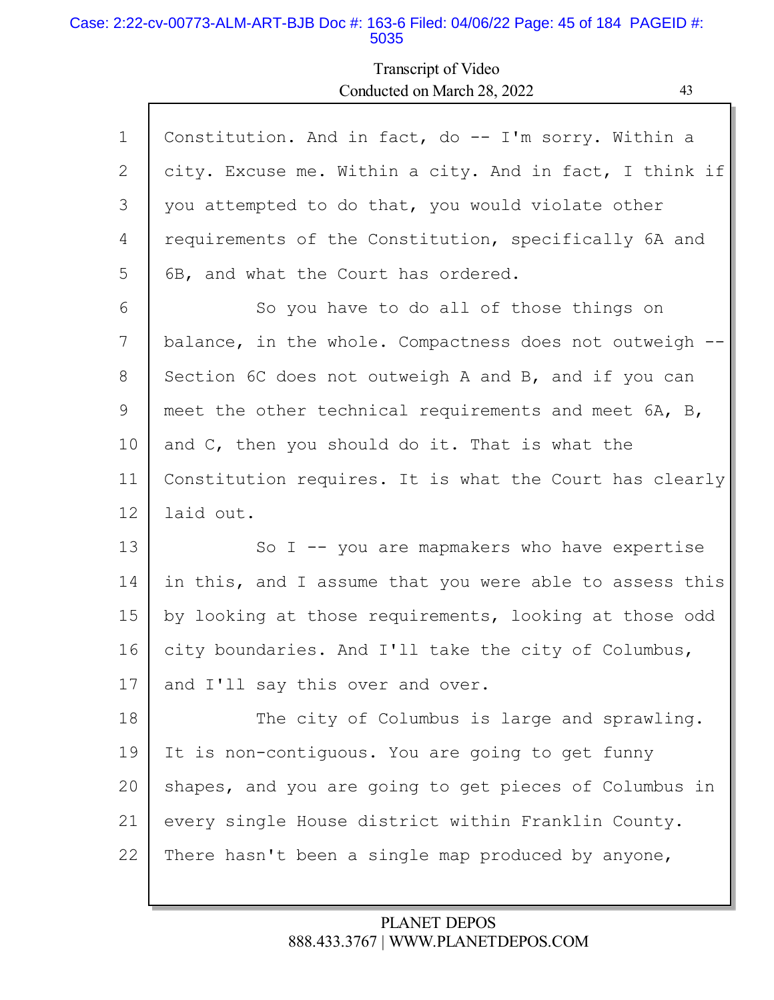#### Case: 2:22-cv-00773-ALM-ART-BJB Doc #: 163-6 Filed: 04/06/22 Page: 45 of 184 PAGEID #: 5035

Г

# Transcript of Video Conducted on March 28, 2022 43

| $\mathbf 1$ | Constitution. And in fact, do -- I'm sorry. Within a    |
|-------------|---------------------------------------------------------|
| 2           | city. Excuse me. Within a city. And in fact, I think if |
| 3           | you attempted to do that, you would violate other       |
| 4           | requirements of the Constitution, specifically 6A and   |
| 5           | 6B, and what the Court has ordered.                     |
| 6           | So you have to do all of those things on                |
| 7           | balance, in the whole. Compactness does not outweigh -- |
| 8           | Section 6C does not outweigh A and B, and if you can    |
| 9           | meet the other technical requirements and meet 6A, B,   |
| 10          | and C, then you should do it. That is what the          |
| 11          | Constitution requires. It is what the Court has clearly |
| 12          | laid out.                                               |
| 13          | So I $-$ you are mapmakers who have expertise           |
| 14          | in this, and I assume that you were able to assess this |
| 15          | by looking at those requirements, looking at those odd  |
| 16          | city boundaries. And I'll take the city of Columbus,    |
| 17          | and I'll say this over and over.                        |
| 18          | The city of Columbus is large and sprawling.            |
| 19          | It is non-contiguous. You are going to get funny        |
| 20          | shapes, and you are going to get pieces of Columbus in  |
| 21          | every single House district within Franklin County.     |
| 22          | There hasn't been a single map produced by anyone,      |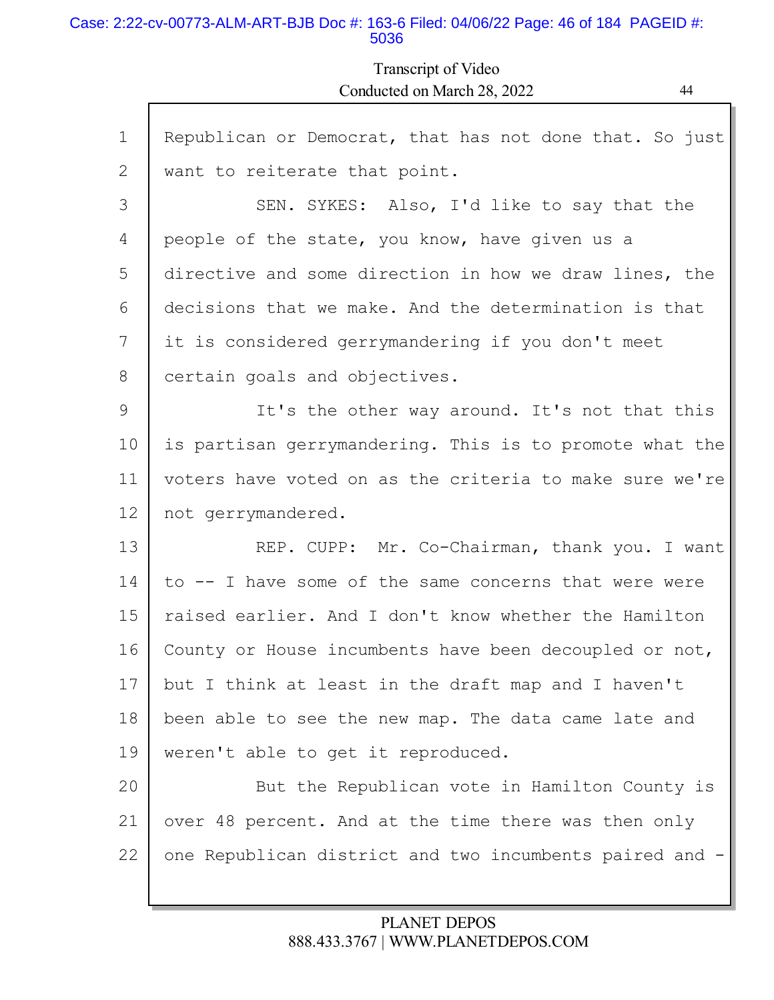### Case: 2:22-cv-00773-ALM-ART-BJB Doc #: 163-6 Filed: 04/06/22 Page: 46 of 184 PAGEID #: 5036

## Transcript of Video Conducted on March 28, 2022 44

| $\mathbf 1$ | Republican or Democrat, that has not done that. So just |
|-------------|---------------------------------------------------------|
| 2           | want to reiterate that point.                           |
| 3           | SEN. SYKES: Also, I'd like to say that the              |
| 4           | people of the state, you know, have given us a          |
| 5           | directive and some direction in how we draw lines, the  |
| 6           | decisions that we make. And the determination is that   |
| 7           | it is considered gerrymandering if you don't meet       |
| 8           | certain goals and objectives.                           |
| 9           | It's the other way around. It's not that this           |
| 10          | is partisan gerrymandering. This is to promote what the |
| 11          | voters have voted on as the criteria to make sure we're |
| 12          | not gerrymandered.                                      |
| 13          | REP. CUPP: Mr. Co-Chairman, thank you. I want           |
| 14          | to -- I have some of the same concerns that were were   |
| 15          | raised earlier. And I don't know whether the Hamilton   |
| 16          | County or House incumbents have been decoupled or not,  |
| 17          | but I think at least in the draft map and I haven't     |
| 18          | been able to see the new map. The data came late and    |
| 19          | weren't able to get it reproduced.                      |
| 20          | But the Republican vote in Hamilton County is           |
| 21          | over 48 percent. And at the time there was then only    |
| 22          | one Republican district and two incumbents paired and   |
|             |                                                         |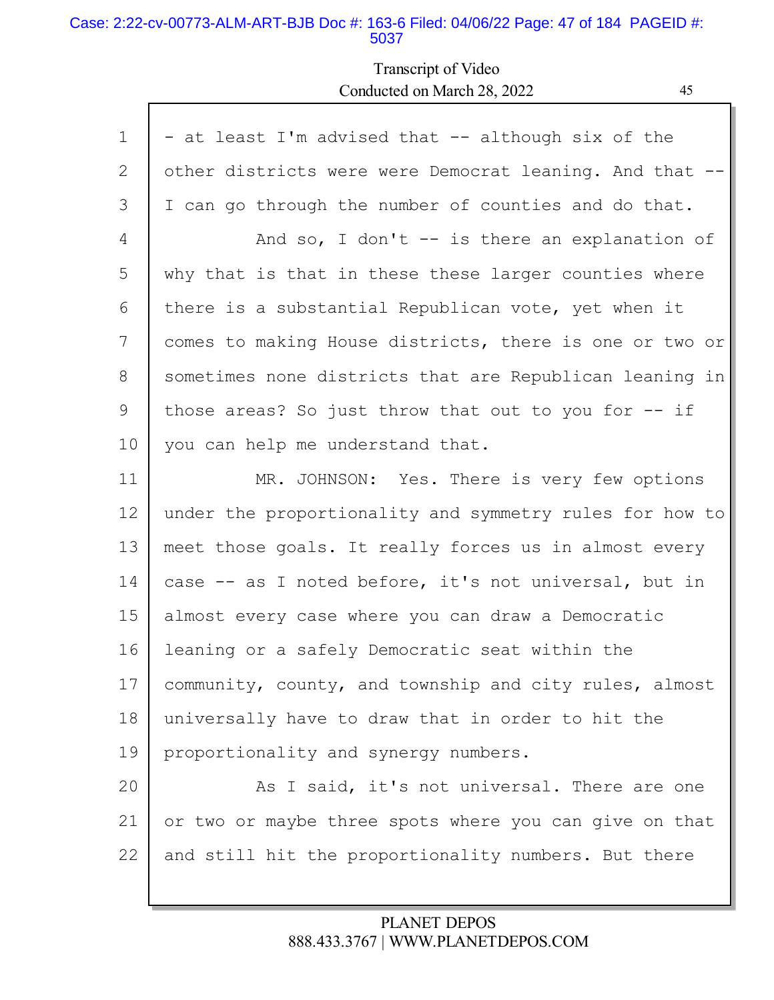#### Case: 2:22-cv-00773-ALM-ART-BJB Doc #: 163-6 Filed: 04/06/22 Page: 47 of 184 PAGEID #: 5037

# Transcript of Video Conducted on March 28, 2022 45

| $\mathbf{1}$ | - at least I'm advised that -- although six of the      |
|--------------|---------------------------------------------------------|
| 2            | other districts were were Democrat leaning. And that -- |
| 3            | I can go through the number of counties and do that.    |
| 4            | And so, I don't $-$ is there an explanation of          |
| 5            | why that is that in these these larger counties where   |
| 6            | there is a substantial Republican vote, yet when it     |
| 7            | comes to making House districts, there is one or two or |
| 8            | sometimes none districts that are Republican leaning in |
| 9            | those areas? So just throw that out to you for -- if    |
| 10           | you can help me understand that.                        |
| 11           | MR. JOHNSON: Yes. There is very few options             |
| 12           | under the proportionality and symmetry rules for how to |
| 13           | meet those goals. It really forces us in almost every   |
| 14           | case -- as I noted before, it's not universal, but in   |
| 15           | almost every case where you can draw a Democratic       |
| 16           | leaning or a safely Democratic seat within the          |
| 17           | community, county, and township and city rules, almost  |
| 18           | universally have to draw that in order to hit the       |
| 19           | proportionality and synergy numbers.                    |
| 20           | As I said, it's not universal. There are one            |
| 21           | or two or maybe three spots where you can give on that  |
| 22           | and still hit the proportionality numbers. But there    |
|              |                                                         |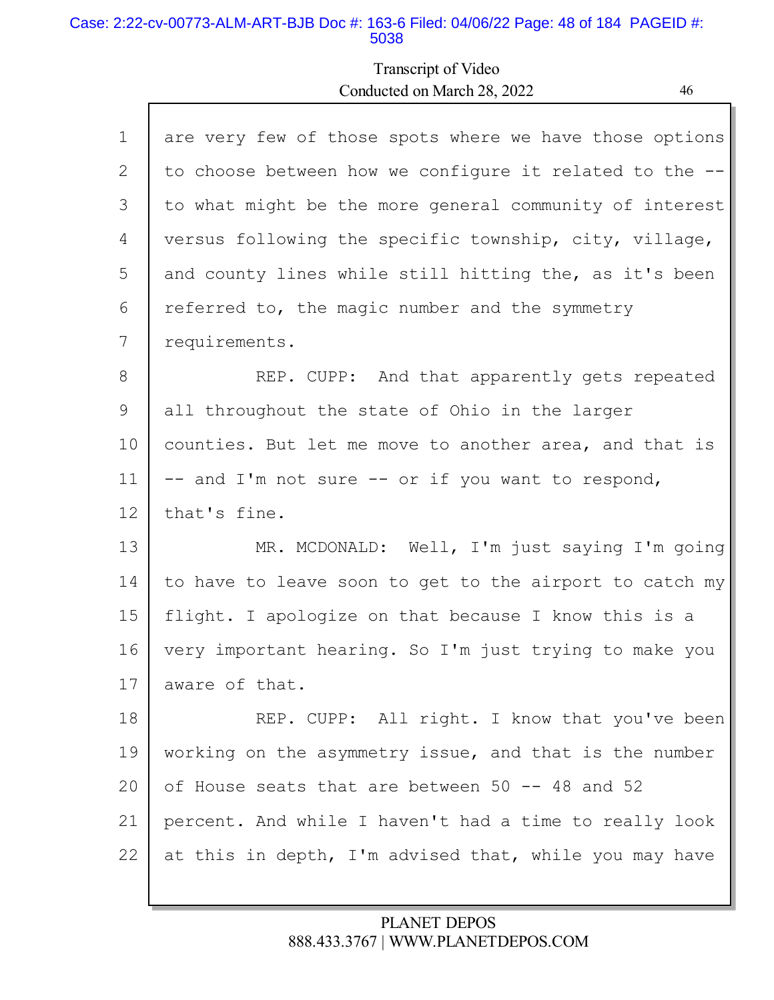#### Case: 2:22-cv-00773-ALM-ART-BJB Doc #: 163-6 Filed: 04/06/22 Page: 48 of 184 PAGEID #: 5038

Г

# Transcript of Video Conducted on March 28, 2022 46

| $\mathbf 1$ | are very few of those spots where we have those options |
|-------------|---------------------------------------------------------|
| 2           | to choose between how we configure it related to the -- |
| 3           | to what might be the more general community of interest |
| 4           | versus following the specific township, city, village,  |
| 5           | and county lines while still hitting the, as it's been  |
| 6           | referred to, the magic number and the symmetry          |
| 7           | requirements.                                           |
| 8           | REP. CUPP: And that apparently gets repeated            |
| 9           | all throughout the state of Ohio in the larger          |
| 10          | counties. But let me move to another area, and that is  |
| 11          | -- and I'm not sure -- or if you want to respond,       |
| 12          | that's fine.                                            |
| 13          | MR. MCDONALD: Well, I'm just saying I'm going           |
| 14          | to have to leave soon to get to the airport to catch my |
| 15          | flight. I apologize on that because I know this is a    |
| 16          | very important hearing. So I'm just trying to make you  |
| 17          | aware of that.                                          |
| 18          | REP. CUPP: All right. I know that you've been           |
| 19          | working on the asymmetry issue, and that is the number  |
| 20          | of House seats that are between 50 -- 48 and 52         |
| 21          | percent. And while I haven't had a time to really look  |
| 22          | at this in depth, I'm advised that, while you may have  |
|             |                                                         |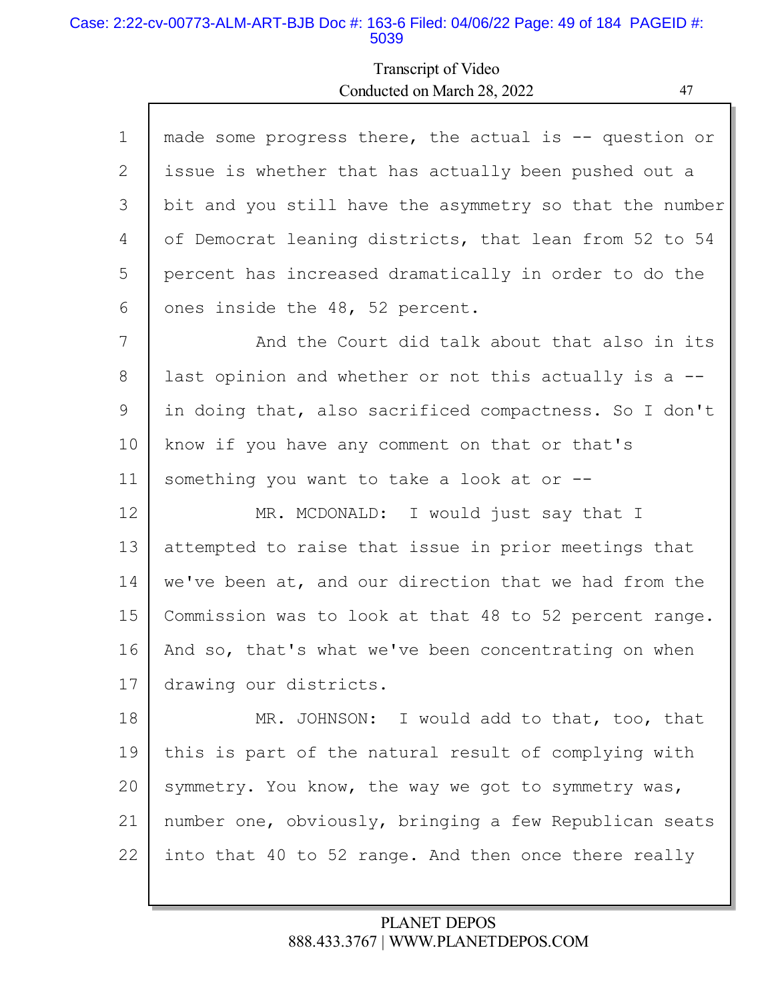#### Case: 2:22-cv-00773-ALM-ART-BJB Doc #: 163-6 Filed: 04/06/22 Page: 49 of 184 PAGEID #: 5039

Г

# Transcript of Video Conducted on March 28, 2022 47

| $\mathbf{1}$ | made some progress there, the actual is $-$ question or |
|--------------|---------------------------------------------------------|
| 2            | issue is whether that has actually been pushed out a    |
| 3            | bit and you still have the asymmetry so that the number |
| 4            | of Democrat leaning districts, that lean from 52 to 54  |
| 5            | percent has increased dramatically in order to do the   |
| 6            | ones inside the 48, 52 percent.                         |
| 7            | And the Court did talk about that also in its           |
| 8            | last opinion and whether or not this actually is a --   |
| 9            | in doing that, also sacrificed compactness. So I don't  |
| 10           | know if you have any comment on that or that's          |
| 11           | something you want to take a look at or --              |
| 12           | MR. MCDONALD: I would just say that I                   |
| 13           | attempted to raise that issue in prior meetings that    |
| 14           | we've been at, and our direction that we had from the   |
| 15           | Commission was to look at that 48 to 52 percent range.  |
| 16           | And so, that's what we've been concentrating on when    |
| 17           | drawing our districts.                                  |
| 18           | MR. JOHNSON: I would add to that, too, that             |
| 19           | this is part of the natural result of complying with    |
| 20           | symmetry. You know, the way we got to symmetry was,     |
| 21           | number one, obviously, bringing a few Republican seats  |
| 22           | into that 40 to 52 range. And then once there really    |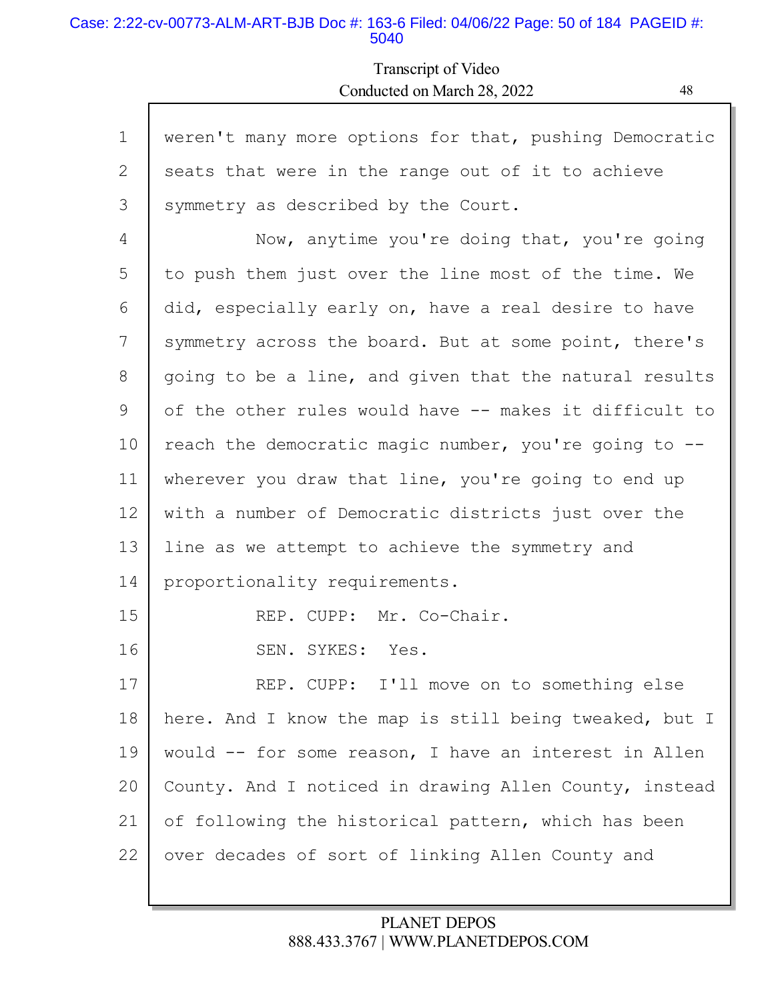#### Case: 2:22-cv-00773-ALM-ART-BJB Doc #: 163-6 Filed: 04/06/22 Page: 50 of 184 PAGEID #: 5040

Г

Transcript of Video Conducted on March 28, 2022 48

| $\mathbf 1$ | weren't many more options for that, pushing Democratic |
|-------------|--------------------------------------------------------|
| 2           | seats that were in the range out of it to achieve      |
| 3           | symmetry as described by the Court.                    |
| 4           | Now, anytime you're doing that, you're going           |
| 5           | to push them just over the line most of the time. We   |
| 6           | did, especially early on, have a real desire to have   |
| 7           | symmetry across the board. But at some point, there's  |
| 8           | going to be a line, and given that the natural results |
| 9           | of the other rules would have -- makes it difficult to |
| 10          | reach the democratic magic number, you're going to --  |
| 11          | wherever you draw that line, you're going to end up    |
| 12          | with a number of Democratic districts just over the    |
| 13          | line as we attempt to achieve the symmetry and         |
| 14          | proportionality requirements.                          |
| 15          | REP. CUPP: Mr. Co-Chair.                               |
| 16          | SEN. SYKES: Yes.                                       |
| 17          | REP. CUPP: I'll move on to something else              |
| 18          | here. And I know the map is still being tweaked, but I |
| 19          | would -- for some reason, I have an interest in Allen  |
| 20          | County. And I noticed in drawing Allen County, instead |
| 21          | of following the historical pattern, which has been    |
| 22          | over decades of sort of linking Allen County and       |
|             |                                                        |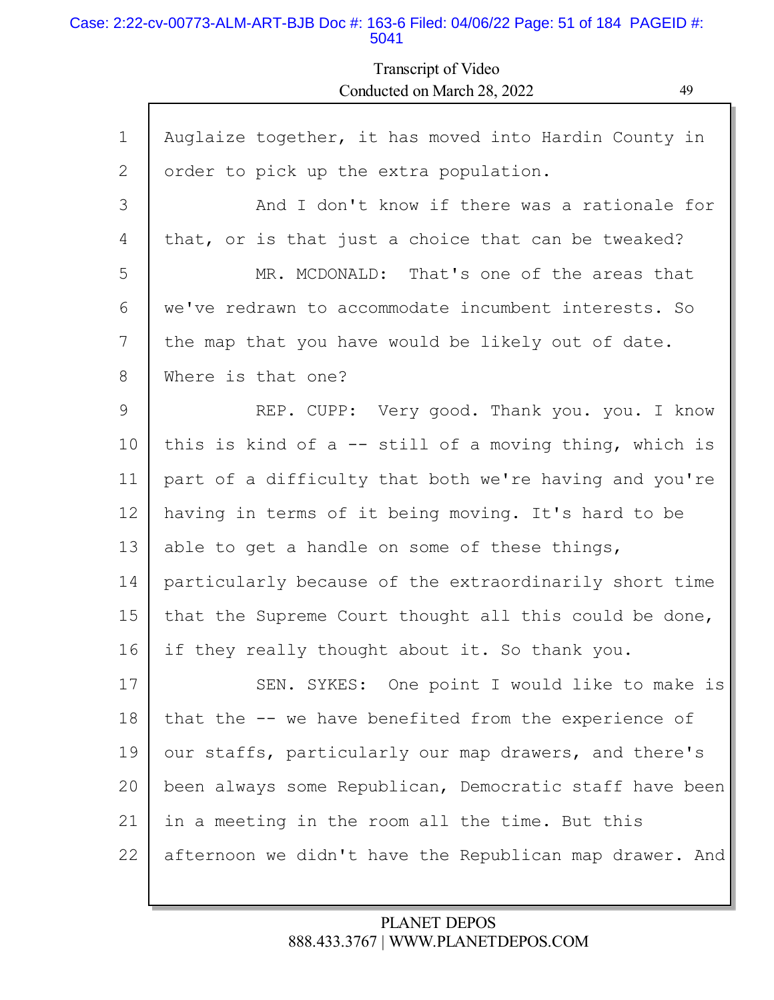### Case: 2:22-cv-00773-ALM-ART-BJB Doc #: 163-6 Filed: 04/06/22 Page: 51 of 184 PAGEID #: 5041

## Transcript of Video Conducted on March 28, 2022 49

| $\mathbf 1$ | Auglaize together, it has moved into Hardin County in    |
|-------------|----------------------------------------------------------|
| 2           | order to pick up the extra population.                   |
| 3           | And I don't know if there was a rationale for            |
| 4           | that, or is that just a choice that can be tweaked?      |
| 5           | MR. MCDONALD: That's one of the areas that               |
| 6           | we've redrawn to accommodate incumbent interests. So     |
| 7           | the map that you have would be likely out of date.       |
| 8           | Where is that one?                                       |
| 9           | REP. CUPP: Very good. Thank you. you. I know             |
| 10          | this is kind of $a$ -- still of a moving thing, which is |
| 11          | part of a difficulty that both we're having and you're   |
| 12          | having in terms of it being moving. It's hard to be      |
| 13          | able to get a handle on some of these things,            |
| 14          | particularly because of the extraordinarily short time   |
| 15          | that the Supreme Court thought all this could be done,   |
| 16          | if they really thought about it. So thank you.           |
| 17          | SEN. SYKES: One point I would like to make is            |
| 18          | that the -- we have benefited from the experience of     |
| 19          | our staffs, particularly our map drawers, and there's    |
| 20          | been always some Republican, Democratic staff have been  |
| 21          | in a meeting in the room all the time. But this          |
| 22          | afternoon we didn't have the Republican map drawer. And  |
|             |                                                          |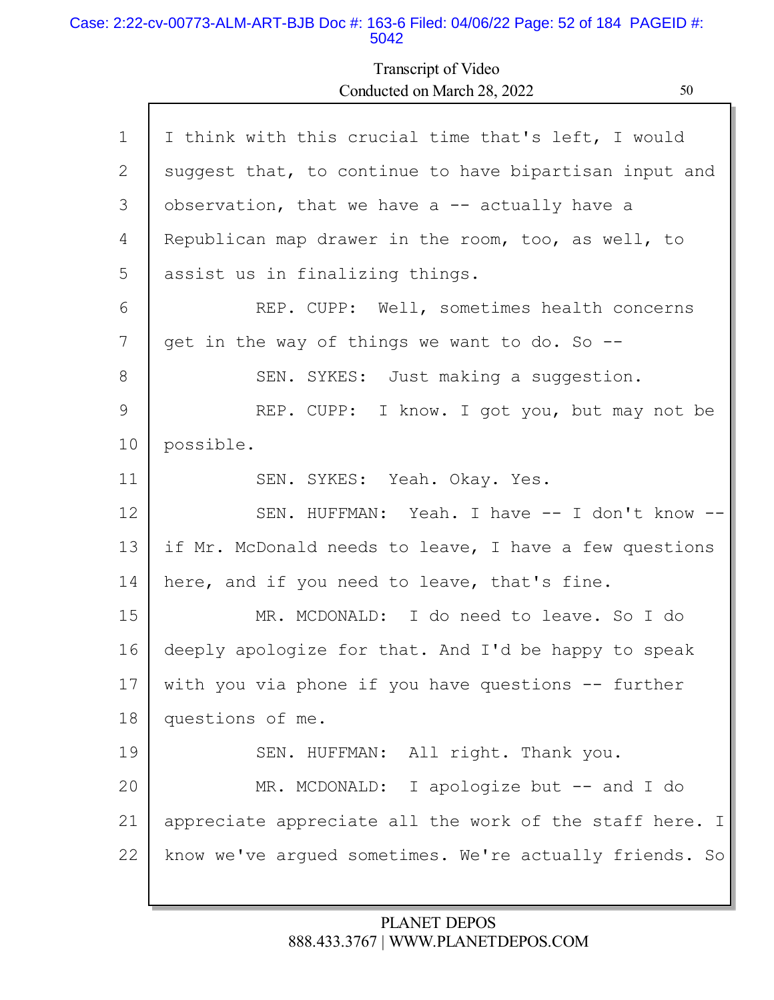#### Case: 2:22-cv-00773-ALM-ART-BJB Doc #: 163-6 Filed: 04/06/22 Page: 52 of 184 PAGEID #: 5042

Г

Transcript of Video Conducted on March 28, 2022 50

| $\mathbf{1}$ | I think with this crucial time that's left, I would     |
|--------------|---------------------------------------------------------|
| 2            | suggest that, to continue to have bipartisan input and  |
| 3            | observation, that we have a $-$ actually have a         |
| 4            | Republican map drawer in the room, too, as well, to     |
| 5            | assist us in finalizing things.                         |
| 6            | REP. CUPP: Well, sometimes health concerns              |
| 7            | get in the way of things we want to do. So --           |
| 8            | SEN. SYKES: Just making a suggestion.                   |
| 9            | REP. CUPP: I know. I got you, but may not be            |
| 10           | possible.                                               |
| 11           | SEN. SYKES: Yeah. Okay. Yes.                            |
| 12           | SEN. HUFFMAN: Yeah. I have -- I don't know --           |
| 13           | if Mr. McDonald needs to leave, I have a few questions  |
| 14           | here, and if you need to leave, that's fine.            |
| 15           | MR. MCDONALD: I do need to leave. So I do               |
| 16           | deeply apologize for that. And I'd be happy to speak    |
| 17           | with you via phone if you have questions -- further     |
| $18\,$       | questions of me.                                        |
| 19           | SEN. HUFFMAN: All right. Thank you.                     |
| 20           | MR. MCDONALD: I apologize but -- and I do               |
| 21           | appreciate appreciate all the work of the staff here. I |
| 22           | know we've argued sometimes. We're actually friends. So |
|              |                                                         |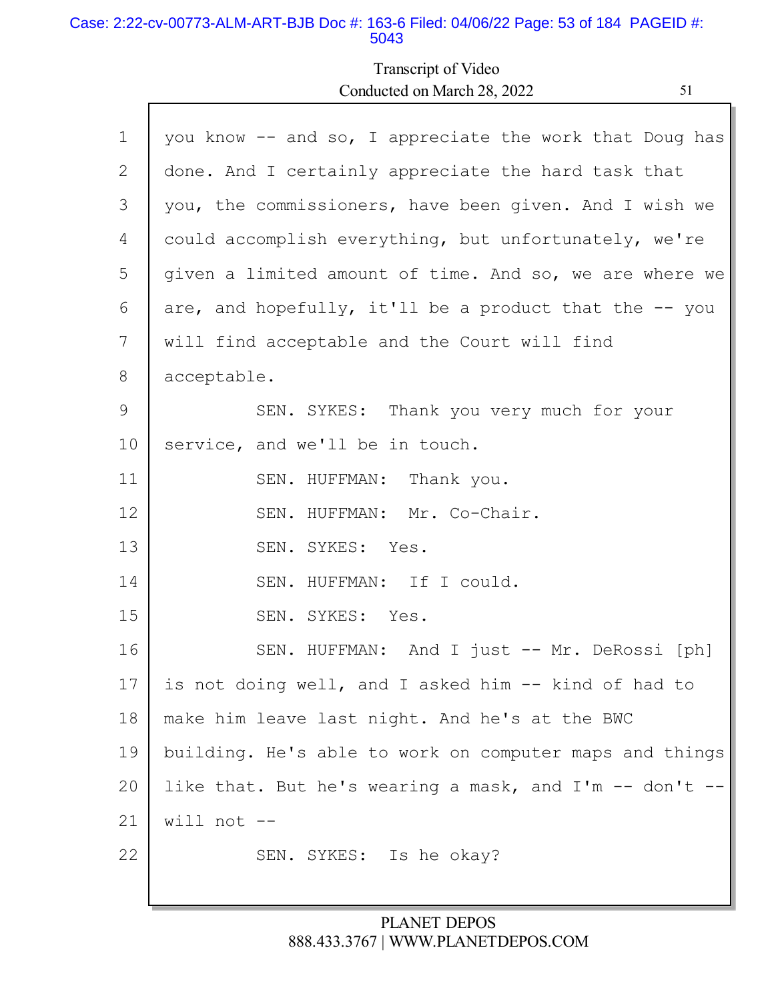#### Case: 2:22-cv-00773-ALM-ART-BJB Doc #: 163-6 Filed: 04/06/22 Page: 53 of 184 PAGEID #: 5043

Г

# Transcript of Video Conducted on March 28, 2022 51

ъ

| $\mathbf 1$ | you know -- and so, I appreciate the work that Doug has |
|-------------|---------------------------------------------------------|
| 2           | done. And I certainly appreciate the hard task that     |
| 3           | you, the commissioners, have been given. And I wish we  |
| 4           | could accomplish everything, but unfortunately, we're   |
| 5           | given a limited amount of time. And so, we are where we |
| 6           | are, and hopefully, it'll be a product that the -- you  |
| 7           | will find acceptable and the Court will find            |
| 8           | acceptable.                                             |
| 9           | SEN. SYKES: Thank you very much for your                |
| 10          | service, and we'll be in touch.                         |
| 11          | SEN. HUFFMAN: Thank you.                                |
| 12          | SEN. HUFFMAN: Mr. Co-Chair.                             |
| 13          | SEN. SYKES: Yes.                                        |
| 14          | SEN. HUFFMAN: If I could.                               |
| 15          | SEN. SYKES: Yes.                                        |
| 16          | SEN. HUFFMAN: And I just -- Mr. DeRossi [ph]            |
| 17          | is not doing well, and I asked him -- kind of had to    |
| 18          | make him leave last night. And he's at the BWC          |
| 19          | building. He's able to work on computer maps and things |
| 20          | like that. But he's wearing a mask, and I'm -- don't    |
| 21          | will not $--$                                           |
| 22          | SEN. SYKES: Is he okay?                                 |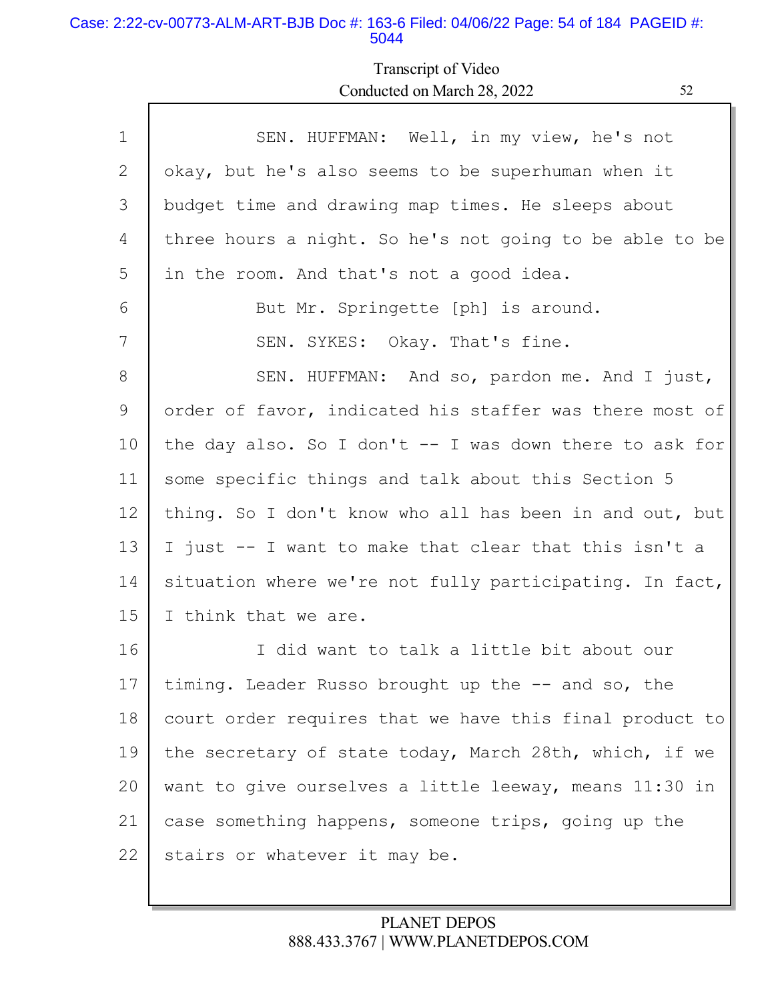#### Case: 2:22-cv-00773-ALM-ART-BJB Doc #: 163-6 Filed: 04/06/22 Page: 54 of 184 PAGEID #: 5044

Г

# Transcript of Video Conducted on March 28, 2022 52

L

| $\mathbf 1$ | SEN. HUFFMAN: Well, in my view, he's not                 |
|-------------|----------------------------------------------------------|
| 2           | okay, but he's also seems to be superhuman when it       |
| 3           | budget time and drawing map times. He sleeps about       |
| 4           | three hours a night. So he's not going to be able to be  |
| 5           | in the room. And that's not a good idea.                 |
| 6           | But Mr. Springette [ph] is around.                       |
| 7           | SEN. SYKES: Okay. That's fine.                           |
| 8           | SEN. HUFFMAN: And so, pardon me. And I just,             |
| 9           | order of favor, indicated his staffer was there most of  |
| 10          | the day also. So I don't $-$ I was down there to ask for |
| 11          | some specific things and talk about this Section 5       |
| 12          | thing. So I don't know who all has been in and out, but  |
| 13          | I just -- I want to make that clear that this isn't a    |
| 14          | situation where we're not fully participating. In fact,  |
| 15          | I think that we are.                                     |
| 16          | I did want to talk a little bit about our                |
| 17          | timing. Leader Russo brought up the -- and so, the       |
| 18          | court order requires that we have this final product to  |
| 19          | the secretary of state today, March 28th, which, if we   |
| 20          | want to give ourselves a little leeway, means 11:30 in   |
| 21          | case something happens, someone trips, going up the      |
| 22          | stairs or whatever it may be.                            |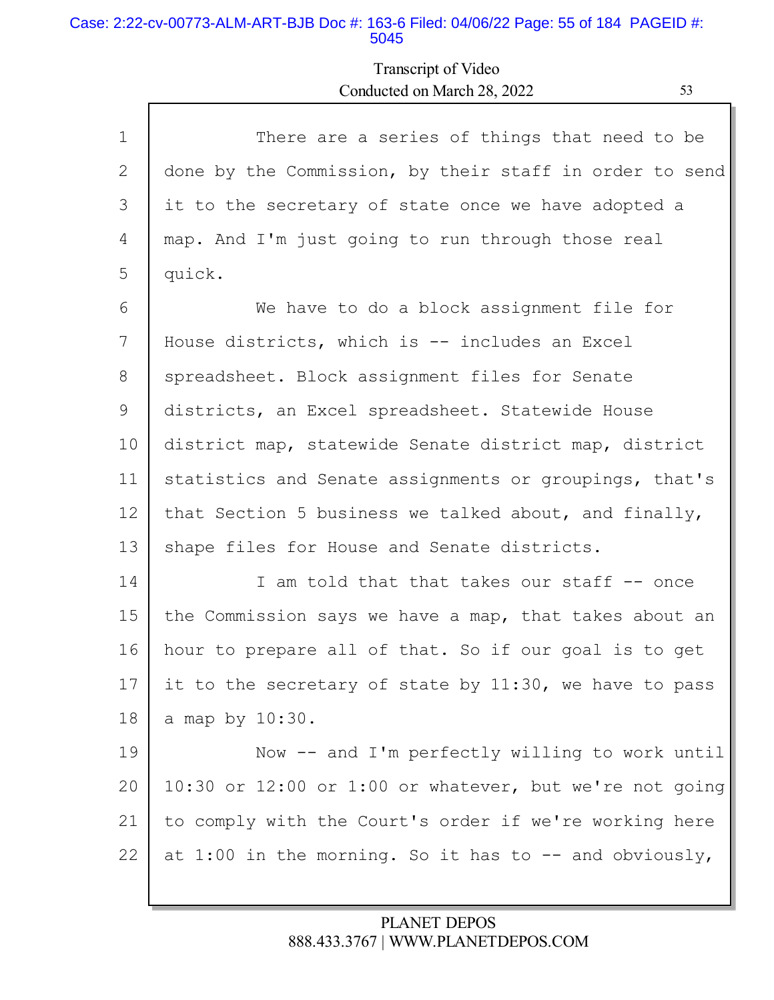#### Case: 2:22-cv-00773-ALM-ART-BJB Doc #: 163-6 Filed: 04/06/22 Page: 55 of 184 PAGEID #: 5045

# Transcript of Video Conducted on March 28, 2022 53

| $\mathbf{1}$ | There are a series of things that need to be            |
|--------------|---------------------------------------------------------|
| 2            | done by the Commission, by their staff in order to send |
| 3            | it to the secretary of state once we have adopted a     |
| 4            | map. And I'm just going to run through those real       |
| 5            | quick.                                                  |
| 6            | We have to do a block assignment file for               |
| 7            | House districts, which is -- includes an Excel          |
| 8            | spreadsheet. Block assignment files for Senate          |
| 9            | districts, an Excel spreadsheet. Statewide House        |
| 10           | district map, statewide Senate district map, district   |
| 11           | statistics and Senate assignments or groupings, that's  |
| 12           | that Section 5 business we talked about, and finally,   |
| 13           | shape files for House and Senate districts.             |
| 14           | I am told that that takes our staff -- once             |
| 15           | the Commission says we have a map, that takes about an  |
| 16           | hour to prepare all of that. So if our goal is to get   |
| 17           | it to the secretary of state by 11:30, we have to pass  |
| 18           | a map by 10:30.                                         |
| 19           | Now -- and I'm perfectly willing to work until          |
| 20           | 10:30 or 12:00 or 1:00 or whatever, but we're not going |
| 21           | to comply with the Court's order if we're working here  |
| 22           | at 1:00 in the morning. So it has to -- and obviously,  |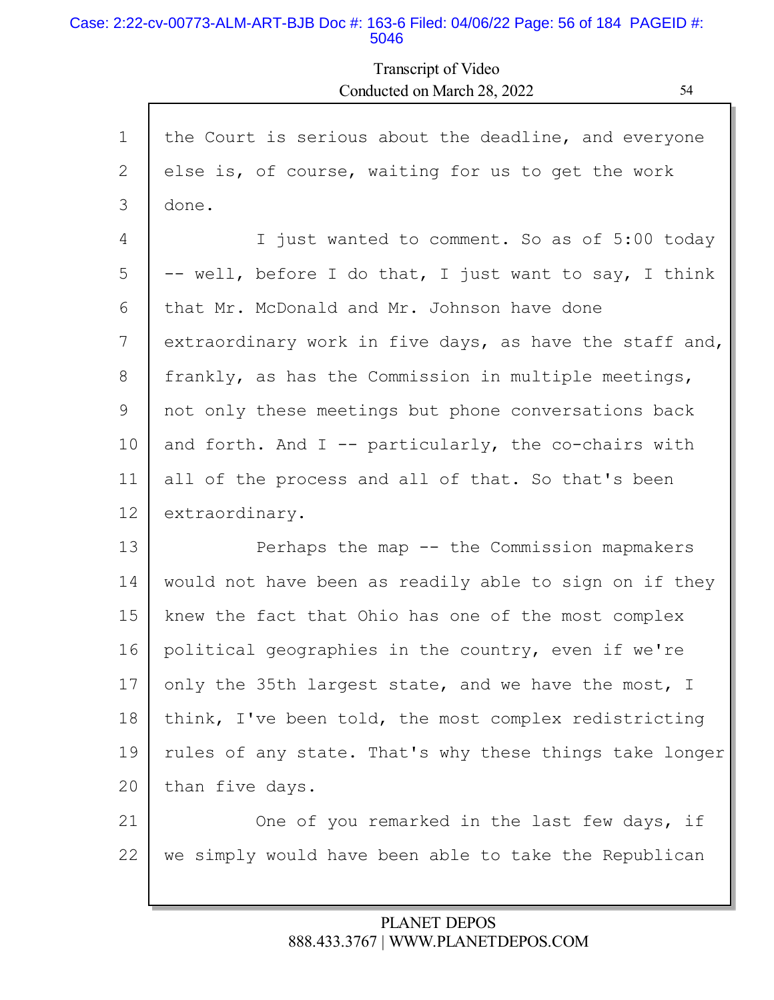#### Case: 2:22-cv-00773-ALM-ART-BJB Doc #: 163-6 Filed: 04/06/22 Page: 56 of 184 PAGEID #: 5046

Transcript of Video Conducted on March 28, 2022 54

| $\mathbf{1}$ | the Court is serious about the deadline, and everyone   |
|--------------|---------------------------------------------------------|
| 2            | else is, of course, waiting for us to get the work      |
| 3            | done.                                                   |
| 4            | I just wanted to comment. So as of 5:00 today           |
| 5            | -- well, before I do that, I just want to say, I think  |
| 6            | that Mr. McDonald and Mr. Johnson have done             |
| 7            | extraordinary work in five days, as have the staff and, |
| 8            | frankly, as has the Commission in multiple meetings,    |
| 9            | not only these meetings but phone conversations back    |
| 10           | and forth. And $I$ -- particularly, the co-chairs with  |
| 11           | all of the process and all of that. So that's been      |
| 12           | extraordinary.                                          |
| 13           | Perhaps the map -- the Commission mapmakers             |
| 14           | would not have been as readily able to sign on if they  |
| 15           | knew the fact that Ohio has one of the most complex     |
| 16           | political geographies in the country, even if we're     |
| 17           | only the 35th largest state, and we have the most, I    |
| 18           | think, I've been told, the most complex redistricting   |
| 19           | rules of any state. That's why these things take longer |
| 20           | than five days.                                         |
| 21           | One of you remarked in the last few days, if            |
| 22           | we simply would have been able to take the Republican   |
|              |                                                         |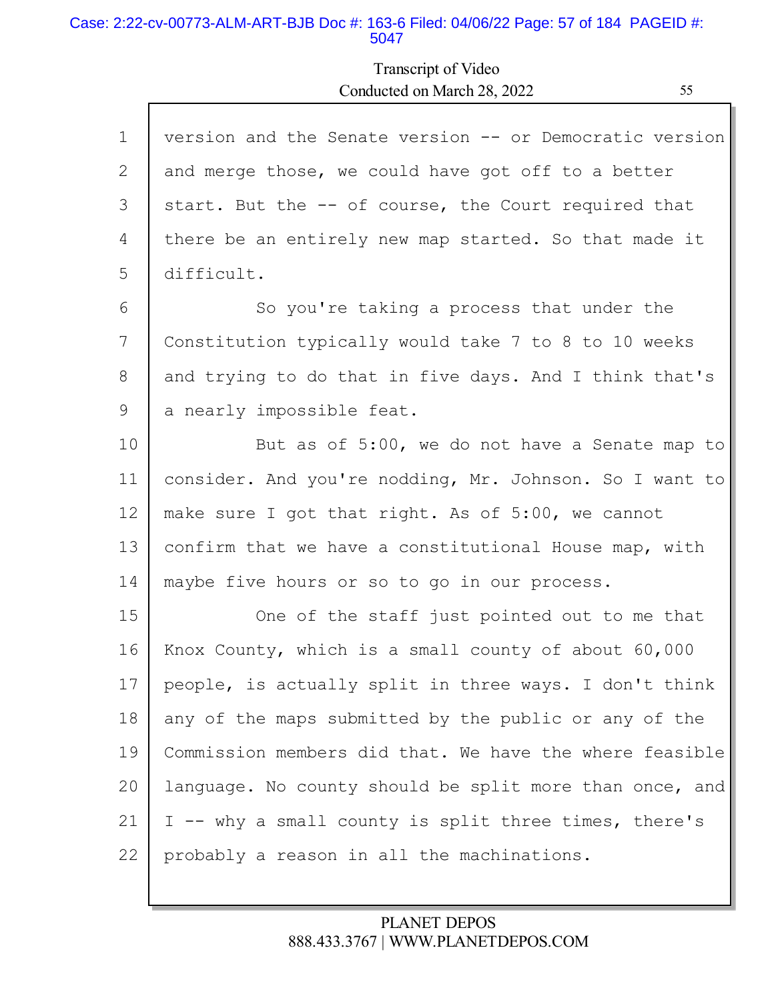#### Case: 2:22-cv-00773-ALM-ART-BJB Doc #: 163-6 Filed: 04/06/22 Page: 57 of 184 PAGEID #: 5047

# Transcript of Video Conducted on March 28, 2022

| $\mathbf{1}$ | version and the Senate version -- or Democratic version |
|--------------|---------------------------------------------------------|
| 2            | and merge those, we could have got off to a better      |
| 3            | start. But the -- of course, the Court required that    |
| 4            | there be an entirely new map started. So that made it   |
| 5            | difficult.                                              |
| 6            | So you're taking a process that under the               |
| 7            | Constitution typically would take 7 to 8 to 10 weeks    |
| 8            | and trying to do that in five days. And I think that's  |
| 9            | a nearly impossible feat.                               |
| 10           | But as of 5:00, we do not have a Senate map to          |
| 11           | consider. And you're nodding, Mr. Johnson. So I want to |
| 12           | make sure I got that right. As of 5:00, we cannot       |
| 13           | confirm that we have a constitutional House map, with   |
| 14           | maybe five hours or so to go in our process.            |
| 15           | One of the staff just pointed out to me that            |
| 16           | Knox County, which is a small county of about 60,000    |
| 17           | people, is actually split in three ways. I don't think  |
| 18           | any of the maps submitted by the public or any of the   |
| 19           | Commission members did that. We have the where feasible |
| 20           | language. No county should be split more than once, and |
| 21           | I -- why a small county is split three times, there's   |
| 22           | probably a reason in all the machinations.              |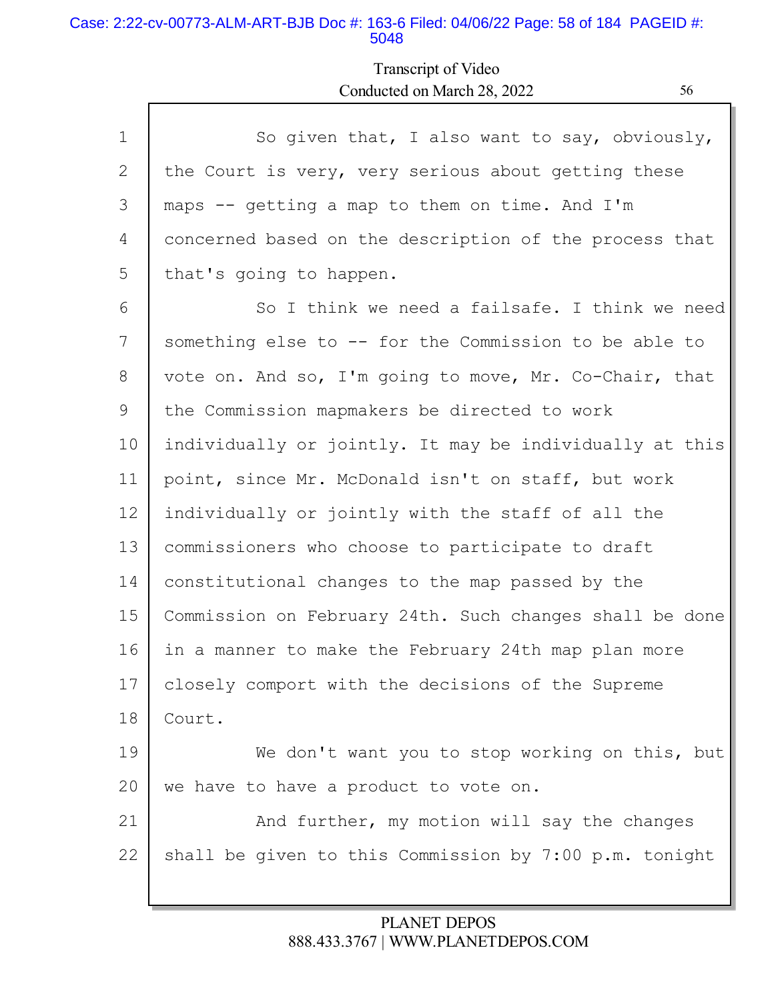### Case: 2:22-cv-00773-ALM-ART-BJB Doc #: 163-6 Filed: 04/06/22 Page: 58 of 184 PAGEID #: 5048

Г

# Transcript of Video Conducted on March 28, 2022 56

| So given that, I also want to say, obviously,           |
|---------------------------------------------------------|
| the Court is very, very serious about getting these     |
| maps -- getting a map to them on time. And I'm          |
| concerned based on the description of the process that  |
| that's going to happen.                                 |
| So I think we need a failsafe. I think we need          |
| something else to -- for the Commission to be able to   |
| vote on. And so, I'm going to move, Mr. Co-Chair, that  |
| the Commission mapmakers be directed to work            |
| individually or jointly. It may be individually at this |
| point, since Mr. McDonald isn't on staff, but work      |
| individually or jointly with the staff of all the       |
| commissioners who choose to participate to draft        |
| constitutional changes to the map passed by the         |
| Commission on February 24th. Such changes shall be done |
| in a manner to make the February 24th map plan more     |
| closely comport with the decisions of the Supreme       |
| Court.                                                  |
| We don't want you to stop working on this, but          |
| we have to have a product to vote on.                   |
| And further, my motion will say the changes             |
| shall be given to this Commission by 7:00 p.m. tonight  |
|                                                         |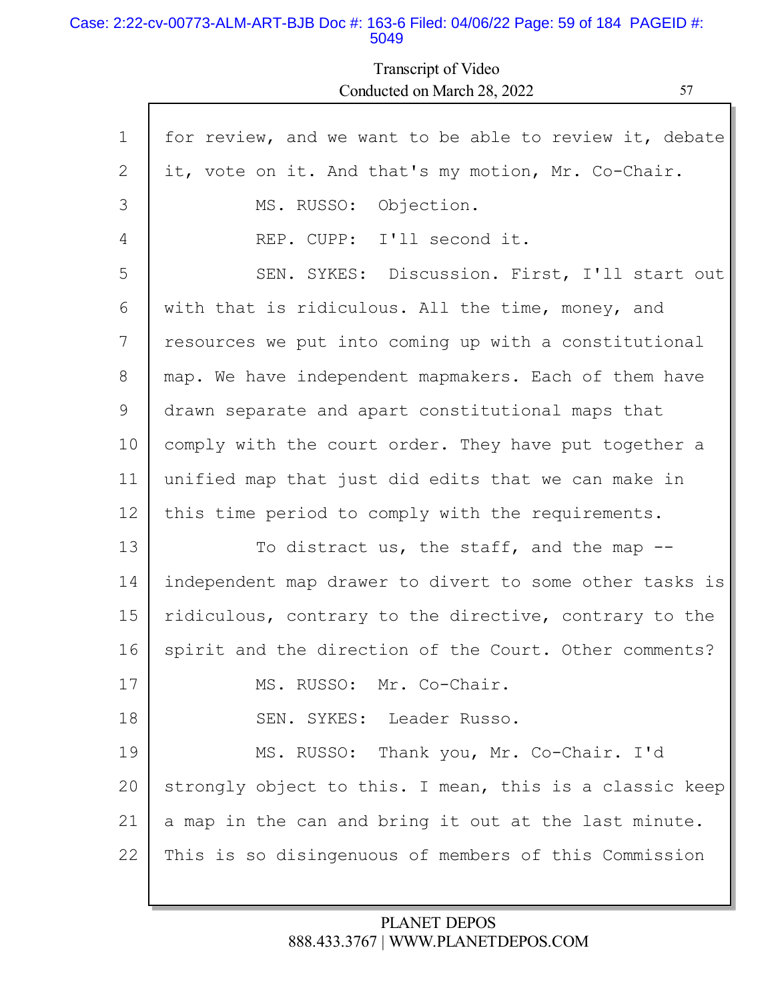#### Case: 2:22-cv-00773-ALM-ART-BJB Doc #: 163-6 Filed: 04/06/22 Page: 59 of 184 PAGEID #: 5049

Г

Transcript of Video Conducted on March 28, 2022 57

| for review, and we want to be able to review it, debate<br>it, vote on it. And that's my motion, Mr. Co-Chair.<br>MS. RUSSO: Objection.<br>REP. CUPP: I'll second it.<br>SEN. SYKES: Discussion. First, I'll start out<br>with that is ridiculous. All the time, money, and<br>resources we put into coming up with a constitutional |
|--------------------------------------------------------------------------------------------------------------------------------------------------------------------------------------------------------------------------------------------------------------------------------------------------------------------------------------|
|                                                                                                                                                                                                                                                                                                                                      |
|                                                                                                                                                                                                                                                                                                                                      |
|                                                                                                                                                                                                                                                                                                                                      |
|                                                                                                                                                                                                                                                                                                                                      |
|                                                                                                                                                                                                                                                                                                                                      |
|                                                                                                                                                                                                                                                                                                                                      |
|                                                                                                                                                                                                                                                                                                                                      |
| map. We have independent mapmakers. Each of them have                                                                                                                                                                                                                                                                                |
| drawn separate and apart constitutional maps that                                                                                                                                                                                                                                                                                    |
| comply with the court order. They have put together a                                                                                                                                                                                                                                                                                |
| unified map that just did edits that we can make in                                                                                                                                                                                                                                                                                  |
| this time period to comply with the requirements.                                                                                                                                                                                                                                                                                    |
| To distract us, the staff, and the map $-$ -                                                                                                                                                                                                                                                                                         |
| independent map drawer to divert to some other tasks is                                                                                                                                                                                                                                                                              |
| ridiculous, contrary to the directive, contrary to the                                                                                                                                                                                                                                                                               |
| spirit and the direction of the Court. Other comments?                                                                                                                                                                                                                                                                               |
|                                                                                                                                                                                                                                                                                                                                      |
| MS. RUSSO: Mr. Co-Chair.                                                                                                                                                                                                                                                                                                             |
| SEN. SYKES: Leader Russo.                                                                                                                                                                                                                                                                                                            |
| MS. RUSSO: Thank you, Mr. Co-Chair. I'd                                                                                                                                                                                                                                                                                              |
| strongly object to this. I mean, this is a classic keep                                                                                                                                                                                                                                                                              |
| a map in the can and bring it out at the last minute.                                                                                                                                                                                                                                                                                |
|                                                                                                                                                                                                                                                                                                                                      |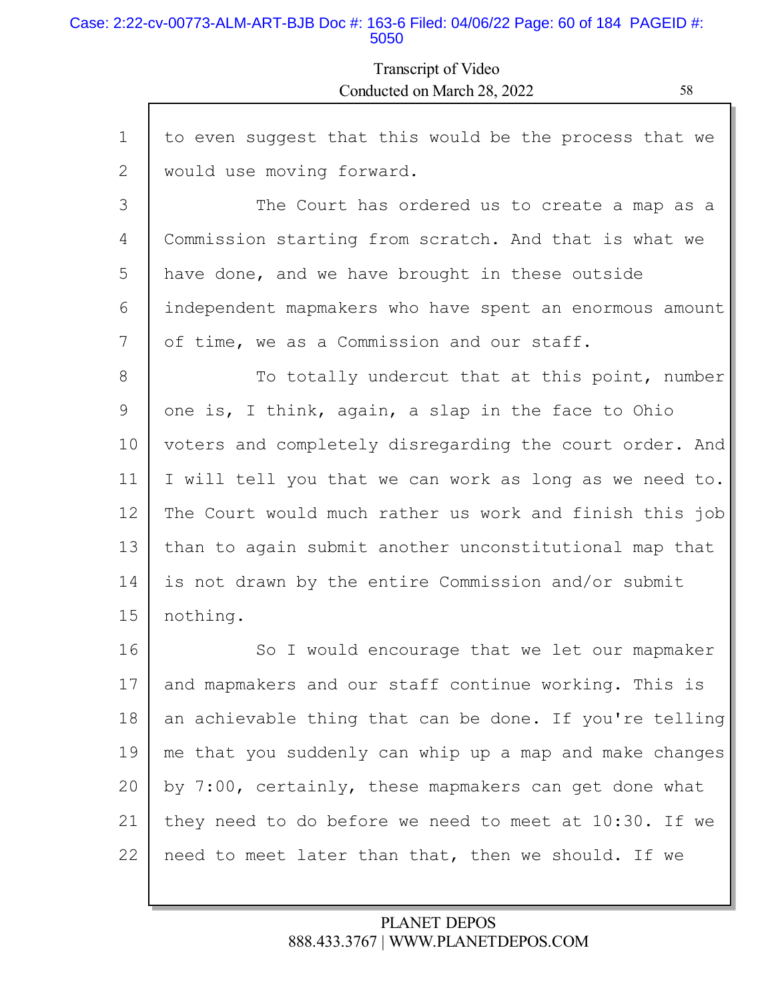#### Case: 2:22-cv-00773-ALM-ART-BJB Doc #: 163-6 Filed: 04/06/22 Page: 60 of 184 PAGEID #: 5050

Г

## Transcript of Video Conducted on March 28, 2022 58

L

| $\mathbf{1}$ | to even suggest that this would be the process that we  |
|--------------|---------------------------------------------------------|
| 2            | would use moving forward.                               |
| 3            | The Court has ordered us to create a map as a           |
| 4            | Commission starting from scratch. And that is what we   |
| 5            | have done, and we have brought in these outside         |
| 6            | independent mapmakers who have spent an enormous amount |
| 7            | of time, we as a Commission and our staff.              |
| 8            | To totally undercut that at this point, number          |
| 9            | one is, I think, again, a slap in the face to Ohio      |
| 10           | voters and completely disregarding the court order. And |
| 11           | I will tell you that we can work as long as we need to. |
| 12           | The Court would much rather us work and finish this job |
| 13           | than to again submit another unconstitutional map that  |
| 14           | is not drawn by the entire Commission and/or submit     |
| 15           | nothing.                                                |
| 16           | So I would encourage that we let our mapmaker           |
| 17           | and mapmakers and our staff continue working. This is   |
| 18           | an achievable thing that can be done. If you're telling |
| 19           | me that you suddenly can whip up a map and make changes |
| 20           | by 7:00, certainly, these mapmakers can get done what   |
| 21           | they need to do before we need to meet at 10:30. If we  |
| 22           | need to meet later than that, then we should. If we     |
|              |                                                         |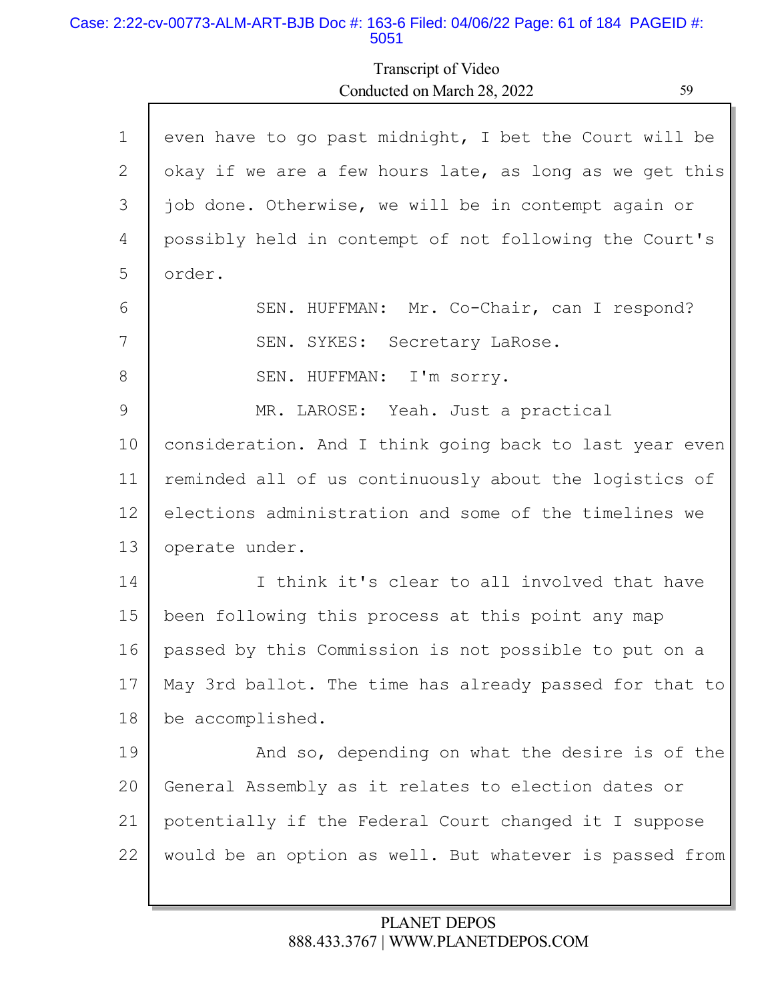#### Case: 2:22-cv-00773-ALM-ART-BJB Doc #: 163-6 Filed: 04/06/22 Page: 61 of 184 PAGEID #: 5051

Г

# Transcript of Video Conducted on March 28, 2022 59

h

| $\mathbf 1$ | even have to go past midnight, I bet the Court will be  |
|-------------|---------------------------------------------------------|
| 2           | okay if we are a few hours late, as long as we get this |
| 3           | job done. Otherwise, we will be in contempt again or    |
| 4           | possibly held in contempt of not following the Court's  |
| 5           | order.                                                  |
| 6           | SEN. HUFFMAN: Mr. Co-Chair, can I respond?              |
| 7           | SEN. SYKES: Secretary LaRose.                           |
| 8           | SEN. HUFFMAN: I'm sorry.                                |
| 9           | MR. LAROSE: Yeah. Just a practical                      |
| 10          | consideration. And I think going back to last year even |
| 11          | reminded all of us continuously about the logistics of  |
| 12          | elections administration and some of the timelines we   |
| 13          | operate under.                                          |
| 14          | I think it's clear to all involved that have            |
| 15          | been following this process at this point any map       |
| 16          | passed by this Commission is not possible to put on a   |
| 17          | May 3rd ballot. The time has already passed for that to |
| 18          | be accomplished.                                        |
| 19          | And so, depending on what the desire is of the          |
| 20          | General Assembly as it relates to election dates or     |
| 21          | potentially if the Federal Court changed it I suppose   |
| 22          | would be an option as well. But whatever is passed from |
|             |                                                         |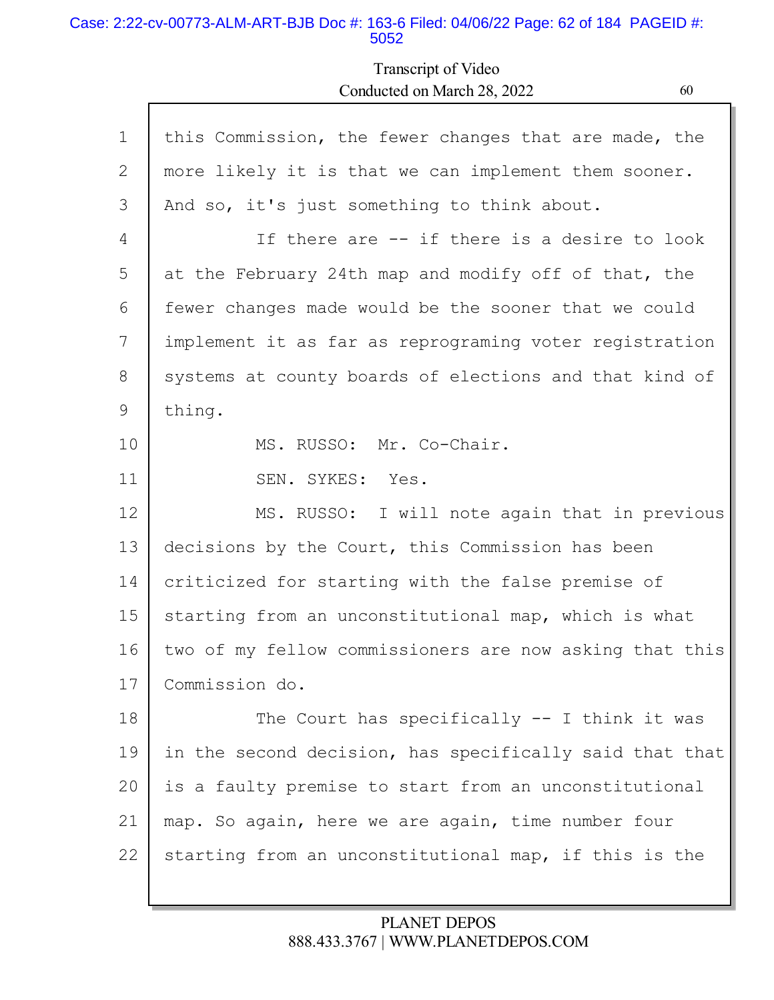### Case: 2:22-cv-00773-ALM-ART-BJB Doc #: 163-6 Filed: 04/06/22 Page: 62 of 184 PAGEID #: 5052

Г

# Transcript of Video Conducted on March 28, 2022 60

| this Commission, the fewer changes that are made, the   |
|---------------------------------------------------------|
| more likely it is that we can implement them sooner.    |
| And so, it's just something to think about.             |
| If there are -- if there is a desire to look            |
| at the February 24th map and modify off of that, the    |
| fewer changes made would be the sooner that we could    |
| implement it as far as reprograming voter registration  |
| systems at county boards of elections and that kind of  |
| thing.                                                  |
| MS. RUSSO: Mr. Co-Chair.                                |
| SEN. SYKES: Yes.                                        |
| MS. RUSSO: I will note again that in previous           |
| decisions by the Court, this Commission has been        |
| criticized for starting with the false premise of       |
| starting from an unconstitutional map, which is what    |
| two of my fellow commissioners are now asking that this |
| Commission do.                                          |
| The Court has specifically $--$ I think it was          |
| in the second decision, has specifically said that that |
| is a faulty premise to start from an unconstitutional   |
| map. So again, here we are again, time number four      |
| starting from an unconstitutional map, if this is the   |
|                                                         |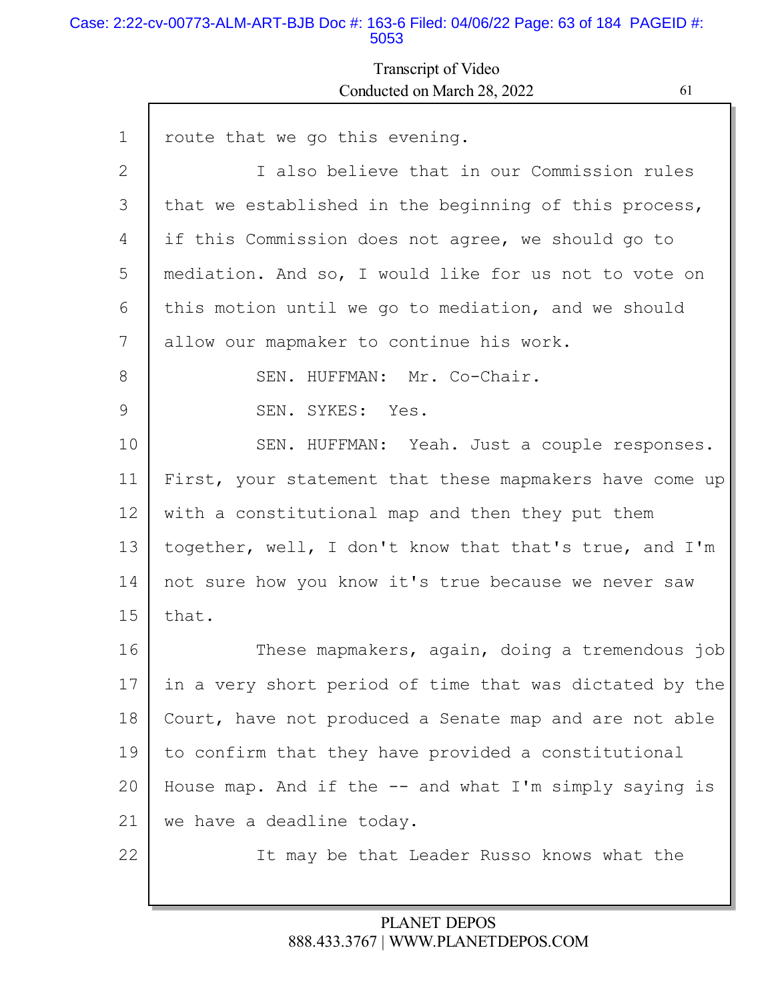#### Case: 2:22-cv-00773-ALM-ART-BJB Doc #: 163-6 Filed: 04/06/22 Page: 63 of 184 PAGEID #: 5053

Г

# Transcript of Video Conducted on March 28, 2022 61

L

| $\mathbf 1$ | route that we go this evening.                           |
|-------------|----------------------------------------------------------|
| 2           | I also believe that in our Commission rules              |
| 3           | that we established in the beginning of this process,    |
| 4           | if this Commission does not agree, we should go to       |
| 5           | mediation. And so, I would like for us not to vote on    |
| 6           | this motion until we go to mediation, and we should      |
| 7           | allow our mapmaker to continue his work.                 |
| 8           | SEN. HUFFMAN: Mr. Co-Chair.                              |
| 9           | SEN. SYKES: Yes.                                         |
| 10          | SEN. HUFFMAN: Yeah. Just a couple responses.             |
| 11          | First, your statement that these mapmakers have come up  |
| 12          | with a constitutional map and then they put them         |
| 13          | together, well, I don't know that that's true, and I'm   |
| 14          | not sure how you know it's true because we never saw     |
| 15          | that.                                                    |
| 16          | These mapmakers, again, doing a tremendous job           |
| 17          | in a very short period of time that was dictated by the  |
| 18          | Court, have not produced a Senate map and are not able   |
| 19          | to confirm that they have provided a constitutional      |
| 20          | House map. And if the $--$ and what I'm simply saying is |
| 21          | we have a deadline today.                                |
| 22          | It may be that Leader Russo knows what the               |
|             |                                                          |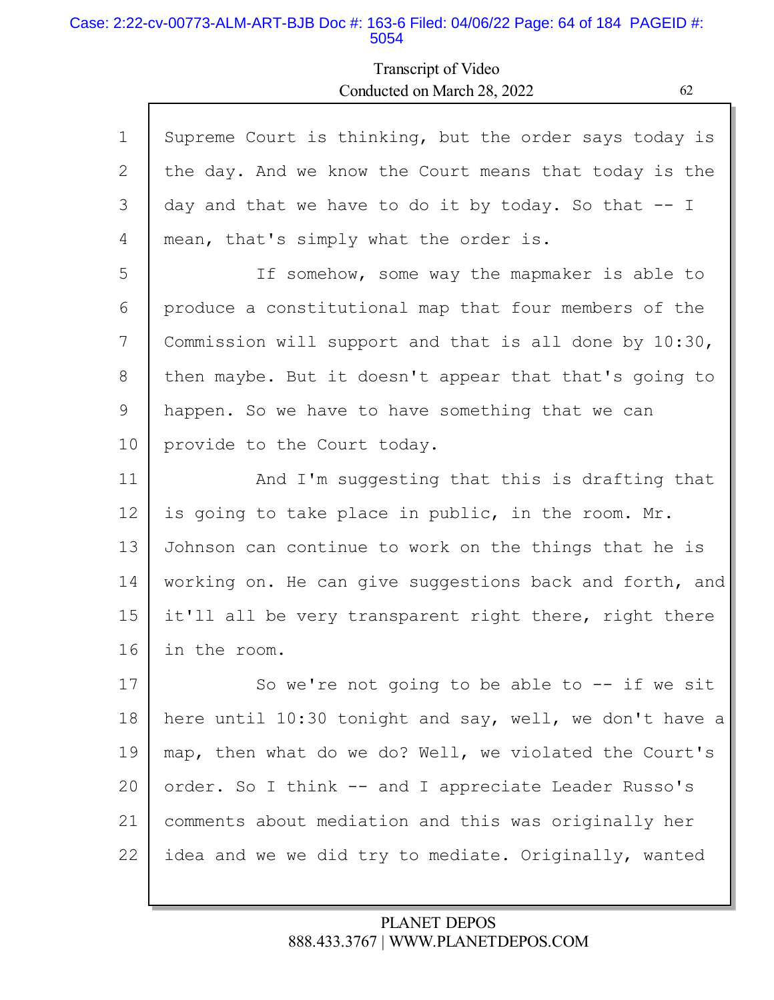#### Case: 2:22-cv-00773-ALM-ART-BJB Doc #: 163-6 Filed: 04/06/22 Page: 64 of 184 PAGEID #: 5054

Г

# Transcript of Video Conducted on March 28, 2022 62

| $\mathbf 1$ | Supreme Court is thinking, but the order says today is  |
|-------------|---------------------------------------------------------|
| 2           | the day. And we know the Court means that today is the  |
| 3           | day and that we have to do it by today. So that -- I    |
| 4           | mean, that's simply what the order is.                  |
| 5           | If somehow, some way the mapmaker is able to            |
| 6           | produce a constitutional map that four members of the   |
| 7           | Commission will support and that is all done by 10:30,  |
| 8           | then maybe. But it doesn't appear that that's going to  |
| 9           | happen. So we have to have something that we can        |
| 10          | provide to the Court today.                             |
| 11          | And I'm suggesting that this is drafting that           |
| 12          | is going to take place in public, in the room. Mr.      |
| 13          | Johnson can continue to work on the things that he is   |
| 14          | working on. He can give suggestions back and forth, and |
| 15          | it'll all be very transparent right there, right there  |
| 16          | in the room.                                            |
| 17          | So we're not going to be able to -- if we sit           |
| 18          | here until 10:30 tonight and say, well, we don't have a |
| 19          | map, then what do we do? Well, we violated the Court's  |
| 20          | order. So I think -- and I appreciate Leader Russo's    |
| 21          | comments about mediation and this was originally her    |
| 22          | idea and we we did try to mediate. Originally, wanted   |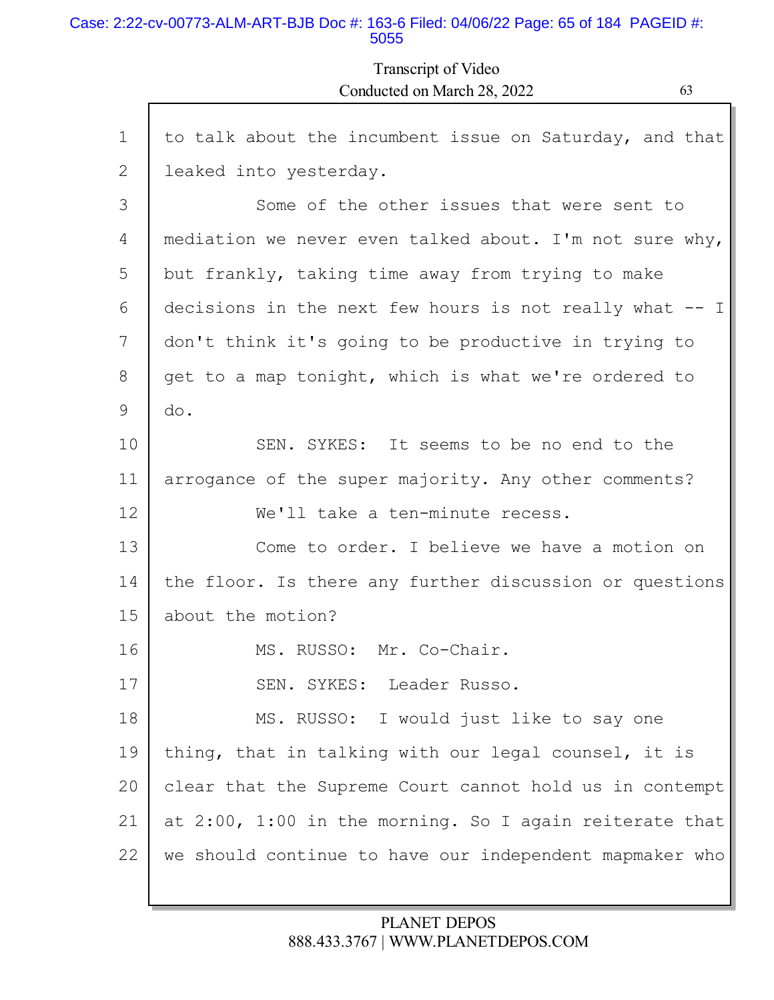### Case: 2:22-cv-00773-ALM-ART-BJB Doc #: 163-6 Filed: 04/06/22 Page: 65 of 184 PAGEID #: 5055

## Transcript of Video Conducted on March 28, 2022 63

| $\mathbf 1$    | to talk about the incumbent issue on Saturday, and that |
|----------------|---------------------------------------------------------|
| $\overline{2}$ | leaked into yesterday.                                  |
| 3              | Some of the other issues that were sent to              |
| 4              | mediation we never even talked about. I'm not sure why, |
| 5              | but frankly, taking time away from trying to make       |
| 6              | decisions in the next few hours is not really what -- I |
| 7              | don't think it's going to be productive in trying to    |
| 8              | get to a map tonight, which is what we're ordered to    |
| 9              | do.                                                     |
| 10             | SEN. SYKES: It seems to be no end to the                |
| 11             | arrogance of the super majority. Any other comments?    |
| 12             | We'll take a ten-minute recess.                         |
| 13             | Come to order. I believe we have a motion on            |
| 14             | the floor. Is there any further discussion or questions |
| 15             | about the motion?                                       |
| 16             | MS. RUSSO: Mr. Co-Chair.                                |
| 17             | SEN. SYKES: Leader Russo.                               |
| 18             | MS. RUSSO: I would just like to say one                 |
| 19             | thing, that in talking with our legal counsel, it is    |
| 20             | clear that the Supreme Court cannot hold us in contempt |
| 21             | at 2:00, 1:00 in the morning. So I again reiterate that |
| 22             | we should continue to have our independent mapmaker who |
|                |                                                         |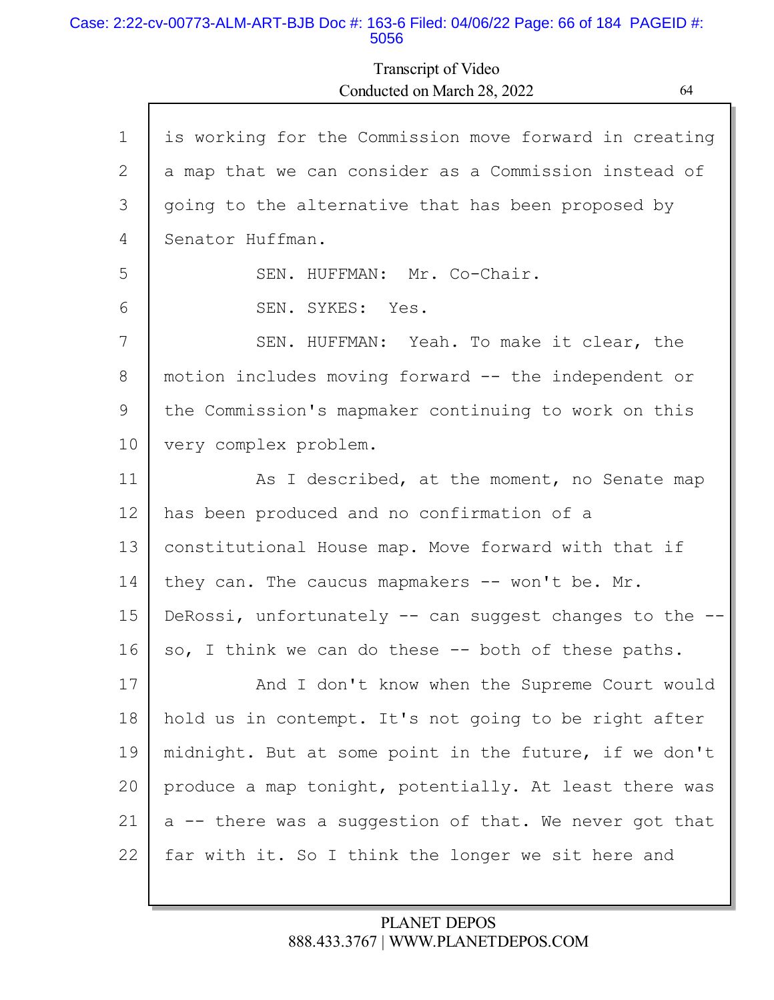#### Case: 2:22-cv-00773-ALM-ART-BJB Doc #: 163-6 Filed: 04/06/22 Page: 66 of 184 PAGEID #: 5056

Г

# Transcript of Video Conducted on March 28, 2022 64

| $\mathbf 1$ | is working for the Commission move forward in creating  |
|-------------|---------------------------------------------------------|
| 2           | a map that we can consider as a Commission instead of   |
| 3           | going to the alternative that has been proposed by      |
| 4           | Senator Huffman.                                        |
| 5           | SEN. HUFFMAN: Mr. Co-Chair.                             |
| 6           | SEN. SYKES: Yes.                                        |
| 7           | SEN. HUFFMAN: Yeah. To make it clear, the               |
| 8           | motion includes moving forward -- the independent or    |
| 9           | the Commission's mapmaker continuing to work on this    |
| 10          | very complex problem.                                   |
| 11          | As I described, at the moment, no Senate map            |
| 12          | has been produced and no confirmation of a              |
| 13          | constitutional House map. Move forward with that if     |
| 14          | they can. The caucus mapmakers -- won't be. Mr.         |
| 15          | DeRossi, unfortunately -- can suggest changes to the -- |
| 16          | so, I think we can do these -- both of these paths.     |
| 17          | And I don't know when the Supreme Court would           |
| 18          |                                                         |
|             | hold us in contempt. It's not going to be right after   |
| 19          | midnight. But at some point in the future, if we don't  |
| 20          | produce a map tonight, potentially. At least there was  |
| 21          | a -- there was a suggestion of that. We never got that  |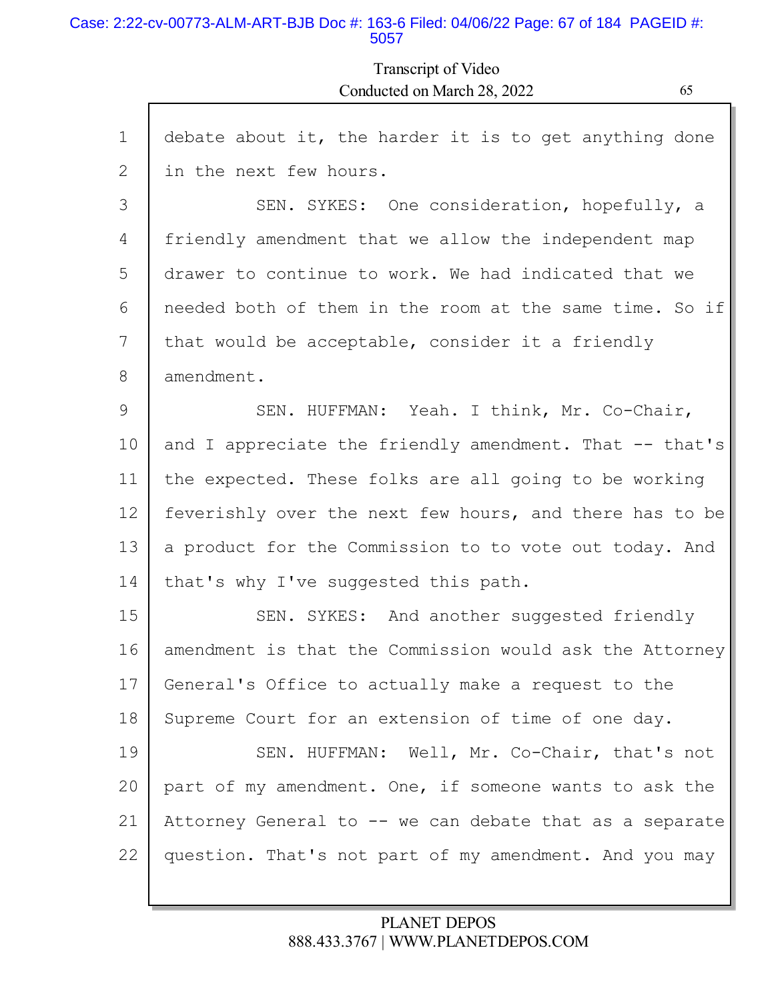#### Case: 2:22-cv-00773-ALM-ART-BJB Doc #: 163-6 Filed: 04/06/22 Page: 67 of 184 PAGEID #: 5057

# Transcript of Video Conducted on March 28, 2022 65

| $\mathbf 1$ | debate about it, the harder it is to get anything done  |
|-------------|---------------------------------------------------------|
| 2           | in the next few hours.                                  |
| 3           | SEN. SYKES: One consideration, hopefully, a             |
| 4           | friendly amendment that we allow the independent map    |
| 5           | drawer to continue to work. We had indicated that we    |
| 6           | needed both of them in the room at the same time. So if |
| 7           | that would be acceptable, consider it a friendly        |
| 8           | amendment.                                              |
| 9           | SEN. HUFFMAN: Yeah. I think, Mr. Co-Chair,              |
| 10          | and I appreciate the friendly amendment. That -- that's |
| 11          | the expected. These folks are all going to be working   |
| 12          | feverishly over the next few hours, and there has to be |
| 13          | a product for the Commission to to vote out today. And  |
| 14          | that's why I've suggested this path.                    |
| 15          | SEN. SYKES: And another suggested friendly              |
| 16          | amendment is that the Commission would ask the Attorney |
| 17          | General's Office to actually make a request to the      |
| 18          | Supreme Court for an extension of time of one day.      |
| 19          | SEN. HUFFMAN: Well, Mr. Co-Chair, that's not            |
| 20          | part of my amendment. One, if someone wants to ask the  |
| 21          | Attorney General to -- we can debate that as a separate |
| 22          | question. That's not part of my amendment. And you may  |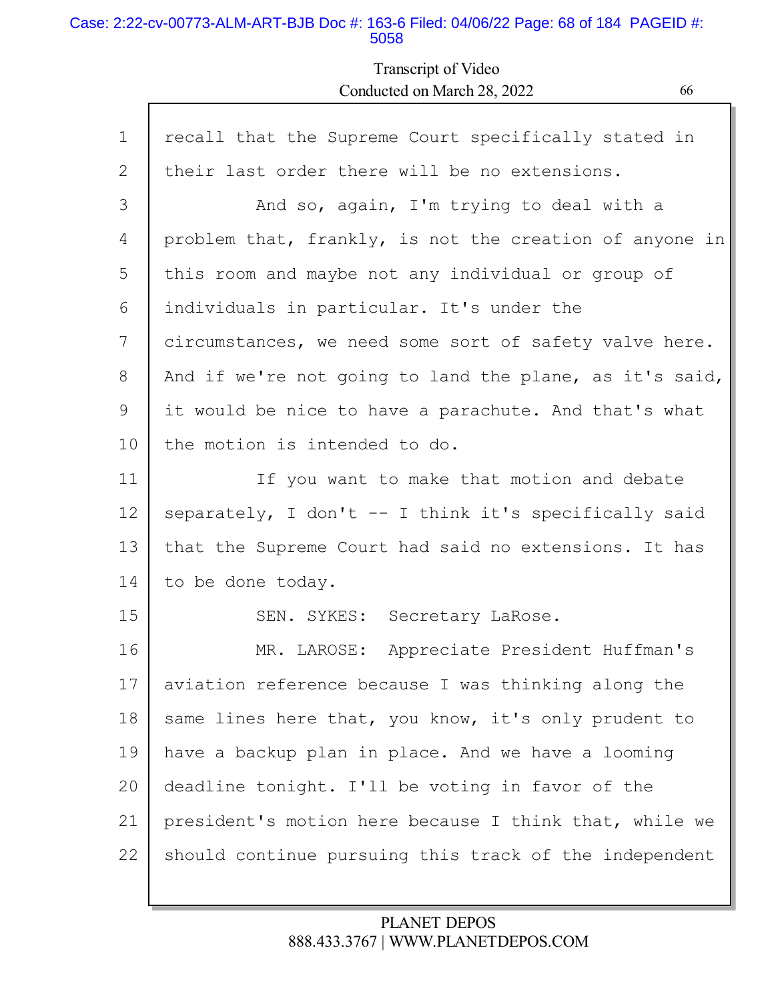### Case: 2:22-cv-00773-ALM-ART-BJB Doc #: 163-6 Filed: 04/06/22 Page: 68 of 184 PAGEID #: 5058

## Transcript of Video Conducted on March 28, 2022 66

| $\mathbf 1$ | recall that the Supreme Court specifically stated in    |
|-------------|---------------------------------------------------------|
| 2           | their last order there will be no extensions.           |
| 3           | And so, again, I'm trying to deal with a                |
| 4           | problem that, frankly, is not the creation of anyone in |
| 5           | this room and maybe not any individual or group of      |
| 6           | individuals in particular. It's under the               |
| 7           | circumstances, we need some sort of safety valve here.  |
| 8           | And if we're not going to land the plane, as it's said, |
| 9           | it would be nice to have a parachute. And that's what   |
| 10          | the motion is intended to do.                           |
| 11          | If you want to make that motion and debate              |
| 12          | separately, I don't -- I think it's specifically said   |
| 13          | that the Supreme Court had said no extensions. It has   |
| 14          | to be done today.                                       |
| 15          | SEN. SYKES: Secretary LaRose.                           |
| 16          | Appreciate President Huffman's<br>MR. LAROSE:           |
| 17          | aviation reference because I was thinking along the     |
| 18          | same lines here that, you know, it's only prudent to    |
| 19          | have a backup plan in place. And we have a looming      |
| 20          | deadline tonight. I'll be voting in favor of the        |
| 21          | president's motion here because I think that, while we  |
| 22          | should continue pursuing this track of the independent  |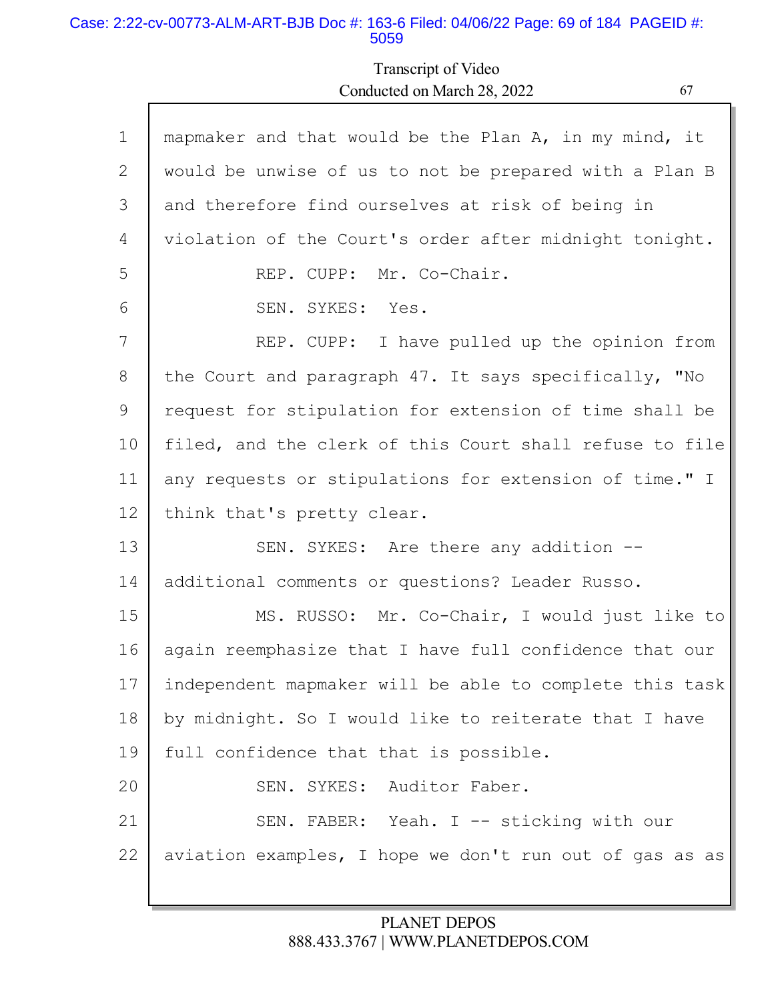#### Case: 2:22-cv-00773-ALM-ART-BJB Doc #: 163-6 Filed: 04/06/22 Page: 69 of 184 PAGEID #: 5059

Г

# Transcript of Video Conducted on March 28, 2022

| $\mathbf 1$ | mapmaker and that would be the Plan A, in my mind, it   |
|-------------|---------------------------------------------------------|
| 2           | would be unwise of us to not be prepared with a Plan B  |
| 3           | and therefore find ourselves at risk of being in        |
| 4           | violation of the Court's order after midnight tonight.  |
| 5           | REP. CUPP: Mr. Co-Chair.                                |
| 6           | SEN. SYKES: Yes.                                        |
| 7           | REP. CUPP: I have pulled up the opinion from            |
| 8           | the Court and paragraph 47. It says specifically, "No   |
| 9           | request for stipulation for extension of time shall be  |
| 10          | filed, and the clerk of this Court shall refuse to file |
| 11          | any requests or stipulations for extension of time." I  |
| 12          | think that's pretty clear.                              |
| 13          | SEN. SYKES: Are there any addition --                   |
| 14          | additional comments or questions? Leader Russo.         |
| 15          | MS. RUSSO: Mr. Co-Chair, I would just like to           |
| 16          | again reemphasize that I have full confidence that our  |
| 17          | independent mapmaker will be able to complete this task |
| 18          | by midnight. So I would like to reiterate that I have   |
| 19          | full confidence that that is possible.                  |
| 20          | SEN. SYKES: Auditor Faber.                              |
| 21          | SEN. FABER: Yeah. I -- sticking with our                |
| 22          | aviation examples, I hope we don't run out of gas as as |
|             |                                                         |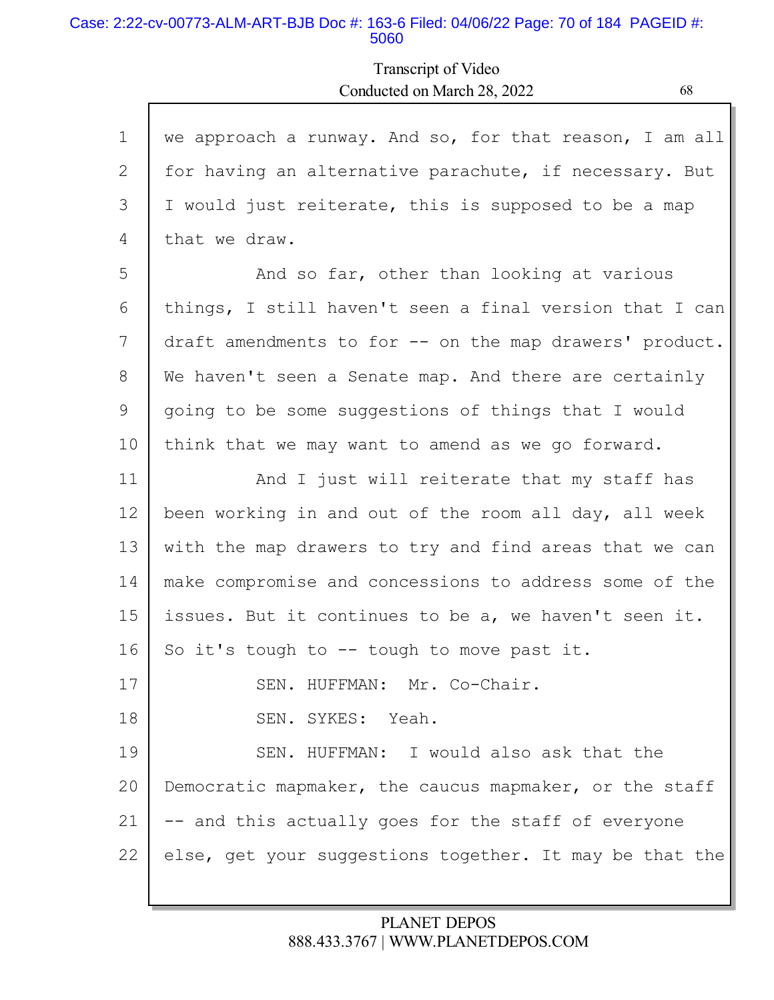### Case: 2:22-cv-00773-ALM-ART-BJB Doc #: 163-6 Filed: 04/06/22 Page: 70 of 184 PAGEID #: 5060

## Transcript of Video Conducted on March 28, 2022 68

| $\mathbf{1}$ | we approach a runway. And so, for that reason, I am all |
|--------------|---------------------------------------------------------|
| 2            | for having an alternative parachute, if necessary. But  |
| 3            | I would just reiterate, this is supposed to be a map    |
| 4            | that we draw.                                           |
| 5            | And so far, other than looking at various               |
| 6            | things, I still haven't seen a final version that I can |
| 7            |                                                         |
|              | draft amendments to for -- on the map drawers' product. |
| 8            | We haven't seen a Senate map. And there are certainly   |
| 9            | going to be some suggestions of things that I would     |
| 10           | think that we may want to amend as we go forward.       |
| 11           | And I just will reiterate that my staff has             |
| 12           | been working in and out of the room all day, all week   |
| 13           | with the map drawers to try and find areas that we can  |
| 14           | make compromise and concessions to address some of the  |
| 15           | issues. But it continues to be a, we haven't seen it.   |
| 16           | So it's tough to $--$ tough to move past it.            |
| 17           | SEN. HUFFMAN: Mr. Co-Chair.                             |
| 18           | SEN. SYKES: Yeah.                                       |
| 19           | SEN. HUFFMAN: I would also ask that the                 |
| 20           | Democratic mapmaker, the caucus mapmaker, or the staff  |
| 21           | -- and this actually goes for the staff of everyone     |
| 22           | else, get your suggestions together. It may be that the |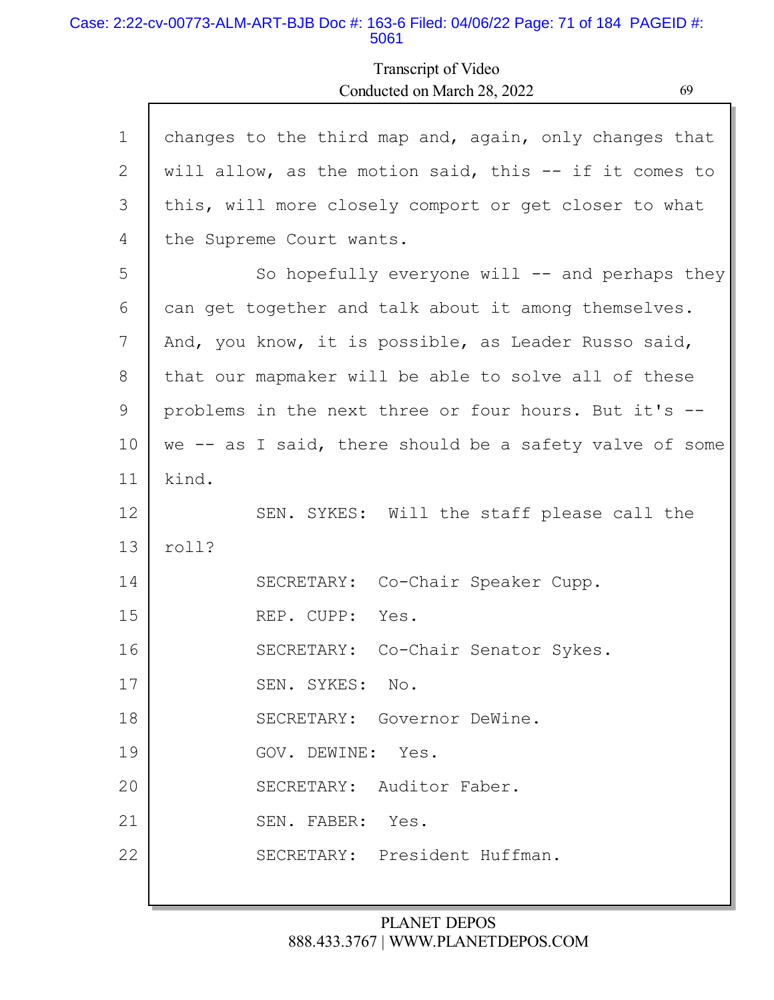#### Case: 2:22-cv-00773-ALM-ART-BJB Doc #: 163-6 Filed: 04/06/22 Page: 71 of 184 PAGEID #: 5061

## Transcript of Video Conducted on March 28, 2022 69

| $\mathbf{1}$ | changes to the third map and, again, only changes that  |
|--------------|---------------------------------------------------------|
| 2            | will allow, as the motion said, this -- if it comes to  |
| 3            | this, will more closely comport or get closer to what   |
| 4            | the Supreme Court wants.                                |
| 5            | So hopefully everyone will $--$ and perhaps they        |
| 6            | can get together and talk about it among themselves.    |
| 7            | And, you know, it is possible, as Leader Russo said,    |
| 8            | that our mapmaker will be able to solve all of these    |
| 9            | problems in the next three or four hours. But it's --   |
| 10           | we -- as I said, there should be a safety valve of some |
| 11           | kind.                                                   |
| 12           | SEN. SYKES: Will the staff please call the              |
| 13           | roll?                                                   |
| 14           | SECRETARY: Co-Chair Speaker Cupp.                       |
| 15           | REP. CUPP: Yes.                                         |
| 16           | SECRETARY: Co-Chair Senator Sykes.                      |
| 17           | SEN. SYKES: No.                                         |
| 18           | SECRETARY: Governor DeWine.                             |
| 19           | GOV. DEWINE: Yes.                                       |
| 20           | SECRETARY: Auditor Faber.                               |
| 21           | SEN. FABER: Yes.                                        |
| 22           | SECRETARY: President Huffman.                           |
|              |                                                         |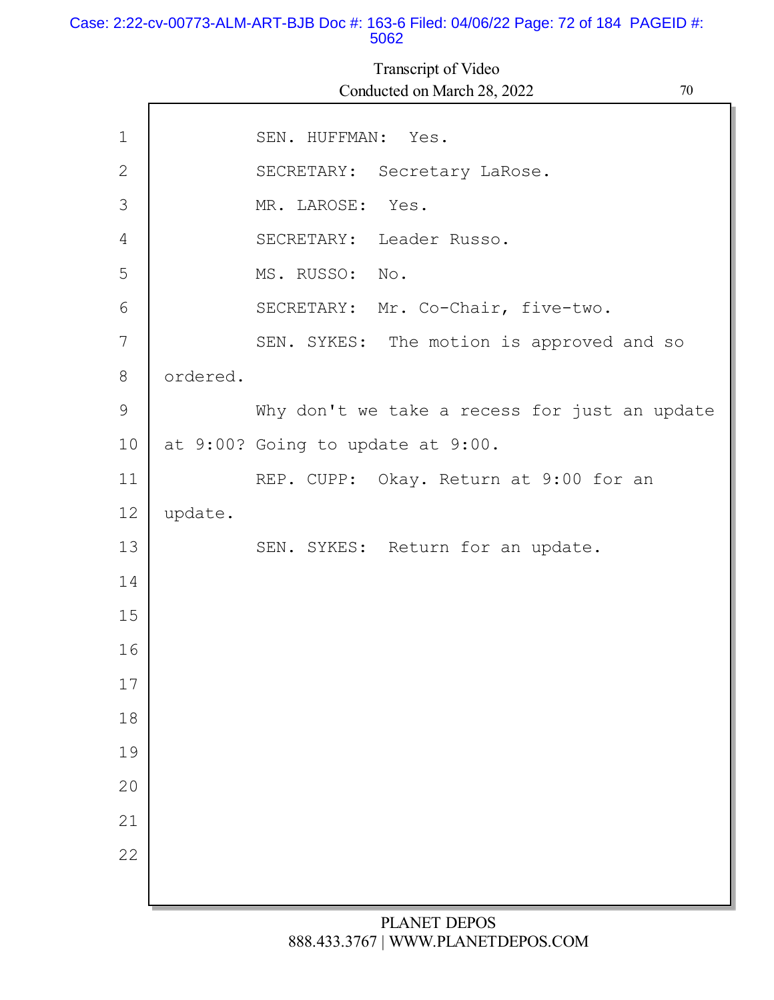#### Case: 2:22-cv-00773-ALM-ART-BJB Doc #: 163-6 Filed: 04/06/22 Page: 72 of 184 PAGEID #: 5062

1 2 3 4 5 6 7 8 9 10 11 12 13 14 15 16 17 18 19 20 21 22 SEN. HUFFMAN: Yes. SECRETARY: Secretary LaRose. MR. LAROSE: Yes. SECRETARY: Leader Russo. MS. RUSSO: No. SECRETARY: Mr. Co-Chair, five-two. SEN. SYKES: The motion is approved and so ordered. Why don't we take a recess for just an update at 9:00? Going to update at 9:00. REP. CUPP: Okay. Return at 9:00 for an update. SEN. SYKES: Return for an update. Transcript of Video Conducted on March 28, 2022 70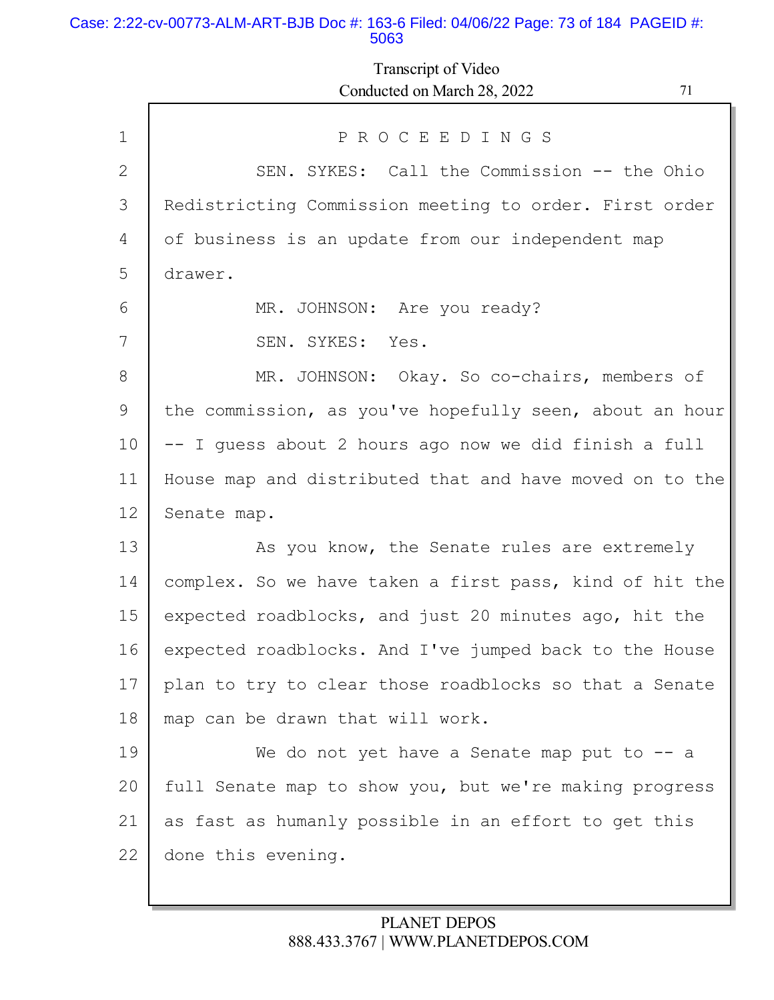### Case: 2:22-cv-00773-ALM-ART-BJB Doc #: 163-6 Filed: 04/06/22 Page: 73 of 184 PAGEID #: 5063

Г

# Transcript of Video Conducted on March 28, 2022 71

| $\mathbf{1}$ | PROCEEDINGS                                             |
|--------------|---------------------------------------------------------|
| 2            | SEN. SYKES: Call the Commission -- the Ohio             |
| 3            | Redistricting Commission meeting to order. First order  |
| 4            | of business is an update from our independent map       |
| 5            | drawer.                                                 |
| 6            | MR. JOHNSON: Are you ready?                             |
| 7            | SEN. SYKES: Yes.                                        |
| 8            | MR. JOHNSON: Okay. So co-chairs, members of             |
| 9            | the commission, as you've hopefully seen, about an hour |
| 10           | -- I quess about 2 hours ago now we did finish a full   |
| 11           | House map and distributed that and have moved on to the |
| 12           | Senate map.                                             |
| 13           | As you know, the Senate rules are extremely             |
| 14           | complex. So we have taken a first pass, kind of hit the |
| 15           | expected roadblocks, and just 20 minutes ago, hit the   |
| 16           | expected roadblocks. And I've jumped back to the House  |
| 17           | plan to try to clear those roadblocks so that a Senate  |
| 18           | map can be drawn that will work.                        |
| 19           | We do not yet have a Senate map put to $-$ a            |
| 20           | full Senate map to show you, but we're making progress  |
| 21           | as fast as humanly possible in an effort to get this    |
| 22           | done this evening.                                      |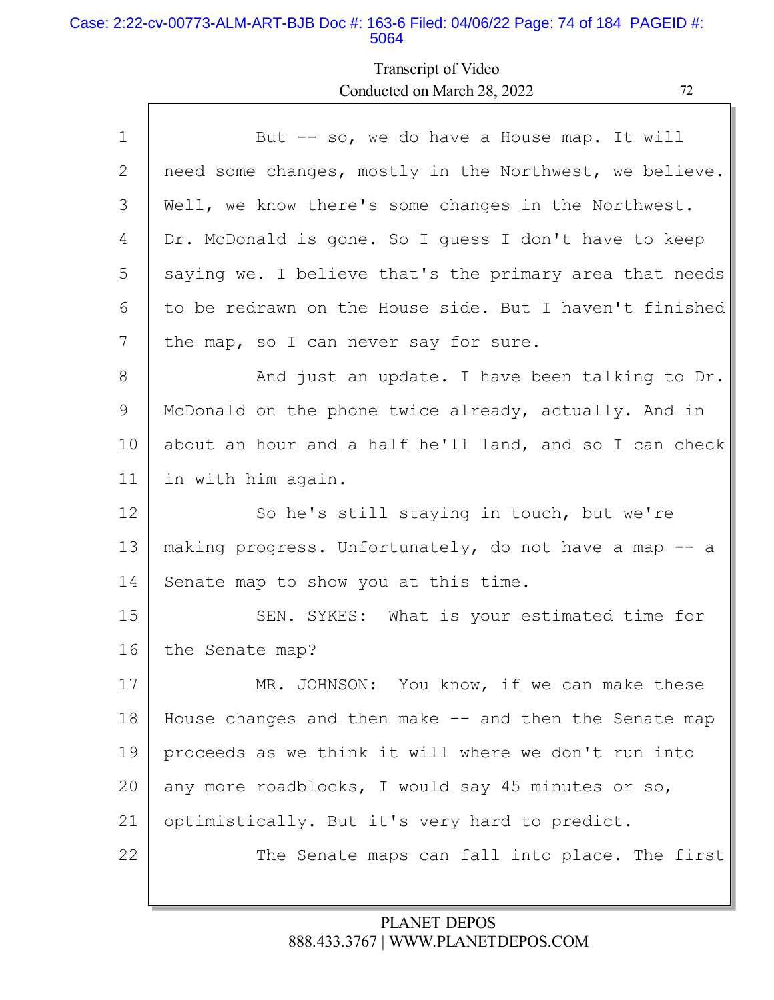### Case: 2:22-cv-00773-ALM-ART-BJB Doc #: 163-6 Filed: 04/06/22 Page: 74 of 184 PAGEID #: 5064

Г

# Transcript of Video Conducted on March 28, 2022

Ъ

| $\mathbf 1$ | But -- so, we do have a House map. It will              |
|-------------|---------------------------------------------------------|
| 2           | need some changes, mostly in the Northwest, we believe. |
| 3           | Well, we know there's some changes in the Northwest.    |
| 4           | Dr. McDonald is gone. So I guess I don't have to keep   |
| 5           | saying we. I believe that's the primary area that needs |
| 6           | to be redrawn on the House side. But I haven't finished |
| 7           | the map, so I can never say for sure.                   |
| 8           | And just an update. I have been talking to Dr.          |
| 9           | McDonald on the phone twice already, actually. And in   |
| 10          | about an hour and a half he'll land, and so I can check |
| 11          | in with him again.                                      |
| 12          | So he's still staying in touch, but we're               |
| 13          | making progress. Unfortunately, do not have a map -- a  |
| 14          | Senate map to show you at this time.                    |
| 15          | SEN. SYKES: What is your estimated time for             |
| 16          | the Senate map?                                         |
| 17          | MR. JOHNSON: You know, if we can make these             |
| 18          | House changes and then make -- and then the Senate map  |
| 19          | proceeds as we think it will where we don't run into    |
| 20          | any more roadblocks, I would say 45 minutes or so,      |
| 21          | optimistically. But it's very hard to predict.          |
| 22          | The Senate maps can fall into place. The first          |
|             |                                                         |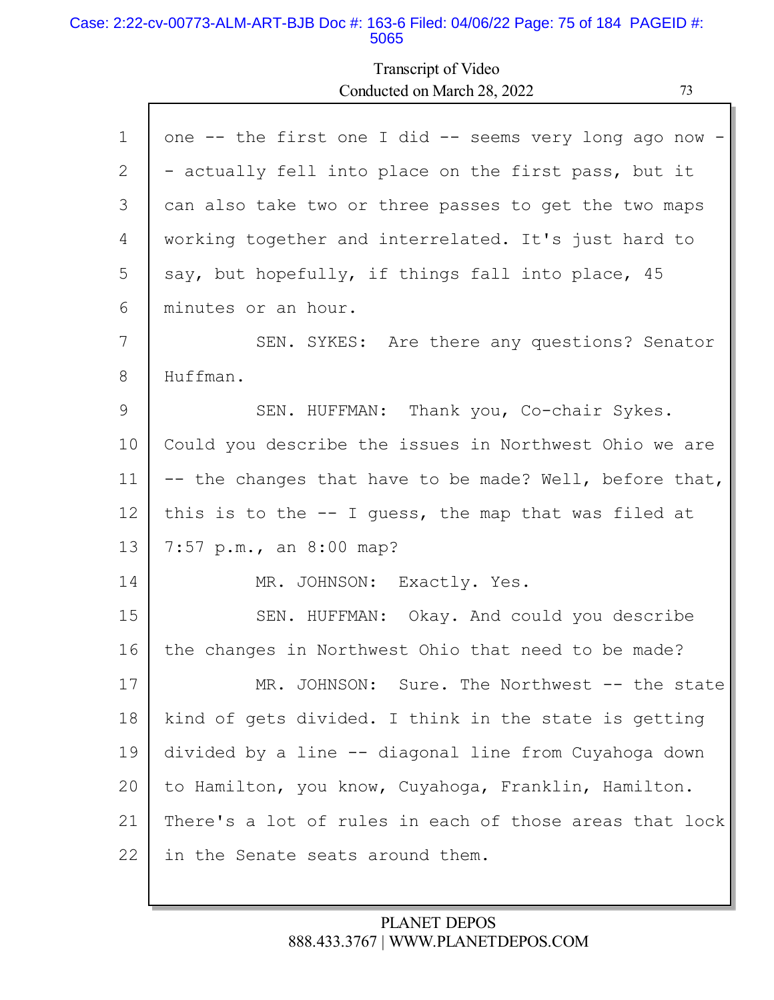### Case: 2:22-cv-00773-ALM-ART-BJB Doc #: 163-6 Filed: 04/06/22 Page: 75 of 184 PAGEID #: 5065

Г

# Transcript of Video Conducted on March 28, 2022 73

| $\mathbf 1$ | one -- the first one I did -- seems very long ago now - |
|-------------|---------------------------------------------------------|
| 2           | - actually fell into place on the first pass, but it    |
| 3           | can also take two or three passes to get the two maps   |
| 4           | working together and interrelated. It's just hard to    |
| 5           | say, but hopefully, if things fall into place, 45       |
| 6           | minutes or an hour.                                     |
| 7           | SEN. SYKES: Are there any questions? Senator            |
| 8           | Huffman.                                                |
| 9           | SEN. HUFFMAN: Thank you, Co-chair Sykes.                |
| 10          | Could you describe the issues in Northwest Ohio we are  |
| 11          | -- the changes that have to be made? Well, before that, |
| 12          | this is to the $-$ - I guess, the map that was filed at |
| 13          | 7:57 p.m., an 8:00 map?                                 |
| 14          | MR. JOHNSON: Exactly. Yes.                              |
| 15          | SEN. HUFFMAN: Okay. And could you describe              |
| 16          | the changes in Northwest Ohio that need to be made?     |
| 17          | MR. JOHNSON: Sure. The Northwest -- the state           |
| 18          | kind of gets divided. I think in the state is getting   |
| 19          | divided by a line -- diagonal line from Cuyahoga down   |
| 20          | to Hamilton, you know, Cuyahoga, Franklin, Hamilton.    |
| 21          | There's a lot of rules in each of those areas that lock |
| 22          | in the Senate seats around them.                        |
|             |                                                         |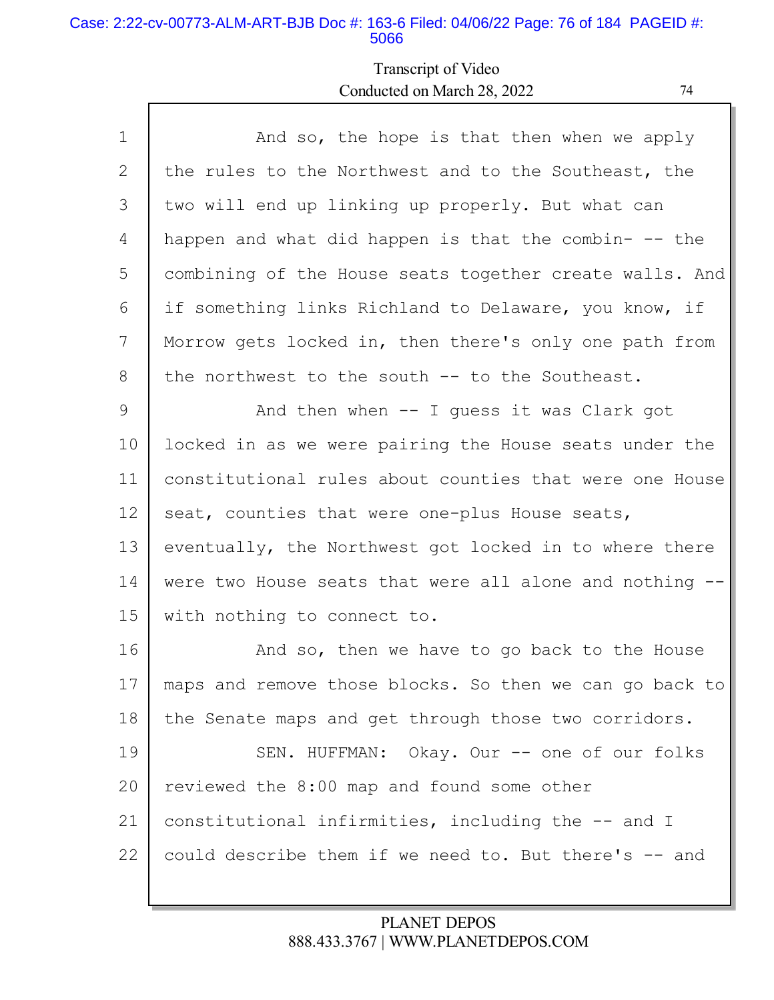### Case: 2:22-cv-00773-ALM-ART-BJB Doc #: 163-6 Filed: 04/06/22 Page: 76 of 184 PAGEID #: 5066

# Transcript of Video Conducted on March 28, 2022 74

| $\mathbf 1$ | And so, the hope is that then when we apply             |
|-------------|---------------------------------------------------------|
| 2           | the rules to the Northwest and to the Southeast, the    |
| 3           | two will end up linking up properly. But what can       |
| 4           | happen and what did happen is that the combin- -- the   |
| 5           | combining of the House seats together create walls. And |
| 6           | if something links Richland to Delaware, you know, if   |
| 7           | Morrow gets locked in, then there's only one path from  |
| 8           | the northwest to the south -- to the Southeast.         |
| 9           | And then when -- I guess it was Clark got               |
| 10          | locked in as we were pairing the House seats under the  |
| 11          | constitutional rules about counties that were one House |
| 12          | seat, counties that were one-plus House seats,          |
| 13          | eventually, the Northwest got locked in to where there  |
| 14          | were two House seats that were all alone and nothing -- |
| 15          | with nothing to connect to.                             |
| 16          | And so, then we have to go back to the House            |
| 17          | maps and remove those blocks. So then we can go back to |
| 18          | the Senate maps and get through those two corridors.    |
| 19          | SEN. HUFFMAN: Okay. Our -- one of our folks             |
| 20          | reviewed the 8:00 map and found some other              |
| 21          | constitutional infirmities, including the -- and I      |
| 22          | could describe them if we need to. But there's -- and   |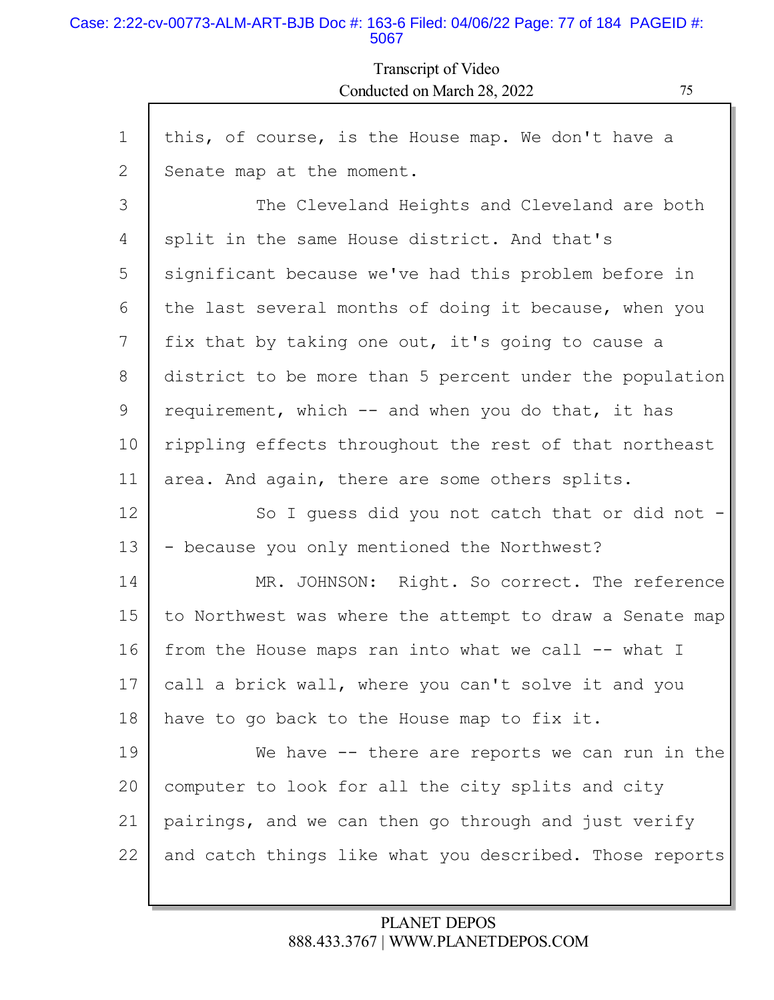### Case: 2:22-cv-00773-ALM-ART-BJB Doc #: 163-6 Filed: 04/06/22 Page: 77 of 184 PAGEID #: 5067

Г

# Transcript of Video Conducted on March 28, 2022 75

| this, of course, is the House map. We don't have a      |
|---------------------------------------------------------|
| Senate map at the moment.                               |
| The Cleveland Heights and Cleveland are both            |
| split in the same House district. And that's            |
| significant because we've had this problem before in    |
| the last several months of doing it because, when you   |
| fix that by taking one out, it's going to cause a       |
| district to be more than 5 percent under the population |
| requirement, which -- and when you do that, it has      |
| rippling effects throughout the rest of that northeast  |
| area. And again, there are some others splits.          |
| So I guess did you not catch that or did not -          |
| - because you only mentioned the Northwest?             |
| MR. JOHNSON: Right. So correct. The reference           |
| to Northwest was where the attempt to draw a Senate map |
| from the House maps ran into what we call -- what I     |
| call a brick wall, where you can't solve it and you     |
| have to go back to the House map to fix it.             |
| We have $-$ there are reports we can run in the         |
| computer to look for all the city splits and city       |
| pairings, and we can then go through and just verify    |
| and catch things like what you described. Those reports |
|                                                         |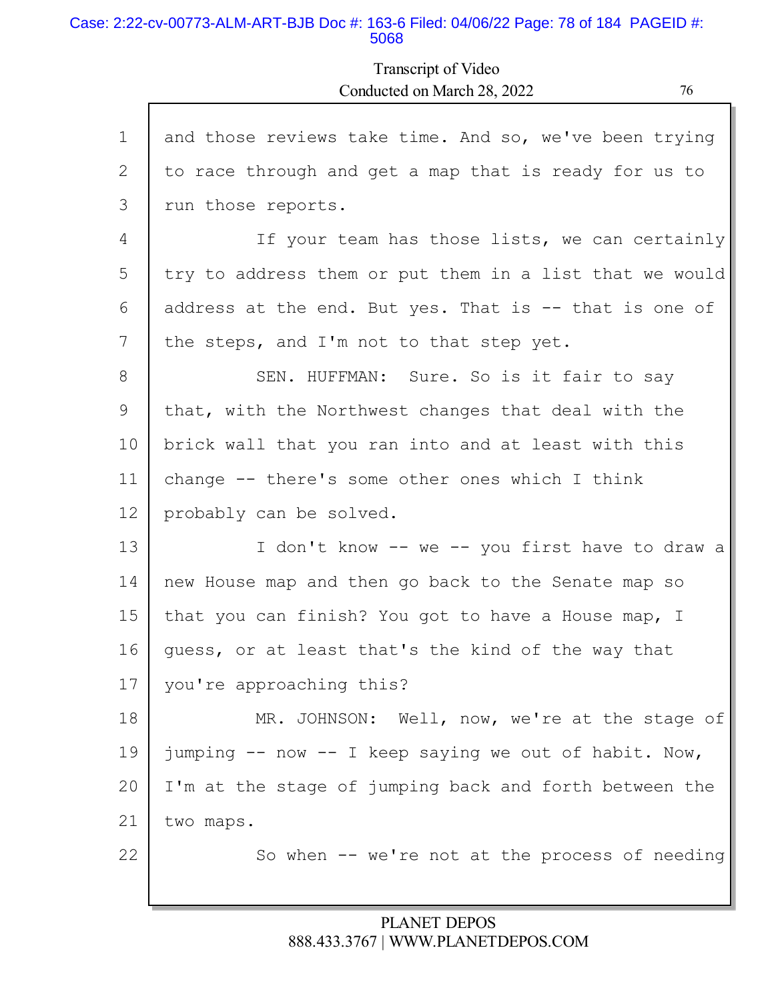#### Case: 2:22-cv-00773-ALM-ART-BJB Doc #: 163-6 Filed: 04/06/22 Page: 78 of 184 PAGEID #: 5068

Transcript of Video Conducted on March 28, 2022 76

| $\mathbf 1$ | and those reviews take time. And so, we've been trying  |
|-------------|---------------------------------------------------------|
| 2           | to race through and get a map that is ready for us to   |
| 3           | run those reports.                                      |
| 4           | If your team has those lists, we can certainly          |
| 5           | try to address them or put them in a list that we would |
| 6           | address at the end. But yes. That is -- that is one of  |
| 7           | the steps, and I'm not to that step yet.                |
| 8           | SEN. HUFFMAN: Sure. So is it fair to say                |
| 9           | that, with the Northwest changes that deal with the     |
| 10          | brick wall that you ran into and at least with this     |
| 11          | change -- there's some other ones which I think         |
| 12          | probably can be solved.                                 |
| 13          | I don't know -- we -- you first have to draw a          |
| 14          | new House map and then go back to the Senate map so     |
| 15          | that you can finish? You got to have a House map, I     |
| 16          | quess, or at least that's the kind of the way that      |
| 17          | you're approaching this?                                |
| 18          | MR. JOHNSON: Well, now, we're at the stage of           |
| 19          | jumping -- now -- I keep saying we out of habit. Now,   |
| 20          | I'm at the stage of jumping back and forth between the  |
| 21          | two maps.                                               |
| 22          | So when -- we're not at the process of needing          |
|             |                                                         |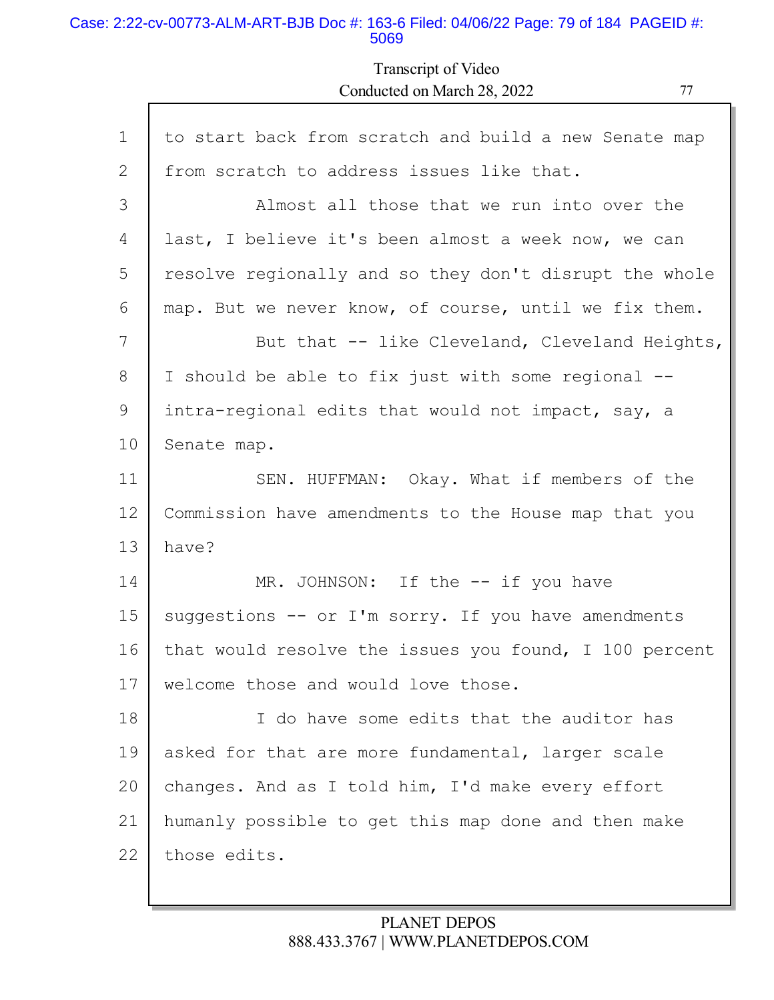### Case: 2:22-cv-00773-ALM-ART-BJB Doc #: 163-6 Filed: 04/06/22 Page: 79 of 184 PAGEID #: 5069

Г

Transcript of Video Conducted on March 28, 2022 77

| $\mathbf 1$ | to start back from scratch and build a new Senate map  |
|-------------|--------------------------------------------------------|
| 2           | from scratch to address issues like that.              |
| 3           | Almost all those that we run into over the             |
| 4           | last, I believe it's been almost a week now, we can    |
| 5           | resolve regionally and so they don't disrupt the whole |
| 6           | map. But we never know, of course, until we fix them.  |
| 7           | But that -- like Cleveland, Cleveland Heights,         |
| 8           | I should be able to fix just with some regional --     |
| 9           | intra-regional edits that would not impact, say, a     |
| 10          | Senate map.                                            |
| 11          | SEN. HUFFMAN: Okay. What if members of the             |
| 12          | Commission have amendments to the House map that you   |
| 13          | have?                                                  |
| 14          | MR. JOHNSON: If the -- if you have                     |
| 15          | suggestions -- or I'm sorry. If you have amendments    |
| 16          | that would resolve the issues you found, I 100 percent |
| 17          | welcome those and would love those.                    |
| 18          | I do have some edits that the auditor has              |
| 19          | asked for that are more fundamental, larger scale      |
| 20          | changes. And as I told him, I'd make every effort      |
| 21          | humanly possible to get this map done and then make    |
| 22          | those edits.                                           |
|             |                                                        |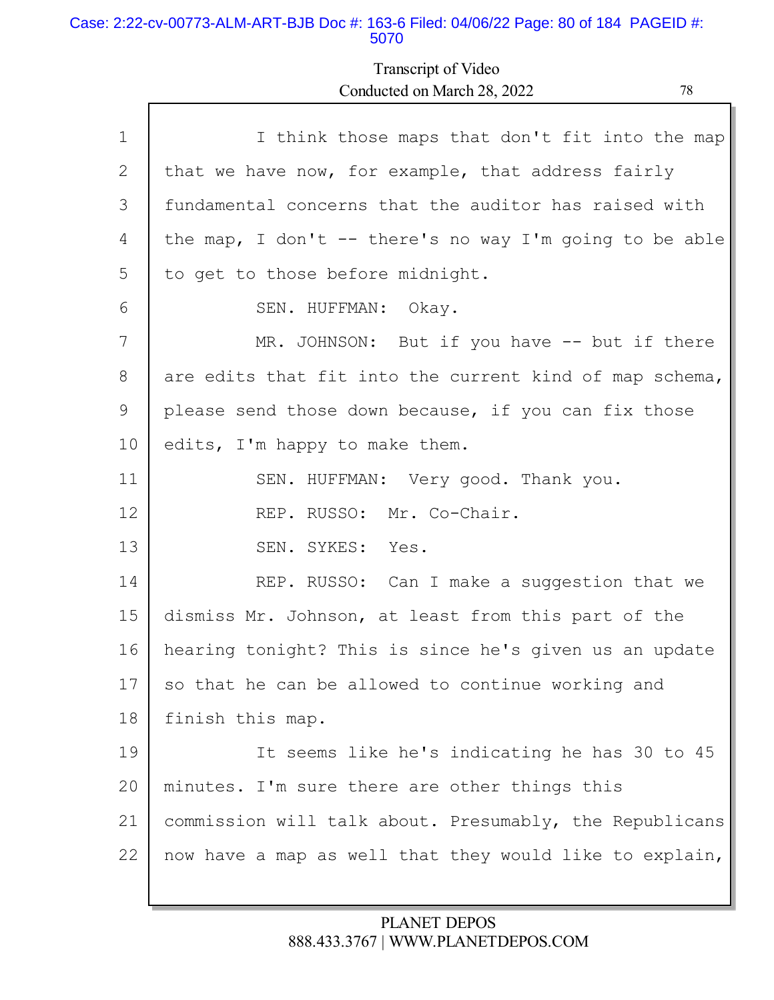#### Case: 2:22-cv-00773-ALM-ART-BJB Doc #: 163-6 Filed: 04/06/22 Page: 80 of 184 PAGEID #: 5070

Г

# Transcript of Video Conducted on March 28, 2022 78

| $\mathbf{1}$ | I think those maps that don't fit into the map          |
|--------------|---------------------------------------------------------|
| 2            | that we have now, for example, that address fairly      |
| 3            | fundamental concerns that the auditor has raised with   |
| 4            | the map, I don't -- there's no way I'm going to be able |
| 5            | to get to those before midnight.                        |
| 6            | SEN. HUFFMAN: Okay.                                     |
| 7            | MR. JOHNSON: But if you have -- but if there            |
| 8            | are edits that fit into the current kind of map schema, |
| 9            | please send those down because, if you can fix those    |
| 10           | edits, I'm happy to make them.                          |
| 11           | SEN. HUFFMAN: Very good. Thank you.                     |
| 12           | REP. RUSSO: Mr. Co-Chair.                               |
| 13           | SEN. SYKES: Yes.                                        |
| 14           | REP. RUSSO: Can I make a suggestion that we             |
| 15           | dismiss Mr. Johnson, at least from this part of the     |
| 16           | hearing tonight? This is since he's given us an update  |
| 17           | so that he can be allowed to continue working and       |
| 18           | finish this map.                                        |
| 19           | It seems like he's indicating he has 30 to 45           |
| 20           | minutes. I'm sure there are other things this           |
| 21           | commission will talk about. Presumably, the Republicans |
| 22           | now have a map as well that they would like to explain, |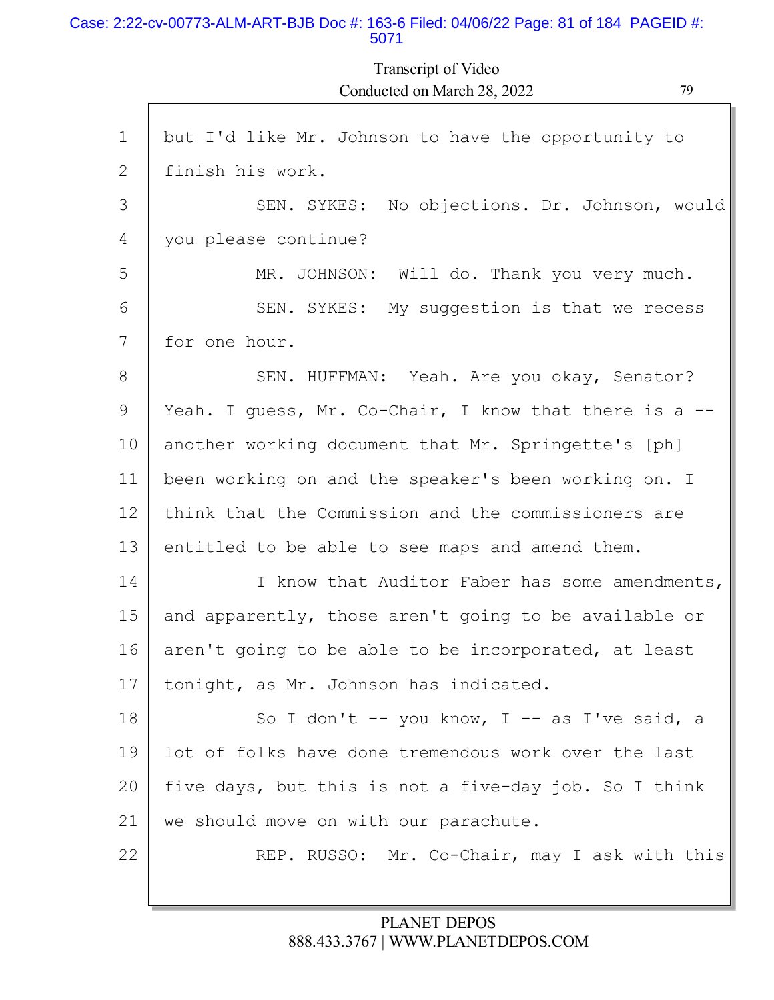#### Case: 2:22-cv-00773-ALM-ART-BJB Doc #: 163-6 Filed: 04/06/22 Page: 81 of 184 PAGEID #: 5071

Transcript of Video Conducted on March 28, 2022 79

П

| $\mathbf{1}$   | but I'd like Mr. Johnson to have the opportunity to    |
|----------------|--------------------------------------------------------|
| $\overline{2}$ | finish his work.                                       |
| 3              | SEN. SYKES: No objections. Dr. Johnson, would          |
| 4              | you please continue?                                   |
| 5              | MR. JOHNSON: Will do. Thank you very much.             |
| 6              | SEN. SYKES: My suggestion is that we recess            |
| 7              | for one hour.                                          |
| 8              | SEN. HUFFMAN: Yeah. Are you okay, Senator?             |
| 9              | Yeah. I guess, Mr. Co-Chair, I know that there is a -- |
| 10             | another working document that Mr. Springette's [ph]    |
| 11             | been working on and the speaker's been working on. I   |
| 12             | think that the Commission and the commissioners are    |
| 13             | entitled to be able to see maps and amend them.        |
| 14             | I know that Auditor Faber has some amendments,         |
| 15             | and apparently, those aren't going to be available or  |
| 16             | aren't going to be able to be incorporated, at least   |
| 17             | tonight, as Mr. Johnson has indicated.                 |
| 18             | So I don't -- you know, I -- as I've said, a           |
| 19             | lot of folks have done tremendous work over the last   |
| 20             | five days, but this is not a five-day job. So I think  |
| 21             | we should move on with our parachute.                  |
| 22             | REP. RUSSO: Mr. Co-Chair, may I ask with this          |
|                |                                                        |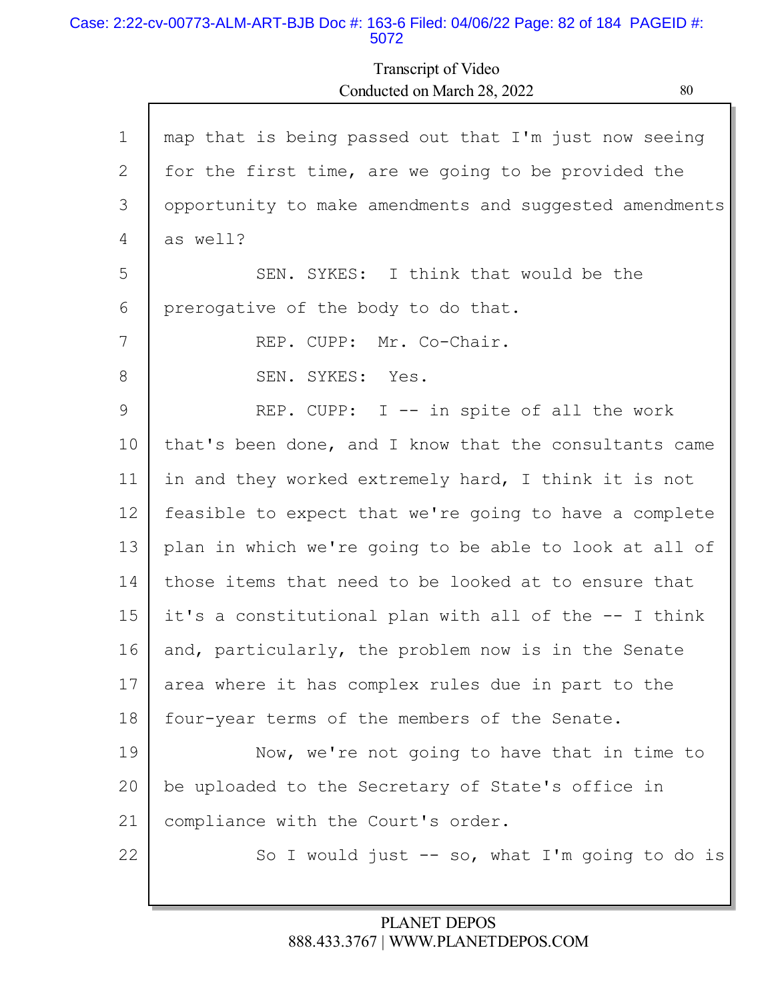#### Case: 2:22-cv-00773-ALM-ART-BJB Doc #: 163-6 Filed: 04/06/22 Page: 82 of 184 PAGEID #: 5072

Г

# Transcript of Video Conducted on March 28, 2022 80

Ы

| $\mathbf 1$ | map that is being passed out that I'm just now seeing   |
|-------------|---------------------------------------------------------|
| 2           | for the first time, are we going to be provided the     |
| 3           | opportunity to make amendments and suggested amendments |
| 4           | as well?                                                |
| 5           | SEN. SYKES: I think that would be the                   |
| 6           | prerogative of the body to do that.                     |
| 7           | REP. CUPP: Mr. Co-Chair.                                |
| 8           | SEN. SYKES: Yes.                                        |
| 9           | REP. CUPP: I -- in spite of all the work                |
| 10          | that's been done, and I know that the consultants came  |
| 11          | in and they worked extremely hard, I think it is not    |
| 12          | feasible to expect that we're going to have a complete  |
| 13          | plan in which we're going to be able to look at all of  |
| 14          | those items that need to be looked at to ensure that    |
| 15          | it's a constitutional plan with all of the -- I think   |
| 16          | and, particularly, the problem now is in the Senate     |
| 17          | area where it has complex rules due in part to the      |
| 18          | four-year terms of the members of the Senate.           |
| 19          | Now, we're not going to have that in time to            |
| 20          | be uploaded to the Secretary of State's office in       |
| 21          | compliance with the Court's order.                      |
| 22          | So I would just $--$ so, what I'm going to do is        |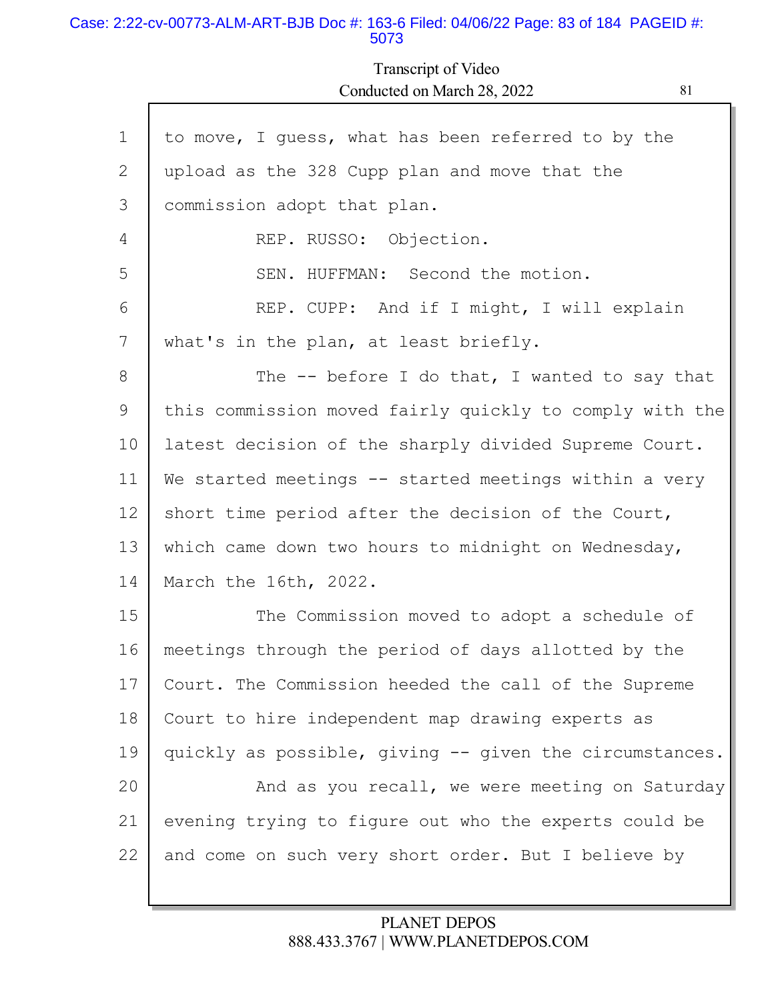#### Case: 2:22-cv-00773-ALM-ART-BJB Doc #: 163-6 Filed: 04/06/22 Page: 83 of 184 PAGEID #: 5073

I

# Transcript of Video Conducted on March 28, 2022 81

г

| $\mathbf 1$ | to move, I guess, what has been referred to by the      |
|-------------|---------------------------------------------------------|
| 2           | upload as the 328 Cupp plan and move that the           |
| 3           | commission adopt that plan.                             |
| 4           | REP. RUSSO: Objection.                                  |
| 5           | SEN. HUFFMAN: Second the motion.                        |
| 6           | REP. CUPP: And if I might, I will explain               |
| 7           | what's in the plan, at least briefly.                   |
| 8           | The $-$ - before I do that, I wanted to say that        |
| 9           | this commission moved fairly quickly to comply with the |
| 10          | latest decision of the sharply divided Supreme Court.   |
| 11          | We started meetings -- started meetings within a very   |
| 12          | short time period after the decision of the Court,      |
| 13          | which came down two hours to midnight on Wednesday,     |
| 14          | March the 16th, 2022.                                   |
| 15          | The Commission moved to adopt a schedule of             |
| 16          | meetings through the period of days allotted by the     |
| 17          | Court. The Commission heeded the call of the Supreme    |
| 18          | Court to hire independent map drawing experts as        |
| 19          | quickly as possible, giving -- given the circumstances. |
| 20          | And as you recall, we were meeting on Saturday          |
| 21          | evening trying to figure out who the experts could be   |
| 22          | and come on such very short order. But I believe by     |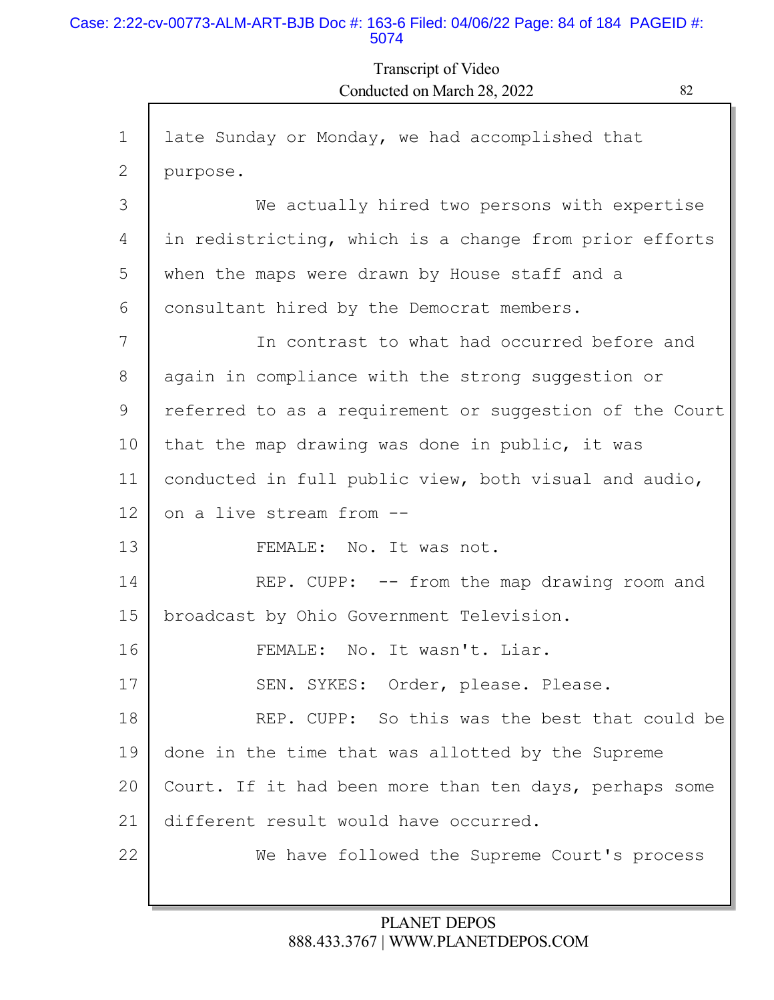#### Case: 2:22-cv-00773-ALM-ART-BJB Doc #: 163-6 Filed: 04/06/22 Page: 84 of 184 PAGEID #: 5074

Transcript of Video Conducted on March 28, 2022 82

| $\mathbf 1$ | late Sunday or Monday, we had accomplished that         |
|-------------|---------------------------------------------------------|
| 2           | purpose.                                                |
| 3           | We actually hired two persons with expertise            |
| 4           | in redistricting, which is a change from prior efforts  |
| 5           | when the maps were drawn by House staff and a           |
| 6           | consultant hired by the Democrat members.               |
| 7           | In contrast to what had occurred before and             |
| 8           | again in compliance with the strong suggestion or       |
| 9           | referred to as a requirement or suggestion of the Court |
| 10          | that the map drawing was done in public, it was         |
| 11          | conducted in full public view, both visual and audio,   |
| 12          | on a live stream from --                                |
| 13          | FEMALE: No. It was not.                                 |
| 14          | REP. CUPP: -- from the map drawing room and             |
| 15          | broadcast by Ohio Government Television.                |
| 16          | FEMALE: No. It wasn't. Liar.                            |
| 17          | SEN. SYKES: Order, please. Please.                      |
| 18          | REP. CUPP: So this was the best that could be           |
| 19          | done in the time that was allotted by the Supreme       |
| 20          | Court. If it had been more than ten days, perhaps some  |
| 21          | different result would have occurred.                   |
| 22          | We have followed the Supreme Court's process            |
|             |                                                         |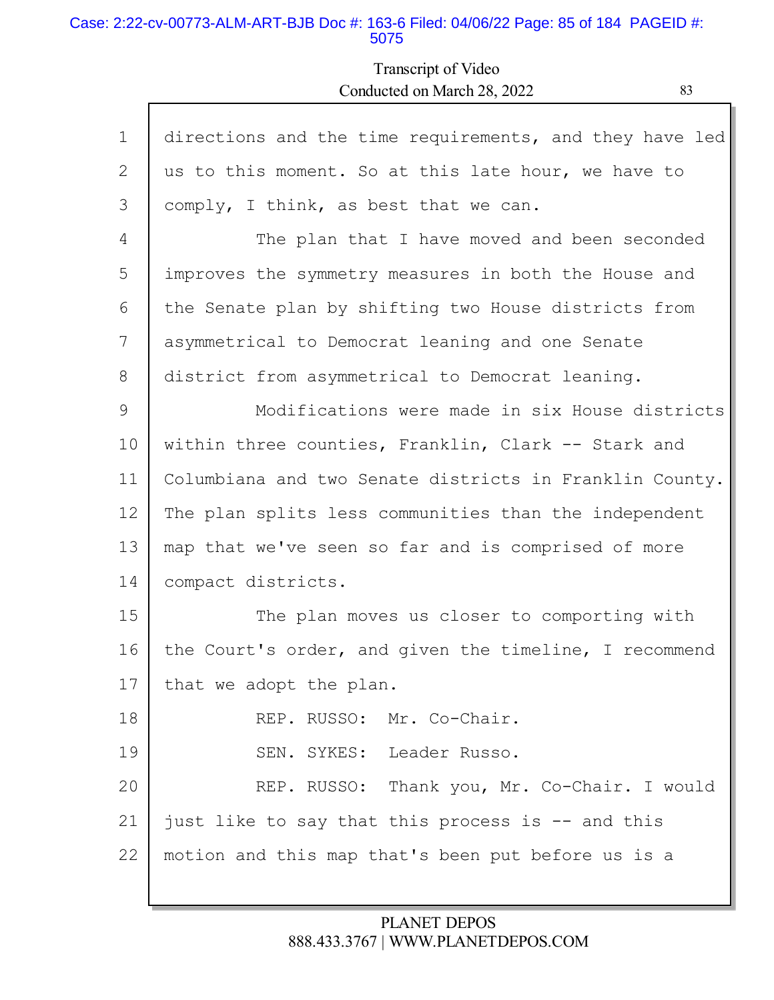#### Case: 2:22-cv-00773-ALM-ART-BJB Doc #: 163-6 Filed: 04/06/22 Page: 85 of 184 PAGEID #: 5075

Transcript of Video Conducted on March 28, 2022 83

| $\mathbf{1}$ | directions and the time requirements, and they have led |
|--------------|---------------------------------------------------------|
| 2            | us to this moment. So at this late hour, we have to     |
| 3            | comply, I think, as best that we can.                   |
| 4            | The plan that I have moved and been seconded            |
| 5            | improves the symmetry measures in both the House and    |
| 6            | the Senate plan by shifting two House districts from    |
| 7            | asymmetrical to Democrat leaning and one Senate         |
| 8            | district from asymmetrical to Democrat leaning.         |
| 9            | Modifications were made in six House districts          |
| 10           | within three counties, Franklin, Clark -- Stark and     |
| 11           | Columbiana and two Senate districts in Franklin County. |
| 12           | The plan splits less communities than the independent   |
| 13           | map that we've seen so far and is comprised of more     |
| 14           | compact districts.                                      |
| 15           | The plan moves us closer to comporting with             |
| 16           | the Court's order, and given the timeline, I recommend  |
| 17           | that we adopt the plan.                                 |
| 18           | REP. RUSSO: Mr. Co-Chair.                               |
| 19           | SEN. SYKES: Leader Russo.                               |
| 20           | REP. RUSSO: Thank you, Mr. Co-Chair. I would            |
| 21           | just like to say that this process is -- and this       |
| 22           | motion and this map that's been put before us is a      |
|              |                                                         |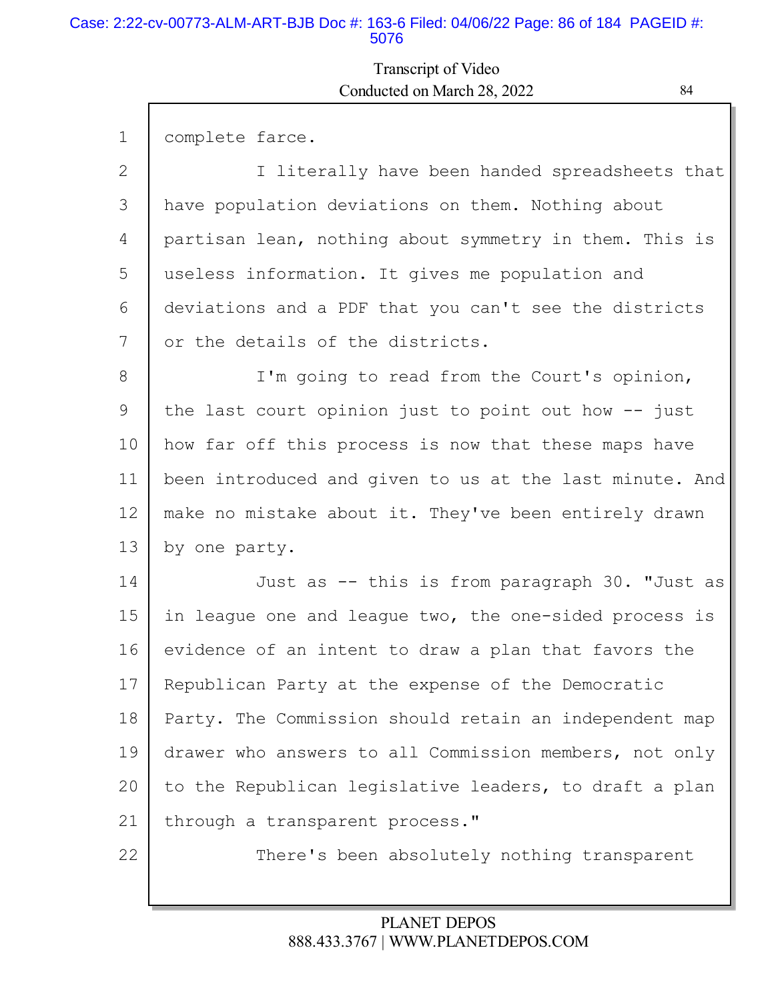#### Case: 2:22-cv-00773-ALM-ART-BJB Doc #: 163-6 Filed: 04/06/22 Page: 86 of 184 PAGEID #: 5076

Г

# Transcript of Video Conducted on March 28, 2022 84

L

| $\mathbf 1$ | complete farce.                                         |
|-------------|---------------------------------------------------------|
| 2           | I literally have been handed spreadsheets that          |
| 3           | have population deviations on them. Nothing about       |
| 4           | partisan lean, nothing about symmetry in them. This is  |
| 5           | useless information. It gives me population and         |
| 6           | deviations and a PDF that you can't see the districts   |
| 7           | or the details of the districts.                        |
| 8           | I'm going to read from the Court's opinion,             |
| 9           | the last court opinion just to point out how $-$ just   |
| 10          | how far off this process is now that these maps have    |
| 11          | been introduced and given to us at the last minute. And |
| 12          | make no mistake about it. They've been entirely drawn   |
| 13          | by one party.                                           |
| 14          | Just as -- this is from paragraph 30. "Just as          |
| 15          | in league one and league two, the one-sided process is  |
| 16          | evidence of an intent to draw a plan that favors the    |
| 17          | Republican Party at the expense of the Democratic       |
| 18          | Party. The Commission should retain an independent map  |
| 19          | drawer who answers to all Commission members, not only  |
| 20          | to the Republican legislative leaders, to draft a plan  |
| 21          | through a transparent process."                         |
| 22          | There's been absolutely nothing transparent             |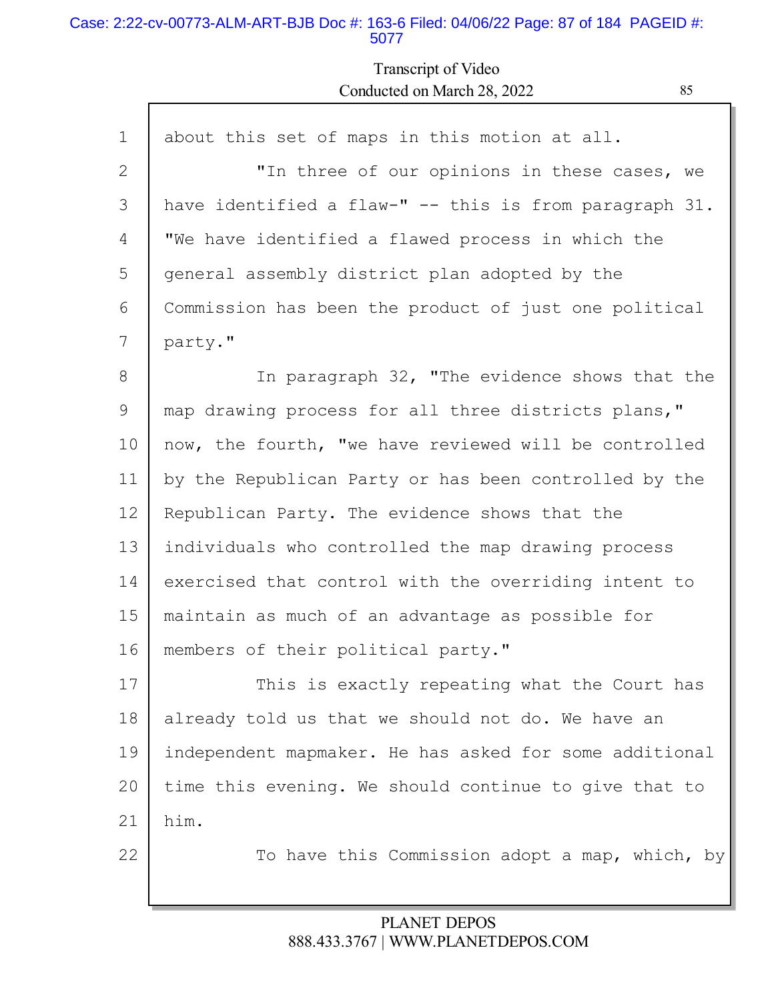#### Case: 2:22-cv-00773-ALM-ART-BJB Doc #: 163-6 Filed: 04/06/22 Page: 87 of 184 PAGEID #: 5077

Г

Transcript of Video Conducted on March 28, 2022 85

| $\mathbf 1$    | about this set of maps in this motion at all.          |
|----------------|--------------------------------------------------------|
| $\overline{2}$ | "In three of our opinions in these cases, we           |
| 3              | have identified a flaw-" -- this is from paragraph 31. |
| 4              | "We have identified a flawed process in which the      |
| 5              | general assembly district plan adopted by the          |
| 6              | Commission has been the product of just one political  |
| 7              | party."                                                |
| 8              | In paragraph 32, "The evidence shows that the          |
| 9              | map drawing process for all three districts plans,"    |
| 10             | now, the fourth, "we have reviewed will be controlled  |
| 11             | by the Republican Party or has been controlled by the  |
| 12             | Republican Party. The evidence shows that the          |
| 13             | individuals who controlled the map drawing process     |
| 14             | exercised that control with the overriding intent to   |
| 15             | maintain as much of an advantage as possible for       |
| 16             | members of their political party."                     |
| 17             | This is exactly repeating what the Court has           |
| 18             | already told us that we should not do. We have an      |
| 19             | independent mapmaker. He has asked for some additional |
| 20             | time this evening. We should continue to give that to  |
| 21             | him.                                                   |
| 22             | To have this Commission adopt a map, which, by         |
|                |                                                        |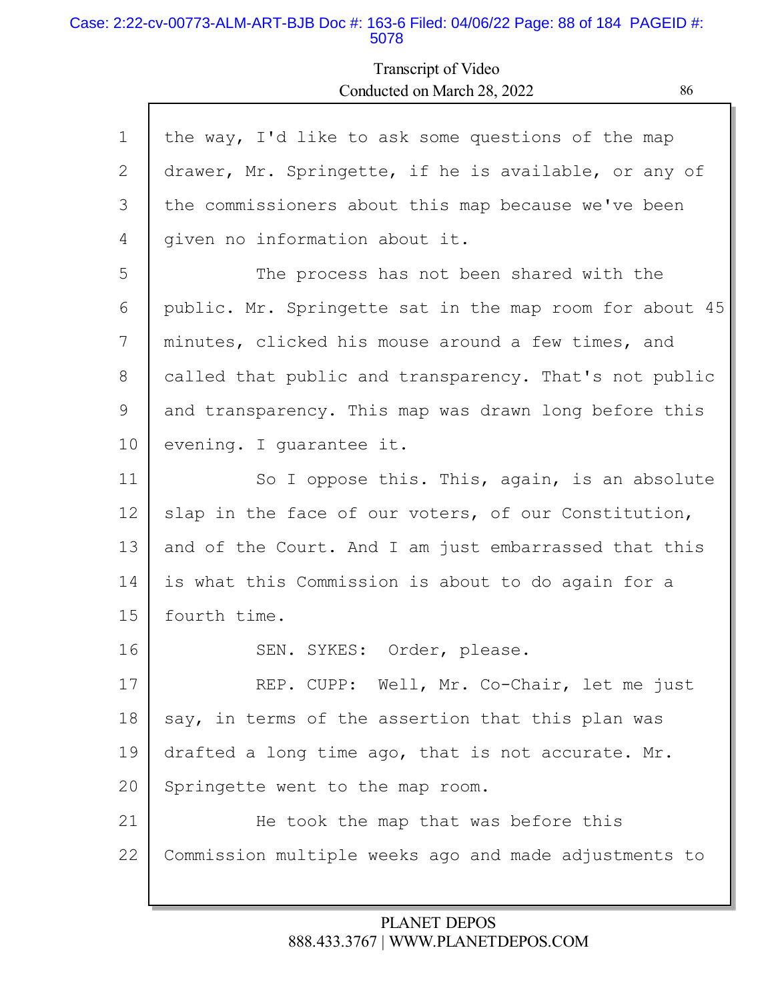#### Case: 2:22-cv-00773-ALM-ART-BJB Doc #: 163-6 Filed: 04/06/22 Page: 88 of 184 PAGEID #: 5078

Г

## Transcript of Video Conducted on March 28, 2022 86

| $\mathbf 1$ | the way, I'd like to ask some questions of the map      |
|-------------|---------------------------------------------------------|
| 2           | drawer, Mr. Springette, if he is available, or any of   |
| 3           | the commissioners about this map because we've been     |
| 4           | given no information about it.                          |
| 5           | The process has not been shared with the                |
| 6           | public. Mr. Springette sat in the map room for about 45 |
| 7           | minutes, clicked his mouse around a few times, and      |
| 8           | called that public and transparency. That's not public  |
| 9           | and transparency. This map was drawn long before this   |
| 10          | evening. I quarantee it.                                |
| 11          | So I oppose this. This, again, is an absolute           |
| 12          | slap in the face of our voters, of our Constitution,    |
| 13          | and of the Court. And I am just embarrassed that this   |
| 14          | is what this Commission is about to do again for a      |
| 15          | fourth time.                                            |
| 16          | SEN. SYKES: Order, please.                              |
| 17          | REP. CUPP: Well, Mr. Co-Chair, let me just              |
| 18          | say, in terms of the assertion that this plan was       |
| 19          | drafted a long time ago, that is not accurate. Mr.      |
| 20          | Springette went to the map room.                        |
| 21          | He took the map that was before this                    |
| 22          | Commission multiple weeks ago and made adjustments to   |
|             |                                                         |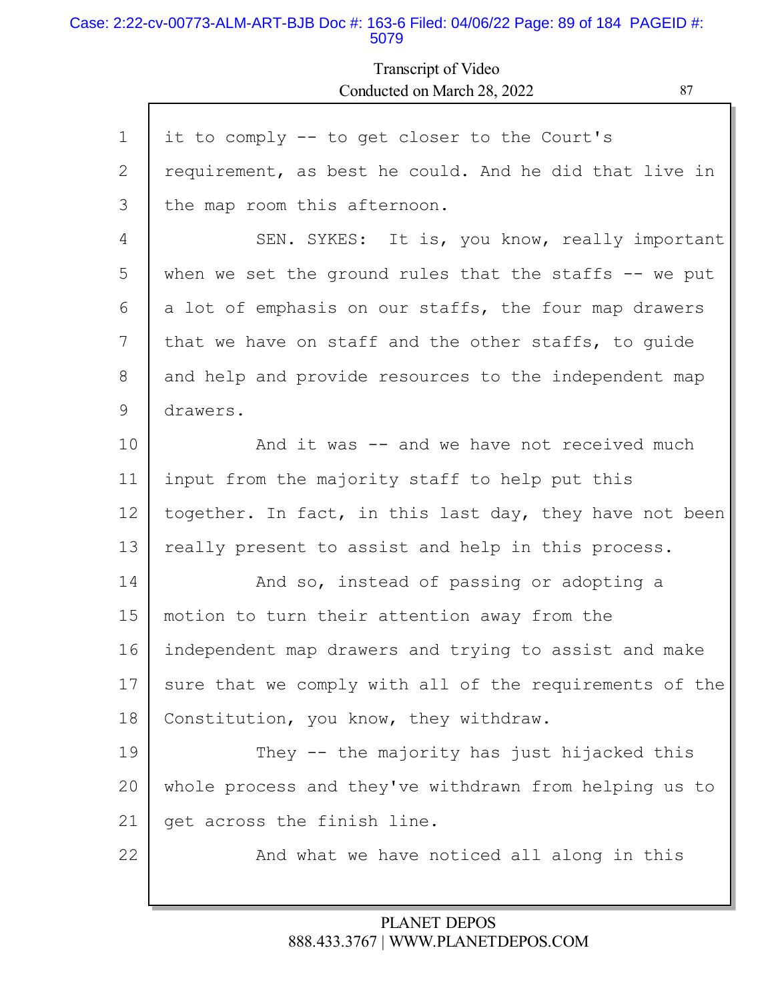#### Case: 2:22-cv-00773-ALM-ART-BJB Doc #: 163-6 Filed: 04/06/22 Page: 89 of 184 PAGEID #: 5079

# Transcript of Video Conducted on March 28, 2022 87

| $\mathbf{1}$ | it to comply -- to get closer to the Court's            |
|--------------|---------------------------------------------------------|
| 2            | requirement, as best he could. And he did that live in  |
| 3            | the map room this afternoon.                            |
| 4            | SEN. SYKES: It is, you know, really important           |
| 5            | when we set the ground rules that the staffs $-$ we put |
| 6            | a lot of emphasis on our staffs, the four map drawers   |
| 7            | that we have on staff and the other staffs, to quide    |
| 8            | and help and provide resources to the independent map   |
| 9            | drawers.                                                |
| 10           | And it was -- and we have not received much             |
| 11           | input from the majority staff to help put this          |
| 12           | together. In fact, in this last day, they have not been |
| 13           | really present to assist and help in this process.      |
| 14           | And so, instead of passing or adopting a                |
| 15           | motion to turn their attention away from the            |
| 16           | independent map drawers and trying to assist and make   |
| 17           | sure that we comply with all of the requirements of the |
| 18           | Constitution, you know, they withdraw.                  |
| 19           | They -- the majority has just hijacked this             |
| 20           | whole process and they've withdrawn from helping us to  |
| 21           | get across the finish line.                             |
| 22           | And what we have noticed all along in this              |
|              |                                                         |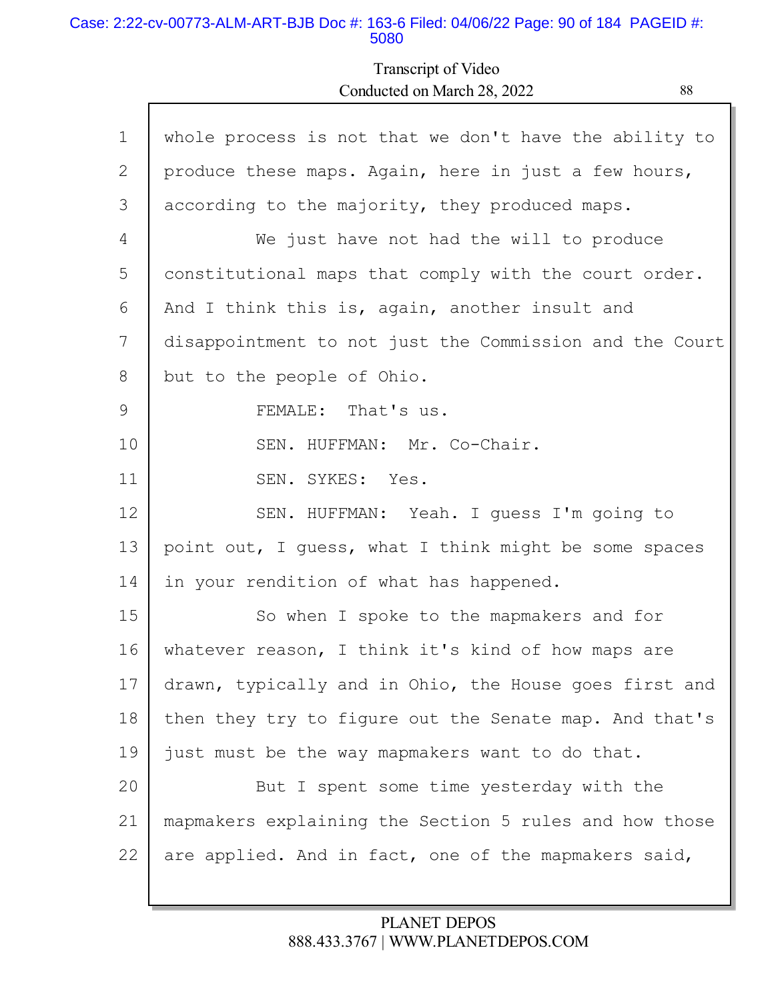### Case: 2:22-cv-00773-ALM-ART-BJB Doc #: 163-6 Filed: 04/06/22 Page: 90 of 184 PAGEID #: 5080

Г

# Transcript of Video Conducted on March 28, 2022 88

| $\mathbf 1$ | whole process is not that we don't have the ability to  |
|-------------|---------------------------------------------------------|
| 2           | produce these maps. Again, here in just a few hours,    |
| 3           | according to the majority, they produced maps.          |
| 4           | We just have not had the will to produce                |
| 5           | constitutional maps that comply with the court order.   |
| 6           | And I think this is, again, another insult and          |
| 7           | disappointment to not just the Commission and the Court |
| 8           | but to the people of Ohio.                              |
| 9           | FEMALE: That's us.                                      |
| 10          | SEN. HUFFMAN: Mr. Co-Chair.                             |
| 11          | SEN. SYKES: Yes.                                        |
| 12          | SEN. HUFFMAN: Yeah. I guess I'm going to                |
| 13          | point out, I guess, what I think might be some spaces   |
| 14          | in your rendition of what has happened.                 |
| 15          | So when I spoke to the mapmakers and for                |
| 16          | whatever reason, I think it's kind of how maps are      |
| 17          | drawn, typically and in Ohio, the House goes first and  |
| 18          | then they try to figure out the Senate map. And that's  |
| 19          | just must be the way mapmakers want to do that.         |
| 20          | But I spent some time yesterday with the                |
| 21          | mapmakers explaining the Section 5 rules and how those  |
| 22          | are applied. And in fact, one of the mapmakers said,    |
|             |                                                         |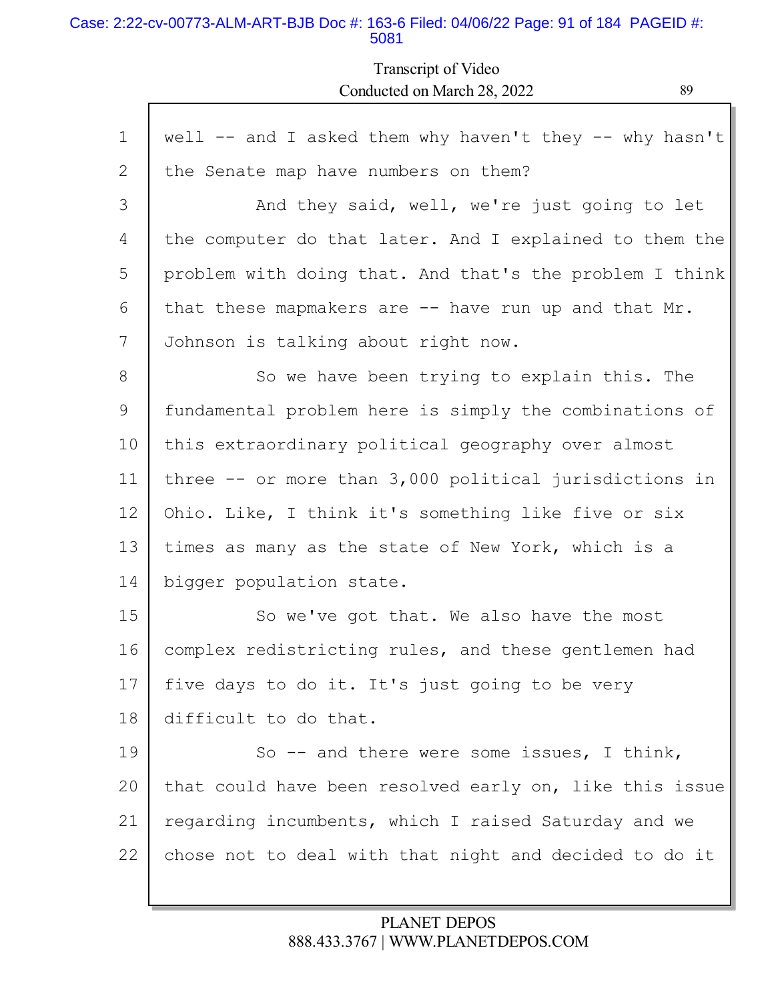### Case: 2:22-cv-00773-ALM-ART-BJB Doc #: 163-6 Filed: 04/06/22 Page: 91 of 184 PAGEID #: 5081

Transcript of Video Conducted on March 28, 2022 89

| $\mathbf 1$    | well -- and I asked them why haven't they -- why hasn't    |
|----------------|------------------------------------------------------------|
| $\overline{2}$ | the Senate map have numbers on them?                       |
| 3              | And they said, well, we're just going to let               |
| 4              | the computer do that later. And I explained to them the    |
| 5              | problem with doing that. And that's the problem I think    |
| 6              | that these mapmakers are -- have run up and that Mr.       |
| 7              | Johnson is talking about right now.                        |
| 8              | So we have been trying to explain this. The                |
| 9              | fundamental problem here is simply the combinations of     |
| 10             | this extraordinary political geography over almost         |
| 11             | three $--$ or more than $3,000$ political jurisdictions in |
| 12             | Ohio. Like, I think it's something like five or six        |
| 13             | times as many as the state of New York, which is a         |
| 14             | bigger population state.                                   |
| 15             | So we've got that. We also have the most                   |
| 16             | complex redistricting rules, and these gentlemen had       |
| 17             | five days to do it. It's just going to be very             |
| 18             | difficult to do that.                                      |
| 19             | So $-$ and there were some issues, I think,                |
| 20             | that could have been resolved early on, like this issue    |
| 21             | regarding incumbents, which I raised Saturday and we       |
| 22             | chose not to deal with that night and decided to do it     |
|                |                                                            |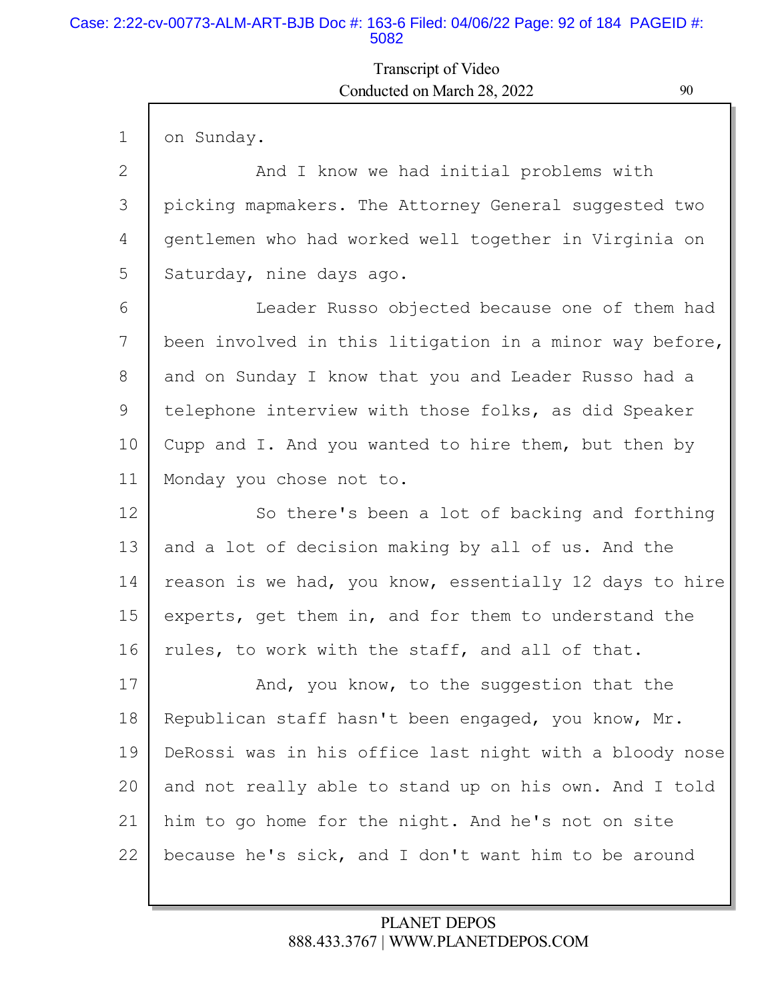### Case: 2:22-cv-00773-ALM-ART-BJB Doc #: 163-6 Filed: 04/06/22 Page: 92 of 184 PAGEID #: 5082

# Transcript of Video Conducted on March 28, 2022 90

| $\mathbf 1$ | on Sunday.                                              |
|-------------|---------------------------------------------------------|
| 2           | And I know we had initial problems with                 |
| 3           | picking mapmakers. The Attorney General suggested two   |
| 4           | gentlemen who had worked well together in Virginia on   |
| 5           | Saturday, nine days ago.                                |
| 6           | Leader Russo objected because one of them had           |
| 7           | been involved in this litigation in a minor way before, |
| 8           | and on Sunday I know that you and Leader Russo had a    |
| 9           | telephone interview with those folks, as did Speaker    |
| 10          | Cupp and I. And you wanted to hire them, but then by    |
| 11          | Monday you chose not to.                                |
| 12          | So there's been a lot of backing and forthing           |
| 13          | and a lot of decision making by all of us. And the      |
| 14          | reason is we had, you know, essentially 12 days to hire |
| 15          | experts, get them in, and for them to understand the    |
| 16          | rules, to work with the staff, and all of that.         |
| 17          | And, you know, to the suggestion that the               |
| 18          | Republican staff hasn't been engaged, you know, Mr.     |
| 19          | DeRossi was in his office last night with a bloody nose |
| 20          | and not really able to stand up on his own. And I told  |
| 21          |                                                         |
|             | him to go home for the night. And he's not on site      |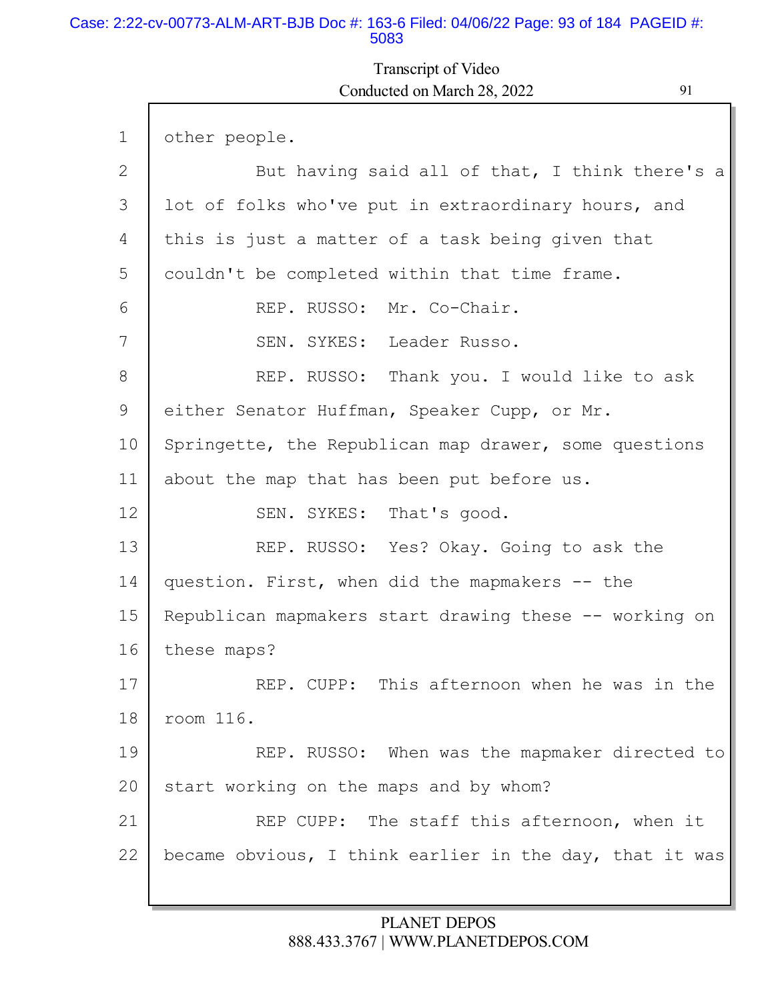### Case: 2:22-cv-00773-ALM-ART-BJB Doc #: 163-6 Filed: 04/06/22 Page: 93 of 184 PAGEID #: 5083

Г

## Transcript of Video Conducted on March 28, 2022 91

L

| $\mathbf 1$ | other people.                                           |
|-------------|---------------------------------------------------------|
| 2           | But having said all of that, I think there's a          |
| 3           | lot of folks who've put in extraordinary hours, and     |
| 4           | this is just a matter of a task being given that        |
| 5           | couldn't be completed within that time frame.           |
| 6           | REP. RUSSO: Mr. Co-Chair.                               |
| 7           | SEN. SYKES: Leader Russo.                               |
| 8           | REP. RUSSO: Thank you. I would like to ask              |
| 9           | either Senator Huffman, Speaker Cupp, or Mr.            |
| 10          | Springette, the Republican map drawer, some questions   |
| 11          | about the map that has been put before us.              |
| 12          | SEN. SYKES: That's good.                                |
| 13          | REP. RUSSO: Yes? Okay. Going to ask the                 |
| 14          | question. First, when did the mapmakers -- the          |
| 15          | Republican mapmakers start drawing these -- working on  |
| 16          | these maps?                                             |
| 17          | REP. CUPP: This afternoon when he was in the            |
| 18          | room 116.                                               |
| 19          | REP. RUSSO: When was the mapmaker directed to           |
| 20          | start working on the maps and by whom?                  |
| 21          | REP CUPP: The staff this afternoon, when it             |
| 22          | became obvious, I think earlier in the day, that it was |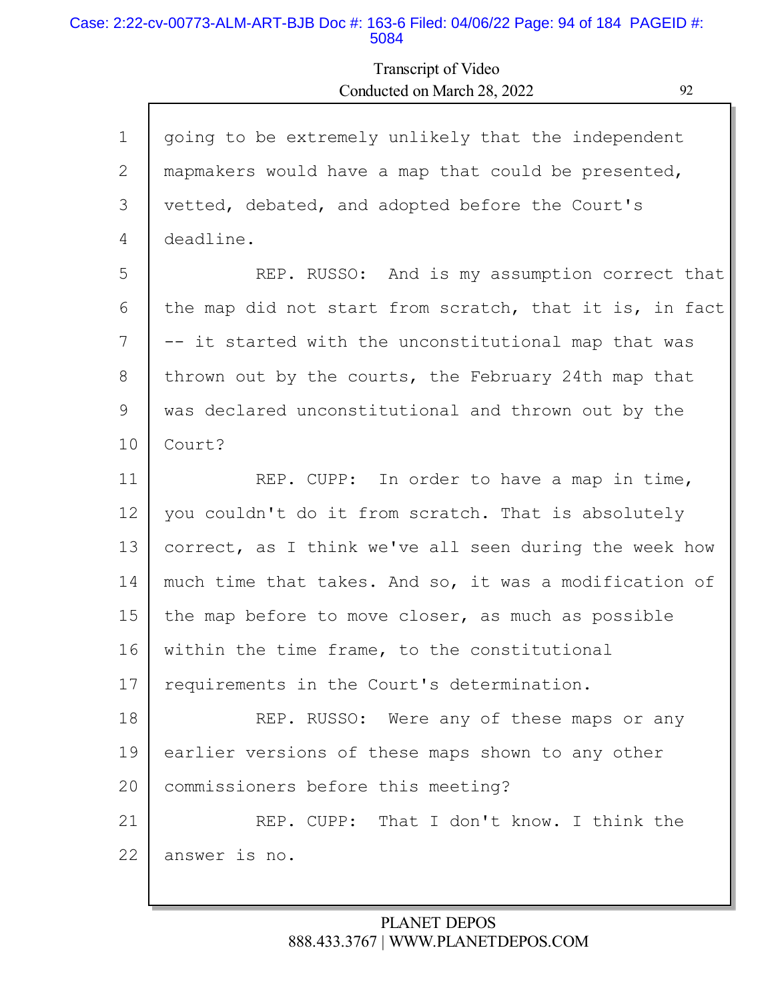#### Case: 2:22-cv-00773-ALM-ART-BJB Doc #: 163-6 Filed: 04/06/22 Page: 94 of 184 PAGEID #: 5084

Г

# Transcript of Video Conducted on March 28, 2022 92

L

| $\mathbf{1}$    | going to be extremely unlikely that the independent     |
|-----------------|---------------------------------------------------------|
| 2               | mapmakers would have a map that could be presented,     |
| 3               | vetted, debated, and adopted before the Court's         |
| 4               | deadline.                                               |
| 5               | REP. RUSSO: And is my assumption correct that           |
| 6               | the map did not start from scratch, that it is, in fact |
| 7               | -- it started with the unconstitutional map that was    |
| 8               | thrown out by the courts, the February 24th map that    |
| 9               | was declared unconstitutional and thrown out by the     |
| 10              | Court?                                                  |
| 11              | REP. CUPP: In order to have a map in time,              |
| 12              | you couldn't do it from scratch. That is absolutely     |
| 13              | correct, as I think we've all seen during the week how  |
| 14              | much time that takes. And so, it was a modification of  |
| 15              | the map before to move closer, as much as possible      |
| 16              | within the time frame, to the constitutional            |
| 17 <sub>1</sub> | requirements in the Court's determination.              |
| 18              | REP. RUSSO: Were any of these maps or any               |
| 19              | earlier versions of these maps shown to any other       |
| 20              | commissioners before this meeting?                      |
| 21              | REP. CUPP: That I don't know. I think the               |
| 22              | answer is no.                                           |
|                 |                                                         |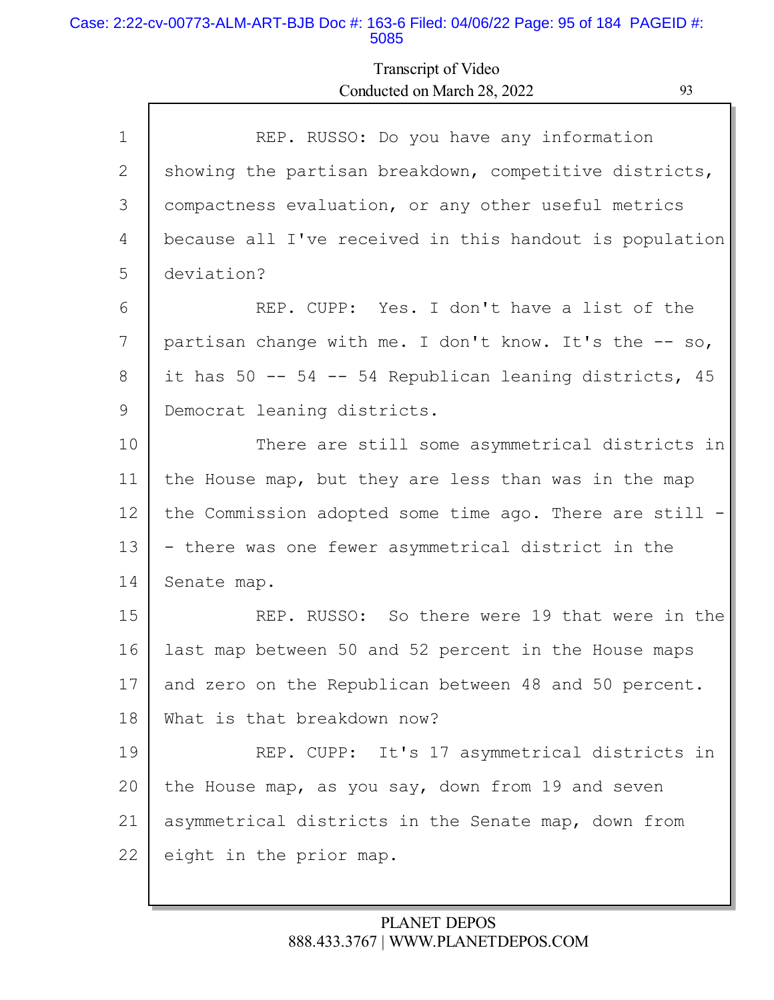### Case: 2:22-cv-00773-ALM-ART-BJB Doc #: 163-6 Filed: 04/06/22 Page: 95 of 184 PAGEID #: 5085

# Transcript of Video Conducted on March 28, 2022 93

| $\mathbf 1$  | REP. RUSSO: Do you have any information                 |
|--------------|---------------------------------------------------------|
| $\mathbf{2}$ | showing the partisan breakdown, competitive districts,  |
| 3            | compactness evaluation, or any other useful metrics     |
| 4            | because all I've received in this handout is population |
| 5            | deviation?                                              |
| 6            | REP. CUPP: Yes. I don't have a list of the              |
| 7            | partisan change with me. I don't know. It's the -- so,  |
| 8            | it has 50 -- 54 -- 54 Republican leaning districts, 45  |
| 9            | Democrat leaning districts.                             |
| 10           | There are still some asymmetrical districts in          |
| 11           | the House map, but they are less than was in the map    |
| 12           | the Commission adopted some time ago. There are still - |
| 13           | - there was one fewer asymmetrical district in the      |
| 14           | Senate map.                                             |
| 15           | REP. RUSSO: So there were 19 that were in the           |
| 16           | last map between 50 and 52 percent in the House maps    |
| 17           | and zero on the Republican between 48 and 50 percent.   |
| 18           | What is that breakdown now?                             |
| 19           | REP. CUPP: It's 17 asymmetrical districts in            |
| 20           | the House map, as you say, down from 19 and seven       |
| 21           | asymmetrical districts in the Senate map, down from     |
| 22           | eight in the prior map.                                 |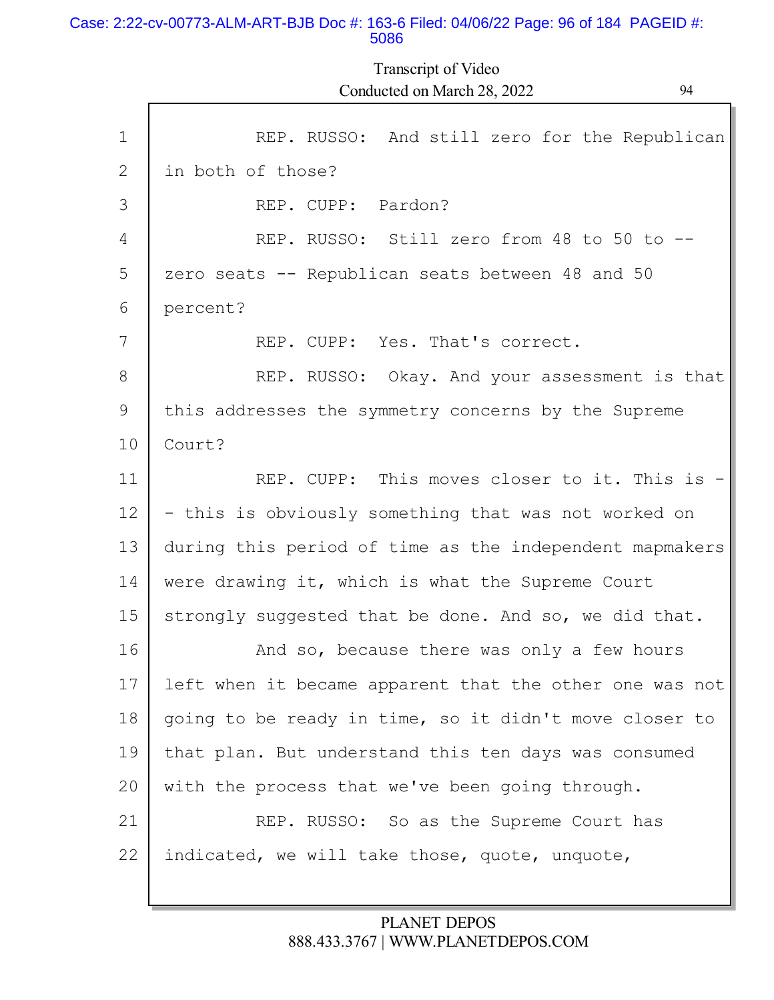### Case: 2:22-cv-00773-ALM-ART-BJB Doc #: 163-6 Filed: 04/06/22 Page: 96 of 184 PAGEID #: 5086

Г

Transcript of Video Conducted on March 28, 2022 94

L

| $\mathbf{1}$ | REP. RUSSO: And still zero for the Republican           |
|--------------|---------------------------------------------------------|
| 2            | in both of those?                                       |
| 3            | REP. CUPP: Pardon?                                      |
| 4            | REP. RUSSO: Still zero from 48 to 50 to --              |
| 5            | zero seats -- Republican seats between 48 and 50        |
| 6            | percent?                                                |
| 7            | REP. CUPP: Yes. That's correct.                         |
| 8            | REP. RUSSO: Okay. And your assessment is that           |
| 9            | this addresses the symmetry concerns by the Supreme     |
| 10           | Court?                                                  |
| 11           | REP. CUPP: This moves closer to it. This is -           |
| 12           | - this is obviously something that was not worked on    |
| 13           | during this period of time as the independent mapmakers |
| 14           | were drawing it, which is what the Supreme Court        |
| 15           | strongly suggested that be done. And so, we did that.   |
| 16           | And so, because there was only a few hours              |
| 17           | left when it became apparent that the other one was not |
| 18           | going to be ready in time, so it didn't move closer to  |
| 19           | that plan. But understand this ten days was consumed    |
| 20           | with the process that we've been going through.         |
| 21           | REP. RUSSO: So as the Supreme Court has                 |
| 22           | indicated, we will take those, quote, unquote,          |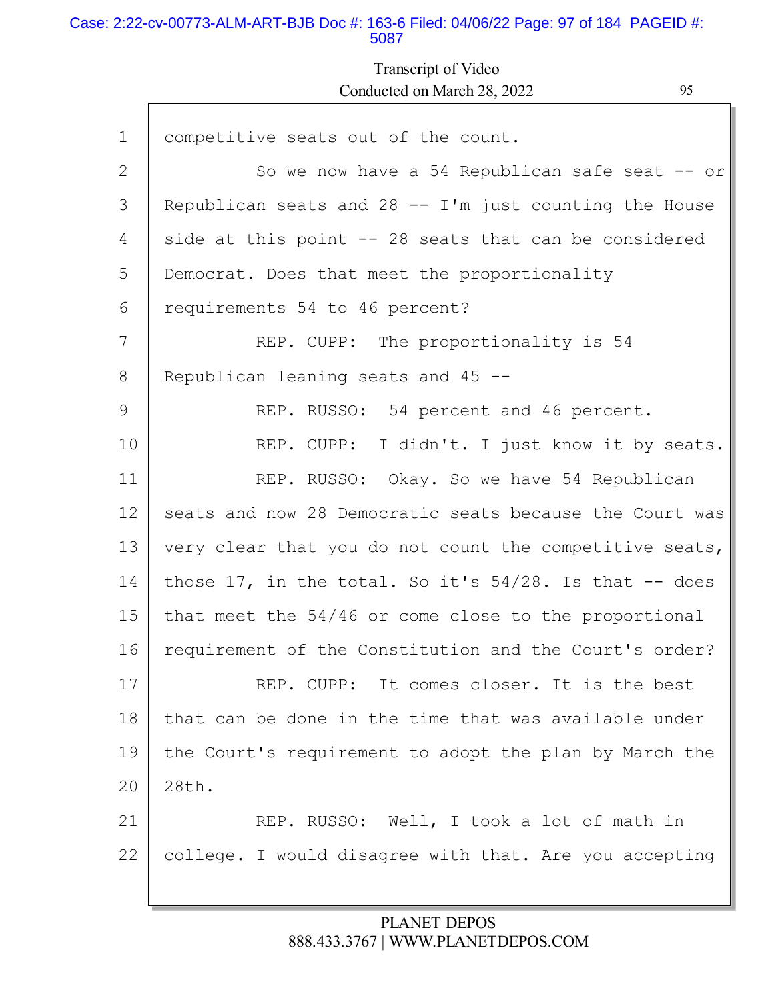### Case: 2:22-cv-00773-ALM-ART-BJB Doc #: 163-6 Filed: 04/06/22 Page: 97 of 184 PAGEID #: 5087

Г

Transcript of Video Conducted on March 28, 2022 95

| $\mathbf 1$ | competitive seats out of the count.                        |
|-------------|------------------------------------------------------------|
| 2           | So we now have a 54 Republican safe seat -- or             |
| 3           | Republican seats and $28 - I'm$ just counting the House    |
| 4           | side at this point $-$ 28 seats that can be considered     |
| 5           | Democrat. Does that meet the proportionality               |
| 6           | requirements 54 to 46 percent?                             |
| 7           | REP. CUPP: The proportionality is 54                       |
| 8           | Republican leaning seats and 45 --                         |
| 9           | REP. RUSSO: 54 percent and 46 percent.                     |
| 10          | REP. CUPP: I didn't. I just know it by seats.              |
| 11          | REP. RUSSO: Okay. So we have 54 Republican                 |
| 12          | seats and now 28 Democratic seats because the Court was    |
| 13          | very clear that you do not count the competitive seats,    |
| 14          | those 17, in the total. So it's $54/28$ . Is that $-$ does |
| 15          | that meet the 54/46 or come close to the proportional      |
| 16          | requirement of the Constitution and the Court's order?     |
| 17          | REP. CUPP: It comes closer. It is the best                 |
| 18          | that can be done in the time that was available under      |
| 19          | the Court's requirement to adopt the plan by March the     |
| 20          | 28th.                                                      |
| 21          | REP. RUSSO: Well, I took a lot of math in                  |
| 22          | college. I would disagree with that. Are you accepting     |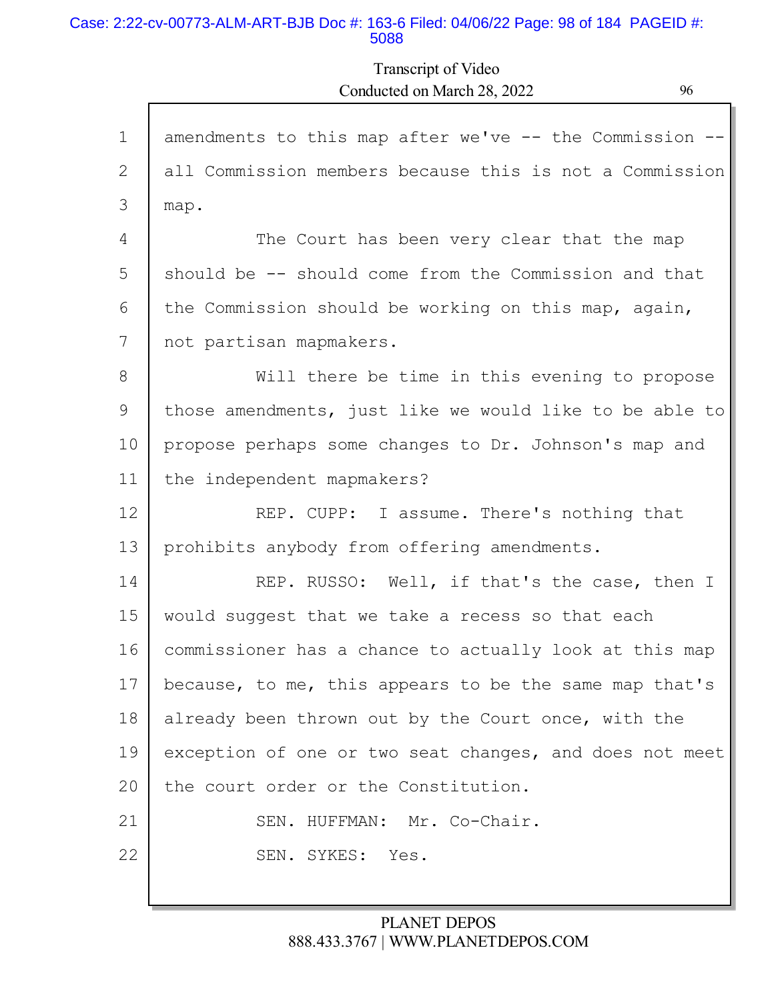### Case: 2:22-cv-00773-ALM-ART-BJB Doc #: 163-6 Filed: 04/06/22 Page: 98 of 184 PAGEID #: 5088

## Transcript of Video Conducted on March 28, 2022 96

| $\mathbf{1}$ | amendments to this map after we've -- the Commission -- |
|--------------|---------------------------------------------------------|
| 2            | all Commission members because this is not a Commission |
| 3            | map.                                                    |
| 4            | The Court has been very clear that the map              |
| 5            | should be -- should come from the Commission and that   |
| 6            | the Commission should be working on this map, again,    |
| 7            | not partisan mapmakers.                                 |
| 8            | Will there be time in this evening to propose           |
| 9            | those amendments, just like we would like to be able to |
| 10           | propose perhaps some changes to Dr. Johnson's map and   |
| 11           | the independent mapmakers?                              |
| 12           | REP. CUPP: I assume. There's nothing that               |
| 13           | prohibits anybody from offering amendments.             |
| 14           | REP. RUSSO: Well, if that's the case, then I            |
| 15           | would suggest that we take a recess so that each        |
| 16           | commissioner has a chance to actually look at this map  |
| 17           | because, to me, this appears to be the same map that's  |
| 18           | already been thrown out by the Court once, with the     |
| 19           | exception of one or two seat changes, and does not meet |
| 20           | the court order or the Constitution.                    |
| 21           | SEN. HUFFMAN: Mr. Co-Chair.                             |
| 22           | SEN. SYKES:<br>Yes.                                     |
|              |                                                         |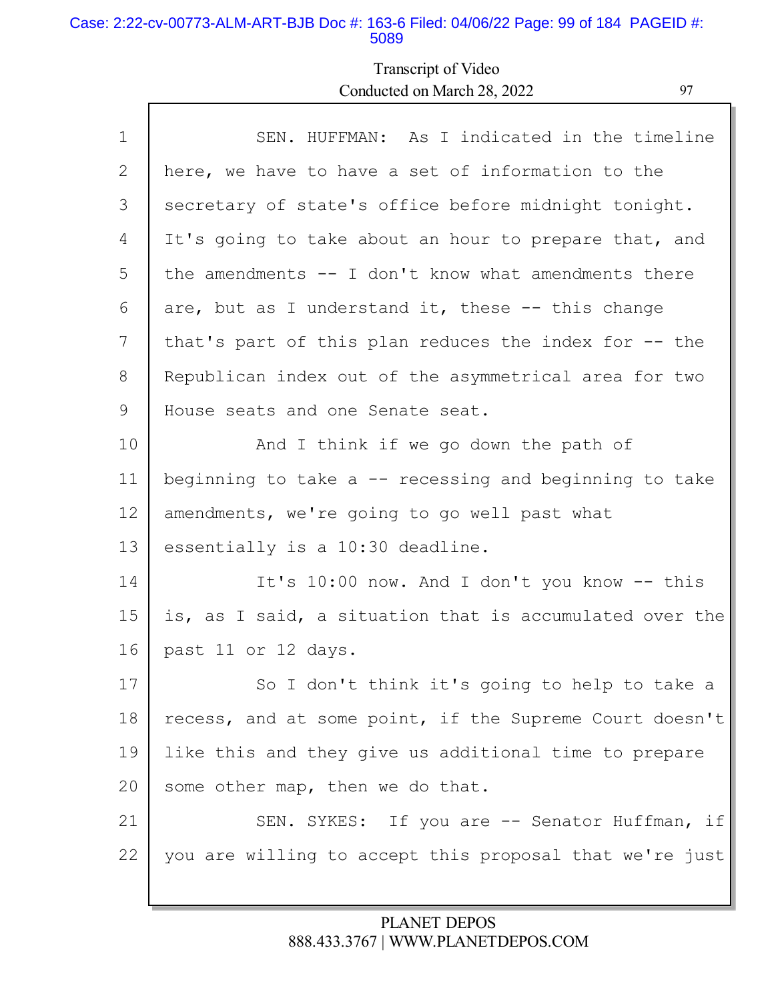#### Case: 2:22-cv-00773-ALM-ART-BJB Doc #: 163-6 Filed: 04/06/22 Page: 99 of 184 PAGEID #: 5089

# Transcript of Video Conducted on March 28, 2022 97

| SEN. HUFFMAN: As I indicated in the timeline            |
|---------------------------------------------------------|
| here, we have to have a set of information to the       |
| secretary of state's office before midnight tonight.    |
| It's going to take about an hour to prepare that, and   |
| the amendments $-$ I don't know what amendments there   |
| are, but as I understand it, these $-$ - this change    |
| that's part of this plan reduces the index for -- the   |
| Republican index out of the asymmetrical area for two   |
| House seats and one Senate seat.                        |
| And I think if we go down the path of                   |
| beginning to take a $-$ recessing and beginning to take |
| amendments, we're going to go well past what            |
| essentially is a 10:30 deadline.                        |
| It's 10:00 now. And I don't you know -- this            |
| is, as I said, a situation that is accumulated over the |
| past 11 or 12 days.                                     |
| So I don't think it's going to help to take a           |
| recess, and at some point, if the Supreme Court doesn't |
| like this and they give us additional time to prepare   |
| some other map, then we do that.                        |
| SEN. SYKES: If you are -- Senator Huffman, if           |
| you are willing to accept this proposal that we're just |
|                                                         |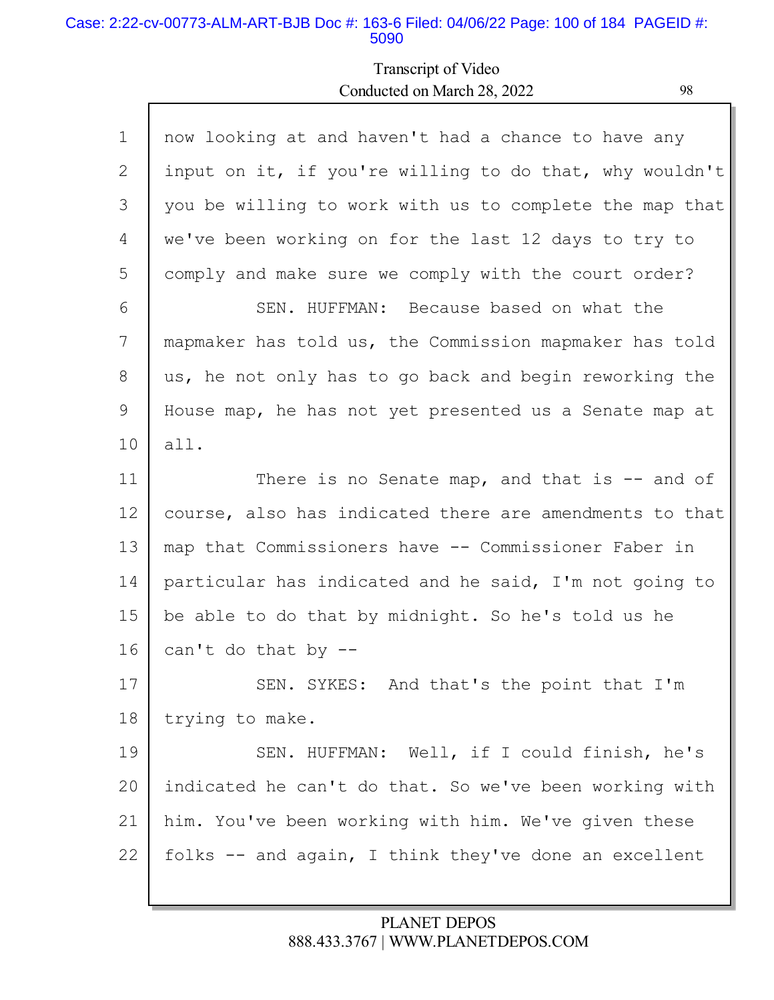### Case: 2:22-cv-00773-ALM-ART-BJB Doc #: 163-6 Filed: 04/06/22 Page: 100 of 184 PAGEID #: 5090

Г

## Transcript of Video Conducted on March 28, 2022 98

L

| $\mathbf{1}$ | now looking at and haven't had a chance to have any     |
|--------------|---------------------------------------------------------|
| 2            | input on it, if you're willing to do that, why wouldn't |
| 3            | you be willing to work with us to complete the map that |
| 4            | we've been working on for the last 12 days to try to    |
| 5            | comply and make sure we comply with the court order?    |
| 6            | SEN. HUFFMAN: Because based on what the                 |
| 7            | mapmaker has told us, the Commission mapmaker has told  |
| 8            | us, he not only has to go back and begin reworking the  |
| 9            | House map, he has not yet presented us a Senate map at  |
| 10           | all.                                                    |
| 11           | There is no Senate map, and that is $-$ and of          |
| 12           | course, also has indicated there are amendments to that |
| 13           | map that Commissioners have -- Commissioner Faber in    |
| 14           | particular has indicated and he said, I'm not going to  |
| 15           | be able to do that by midnight. So he's told us he      |
| 16           | can't do that by --                                     |
| 17           | SEN. SYKES: And that's the point that I'm               |
| 18           | trying to make.                                         |
| 19           | SEN. HUFFMAN: Well, if I could finish, he's             |
| 20           | indicated he can't do that. So we've been working with  |
| 21           | him. You've been working with him. We've given these    |
|              |                                                         |
| 22           | folks -- and again, I think they've done an excellent   |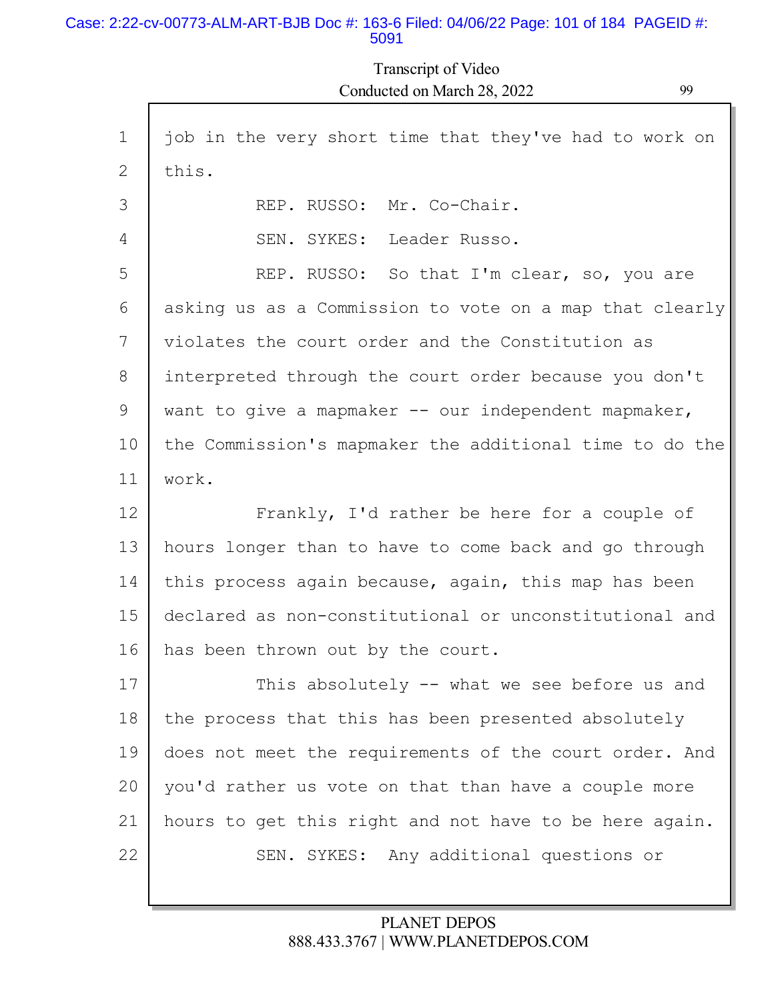#### Case: 2:22-cv-00773-ALM-ART-BJB Doc #: 163-6 Filed: 04/06/22 Page: 101 of 184 PAGEID #: 5091

Transcript of Video Conducted on March 28, 2022 99

| $\mathbf 1$ | job in the very short time that they've had to work on  |
|-------------|---------------------------------------------------------|
| 2           | this.                                                   |
| 3           | REP. RUSSO: Mr. Co-Chair.                               |
| 4           | SEN. SYKES: Leader Russo.                               |
| 5           | REP. RUSSO: So that I'm clear, so, you are              |
| 6           | asking us as a Commission to vote on a map that clearly |
| 7           | violates the court order and the Constitution as        |
| 8           | interpreted through the court order because you don't   |
| 9           | want to give a mapmaker $-$ our independent mapmaker,   |
| 10          | the Commission's mapmaker the additional time to do the |
| 11          | work.                                                   |
| 12          | Frankly, I'd rather be here for a couple of             |
| 13          | hours longer than to have to come back and go through   |
| 14          | this process again because, again, this map has been    |
| 15          | declared as non-constitutional or unconstitutional and  |
| 16          | has been thrown out by the court.                       |
| 17          | This absolutely -- what we see before us and            |
| 18          | the process that this has been presented absolutely     |
| 19          | does not meet the requirements of the court order. And  |
| 20          | you'd rather us vote on that than have a couple more    |
| 21          | hours to get this right and not have to be here again.  |
| 22          | SEN. SYKES: Any additional questions or                 |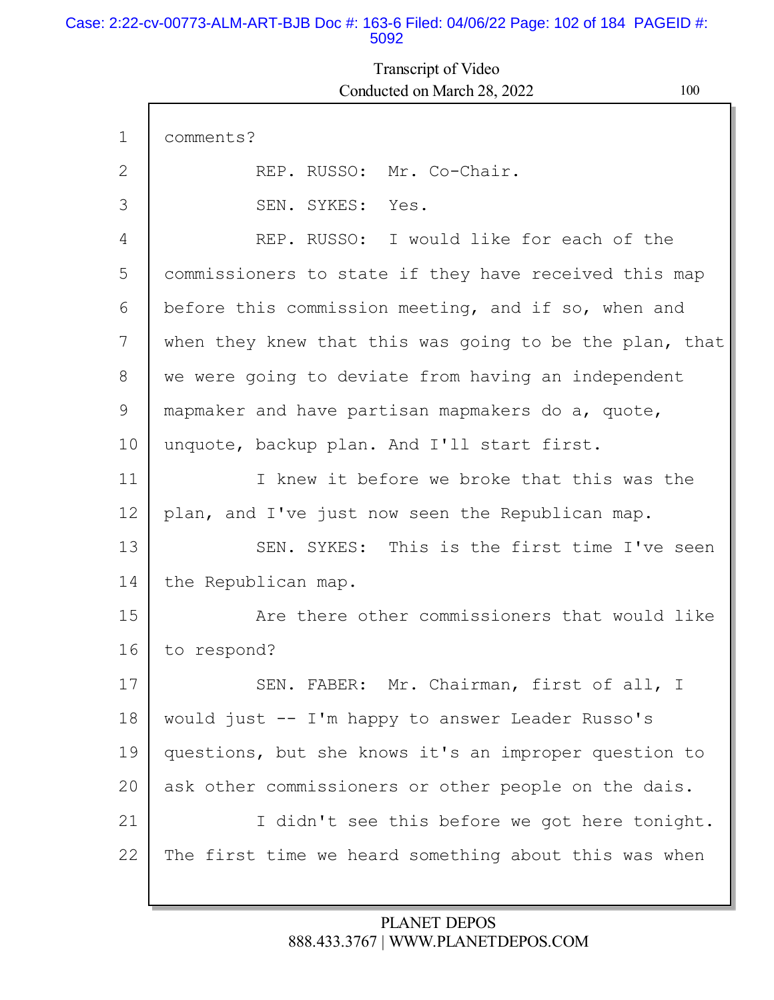### Case: 2:22-cv-00773-ALM-ART-BJB Doc #: 163-6 Filed: 04/06/22 Page: 102 of 184 PAGEID #: 5092

# Transcript of Video Conducted on March 28, 2022 100

| REP. RUSSO: I would like for each of the                |
|---------------------------------------------------------|
| commissioners to state if they have received this map   |
| before this commission meeting, and if so, when and     |
| when they knew that this was going to be the plan, that |
| we were going to deviate from having an independent     |
| mapmaker and have partisan mapmakers do a, quote,       |
|                                                         |
| I knew it before we broke that this was the             |
| plan, and I've just now seen the Republican map.        |
| SEN. SYKES: This is the first time I've seen            |
|                                                         |
| Are there other commissioners that would like           |
|                                                         |
| SEN. FABER: Mr. Chairman, first of all, I               |
| would just -- I'm happy to answer Leader Russo's        |
| questions, but she knows it's an improper question to   |
| ask other commissioners or other people on the dais.    |
| I didn't see this before we got here tonight.           |
| The first time we heard something about this was when   |
|                                                         |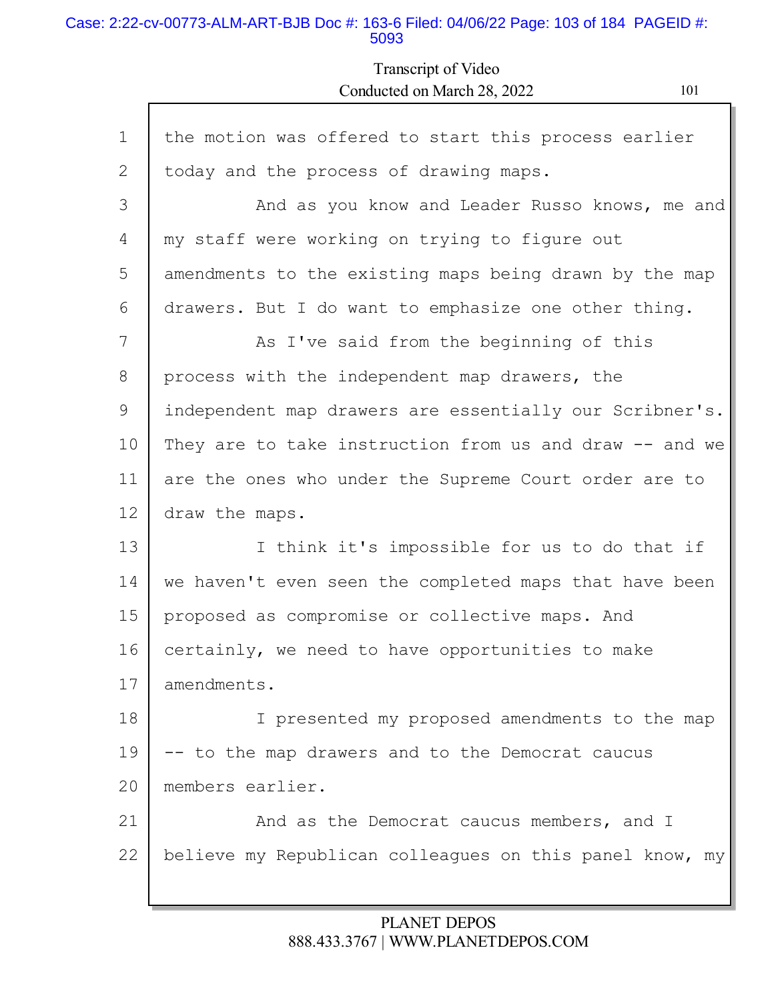### Case: 2:22-cv-00773-ALM-ART-BJB Doc #: 163-6 Filed: 04/06/22 Page: 103 of 184 PAGEID #: 5093

Г

## Transcript of Video Conducted on March 28, 2022 101

Ъ

| $\mathbf 1$ | the motion was offered to start this process earlier    |
|-------------|---------------------------------------------------------|
| 2           | today and the process of drawing maps.                  |
| 3           | And as you know and Leader Russo knows, me and          |
| 4           | my staff were working on trying to figure out           |
| 5           | amendments to the existing maps being drawn by the map  |
| 6           | drawers. But I do want to emphasize one other thing.    |
| 7           | As I've said from the beginning of this                 |
| 8           | process with the independent map drawers, the           |
| 9           | independent map drawers are essentially our Scribner's. |
| 10          | They are to take instruction from us and draw -- and we |
| 11          | are the ones who under the Supreme Court order are to   |
| 12          | draw the maps.                                          |
| 13          | I think it's impossible for us to do that if            |
| 14          | we haven't even seen the completed maps that have been  |
| 15          | proposed as compromise or collective maps. And          |
| 16          | certainly, we need to have opportunities to make        |
| 17          | amendments.                                             |
| 18          | I presented my proposed amendments to the map           |
| 19          | -- to the map drawers and to the Democrat caucus        |
| 20          | members earlier.                                        |
| 21          | And as the Democrat caucus members, and I               |
| 22          | believe my Republican colleagues on this panel know, my |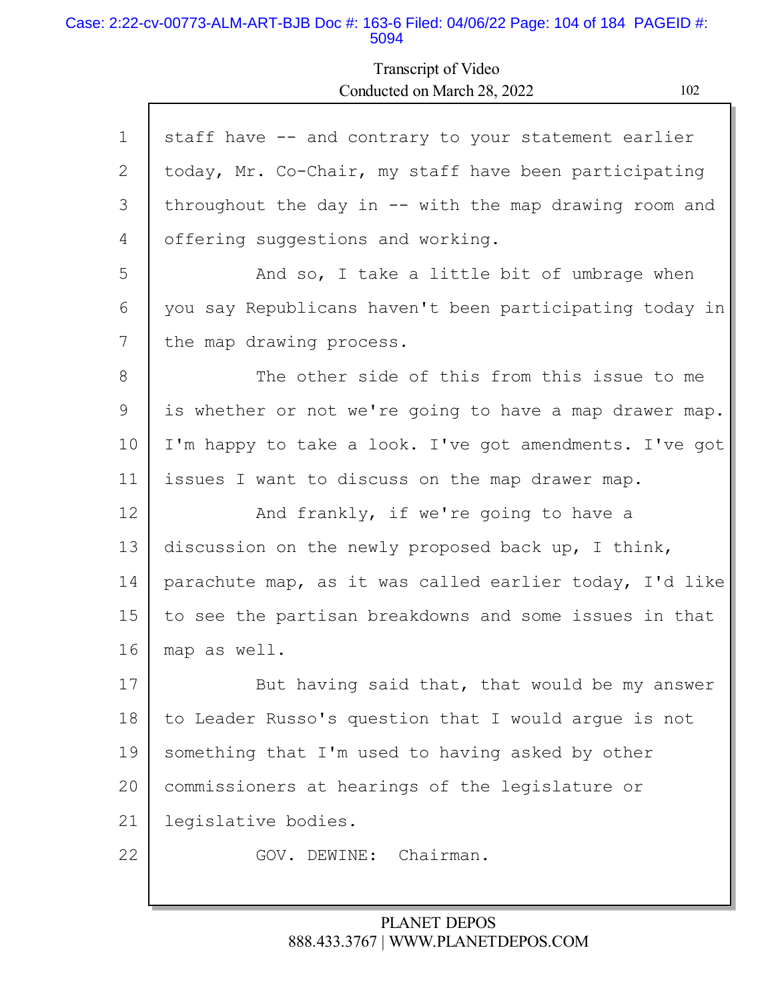#### Case: 2:22-cv-00773-ALM-ART-BJB Doc #: 163-6 Filed: 04/06/22 Page: 104 of 184 PAGEID #: 5094

Г

## Transcript of Video Conducted on March 28, 2022 102

ъ

| $\mathbf{1}$ | staff have -- and contrary to your statement earlier    |
|--------------|---------------------------------------------------------|
| 2            | today, Mr. Co-Chair, my staff have been participating   |
| 3            | throughout the day in -- with the map drawing room and  |
| 4            | offering suggestions and working.                       |
| 5            | And so, I take a little bit of umbrage when             |
| 6            | you say Republicans haven't been participating today in |
| 7            | the map drawing process.                                |
| 8            | The other side of this from this issue to me            |
| 9            | is whether or not we're going to have a map drawer map. |
| 10           | I'm happy to take a look. I've got amendments. I've got |
| 11           | issues I want to discuss on the map drawer map.         |
| 12           | And frankly, if we're going to have a                   |
|              |                                                         |
| 13           | discussion on the newly proposed back up, I think,      |
| 14           | parachute map, as it was called earlier today, I'd like |
| 15           | to see the partisan breakdowns and some issues in that  |
| 16           | map as well.                                            |
| 17           | But having said that, that would be my answer           |
| 18           | to Leader Russo's question that I would arque is not    |
| 19           | something that I'm used to having asked by other        |
| 20           | commissioners at hearings of the legislature or         |
| 21           | legislative bodies.                                     |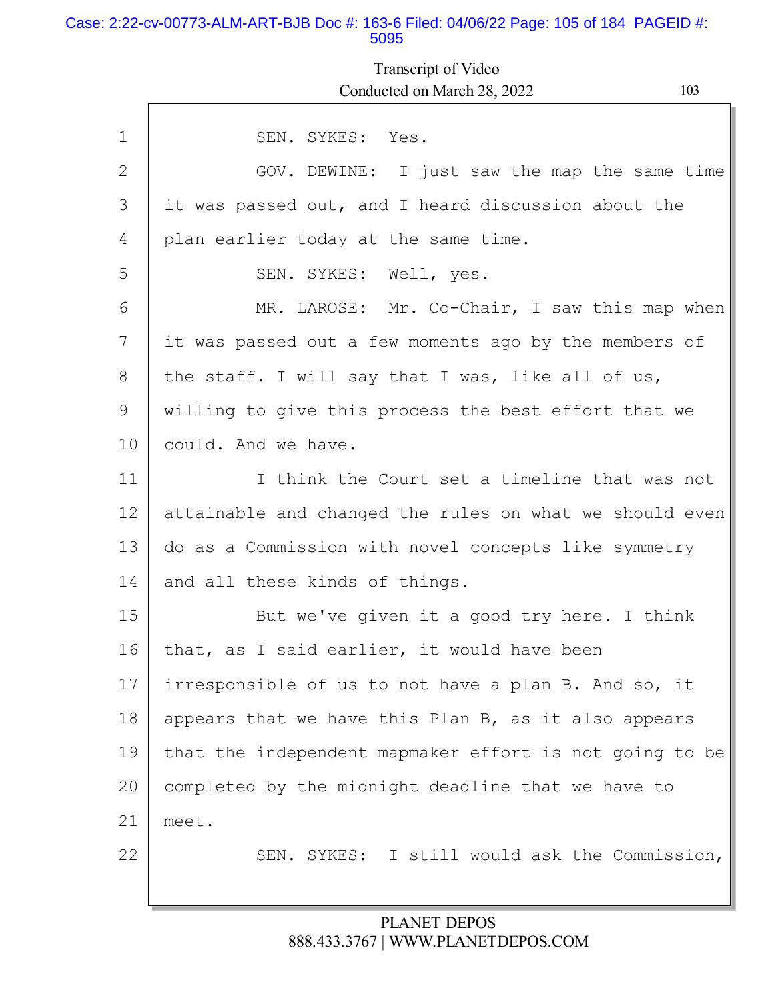### Case: 2:22-cv-00773-ALM-ART-BJB Doc #: 163-6 Filed: 04/06/22 Page: 105 of 184 PAGEID #: 5095

## Transcript of Video Conducted on March 28, 2022 103

| $\mathbf{1}$ | SEN. SYKES: Yes.                                        |
|--------------|---------------------------------------------------------|
| 2            | GOV. DEWINE: I just saw the map the same time           |
|              |                                                         |
| 3            | it was passed out, and I heard discussion about the     |
| 4            | plan earlier today at the same time.                    |
| 5            | SEN. SYKES: Well, yes.                                  |
| 6            | MR. LAROSE: Mr. Co-Chair, I saw this map when           |
| 7            | it was passed out a few moments ago by the members of   |
| 8            | the staff. I will say that I was, like all of us,       |
| 9            | willing to give this process the best effort that we    |
| 10           | could. And we have.                                     |
| 11           | I think the Court set a timeline that was not           |
| 12           | attainable and changed the rules on what we should even |
| 13           | do as a Commission with novel concepts like symmetry    |
| 14           | and all these kinds of things.                          |
| 15           | But we've given it a good try here. I think             |
| 16           | that, as I said earlier, it would have been             |
| 17           | irresponsible of us to not have a plan B. And so, it    |
| 18           | appears that we have this Plan B, as it also appears    |
| 19           | that the independent mapmaker effort is not going to be |
| 20           | completed by the midnight deadline that we have to      |
| 21           | meet.                                                   |
| 22           | SEN. SYKES: I still would ask the Commission,           |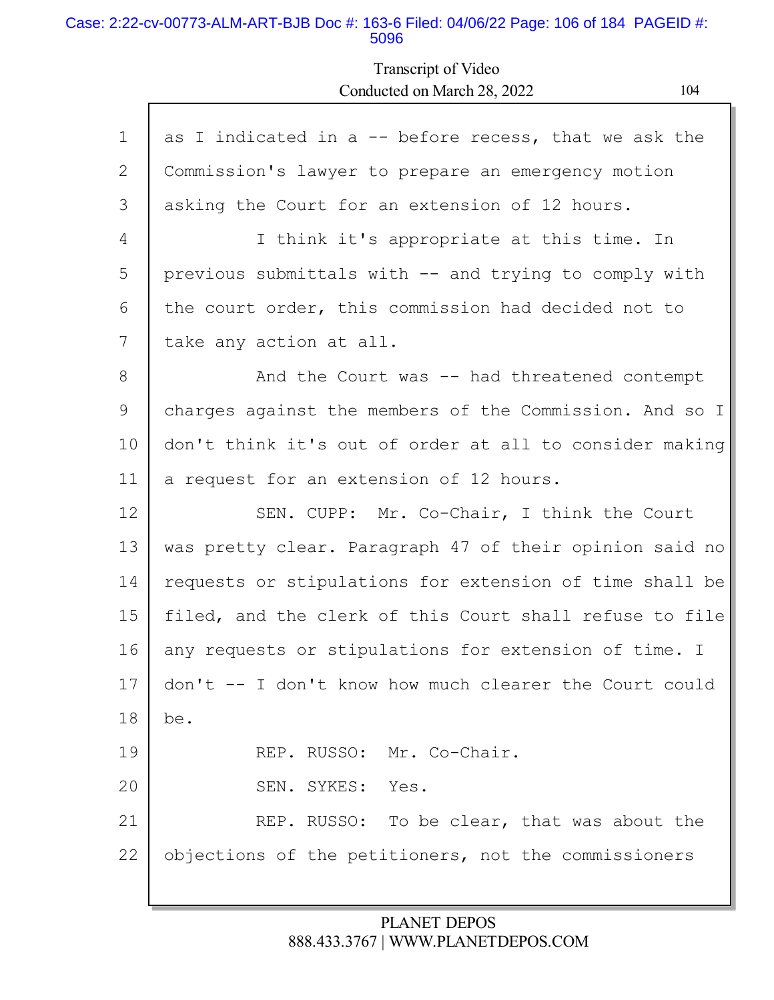#### Case: 2:22-cv-00773-ALM-ART-BJB Doc #: 163-6 Filed: 04/06/22 Page: 106 of 184 PAGEID #: 5096

Г

## Transcript of Video Conducted on March 28, 2022 104

ъ

| $\mathbf{1}$ | as I indicated in a $-$ before recess, that we ask the  |
|--------------|---------------------------------------------------------|
| 2            | Commission's lawyer to prepare an emergency motion      |
| 3            | asking the Court for an extension of 12 hours.          |
| 4            | I think it's appropriate at this time. In               |
| 5            | previous submittals with -- and trying to comply with   |
| 6            | the court order, this commission had decided not to     |
| 7            | take any action at all.                                 |
| 8            | And the Court was -- had threatened contempt            |
| 9            | charges against the members of the Commission. And so I |
| 10           | don't think it's out of order at all to consider making |
| 11           | a request for an extension of 12 hours.                 |
| 12           | SEN. CUPP: Mr. Co-Chair, I think the Court              |
| 13           | was pretty clear. Paragraph 47 of their opinion said no |
| 14           | requests or stipulations for extension of time shall be |
| 15           | filed, and the clerk of this Court shall refuse to file |
| 16           | any requests or stipulations for extension of time. I   |
| 17           | don't -- I don't know how much clearer the Court could  |
| 18           | be.                                                     |
| 19           | REP. RUSSO: Mr. Co-Chair.                               |
| 20           | SYKES:<br>SEN.<br>Yes.                                  |
| 21           | REP. RUSSO: To be clear, that was about the             |
| 22           | objections of the petitioners, not the commissioners    |
|              |                                                         |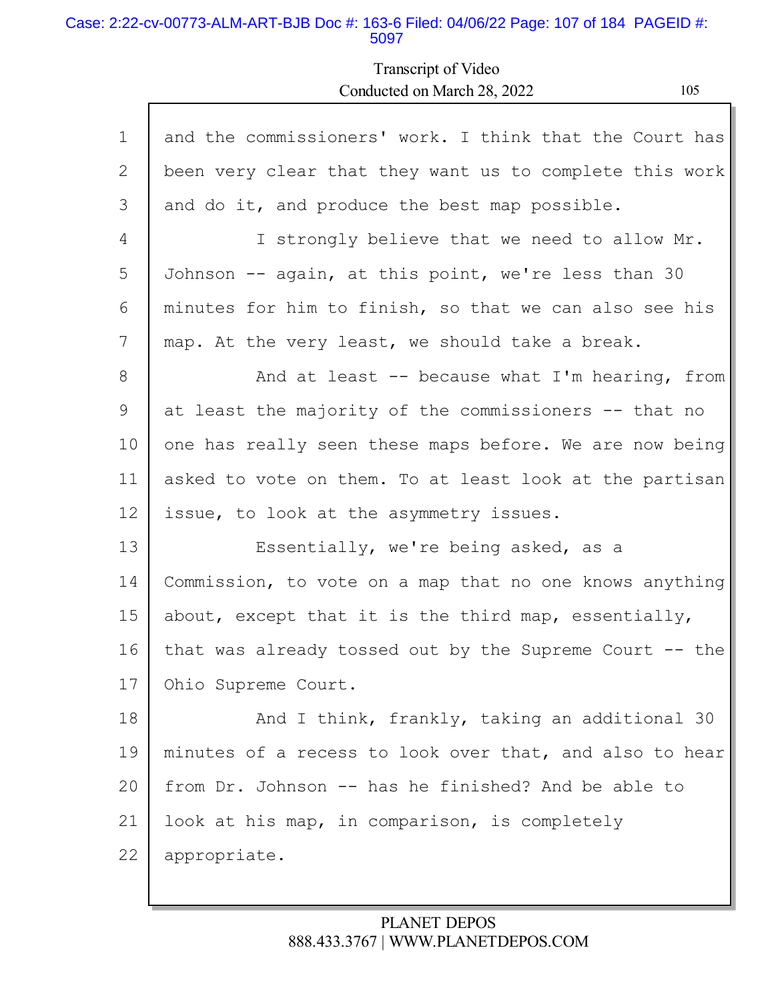### Case: 2:22-cv-00773-ALM-ART-BJB Doc #: 163-6 Filed: 04/06/22 Page: 107 of 184 PAGEID #: 5097

Transcript of Video Conducted on March 28, 2022 105

| $\mathbf 1$ | and the commissioners' work. I think that the Court has    |
|-------------|------------------------------------------------------------|
| 2           | been very clear that they want us to complete this work    |
| 3           | and do it, and produce the best map possible.              |
| 4           | I strongly believe that we need to allow Mr.               |
| 5           | Johnson -- again, at this point, we're less than 30        |
| 6           | minutes for him to finish, so that we can also see his     |
| 7           | map. At the very least, we should take a break.            |
| 8           | And at least $-$ because what I'm hearing, from            |
| 9           | at least the majority of the commissioners -- that no      |
| 10          | one has really seen these maps before. We are now being    |
| 11          | asked to vote on them. To at least look at the partisan    |
| 12          | issue, to look at the asymmetry issues.                    |
| 13          | Essentially, we're being asked, as a                       |
| 14          | Commission, to vote on a map that no one knows anything    |
| 15          | about, except that it is the third map, essentially,       |
| 16          | that was already tossed out by the Supreme Court $-$ - the |
| 17          | Ohio Supreme Court.                                        |
| 18          | And I think, frankly, taking an additional 30              |
| 19          | minutes of a recess to look over that, and also to hear    |
| 20          | from Dr. Johnson -- has he finished? And be able to        |
| 21          | look at his map, in comparison, is completely              |
| 22          | appropriate.                                               |
|             |                                                            |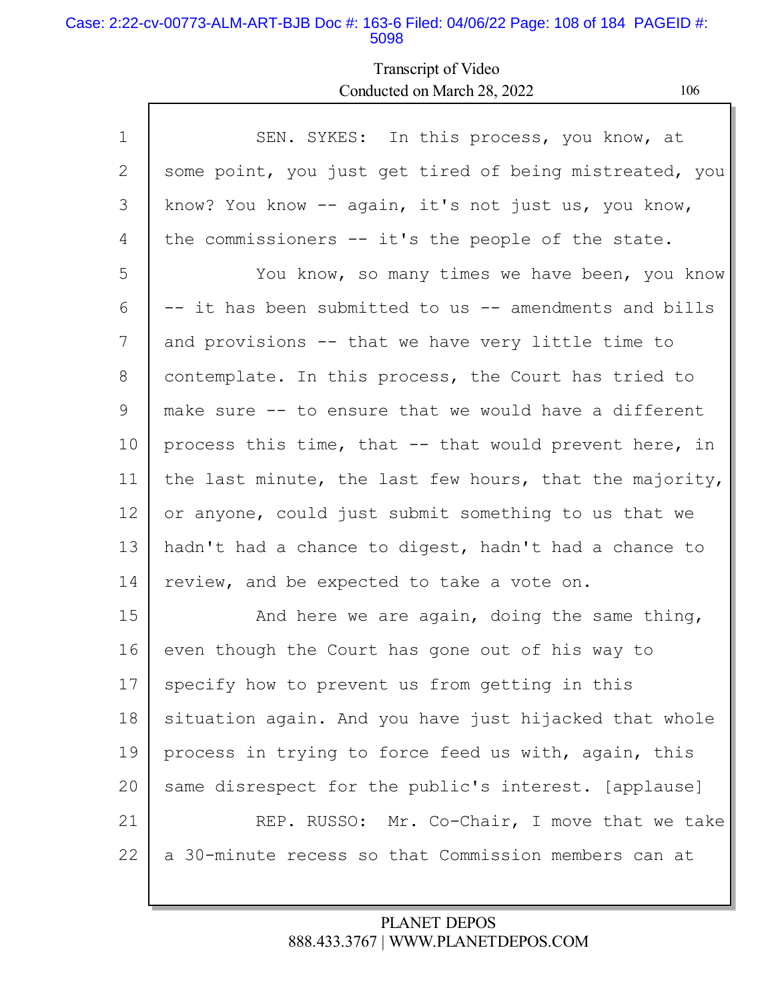### Case: 2:22-cv-00773-ALM-ART-BJB Doc #: 163-6 Filed: 04/06/22 Page: 108 of 184 PAGEID #: 5098

Г

## Transcript of Video Conducted on March 28, 2022 106

| $\mathbf 1$     | SEN. SYKES: In this process, you know, at               |
|-----------------|---------------------------------------------------------|
| 2               | some point, you just get tired of being mistreated, you |
| 3               | know? You know -- again, it's not just us, you know,    |
| 4               | the commissioners -- it's the people of the state.      |
| 5               | You know, so many times we have been, you know          |
| 6               | -- it has been submitted to us -- amendments and bills  |
| 7               | and provisions -- that we have very little time to      |
| 8               | contemplate. In this process, the Court has tried to    |
| 9               | make sure -- to ensure that we would have a different   |
| 10              | process this time, that -- that would prevent here, in  |
| 11              | the last minute, the last few hours, that the majority, |
| 12 <sup>°</sup> | or anyone, could just submit something to us that we    |
| 13              | hadn't had a chance to digest, hadn't had a chance to   |
| 14              | review, and be expected to take a vote on.              |
| 15              | And here we are again, doing the same thing,            |
| 16              | even though the Court has gone out of his way to        |
| 17              | specify how to prevent us from getting in this          |
| 18              | situation again. And you have just hijacked that whole  |
| 19              | process in trying to force feed us with, again, this    |
| 20              | same disrespect for the public's interest. [applause]   |
| 21              | REP. RUSSO: Mr. Co-Chair, I move that we take           |
| 22              | a 30-minute recess so that Commission members can at    |
|                 |                                                         |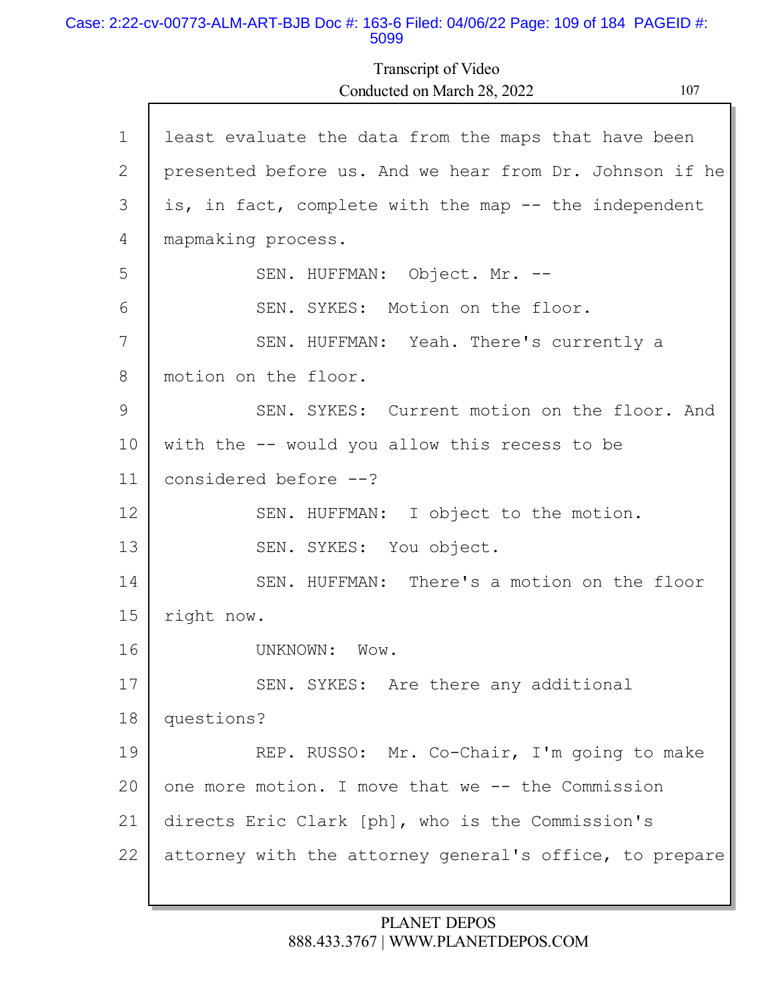#### Case: 2:22-cv-00773-ALM-ART-BJB Doc #: 163-6 Filed: 04/06/22 Page: 109 of 184 PAGEID #: 5099

Transcript of Video Conducted on March 28, 2022 107

| $\mathbf 1$ | least evaluate the data from the maps that have been    |
|-------------|---------------------------------------------------------|
| 2           | presented before us. And we hear from Dr. Johnson if he |
| 3           | is, in fact, complete with the map -- the independent   |
| 4           | mapmaking process.                                      |
| 5           | SEN. HUFFMAN: Object. Mr. --                            |
| 6           | SEN. SYKES: Motion on the floor.                        |
| 7           | SEN. HUFFMAN: Yeah. There's currently a                 |
| 8           | motion on the floor.                                    |
| 9           | SEN. SYKES: Current motion on the floor. And            |
| 10          | with the -- would you allow this recess to be           |
| 11          | considered before --?                                   |
| 12          | SEN. HUFFMAN: I object to the motion.                   |
| 13          | SEN. SYKES: You object.                                 |
| 14          | SEN. HUFFMAN: There's a motion on the floor             |
| 15          | right now.                                              |
| 16          | UNKNOWN:<br>$W$ ow.                                     |
| 17          | SEN. SYKES: Are there any additional                    |
| 18          | questions?                                              |
| 19          | REP. RUSSO: Mr. Co-Chair, I'm going to make             |
| 20          | one more motion. I move that we -- the Commission       |
| 21          | directs Eric Clark [ph], who is the Commission's        |
| 22          | attorney with the attorney general's office, to prepare |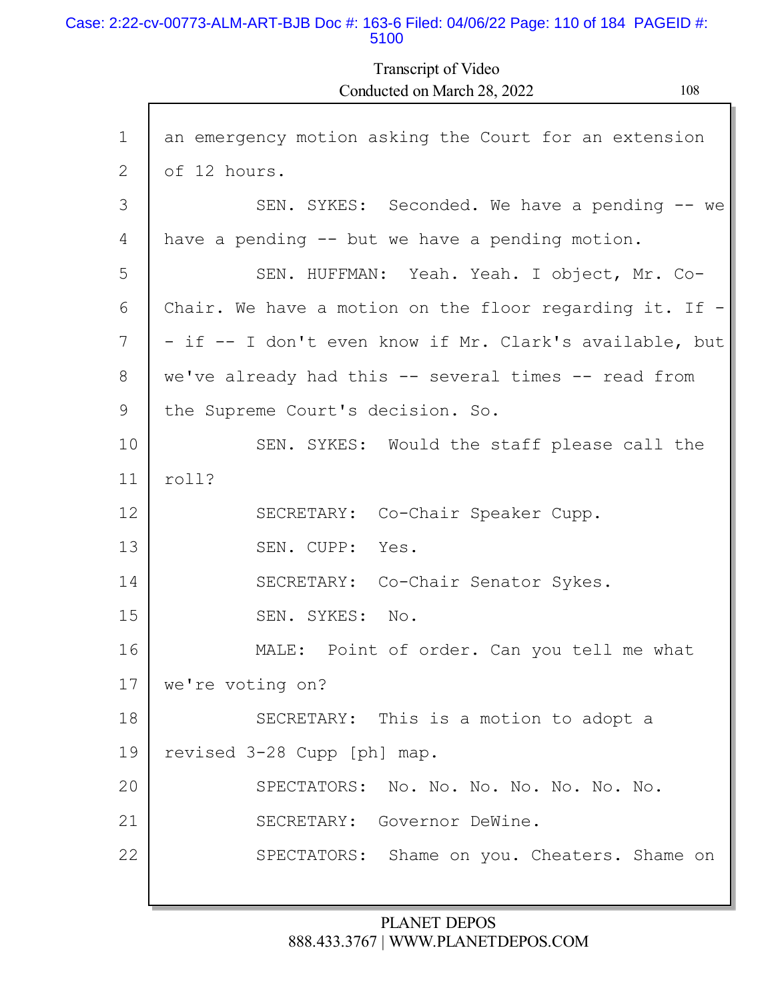#### Case: 2:22-cv-00773-ALM-ART-BJB Doc #: 163-6 Filed: 04/06/22 Page: 110 of 184 PAGEID #: 5100

Г

Transcript of Video Conducted on March 28, 2022 108

| $\mathbf 1$ | an emergency motion asking the Court for an extension     |
|-------------|-----------------------------------------------------------|
| 2           | of 12 hours.                                              |
| 3           | SEN. SYKES: Seconded. We have a pending -- we             |
| 4           | have a pending -- but we have a pending motion.           |
| 5           | SEN. HUFFMAN: Yeah. Yeah. I object, Mr. Co-               |
| 6           | Chair. We have a motion on the floor regarding it. If $-$ |
| 7           | - if -- I don't even know if Mr. Clark's available, but   |
| 8           | we've already had this -- several times -- read from      |
| 9           | the Supreme Court's decision. So.                         |
| 10          | SEN. SYKES: Would the staff please call the               |
| 11          | roll?                                                     |
| 12          | SECRETARY: Co-Chair Speaker Cupp.                         |
| 13          | SEN. CUPP: Yes.                                           |
| 14          | SECRETARY: Co-Chair Senator Sykes.                        |
| 15          | SEN. SYKES: No.                                           |
| 16          | MALE: Point of order. Can you tell me what                |
| 17          | we're voting on?                                          |
| 18          | SECRETARY: This is a motion to adopt a                    |
| 19          | revised 3-28 Cupp [ph] map.                               |
| 20          | SPECTATORS: No. No. No. No. No. No. No.                   |
| 21          | SECRETARY: Governor DeWine.                               |
| 22          | SPECTATORS: Shame on you. Cheaters. Shame on              |
|             |                                                           |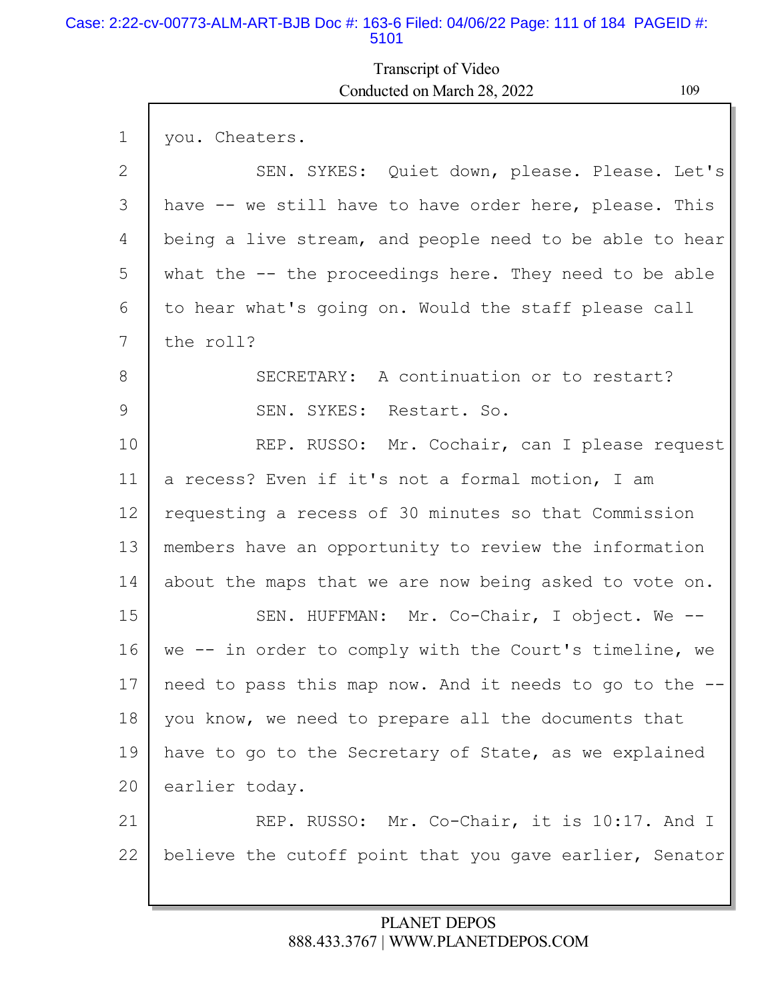### Case: 2:22-cv-00773-ALM-ART-BJB Doc #: 163-6 Filed: 04/06/22 Page: 111 of 184 PAGEID #: 5101

# Transcript of Video Conducted on March 28, 2022 109

| $\mathbf 1$ | you. Cheaters.                                          |
|-------------|---------------------------------------------------------|
| 2           | SEN. SYKES: Quiet down, please. Please. Let's           |
| 3           | have -- we still have to have order here, please. This  |
| 4           | being a live stream, and people need to be able to hear |
| 5           | what the -- the proceedings here. They need to be able  |
| 6           | to hear what's going on. Would the staff please call    |
| 7           | the roll?                                               |
| 8           | SECRETARY: A continuation or to restart?                |
| 9           | SEN. SYKES:<br>Restart. So.                             |
| 10          | REP. RUSSO: Mr. Cochair, can I please request           |
| 11          | a recess? Even if it's not a formal motion, I am        |
| 12          | requesting a recess of 30 minutes so that Commission    |
| 13          | members have an opportunity to review the information   |
| 14          | about the maps that we are now being asked to vote on.  |
| 15          | SEN. HUFFMAN: Mr. Co-Chair, I object. We --             |
| 16          | we -- in order to comply with the Court's timeline, we  |
| 17          | need to pass this map now. And it needs to go to the -- |
| 18          | you know, we need to prepare all the documents that     |
| 19          | have to go to the Secretary of State, as we explained   |
| 20          | earlier today.                                          |
| 21          | REP. RUSSO: Mr. Co-Chair, it is 10:17. And I            |
| 22          | believe the cutoff point that you gave earlier, Senator |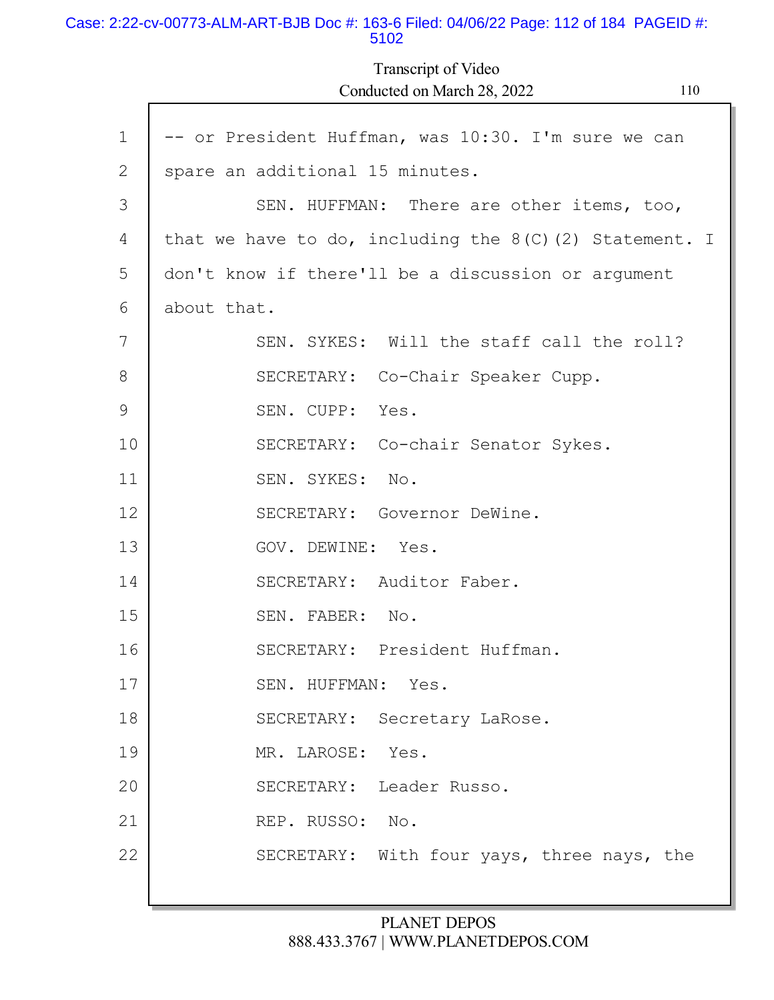#### Case: 2:22-cv-00773-ALM-ART-BJB Doc #: 163-6 Filed: 04/06/22 Page: 112 of 184 PAGEID #: 5102

Transcript of Video Conducted on March 28, 2022 110

| $\mathbf 1$  | -- or President Huffman, was 10:30. I'm sure we can       |
|--------------|-----------------------------------------------------------|
| $\mathbf{2}$ | spare an additional 15 minutes.                           |
| 3            | SEN. HUFFMAN: There are other items, too,                 |
| 4            | that we have to do, including the $8(C)$ (2) Statement. I |
| 5            | don't know if there'll be a discussion or argument        |
| 6            | about that.                                               |
| 7            | SEN. SYKES: Will the staff call the roll?                 |
| 8            | SECRETARY: Co-Chair Speaker Cupp.                         |
| 9            | SEN. CUPP: Yes.                                           |
| 10           | SECRETARY: Co-chair Senator Sykes.                        |
| 11           | SEN. SYKES: No.                                           |
| 12           | SECRETARY: Governor DeWine.                               |
| 13           | GOV. DEWINE: Yes.                                         |
| 14           | SECRETARY: Auditor Faber.                                 |
| 15           | SEN. FABER: No.                                           |
| 16           | SECRETARY: President Huffman.                             |
| 17           | SEN. HUFFMAN: Yes                                         |
| 18           | SECRETARY: Secretary LaRose.                              |
| 19           | MR. LAROSE:<br>Yes.                                       |
| 20           | SECRETARY: Leader Russo.                                  |
| 21           | REP. RUSSO: No.                                           |
| 22           | SECRETARY: With four yays, three nays, the                |
|              |                                                           |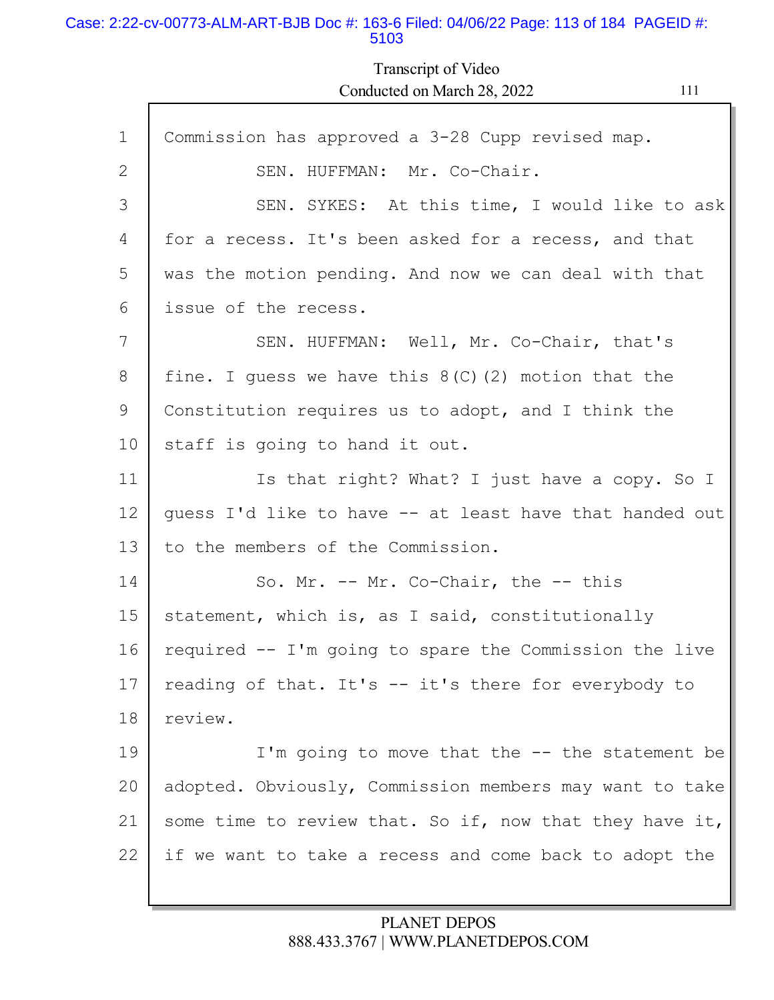#### Case: 2:22-cv-00773-ALM-ART-BJB Doc #: 163-6 Filed: 04/06/22 Page: 113 of 184 PAGEID #: 5103

Transcript of Video Conducted on March 28, 2022 111

| $\mathbf{1}$ | Commission has approved a 3-28 Cupp revised map.        |
|--------------|---------------------------------------------------------|
| 2            | SEN. HUFFMAN: Mr. Co-Chair.                             |
| 3            | SEN. SYKES: At this time, I would like to ask           |
| 4            | for a recess. It's been asked for a recess, and that    |
| 5            | was the motion pending. And now we can deal with that   |
| 6            | issue of the recess.                                    |
| 7            | SEN. HUFFMAN: Well, Mr. Co-Chair, that's                |
| 8            | fine. I guess we have this $8(C)$ (2) motion that the   |
| 9            | Constitution requires us to adopt, and I think the      |
| 10           | staff is going to hand it out.                          |
| 11           | Is that right? What? I just have a copy. So I           |
| 12           | guess I'd like to have -- at least have that handed out |
| 13           | to the members of the Commission.                       |
| 14           | So. Mr. -- Mr. Co-Chair, the -- this                    |
| 15           | statement, which is, as I said, constitutionally        |
| 16           | required -- I'm going to spare the Commission the live  |
| 17           | reading of that. It's -- it's there for everybody to    |
| 18           | review.                                                 |
| 19           | I'm going to move that the $-$ - the statement be       |
| 20           | adopted. Obviously, Commission members may want to take |
| 21           | some time to review that. So if, now that they have it, |
| 22           | if we want to take a recess and come back to adopt the  |
|              |                                                         |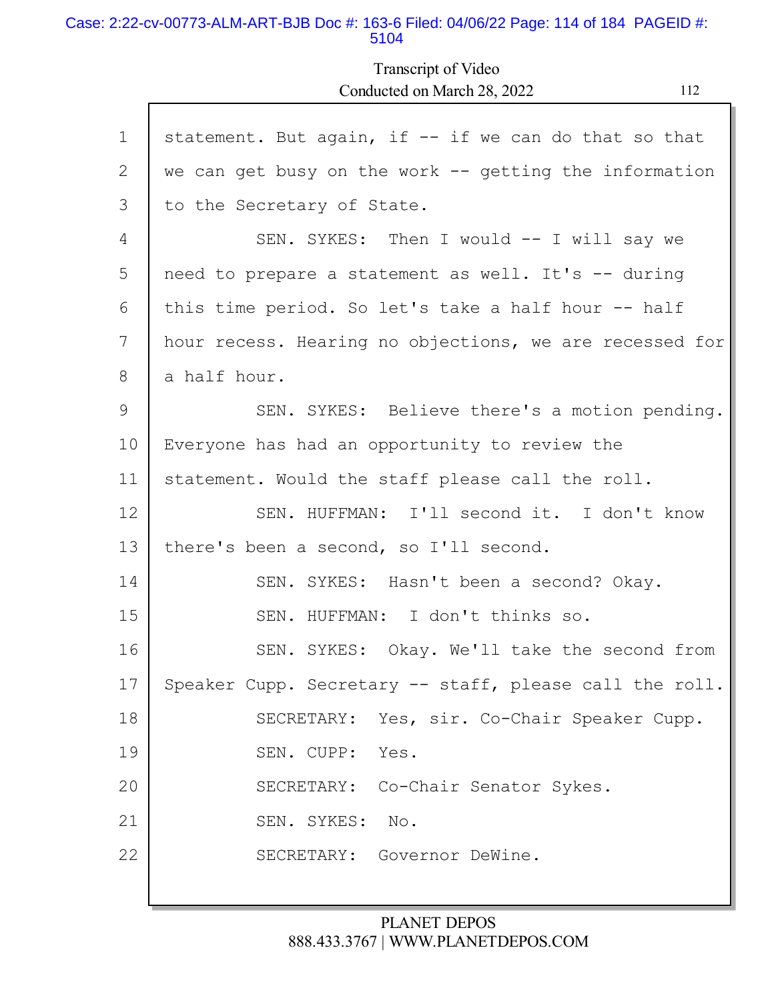#### Case: 2:22-cv-00773-ALM-ART-BJB Doc #: 163-6 Filed: 04/06/22 Page: 114 of 184 PAGEID #: 5104

Г

Transcript of Video Conducted on March 28, 2022 112

| $\mathbf 1$ | statement. But again, if -- if we can do that so that    |
|-------------|----------------------------------------------------------|
| 2           | we can get busy on the work $--$ getting the information |
| 3           | to the Secretary of State.                               |
| 4           | SEN. SYKES: Then I would -- I will say we                |
| 5           | need to prepare a statement as well. It's -- during      |
| 6           | this time period. So let's take a half hour -- half      |
| 7           | hour recess. Hearing no objections, we are recessed for  |
| 8           | a half hour.                                             |
| 9           | SEN. SYKES: Believe there's a motion pending.            |
| 10          | Everyone has had an opportunity to review the            |
| 11          | statement. Would the staff please call the roll.         |
| 12          | SEN. HUFFMAN: I'll second it. I don't know               |
| 13          | there's been a second, so I'll second.                   |
| 14          | SEN. SYKES: Hasn't been a second? Okay.                  |
| 15          | SEN. HUFFMAN: I don't thinks so.                         |
| 16          | SEN. SYKES: Okay. We'll take the second from             |
| 17          | Speaker Cupp. Secretary -- staff, please call the roll.  |
| 18          | SECRETARY: Yes, sir. Co-Chair Speaker Cupp.              |
| 19          | SEN. CUPP: Yes.                                          |
| 20          | SECRETARY: Co-Chair Senator Sykes.                       |
| 21          | SEN. SYKES:<br>No.                                       |
| 22          | SECRETARY: Governor DeWine.                              |
|             |                                                          |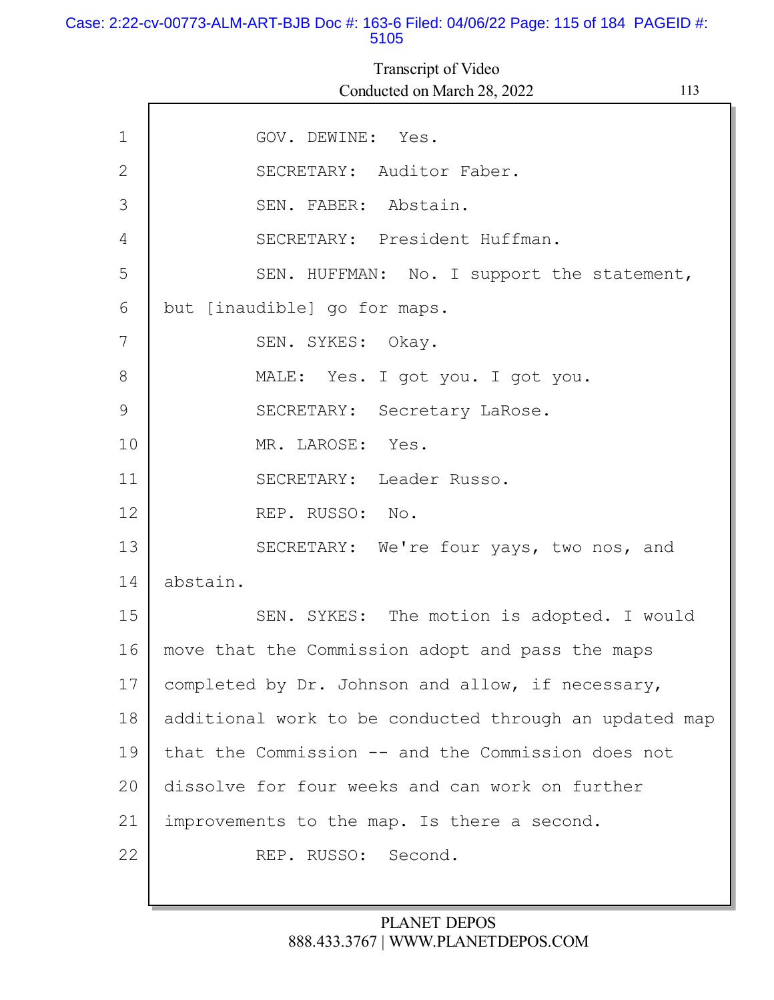#### Case: 2:22-cv-00773-ALM-ART-BJB Doc #: 163-6 Filed: 04/06/22 Page: 115 of 184 PAGEID #: 5105

1 2 3 4 5 6 7 8 9 10 11 12 13 14 15 16 17 18 19 20 21 GOV. DEWINE: Yes. SECRETARY: Auditor Faber. SEN. FABER: Abstain. SECRETARY: President Huffman. SEN. HUFFMAN: No. I support the statement, but [inaudible] go for maps. SEN. SYKES: Okay. MALE: Yes. I got you. I got you. SECRETARY: Secretary LaRose. MR. LAROSE: Yes. SECRETARY: Leader Russo. REP. RUSSO: No. SECRETARY: We're four yays, two nos, and abstain. SEN. SYKES: The motion is adopted. I would move that the Commission adopt and pass the maps completed by Dr. Johnson and allow, if necessary, additional work to be conducted through an updated map that the Commission -- and the Commission does not dissolve for four weeks and can work on further improvements to the map. Is there a second. Transcript of Video Conducted on March 28, 2022 113

REP. RUSSO: Second.

22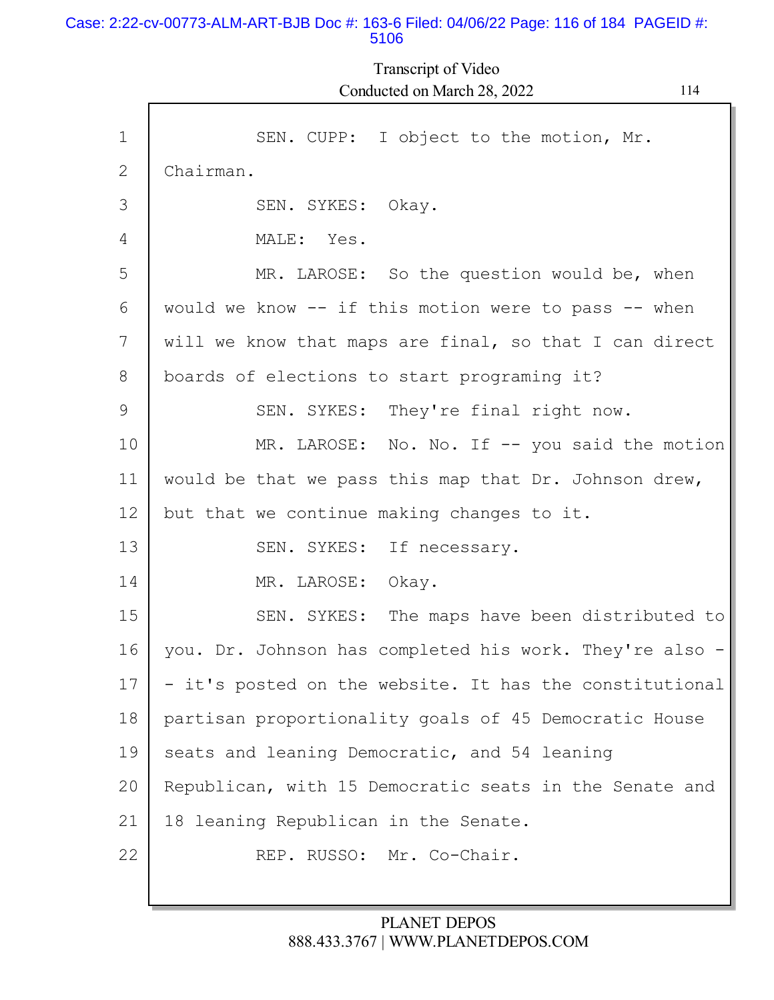#### Case: 2:22-cv-00773-ALM-ART-BJB Doc #: 163-6 Filed: 04/06/22 Page: 116 of 184 PAGEID #: 5106

Transcript of Video Conducted on March 28, 2022 114

| $\mathbf{1}$ | SEN. CUPP: I object to the motion, Mr.                  |
|--------------|---------------------------------------------------------|
| 2            | Chairman.                                               |
| 3            | SEN. SYKES: Okay.                                       |
| 4            | MALE: Yes.                                              |
| 5            | MR. LAROSE: So the question would be, when              |
| 6            | would we know -- if this motion were to pass -- when    |
| 7            | will we know that maps are final, so that I can direct  |
| 8            | boards of elections to start programing it?             |
| 9            | SEN. SYKES: They're final right now.                    |
| 10           | MR. LAROSE: No. No. If -- you said the motion           |
| 11           | would be that we pass this map that Dr. Johnson drew,   |
| 12           | but that we continue making changes to it.              |
| 13           | SEN. SYKES: If necessary.                               |
| 14           | MR. LAROSE:<br>Okay.                                    |
| 15           | SEN. SYKES: The maps have been distributed to           |
| 16           | you. Dr. Johnson has completed his work. They're also - |
| 17           | - it's posted on the website. It has the constitutional |
| 18           | partisan proportionality goals of 45 Democratic House   |
| 19           | seats and leaning Democratic, and 54 leaning            |
| 20           | Republican, with 15 Democratic seats in the Senate and  |
| 21           | 18 leaning Republican in the Senate.                    |
| 22           | REP. RUSSO: Mr. Co-Chair.                               |
|              |                                                         |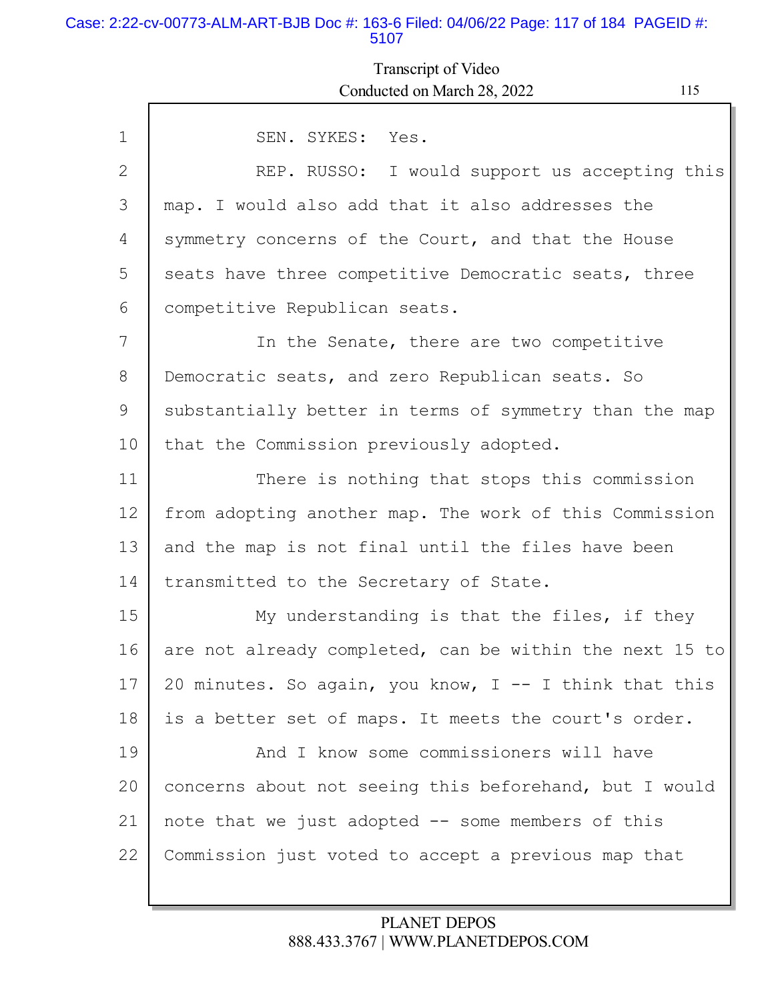#### Case: 2:22-cv-00773-ALM-ART-BJB Doc #: 163-6 Filed: 04/06/22 Page: 117 of 184 PAGEID #: 5107

# Transcript of Video Conducted on March 28, 2022 115

| $\mathbf{1}$ | SEN. SYKES: Yes.                                        |
|--------------|---------------------------------------------------------|
|              |                                                         |
| $\mathbf{2}$ | REP. RUSSO: I would support us accepting this           |
| 3            | map. I would also add that it also addresses the        |
| 4            | symmetry concerns of the Court, and that the House      |
| 5            | seats have three competitive Democratic seats, three    |
| 6            | competitive Republican seats.                           |
| 7            | In the Senate, there are two competitive                |
| 8            | Democratic seats, and zero Republican seats. So         |
| 9            | substantially better in terms of symmetry than the map  |
| 10           | that the Commission previously adopted.                 |
| 11           | There is nothing that stops this commission             |
| 12           | from adopting another map. The work of this Commission  |
| 13           | and the map is not final until the files have been      |
| 14           | transmitted to the Secretary of State.                  |
| 15           | My understanding is that the files, if they             |
| 16           | are not already completed, can be within the next 15 to |
| 17           | 20 minutes. So again, you know, I -- I think that this  |
| 18           | is a better set of maps. It meets the court's order.    |
| 19           | And I know some commissioners will have                 |
| 20           | concerns about not seeing this beforehand, but I would  |
| 21           | note that we just adopted -- some members of this       |
| 22           |                                                         |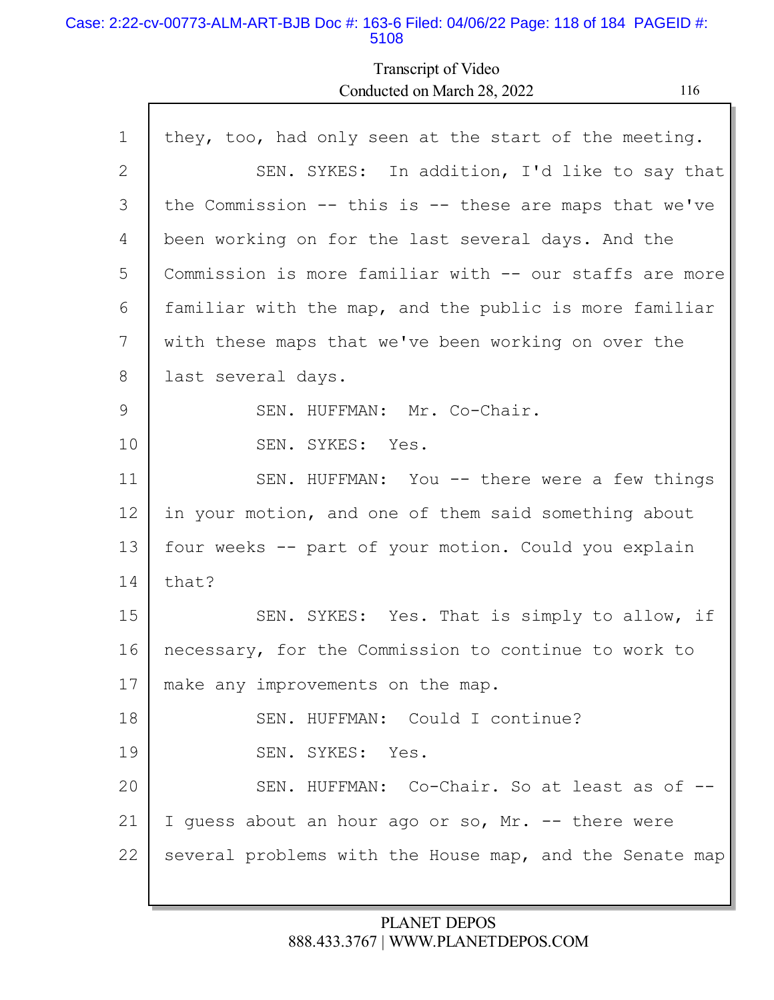#### Case: 2:22-cv-00773-ALM-ART-BJB Doc #: 163-6 Filed: 04/06/22 Page: 118 of 184 PAGEID #: 5108

I

Transcript of Video Conducted on March 28, 2022

| ×<br>۰. |  |
|---------|--|
|---------|--|

| $\mathbf 1$  | they, too, had only seen at the start of the meeting.      |
|--------------|------------------------------------------------------------|
| $\mathbf{2}$ | SEN. SYKES: In addition, I'd like to say that              |
| 3            | the Commission $--$ this is $--$ these are maps that we've |
| 4            | been working on for the last several days. And the         |
| 5            | Commission is more familiar with -- our staffs are more    |
| 6            | familiar with the map, and the public is more familiar     |
| 7            | with these maps that we've been working on over the        |
| 8            | last several days.                                         |
| 9            | SEN. HUFFMAN: Mr. Co-Chair.                                |
| 10           | SEN. SYKES: Yes.                                           |
| 11           | SEN. HUFFMAN: You -- there were a few things               |
| 12           | in your motion, and one of them said something about       |
| 13           | four weeks -- part of your motion. Could you explain       |
| 14           | that?                                                      |
| 15           | SEN. SYKES: Yes. That is simply to allow, if               |
| 16           | necessary, for the Commission to continue to work to       |
| 17           | make any improvements on the map.                          |
| 18           | SEN. HUFFMAN: Could I continue?                            |
| 19           | SEN. SYKES: Yes.                                           |
| 20           | SEN. HUFFMAN: Co-Chair. So at least as of --               |
| 21           | I guess about an hour ago or so, Mr. -- there were         |
| 22           | several problems with the House map, and the Senate map    |
|              |                                                            |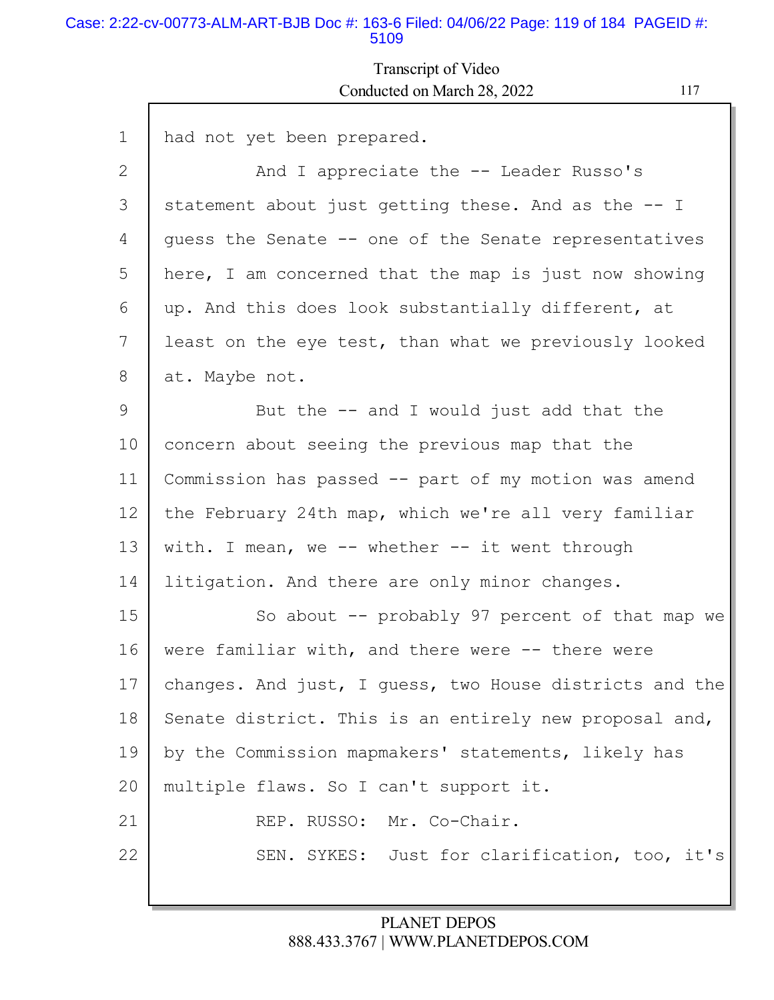#### Case: 2:22-cv-00773-ALM-ART-BJB Doc #: 163-6 Filed: 04/06/22 Page: 119 of 184 PAGEID #: 5109

## Transcript of Video Conducted on March 28, 2022 117

| $\mathbf{1}$ | had not yet been prepared.                              |
|--------------|---------------------------------------------------------|
| 2            | And I appreciate the -- Leader Russo's                  |
| 3            | statement about just getting these. And as the -- I     |
| 4            | quess the Senate -- one of the Senate representatives   |
| 5            | here, I am concerned that the map is just now showing   |
| 6            | up. And this does look substantially different, at      |
| 7            | least on the eye test, than what we previously looked   |
| 8            | at. Maybe not.                                          |
| 9            | But the $-$ and I would just add that the               |
| 10           | concern about seeing the previous map that the          |
| 11           | Commission has passed -- part of my motion was amend    |
| 12           | the February 24th map, which we're all very familiar    |
| 13           | with. I mean, we $-$ whether $-$ it went through        |
| 14           | litigation. And there are only minor changes.           |
| 15           | So about $-$ probably 97 percent of that map we         |
| 16           | were familiar with, and there were -- there were        |
| 17           | changes. And just, I guess, two House districts and the |
| 18           | Senate district. This is an entirely new proposal and,  |
| 19           | by the Commission mapmakers' statements, likely has     |
| 20           | multiple flaws. So I can't support it.                  |
| 21           | REP. RUSSO: Mr. Co-Chair.                               |
| 22           | SEN. SYKES: Just for clarification, too, it's           |
|              |                                                         |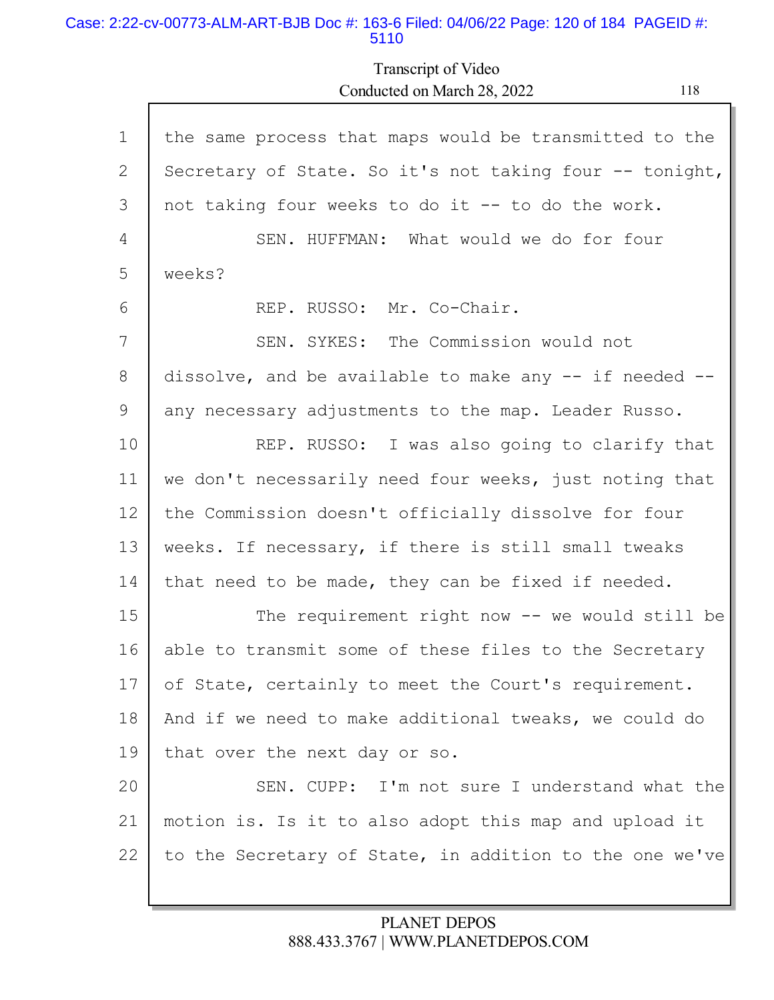### Case: 2:22-cv-00773-ALM-ART-BJB Doc #: 163-6 Filed: 04/06/22 Page: 120 of 184 PAGEID #: 5110

Г

Transcript of Video Conducted on March 28, 2022 118

| $\mathbf 1$ | the same process that maps would be transmitted to the   |
|-------------|----------------------------------------------------------|
| 2           | Secretary of State. So it's not taking four -- tonight,  |
| 3           | not taking four weeks to do it -- to do the work.        |
| 4           | SEN. HUFFMAN: What would we do for four                  |
| 5           | weeks?                                                   |
| 6           | Mr. Co-Chair.<br>REP. RUSSO:                             |
| 7           | SEN. SYKES: The Commission would not                     |
| 8           | dissolve, and be available to make any $-$ if needed $-$ |
| 9           | any necessary adjustments to the map. Leader Russo.      |
| 10          | REP. RUSSO: I was also going to clarify that             |
| 11          | we don't necessarily need four weeks, just noting that   |
| 12          | the Commission doesn't officially dissolve for four      |
| 13          | weeks. If necessary, if there is still small tweaks      |
| 14          | that need to be made, they can be fixed if needed.       |
| 15          | The requirement right now $--$ we would still be         |
| 16          | able to transmit some of these files to the Secretary    |
| 17          | of State, certainly to meet the Court's requirement.     |
| 18          | And if we need to make additional tweaks, we could do    |
| 19          | that over the next day or so.                            |
| 20          | SEN. CUPP: I'm not sure I understand what the            |
| 21          | motion is. Is it to also adopt this map and upload it    |
| 22          | to the Secretary of State, in addition to the one we've  |
|             |                                                          |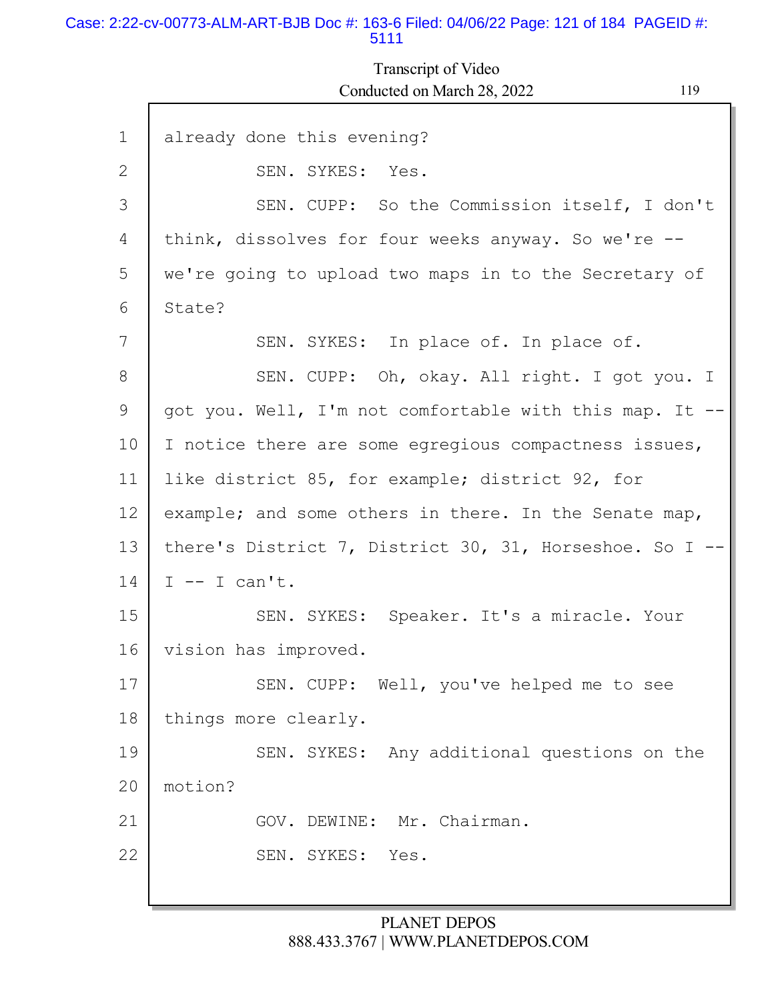#### Case: 2:22-cv-00773-ALM-ART-BJB Doc #: 163-6 Filed: 04/06/22 Page: 121 of 184 PAGEID #: 5111

# Transcript of Video Conducted on March 28, 2022 119

| $\mathbf{1}$ | already done this evening?                               |
|--------------|----------------------------------------------------------|
| 2            | SEN. SYKES: Yes.                                         |
| 3            | SEN. CUPP: So the Commission itself, I don't             |
| 4            | think, dissolves for four weeks anyway. So we're --      |
| 5            | we're going to upload two maps in to the Secretary of    |
| 6            | State?                                                   |
| 7            | SEN. SYKES: In place of. In place of.                    |
| 8            | SEN. CUPP: Oh, okay. All right. I got you. I             |
| 9            | got you. Well, I'm not comfortable with this map. It --  |
| 10           | I notice there are some egregious compactness issues,    |
| 11           | like district 85, for example; district 92, for          |
| 12           | example; and some others in there. In the Senate map,    |
| 13           | there's District 7, District 30, 31, Horseshoe. So I $-$ |
| 14           | $I$ -- I can't.                                          |
|              |                                                          |
| 15           | SEN. SYKES: Speaker. It's a miracle. Your                |
| 16           | vision has improved.                                     |
| 17           | SEN. CUPP: Well, you've helped me to see                 |
| 18           | things more clearly.                                     |
| 19           | SEN. SYKES: Any additional questions on the              |
| 20           | motion?                                                  |
| 21           | GOV. DEWINE: Mr. Chairman.                               |
| 22           | SEN. SYKES:<br>Yes.                                      |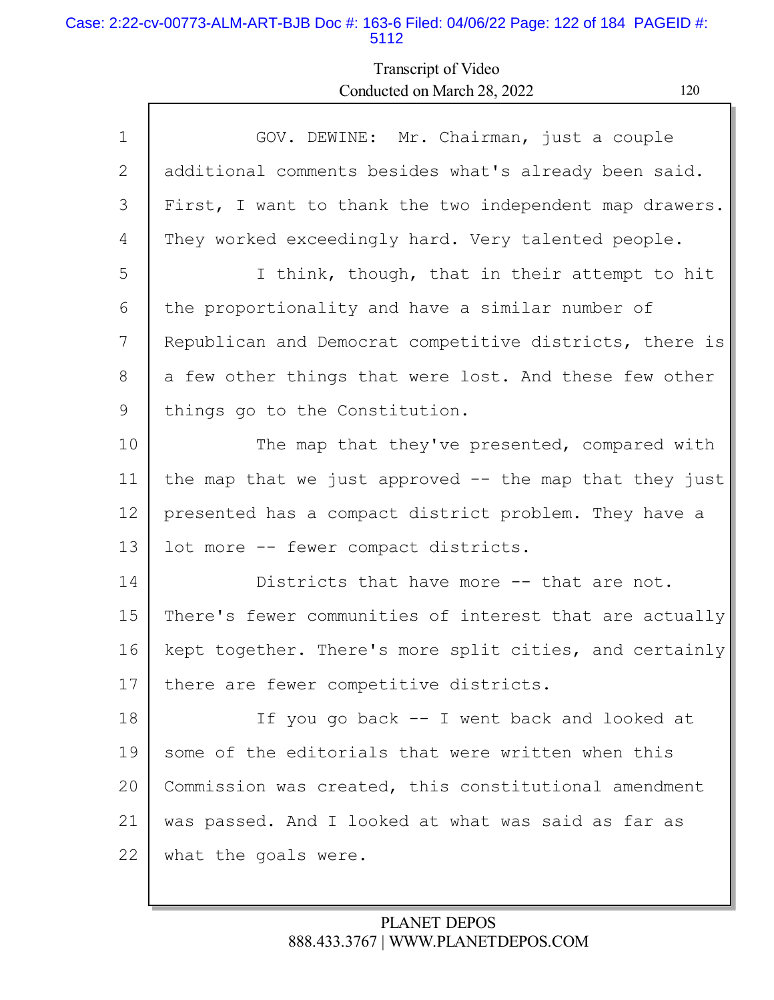### Case: 2:22-cv-00773-ALM-ART-BJB Doc #: 163-6 Filed: 04/06/22 Page: 122 of 184 PAGEID #: 5112

Г

# Transcript of Video Conducted on March 28, 2022 120

| $\mathbf 1$       | GOV. DEWINE: Mr. Chairman, just a couple                 |
|-------------------|----------------------------------------------------------|
| 2                 | additional comments besides what's already been said.    |
| 3                 | First, I want to thank the two independent map drawers.  |
| 4                 | They worked exceedingly hard. Very talented people.      |
| 5                 | I think, though, that in their attempt to hit            |
| 6                 | the proportionality and have a similar number of         |
| 7                 | Republican and Democrat competitive districts, there is  |
| 8                 | a few other things that were lost. And these few other   |
| 9                 | things go to the Constitution.                           |
| 10                | The map that they've presented, compared with            |
| 11                | the map that we just approved $-$ the map that they just |
| $12 \overline{ }$ | presented has a compact district problem. They have a    |
| 13                | lot more -- fewer compact districts.                     |
| 14                | Districts that have more -- that are not.                |
| 15                | There's fewer communities of interest that are actually  |
| 16                | kept together. There's more split cities, and certainly  |
| 17                | there are fewer competitive districts.                   |
| 18                | If you go back -- I went back and looked at              |
| 19                | some of the editorials that were written when this       |
| 20                | Commission was created, this constitutional amendment    |
| 21                | was passed. And I looked at what was said as far as      |
| 22                | what the goals were.                                     |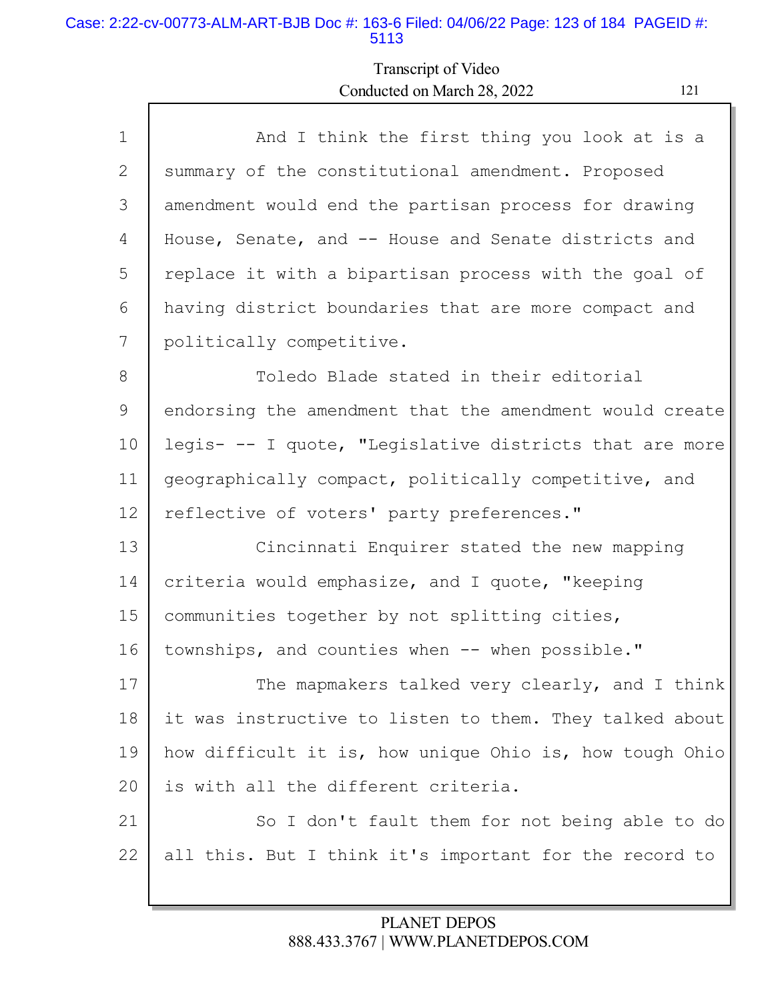### Case: 2:22-cv-00773-ALM-ART-BJB Doc #: 163-6 Filed: 04/06/22 Page: 123 of 184 PAGEID #: 5113

Г

# Transcript of Video Conducted on March 28, 2022 121

| $\mathbf{1}$ | And I think the first thing you look at is a            |
|--------------|---------------------------------------------------------|
| 2            | summary of the constitutional amendment. Proposed       |
| 3            | amendment would end the partisan process for drawing    |
| 4            | House, Senate, and -- House and Senate districts and    |
| 5            | replace it with a bipartisan process with the goal of   |
| 6            | having district boundaries that are more compact and    |
| 7            | politically competitive.                                |
| $8\,$        | Toledo Blade stated in their editorial                  |
| 9            | endorsing the amendment that the amendment would create |
| 10           | legis- -- I quote, "Legislative districts that are more |
| 11           | geographically compact, politically competitive, and    |
| 12           | reflective of voters' party preferences."               |
| 13           | Cincinnati Enquirer stated the new mapping              |
| 14           | criteria would emphasize, and I quote, "keeping         |
| 15           | communities together by not splitting cities,           |
| 16           | townships, and counties when -- when possible."         |
| 17           | The mapmakers talked very clearly, and I think          |
| 18           | it was instructive to listen to them. They talked about |
| 19           | how difficult it is, how unique Ohio is, how tough Ohio |
| 20           | is with all the different criteria.                     |
| 21           | So I don't fault them for not being able to do          |
| 22           | all this. But I think it's important for the record to  |
|              |                                                         |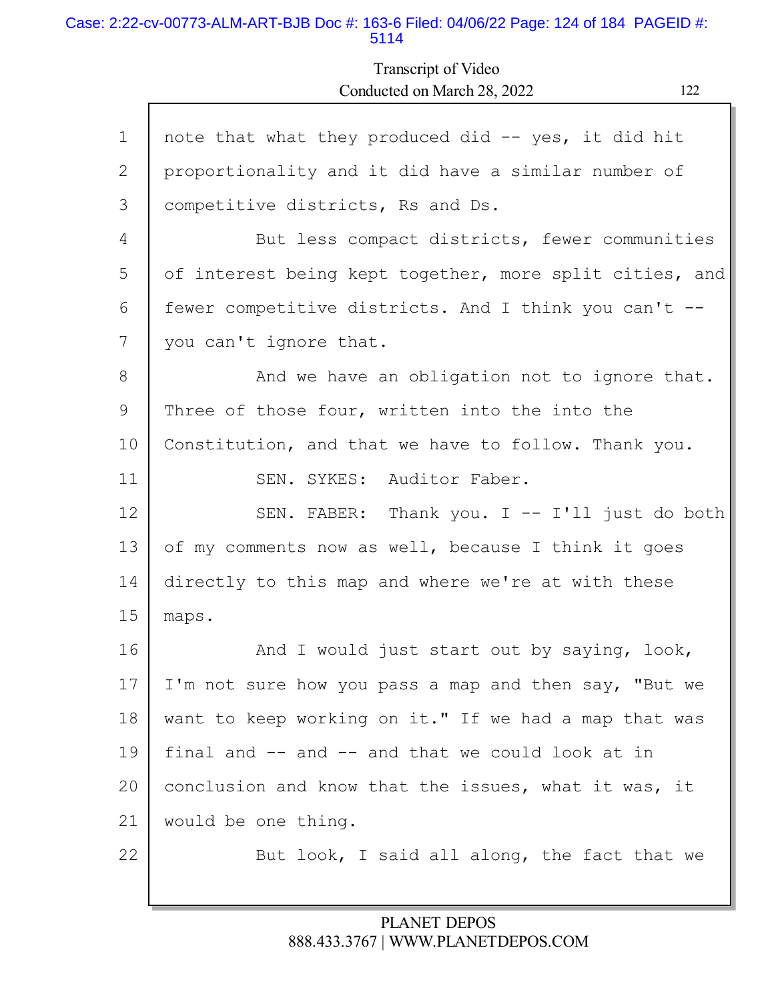#### Case: 2:22-cv-00773-ALM-ART-BJB Doc #: 163-6 Filed: 04/06/22 Page: 124 of 184 PAGEID #: 5114

Г

# Transcript of Video Conducted on March 28, 2022 122

ъ

| $\mathbf{1}$ | note that what they produced did -- yes, it did hit     |
|--------------|---------------------------------------------------------|
| 2            | proportionality and it did have a similar number of     |
| 3            | competitive districts, Rs and Ds.                       |
| 4            | But less compact districts, fewer communities           |
| 5            | of interest being kept together, more split cities, and |
| 6            | fewer competitive districts. And I think you can't --   |
| 7            | you can't ignore that.                                  |
| 8            | And we have an obligation not to ignore that.           |
| 9            | Three of those four, written into the into the          |
| 10           | Constitution, and that we have to follow. Thank you.    |
| 11           | SEN. SYKES: Auditor Faber.                              |
| 12           | SEN. FABER: Thank you. I -- I'll just do both           |
| 13           | of my comments now as well, because I think it goes     |
| 14           | directly to this map and where we're at with these      |
| 15           | maps.                                                   |
| 16           | And I would just start out by saying, look,             |
| 17           | I'm not sure how you pass a map and then say, "But we   |
| 18           | want to keep working on it." If we had a map that was   |
| 19           | final and -- and -- and that we could look at in        |
| 20           | conclusion and know that the issues, what it was, it    |
| 21           | would be one thing.                                     |
| 22           | But look, I said all along, the fact that we            |
|              |                                                         |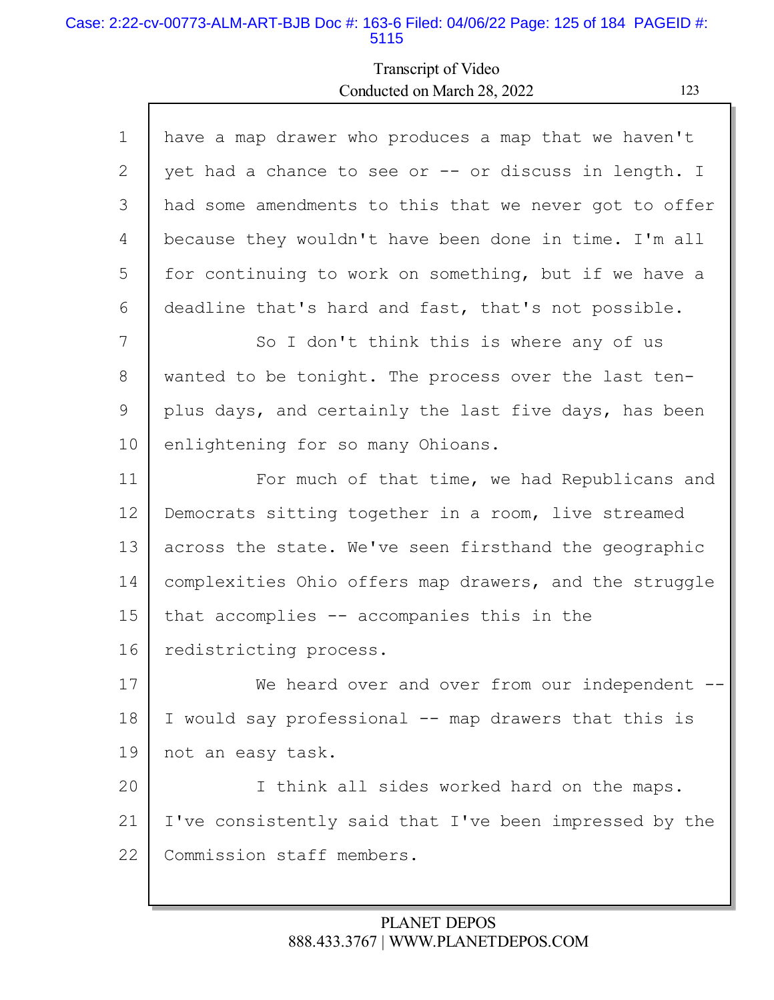#### Case: 2:22-cv-00773-ALM-ART-BJB Doc #: 163-6 Filed: 04/06/22 Page: 125 of 184 PAGEID #: 5115

### Transcript of Video Conducted on March 28, 2022 123

1 2 3 4 5 6 7 8 9 10 11 12 13 14 15 16 17 18 19 20 21 22 have a map drawer who produces a map that we haven't yet had a chance to see or -- or discuss in length. I had some amendments to this that we never got to offer because they wouldn't have been done in time. I'm all for continuing to work on something, but if we have a deadline that's hard and fast, that's not possible. So I don't think this is where any of us wanted to be tonight. The process over the last tenplus days, and certainly the last five days, has been enlightening for so many Ohioans. For much of that time, we had Republicans and Democrats sitting together in a room, live streamed across the state. We've seen firsthand the geographic complexities Ohio offers map drawers, and the struggle that accomplies -- accompanies this in the redistricting process. We heard over and over from our independent --I would say professional -- map drawers that this is not an easy task. I think all sides worked hard on the maps. I've consistently said that I've been impressed by the Commission staff members.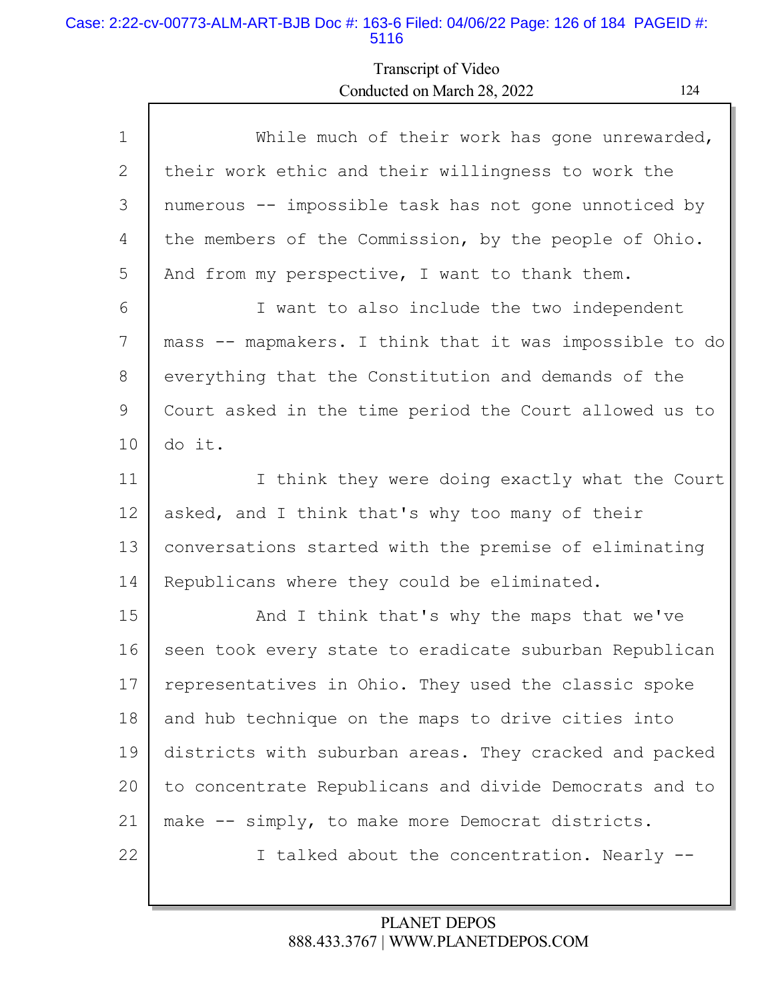### Case: 2:22-cv-00773-ALM-ART-BJB Doc #: 163-6 Filed: 04/06/22 Page: 126 of 184 PAGEID #: 5116

# Transcript of Video Conducted on March 28, 2022 124

| $\mathbf 1$ | While much of their work has gone unrewarded,           |
|-------------|---------------------------------------------------------|
| 2           | their work ethic and their willingness to work the      |
| 3           | numerous -- impossible task has not gone unnoticed by   |
| 4           | the members of the Commission, by the people of Ohio.   |
| 5           | And from my perspective, I want to thank them.          |
| 6           | I want to also include the two independent              |
| 7           | mass -- mapmakers. I think that it was impossible to do |
| 8           | everything that the Constitution and demands of the     |
| 9           | Court asked in the time period the Court allowed us to  |
| 10          | do it.                                                  |
| 11          | I think they were doing exactly what the Court          |
| 12          | asked, and I think that's why too many of their         |
| 13          | conversations started with the premise of eliminating   |
|             |                                                         |
| 14          | Republicans where they could be eliminated.             |
| 15          | And I think that's why the maps that we've              |
| 16          | seen took every state to eradicate suburban Republican  |
| 17          | representatives in Ohio. They used the classic spoke    |
| 18          | and hub technique on the maps to drive cities into      |
| 19          | districts with suburban areas. They cracked and packed  |
| 20          | to concentrate Republicans and divide Democrats and to  |
| 21          | make -- simply, to make more Democrat districts.        |
| 22          | I talked about the concentration. Nearly --             |
|             |                                                         |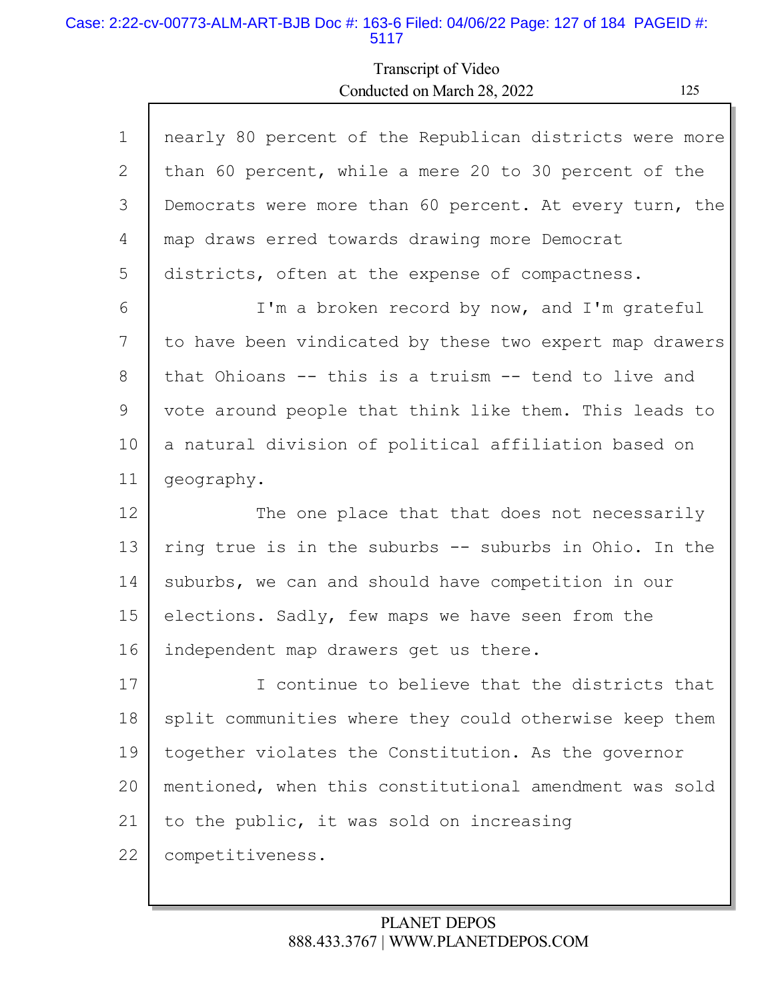### Case: 2:22-cv-00773-ALM-ART-BJB Doc #: 163-6 Filed: 04/06/22 Page: 127 of 184 PAGEID #: 5117

Г

# Transcript of Video Conducted on March 28, 2022

| a.<br>۰ |  |
|---------|--|
|         |  |
| v       |  |
|         |  |

h

| $\mathbf 1$ | nearly 80 percent of the Republican districts were more |
|-------------|---------------------------------------------------------|
| 2           | than 60 percent, while a mere 20 to 30 percent of the   |
| 3           | Democrats were more than 60 percent. At every turn, the |
| 4           | map draws erred towards drawing more Democrat           |
| 5           | districts, often at the expense of compactness.         |
| 6           | I'm a broken record by now, and I'm grateful            |
| 7           | to have been vindicated by these two expert map drawers |
| 8           | that Ohioans -- this is a truism -- tend to live and    |
| 9           | vote around people that think like them. This leads to  |
| 10          | a natural division of political affiliation based on    |
| 11          | geography.                                              |
| 12          | The one place that that does not necessarily            |
| 13          | ring true is in the suburbs -- suburbs in Ohio. In the  |
| 14          | suburbs, we can and should have competition in our      |
| 15          | elections. Sadly, few maps we have seen from the        |
| 16          | independent map drawers get us there.                   |
| 17          | I continue to believe that the districts that           |
| 18          | split communities where they could otherwise keep them  |
| 19          | together violates the Constitution. As the governor     |
| 20          | mentioned, when this constitutional amendment was sold  |
| 21          | to the public, it was sold on increasing                |
| 22          | competitiveness.                                        |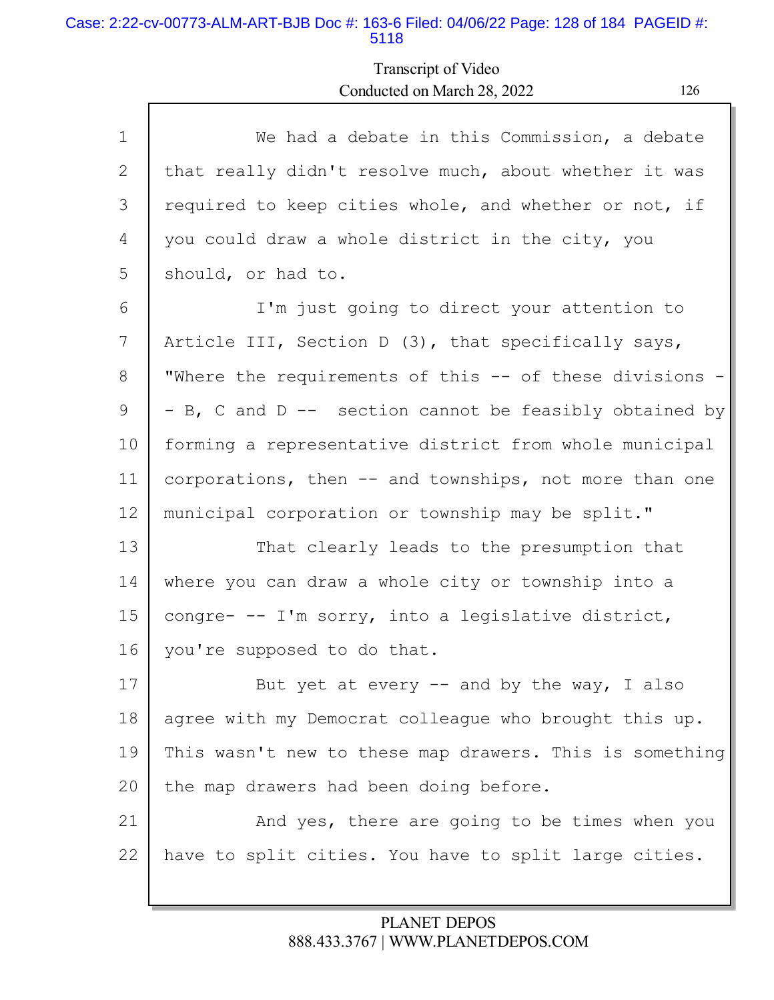### Case: 2:22-cv-00773-ALM-ART-BJB Doc #: 163-6 Filed: 04/06/22 Page: 128 of 184 PAGEID #: 5118

Г

# Transcript of Video Conducted on March 28, 2022 126

| $\mathbf{1}$ | We had a debate in this Commission, a debate            |
|--------------|---------------------------------------------------------|
| 2            | that really didn't resolve much, about whether it was   |
| 3            | required to keep cities whole, and whether or not, if   |
| 4            | you could draw a whole district in the city, you        |
| 5            | should, or had to.                                      |
| 6            | I'm just going to direct your attention to              |
| 7            | Article III, Section D (3), that specifically says,     |
| 8            | "Where the requirements of this -- of these divisions - |
| 9            | - B, C and D -- section cannot be feasibly obtained by  |
| 10           | forming a representative district from whole municipal  |
| 11           | corporations, then -- and townships, not more than one  |
| 12           | municipal corporation or township may be split."        |
| 13           | That clearly leads to the presumption that              |
| 14           | where you can draw a whole city or township into a      |
| 15           | congre- -- I'm sorry, into a legislative district,      |
| 16           | you're supposed to do that.                             |
| 17           | But yet at every $--$ and by the way, I also            |
| 18           | agree with my Democrat colleague who brought this up.   |
| 19           | This wasn't new to these map drawers. This is something |
| 20           | the map drawers had been doing before.                  |
| 21           | And yes, there are going to be times when you           |
| 22           | have to split cities. You have to split large cities.   |
|              |                                                         |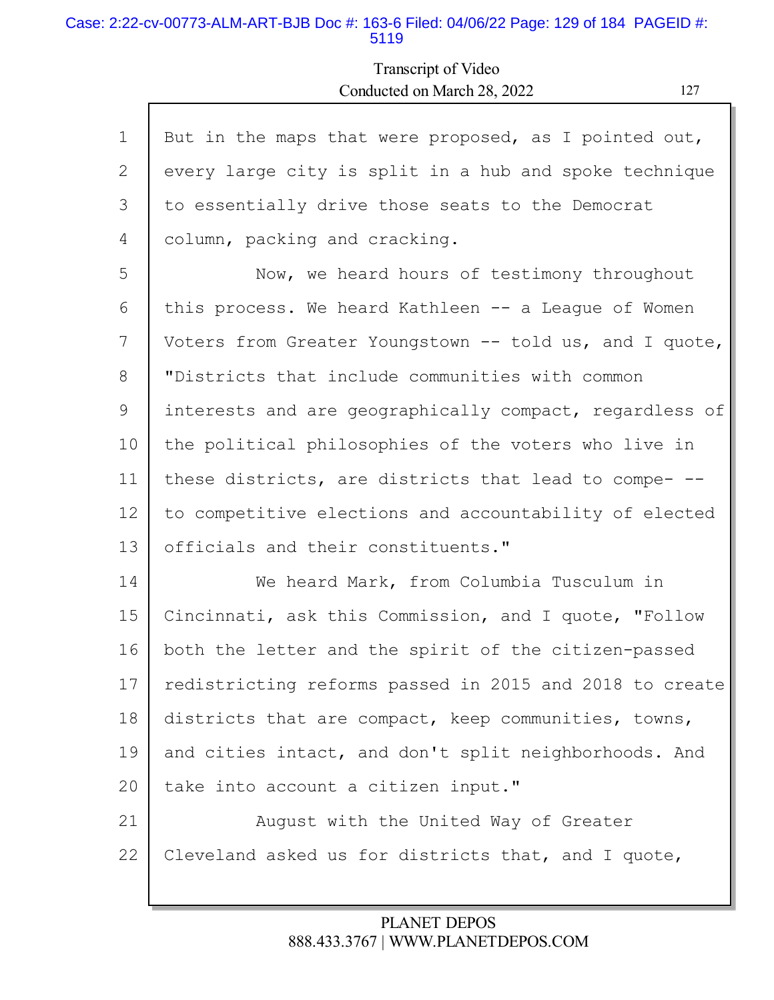#### Case: 2:22-cv-00773-ALM-ART-BJB Doc #: 163-6 Filed: 04/06/22 Page: 129 of 184 PAGEID #: 5119

Г

## Transcript of Video Conducted on March 28, 2022 127

| $\mathbf{1}$ | But in the maps that were proposed, as I pointed out,   |
|--------------|---------------------------------------------------------|
| 2            | every large city is split in a hub and spoke technique  |
| 3            | to essentially drive those seats to the Democrat        |
| 4            | column, packing and cracking.                           |
| 5            | Now, we heard hours of testimony throughout             |
| 6            | this process. We heard Kathleen -- a League of Women    |
| 7            | Voters from Greater Youngstown -- told us, and I quote, |
| 8            | "Districts that include communities with common         |
| 9            | interests and are geographically compact, regardless of |
| 10           | the political philosophies of the voters who live in    |
| 11           | these districts, are districts that lead to compe- --   |
| 12           | to competitive elections and accountability of elected  |
| 13           | officials and their constituents."                      |
| 14           | We heard Mark, from Columbia Tusculum in                |
| 15           | Cincinnati, ask this Commission, and I quote, "Follow   |
| 16           | both the letter and the spirit of the citizen-passed    |
| 17           | redistricting reforms passed in 2015 and 2018 to create |
| 18           | districts that are compact, keep communities, towns,    |
| 19           | and cities intact, and don't split neighborhoods. And   |
| 20           | take into account a citizen input."                     |
| 21           | August with the United Way of Greater                   |
| 22           | Cleveland asked us for districts that, and I quote,     |
|              |                                                         |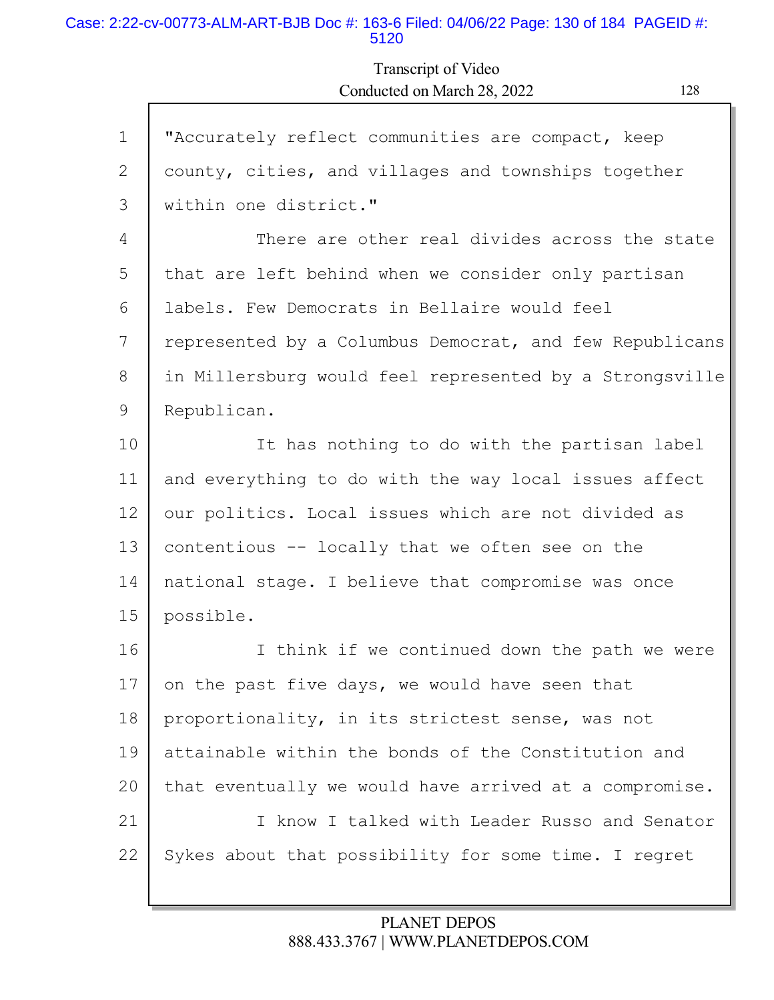#### Case: 2:22-cv-00773-ALM-ART-BJB Doc #: 163-6 Filed: 04/06/22 Page: 130 of 184 PAGEID #: 5120

Г

# Transcript of Video Conducted on March 28, 2022 128

| $\mathbf 1$ | "Accurately reflect communities are compact, keep       |
|-------------|---------------------------------------------------------|
| 2           | county, cities, and villages and townships together     |
| 3           | within one district."                                   |
| 4           | There are other real divides across the state           |
| 5           | that are left behind when we consider only partisan     |
| 6           | labels. Few Democrats in Bellaire would feel            |
| 7           | represented by a Columbus Democrat, and few Republicans |
| 8           | in Millersburg would feel represented by a Strongsville |
| 9           | Republican.                                             |
| 10          | It has nothing to do with the partisan label            |
| 11          | and everything to do with the way local issues affect   |
| 12          | our politics. Local issues which are not divided as     |
| 13          | contentious -- locally that we often see on the         |
| 14          | national stage. I believe that compromise was once      |
| 15          | possible.                                               |
| 16          | I think if we continued down the path we were           |
| 17          | on the past five days, we would have seen that          |
| 18          | proportionality, in its strictest sense, was not        |
| 19          | attainable within the bonds of the Constitution and     |
| 20          | that eventually we would have arrived at a compromise.  |
| 21          | I know I talked with Leader Russo and Senator           |
| 22          | Sykes about that possibility for some time. I regret    |
|             |                                                         |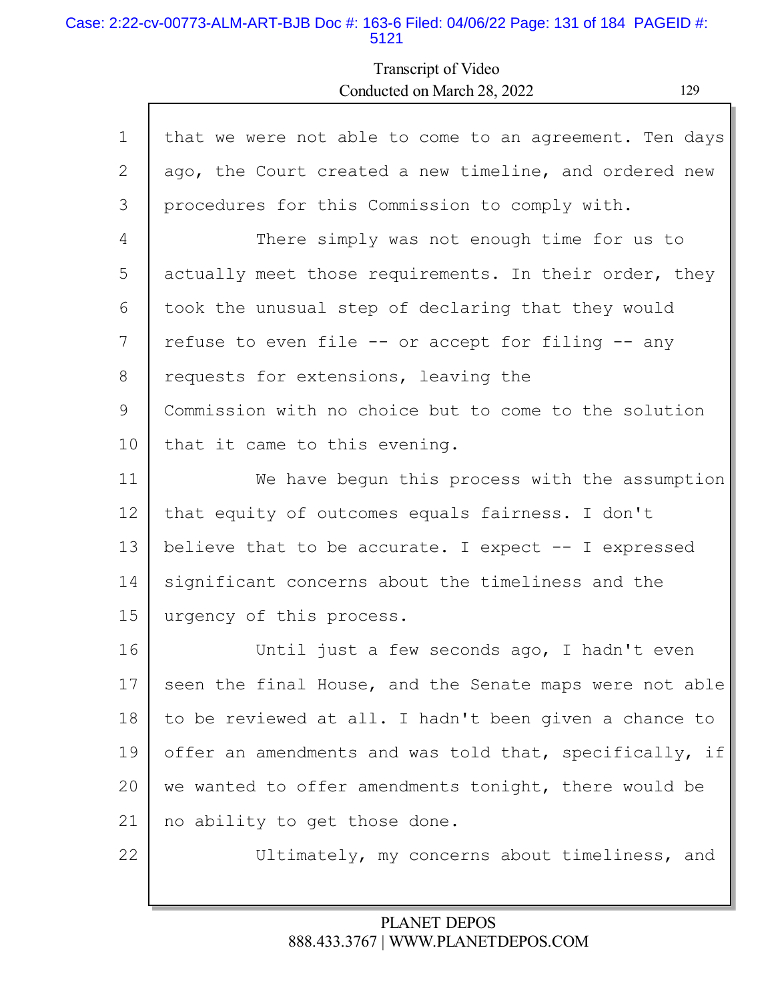#### Case: 2:22-cv-00773-ALM-ART-BJB Doc #: 163-6 Filed: 04/06/22 Page: 131 of 184 PAGEID #: 5121

Г

## Transcript of Video Conducted on March 28, 2022 129

| $\mathbf 1$ | that we were not able to come to an agreement. Ten days |
|-------------|---------------------------------------------------------|
| 2           | ago, the Court created a new timeline, and ordered new  |
| 3           | procedures for this Commission to comply with.          |
| 4           | There simply was not enough time for us to              |
| 5           | actually meet those requirements. In their order, they  |
| 6           | took the unusual step of declaring that they would      |
| 7           | refuse to even file -- or accept for filing -- any      |
| 8           | requests for extensions, leaving the                    |
| 9           | Commission with no choice but to come to the solution   |
| 10          | that it came to this evening.                           |
| 11          | We have begun this process with the assumption          |
| 12          | that equity of outcomes equals fairness. I don't        |
| 13          | believe that to be accurate. I expect -- I expressed    |
| 14          | significant concerns about the timeliness and the       |
| 15          | urgency of this process.                                |
| 16          | Until just a few seconds ago, I hadn't even             |
| 17          | seen the final House, and the Senate maps were not able |
| 18          | to be reviewed at all. I hadn't been given a chance to  |
|             |                                                         |
| 19          | offer an amendments and was told that, specifically, if |
| 20          | we wanted to offer amendments tonight, there would be   |
| 21          | no ability to get those done.                           |
| 22          | Ultimately, my concerns about timeliness, and           |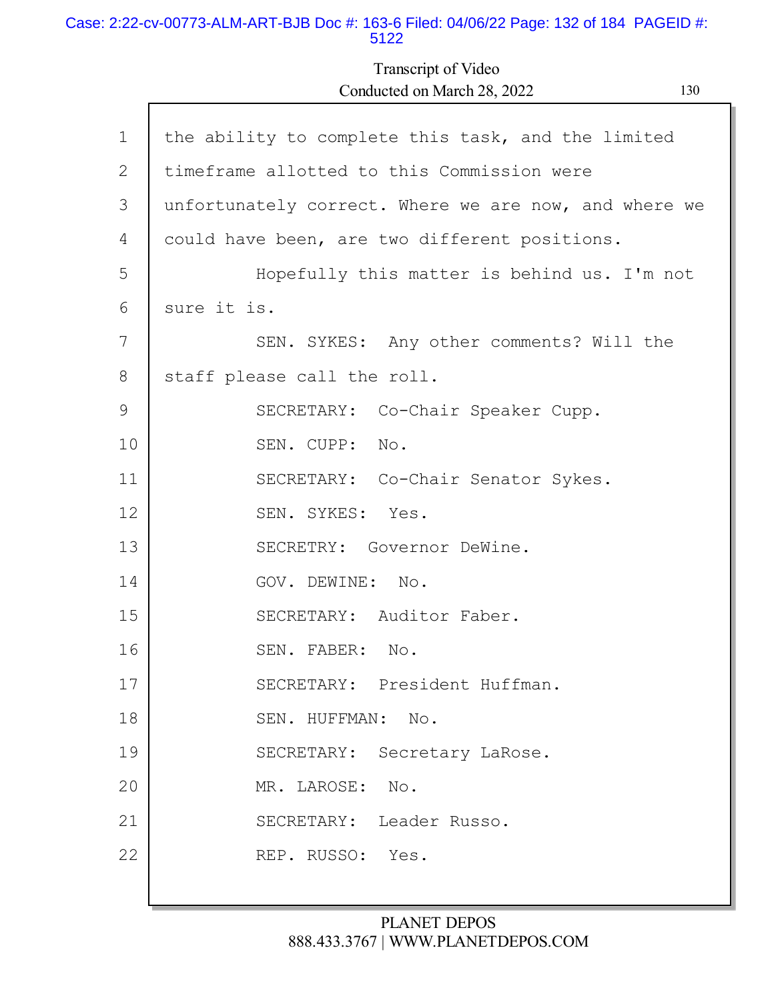#### Case: 2:22-cv-00773-ALM-ART-BJB Doc #: 163-6 Filed: 04/06/22 Page: 132 of 184 PAGEID #: 5122

Г

Transcript of Video Conducted on March 28, 2022 130

| $\mathbf 1$ | the ability to complete this task, and the limited    |
|-------------|-------------------------------------------------------|
| 2           | timeframe allotted to this Commission were            |
| 3           | unfortunately correct. Where we are now, and where we |
| 4           | could have been, are two different positions.         |
| 5           | Hopefully this matter is behind us. I'm not           |
| 6           | sure it is.                                           |
| 7           | SEN. SYKES: Any other comments? Will the              |
| 8           | staff please call the roll.                           |
| 9           | SECRETARY: Co-Chair Speaker Cupp.                     |
| 10          | SEN. CUPP: No.                                        |
| 11          | SECRETARY: Co-Chair Senator Sykes.                    |
| 12          | SEN. SYKES: Yes.                                      |
| 13          | SECRETRY: Governor DeWine.                            |
| 14          | GOV. DEWINE: No.                                      |
| 15          | SECRETARY: Auditor Faber.                             |
| 16          | SEN. FABER: No.                                       |
| 17          | SECRETARY: President Huffman.                         |
| 18          | SEN. HUFFMAN: No.                                     |
| 19          | SECRETARY: Secretary LaRose.                          |
| 20          | MR. LAROSE: No.                                       |
| 21          | SECRETARY: Leader Russo.                              |
| 22          | REP. RUSSO: Yes.                                      |
|             |                                                       |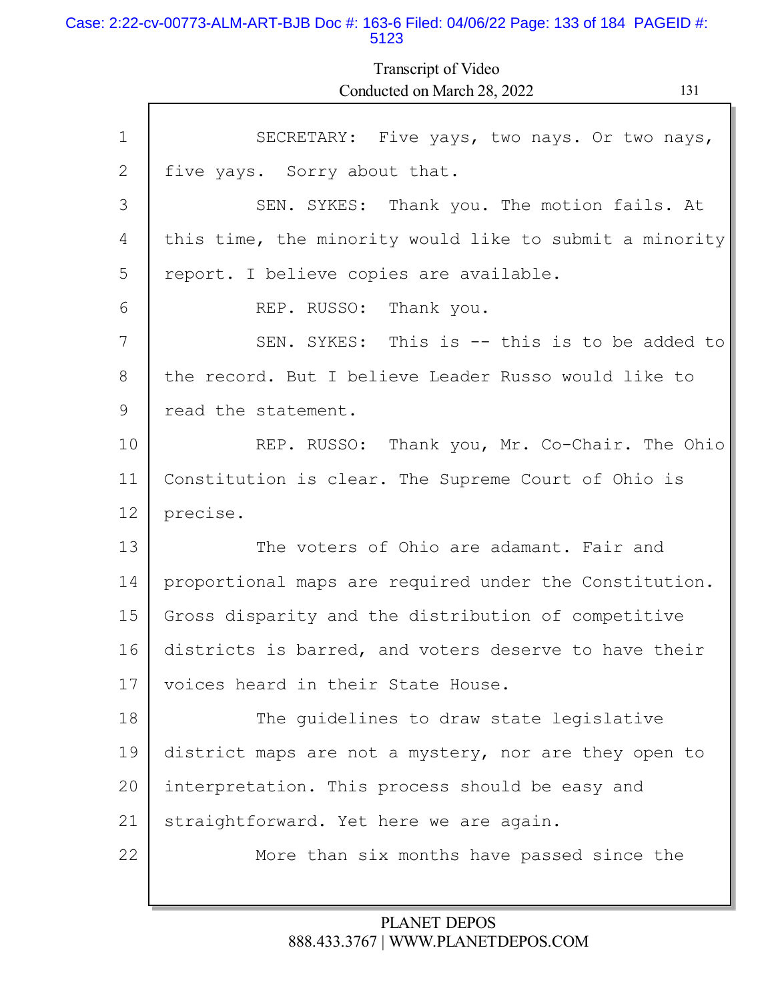#### Case: 2:22-cv-00773-ALM-ART-BJB Doc #: 163-6 Filed: 04/06/22 Page: 133 of 184 PAGEID #: 5123

Transcript of Video Conducted on March 28, 2022 131

Γ

| $\mathbf 1$ | SECRETARY: Five yays, two nays. Or two nays,            |  |  |  |  |  |
|-------------|---------------------------------------------------------|--|--|--|--|--|
| 2           | five yays. Sorry about that.                            |  |  |  |  |  |
| 3           | SEN. SYKES: Thank you. The motion fails. At             |  |  |  |  |  |
| 4           | this time, the minority would like to submit a minority |  |  |  |  |  |
| 5           | report. I believe copies are available.                 |  |  |  |  |  |
| 6           | REP. RUSSO: Thank you.                                  |  |  |  |  |  |
| 7           | SEN. SYKES: This is -- this is to be added to           |  |  |  |  |  |
| 8           | the record. But I believe Leader Russo would like to    |  |  |  |  |  |
| 9           | read the statement.                                     |  |  |  |  |  |
| 10          | REP. RUSSO: Thank you, Mr. Co-Chair. The Ohio           |  |  |  |  |  |
| 11          | Constitution is clear. The Supreme Court of Ohio is     |  |  |  |  |  |
| 12          | precise.                                                |  |  |  |  |  |
| 13          | The voters of Ohio are adamant. Fair and                |  |  |  |  |  |
| 14          | proportional maps are required under the Constitution.  |  |  |  |  |  |
| 15          | Gross disparity and the distribution of competitive     |  |  |  |  |  |
| 16          | districts is barred, and voters deserve to have their   |  |  |  |  |  |
| 17          | voices heard in their State House.                      |  |  |  |  |  |
| 18          | The guidelines to draw state legislative                |  |  |  |  |  |
| 19          | district maps are not a mystery, nor are they open to   |  |  |  |  |  |
| 20          | interpretation. This process should be easy and         |  |  |  |  |  |
| 21          | straightforward. Yet here we are again.                 |  |  |  |  |  |
| 22          | More than six months have passed since the              |  |  |  |  |  |
|             |                                                         |  |  |  |  |  |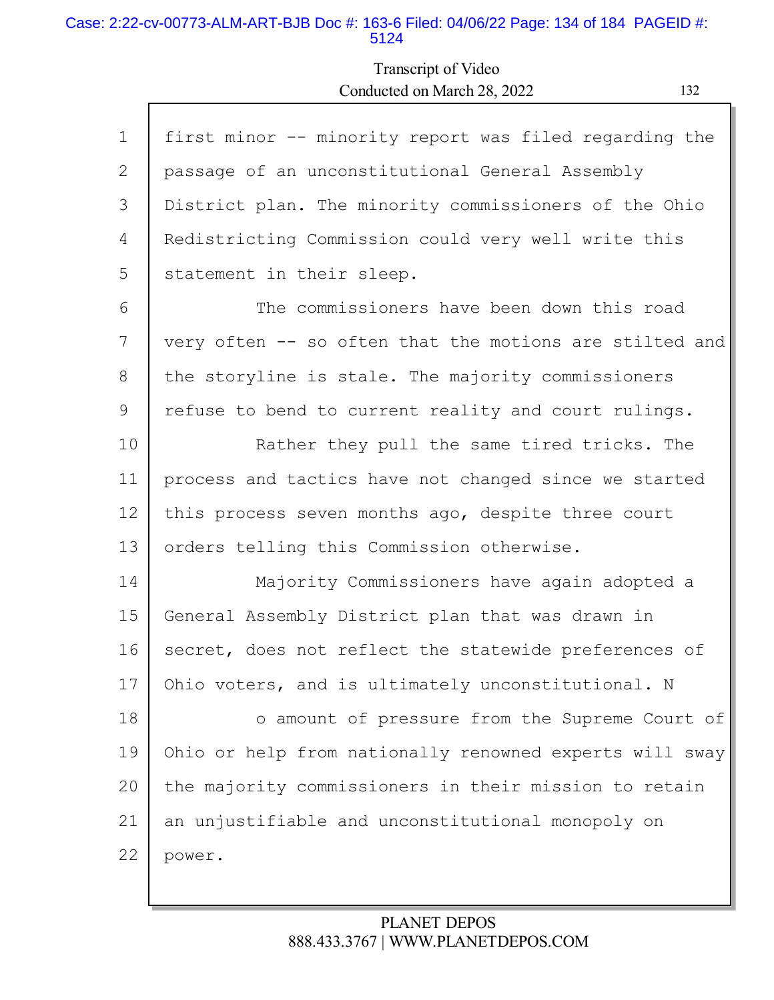#### Case: 2:22-cv-00773-ALM-ART-BJB Doc #: 163-6 Filed: 04/06/22 Page: 134 of 184 PAGEID #: 5124

# Transcript of Video Conducted on March 28, 2022 132

| $\mathbf{1}$ | first minor -- minority report was filed regarding the  |
|--------------|---------------------------------------------------------|
| 2            | passage of an unconstitutional General Assembly         |
| 3            | District plan. The minority commissioners of the Ohio   |
| 4            | Redistricting Commission could very well write this     |
| 5            | statement in their sleep.                               |
| 6            | The commissioners have been down this road              |
| 7            | very often -- so often that the motions are stilted and |
| 8            | the storyline is stale. The majority commissioners      |
| 9            | refuse to bend to current reality and court rulings.    |
| 10           | Rather they pull the same tired tricks. The             |
| 11           | process and tactics have not changed since we started   |
| 12           | this process seven months ago, despite three court      |
| 13           | orders telling this Commission otherwise.               |
| 14           | Majority Commissioners have again adopted a             |
| 15           | General Assembly District plan that was drawn in        |
| 16           | secret, does not reflect the statewide preferences of   |
| 17           | Ohio voters, and is ultimately unconstitutional. N      |
| 18           | o amount of pressure from the Supreme Court of          |
| 19           | Ohio or help from nationally renowned experts will sway |
| 20           | the majority commissioners in their mission to retain   |
| 21           | an unjustifiable and unconstitutional monopoly on       |
| 22           | power.                                                  |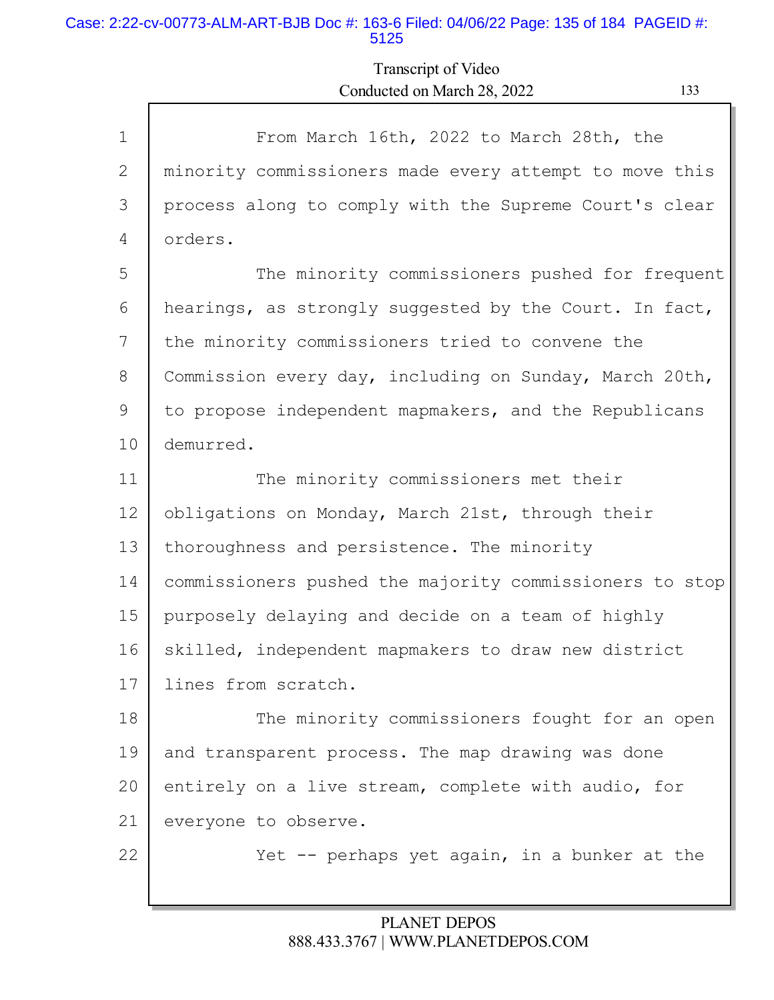#### Case: 2:22-cv-00773-ALM-ART-BJB Doc #: 163-6 Filed: 04/06/22 Page: 135 of 184 PAGEID #: 5125

Г

# Transcript of Video Conducted on March 28, 2022 133

ъ

| $\mathbf{1}$ | From March 16th, 2022 to March 28th, the                |  |  |  |  |  |
|--------------|---------------------------------------------------------|--|--|--|--|--|
| 2            | minority commissioners made every attempt to move this  |  |  |  |  |  |
| 3            | process along to comply with the Supreme Court's clear  |  |  |  |  |  |
| 4            | orders.                                                 |  |  |  |  |  |
| 5            | The minority commissioners pushed for frequent          |  |  |  |  |  |
| 6            | hearings, as strongly suggested by the Court. In fact,  |  |  |  |  |  |
| 7            | the minority commissioners tried to convene the         |  |  |  |  |  |
| 8            | Commission every day, including on Sunday, March 20th,  |  |  |  |  |  |
| 9            | to propose independent mapmakers, and the Republicans   |  |  |  |  |  |
| 10           | demurred.                                               |  |  |  |  |  |
| 11           | The minority commissioners met their                    |  |  |  |  |  |
| 12           | obligations on Monday, March 21st, through their        |  |  |  |  |  |
| 13           | thoroughness and persistence. The minority              |  |  |  |  |  |
| 14           | commissioners pushed the majority commissioners to stop |  |  |  |  |  |
| 15           | purposely delaying and decide on a team of highly       |  |  |  |  |  |
| 16           | skilled, independent mapmakers to draw new district     |  |  |  |  |  |
| 17           | lines from scratch.                                     |  |  |  |  |  |
| 18           | The minority commissioners fought for an open           |  |  |  |  |  |
| 19           | and transparent process. The map drawing was done       |  |  |  |  |  |
| 20           | entirely on a live stream, complete with audio, for     |  |  |  |  |  |
| 21           | everyone to observe.                                    |  |  |  |  |  |
| 22           | Yet $-$ perhaps yet again, in a bunker at the           |  |  |  |  |  |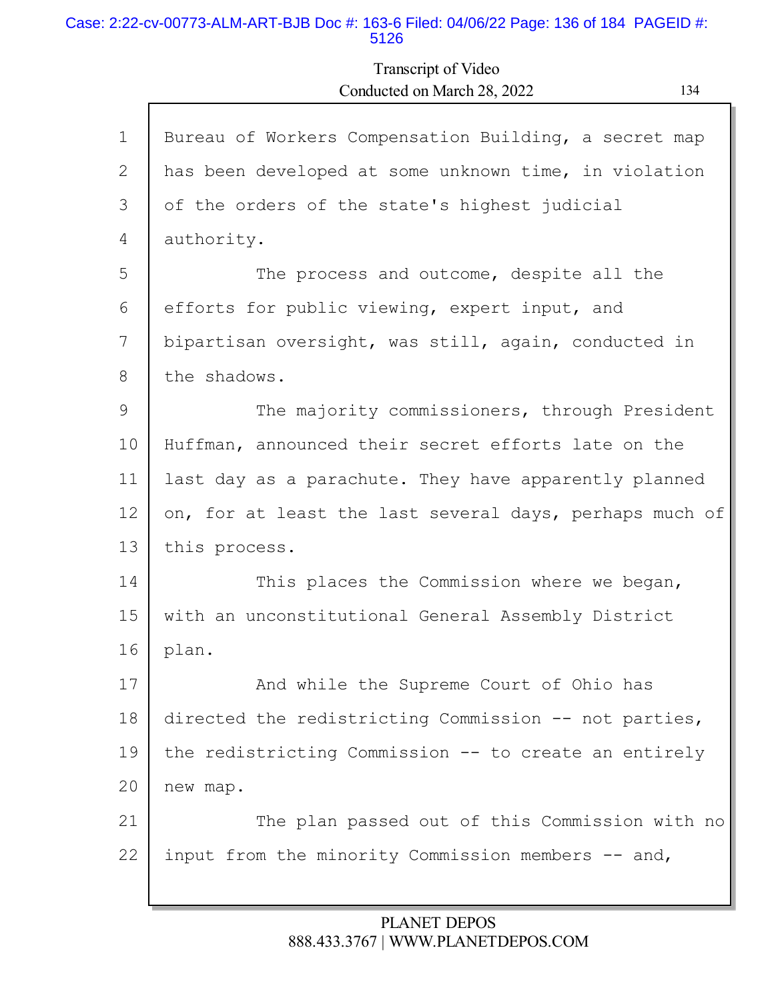#### Case: 2:22-cv-00773-ALM-ART-BJB Doc #: 163-6 Filed: 04/06/22 Page: 136 of 184 PAGEID #: 5126

Г

## Transcript of Video Conducted on March 28, 2022 134

Ъ

Γ

| $\mathbf 1$ | Bureau of Workers Compensation Building, a secret map   |  |  |  |  |  |
|-------------|---------------------------------------------------------|--|--|--|--|--|
| 2           | has been developed at some unknown time, in violation   |  |  |  |  |  |
| 3           | of the orders of the state's highest judicial           |  |  |  |  |  |
| 4           | authority.                                              |  |  |  |  |  |
| 5           | The process and outcome, despite all the                |  |  |  |  |  |
| 6           | efforts for public viewing, expert input, and           |  |  |  |  |  |
| 7           | bipartisan oversight, was still, again, conducted in    |  |  |  |  |  |
| 8           | the shadows.                                            |  |  |  |  |  |
| 9           | The majority commissioners, through President           |  |  |  |  |  |
| 10          | Huffman, announced their secret efforts late on the     |  |  |  |  |  |
| 11          | last day as a parachute. They have apparently planned   |  |  |  |  |  |
| 12          | on, for at least the last several days, perhaps much of |  |  |  |  |  |
| 13          | this process.                                           |  |  |  |  |  |
| 14          | This places the Commission where we began,              |  |  |  |  |  |
| 15          | with an unconstitutional General Assembly District      |  |  |  |  |  |
| 16          | plan.                                                   |  |  |  |  |  |
| 17          | And while the Supreme Court of Ohio has                 |  |  |  |  |  |
| 18          | directed the redistricting Commission -- not parties,   |  |  |  |  |  |
| 19          | the redistricting Commission -- to create an entirely   |  |  |  |  |  |
| 20          | new map.                                                |  |  |  |  |  |
| 21          | The plan passed out of this Commission with no          |  |  |  |  |  |
| 22          | input from the minority Commission members -- and,      |  |  |  |  |  |
|             |                                                         |  |  |  |  |  |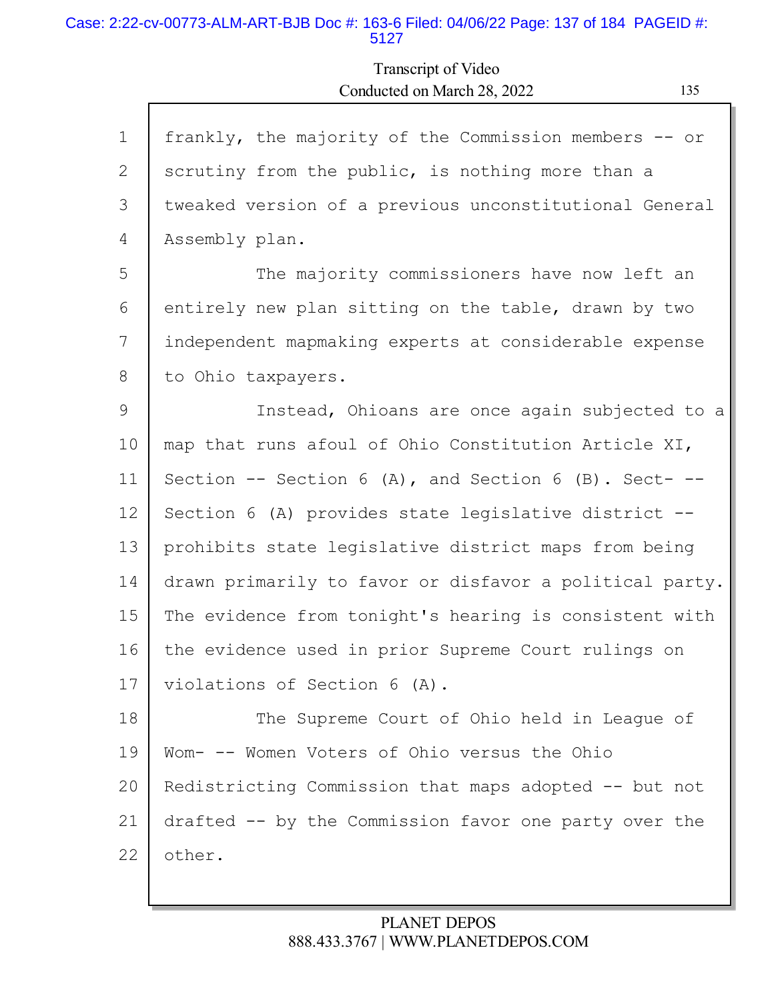#### Case: 2:22-cv-00773-ALM-ART-BJB Doc #: 163-6 Filed: 04/06/22 Page: 137 of 184 PAGEID #: 5127

Transcript of Video Conducted on March 28, 2022 135

| $\mathbf 1$ | frankly, the majority of the Commission members -- or    |
|-------------|----------------------------------------------------------|
| 2           | scrutiny from the public, is nothing more than a         |
| 3           | tweaked version of a previous unconstitutional General   |
| 4           | Assembly plan.                                           |
| 5           | The majority commissioners have now left an              |
| 6           | entirely new plan sitting on the table, drawn by two     |
| 7           | independent mapmaking experts at considerable expense    |
| 8           | to Ohio taxpayers.                                       |
| 9           | Instead, Ohioans are once again subjected to a           |
| 10          | map that runs afoul of Ohio Constitution Article XI,     |
| 11          | Section -- Section 6 (A), and Section 6 (B). Sect- $-$ - |
| 12          | Section 6 (A) provides state legislative district --     |
| 13          | prohibits state legislative district maps from being     |
| 14          | drawn primarily to favor or disfavor a political party.  |
| 15          | The evidence from tonight's hearing is consistent with   |
| 16          | the evidence used in prior Supreme Court rulings on      |
| 17          | violations of Section 6 (A).                             |
| 18          | The Supreme Court of Ohio held in League of              |
| 19          | Wom- -- Women Voters of Ohio versus the Ohio             |
| 20          | Redistricting Commission that maps adopted -- but not    |
| 21          | drafted -- by the Commission favor one party over the    |
| 22          | other.                                                   |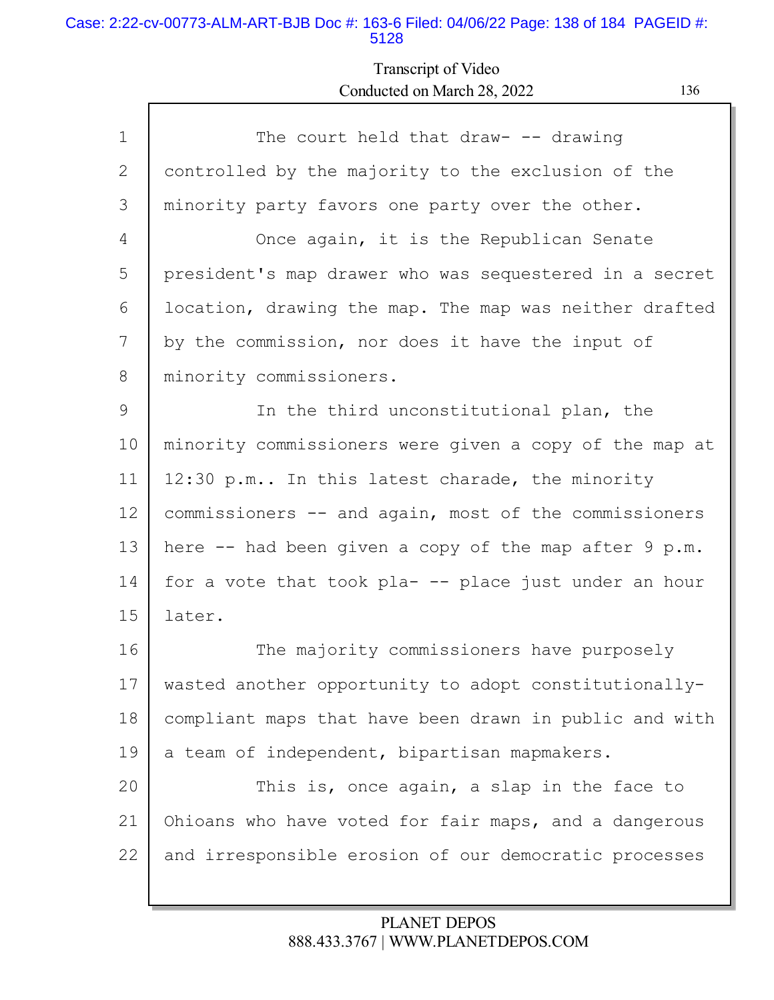### Case: 2:22-cv-00773-ALM-ART-BJB Doc #: 163-6 Filed: 04/06/22 Page: 138 of 184 PAGEID #: 5128

Г

# Transcript of Video Conducted on March 28, 2022 136

| $\mathbf{1}$ | The court held that draw- $-$ - drawing                |  |  |  |  |
|--------------|--------------------------------------------------------|--|--|--|--|
| 2            | controlled by the majority to the exclusion of the     |  |  |  |  |
| 3            | minority party favors one party over the other.        |  |  |  |  |
| 4            | Once again, it is the Republican Senate                |  |  |  |  |
| 5            | president's map drawer who was sequestered in a secret |  |  |  |  |
| 6            | location, drawing the map. The map was neither drafted |  |  |  |  |
| 7            | by the commission, nor does it have the input of       |  |  |  |  |
| 8            | minority commissioners.                                |  |  |  |  |
| 9            | In the third unconstitutional plan, the                |  |  |  |  |
| 10           | minority commissioners were given a copy of the map at |  |  |  |  |
| 11           | 12:30 p.m In this latest charade, the minority         |  |  |  |  |
| 12           | commissioners -- and again, most of the commissioners  |  |  |  |  |
| 13           | here -- had been given a copy of the map after 9 p.m.  |  |  |  |  |
| 14           | for a vote that took pla- -- place just under an hour  |  |  |  |  |
| 15           | later.                                                 |  |  |  |  |
| 16           | The majority commissioners have purposely              |  |  |  |  |
| 17           | wasted another opportunity to adopt constitutionally-  |  |  |  |  |
| 18           | compliant maps that have been drawn in public and with |  |  |  |  |
| 19           | a team of independent, bipartisan mapmakers.           |  |  |  |  |
| 20           | This is, once again, a slap in the face to             |  |  |  |  |
| 21           | Ohioans who have voted for fair maps, and a dangerous  |  |  |  |  |
| 22           | and irresponsible erosion of our democratic processes  |  |  |  |  |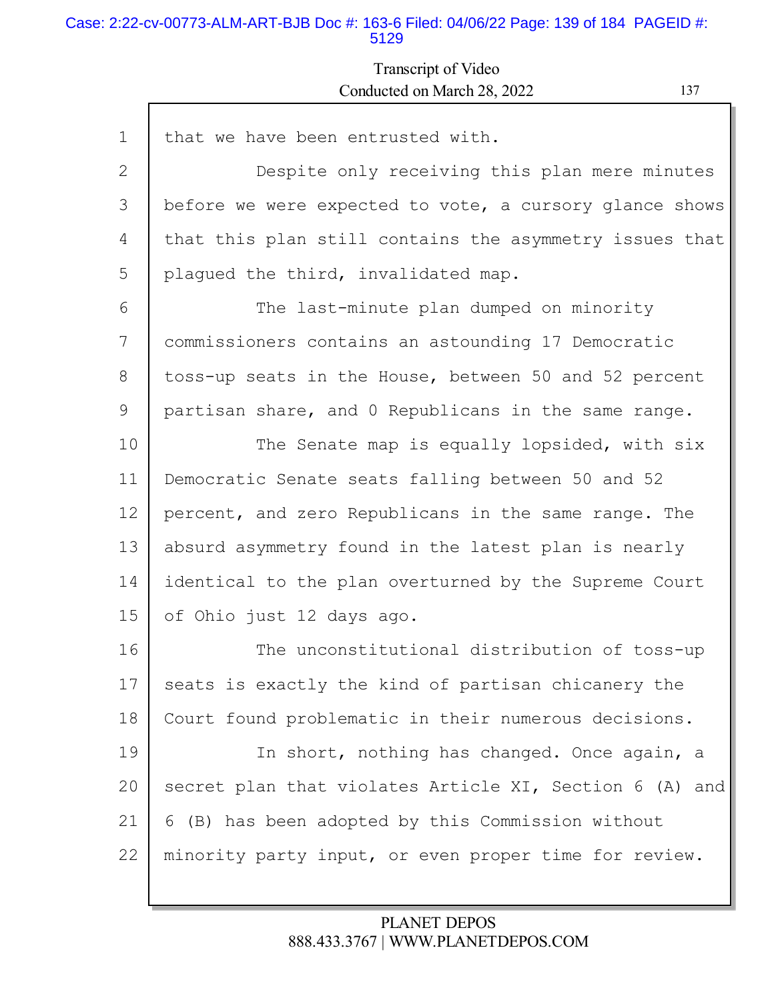### Case: 2:22-cv-00773-ALM-ART-BJB Doc #: 163-6 Filed: 04/06/22 Page: 139 of 184 PAGEID #: 5129

Г

## Transcript of Video Conducted on March 28, 2022 137

ъ

| $\mathbf 1$    | that we have been entrusted with.                       |  |  |  |  |  |
|----------------|---------------------------------------------------------|--|--|--|--|--|
| $\overline{2}$ | Despite only receiving this plan mere minutes           |  |  |  |  |  |
| 3              | before we were expected to vote, a cursory glance shows |  |  |  |  |  |
| 4              | that this plan still contains the asymmetry issues that |  |  |  |  |  |
| 5              | plagued the third, invalidated map.                     |  |  |  |  |  |
| 6              | The last-minute plan dumped on minority                 |  |  |  |  |  |
| 7              | commissioners contains an astounding 17 Democratic      |  |  |  |  |  |
| 8              | toss-up seats in the House, between 50 and 52 percent   |  |  |  |  |  |
| 9              | partisan share, and 0 Republicans in the same range.    |  |  |  |  |  |
| 10             | The Senate map is equally lopsided, with six            |  |  |  |  |  |
| 11             | Democratic Senate seats falling between 50 and 52       |  |  |  |  |  |
| 12             | percent, and zero Republicans in the same range. The    |  |  |  |  |  |
| 13             | absurd asymmetry found in the latest plan is nearly     |  |  |  |  |  |
| 14             | identical to the plan overturned by the Supreme Court   |  |  |  |  |  |
| 15             | of Ohio just 12 days ago.                               |  |  |  |  |  |
| 16             | The unconstitutional distribution of toss-up            |  |  |  |  |  |
| 17             | seats is exactly the kind of partisan chicanery the     |  |  |  |  |  |
| 18             | Court found problematic in their numerous decisions.    |  |  |  |  |  |
| 19             | In short, nothing has changed. Once again, a            |  |  |  |  |  |
| 20             | secret plan that violates Article XI, Section 6 (A) and |  |  |  |  |  |
| 21             | 6 (B) has been adopted by this Commission without       |  |  |  |  |  |
| 22             | minority party input, or even proper time for review.   |  |  |  |  |  |
|                |                                                         |  |  |  |  |  |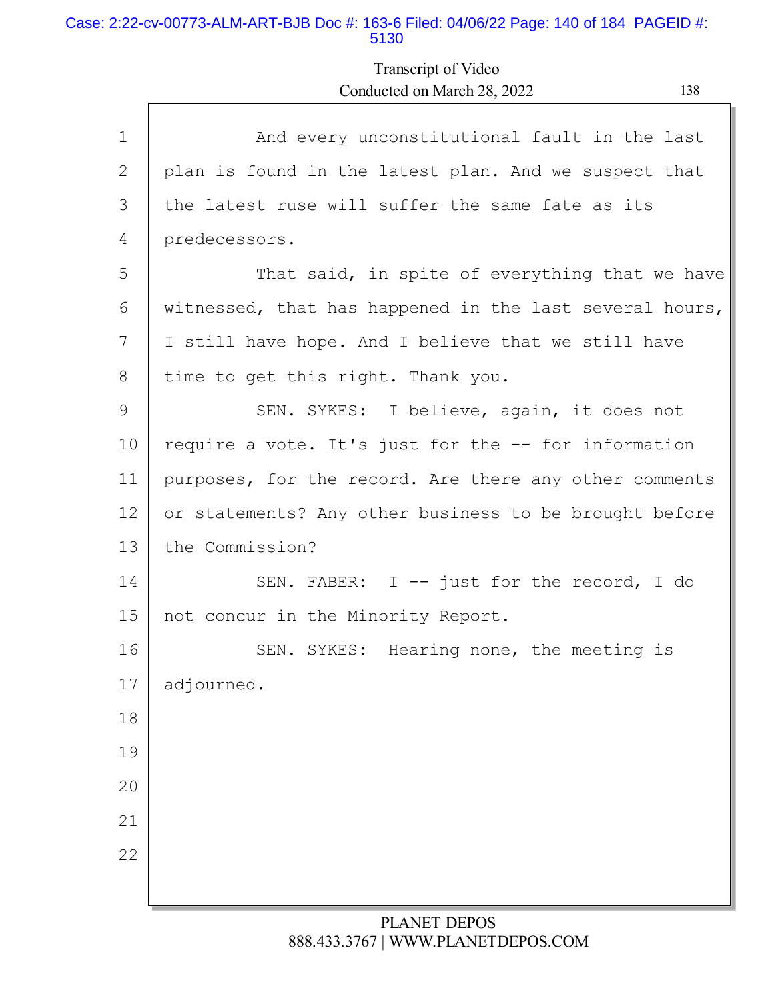### Case: 2:22-cv-00773-ALM-ART-BJB Doc #: 163-6 Filed: 04/06/22 Page: 140 of 184 PAGEID #: 5130

# Transcript of Video Conducted on March 28, 2022 138

| $\mathbf 1$    | And every unconstitutional fault in the last            |  |  |  |  |  |
|----------------|---------------------------------------------------------|--|--|--|--|--|
| $\overline{2}$ | plan is found in the latest plan. And we suspect that   |  |  |  |  |  |
| 3              | the latest ruse will suffer the same fate as its        |  |  |  |  |  |
| 4              | predecessors.                                           |  |  |  |  |  |
| 5              | That said, in spite of everything that we have          |  |  |  |  |  |
| 6              | witnessed, that has happened in the last several hours, |  |  |  |  |  |
| 7              | I still have hope. And I believe that we still have     |  |  |  |  |  |
| 8              | time to get this right. Thank you.                      |  |  |  |  |  |
| 9              | SEN. SYKES: I believe, again, it does not               |  |  |  |  |  |
| 10             | require a vote. It's just for the -- for information    |  |  |  |  |  |
| 11             | purposes, for the record. Are there any other comments  |  |  |  |  |  |
| 12             | or statements? Any other business to be brought before  |  |  |  |  |  |
| 13             | the Commission?                                         |  |  |  |  |  |
| 14             | SEN. FABER: $I$ -- just for the record, I do            |  |  |  |  |  |
| 15             | not concur in the Minority Report.                      |  |  |  |  |  |
| 16             | SEN. SYKES: Hearing none, the meeting is                |  |  |  |  |  |
| 17             | adjourned.                                              |  |  |  |  |  |
| 18             |                                                         |  |  |  |  |  |
| 19             |                                                         |  |  |  |  |  |
| 20             |                                                         |  |  |  |  |  |
| 21             |                                                         |  |  |  |  |  |
| 22             |                                                         |  |  |  |  |  |
|                |                                                         |  |  |  |  |  |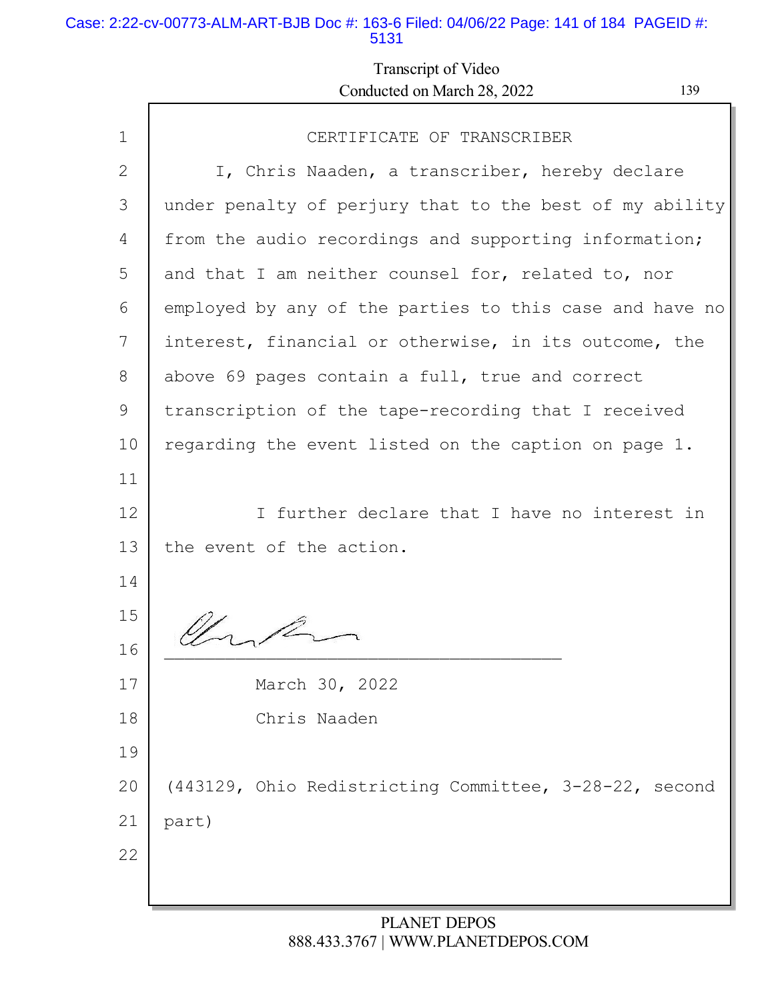### Case: 2:22-cv-00773-ALM-ART-BJB Doc #: 163-6 Filed: 04/06/22 Page: 141 of 184 PAGEID #: 5131

# Transcript of Video Conducted on March 28, 2022 139

Ш

| $\mathbf 1$ | CERTIFICATE OF TRANSCRIBER                              |  |  |  |  |  |
|-------------|---------------------------------------------------------|--|--|--|--|--|
| 2           | I, Chris Naaden, a transcriber, hereby declare          |  |  |  |  |  |
| 3           | under penalty of perjury that to the best of my ability |  |  |  |  |  |
| 4           | from the audio recordings and supporting information;   |  |  |  |  |  |
| 5           | and that I am neither counsel for, related to, nor      |  |  |  |  |  |
| 6           | employed by any of the parties to this case and have no |  |  |  |  |  |
| 7           | interest, financial or otherwise, in its outcome, the   |  |  |  |  |  |
| 8           | above 69 pages contain a full, true and correct         |  |  |  |  |  |
| 9           | transcription of the tape-recording that I received     |  |  |  |  |  |
| 10          | regarding the event listed on the caption on page 1.    |  |  |  |  |  |
| 11          |                                                         |  |  |  |  |  |
| 12          | I further declare that I have no interest in            |  |  |  |  |  |
| 13          | the event of the action.                                |  |  |  |  |  |
| 14          |                                                         |  |  |  |  |  |
| 15          |                                                         |  |  |  |  |  |
| 16          |                                                         |  |  |  |  |  |
| 17          | March 30, 2022                                          |  |  |  |  |  |
| 18          | Chris Naaden                                            |  |  |  |  |  |
| 19          |                                                         |  |  |  |  |  |
| 20          | (443129, Ohio Redistricting Committee, 3-28-22, second  |  |  |  |  |  |
| 21          | part)                                                   |  |  |  |  |  |
| 22          |                                                         |  |  |  |  |  |
|             |                                                         |  |  |  |  |  |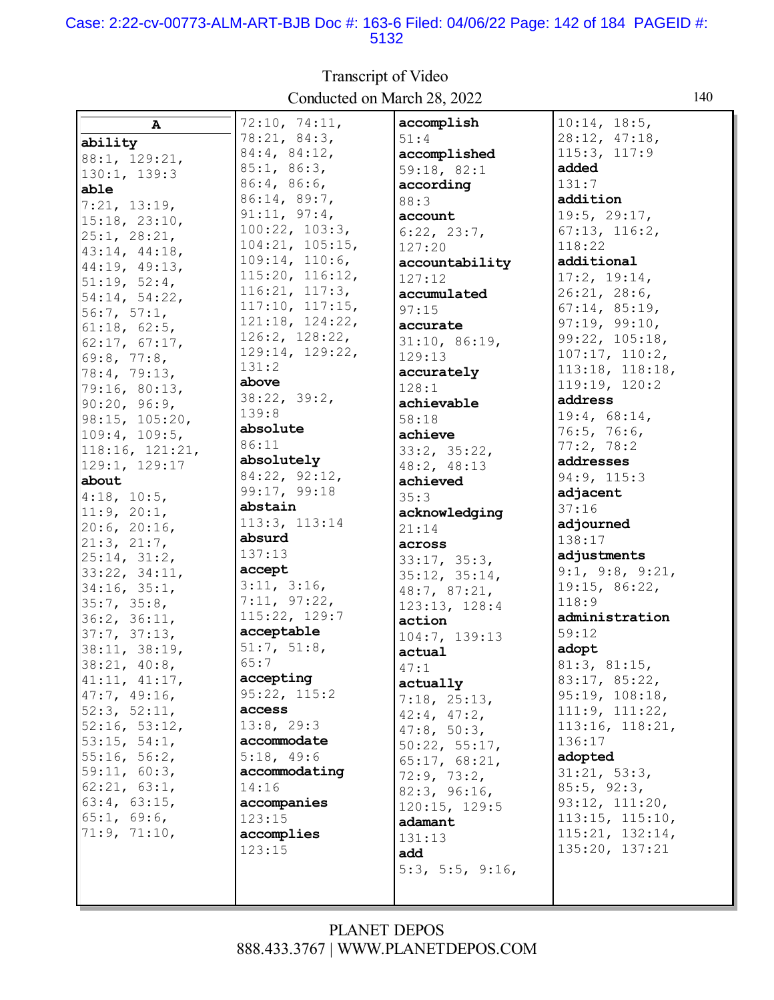### Case: 2:22-cv-00773-ALM-ART-BJB Doc #: 163-6 Filed: 04/06/22 Page: 142 of 184 PAGEID #: 5132

Transcript of Video Conducted on March 28, 2022 140

| $\mathbf{A}$      | 72:10, 74:11,   | accomplish        | 10:14, 18:5,          |
|-------------------|-----------------|-------------------|-----------------------|
| ability           | 78:21, 84:3,    | 51:4              | 28:12, 47:18,         |
| 88:1, 129:21,     | 84:4, 84:12,    | accomplished      | 115:3, 117:9          |
| 130:1, 139:3      | 85:1, 86:3,     | 59:18, 82:1       | added                 |
|                   | 86:4, 86:6,     | according         | 131:7                 |
| able              | 86:14, 89:7,    | 88:3              | addition              |
| 7:21, 13:19,      | 91:11, 97:4,    | account           | 19:5, 29:17,          |
| 15:18, 23:10,     | 100:22, 103:3,  | 6:22, 23:7,       | 67:13, 116:2,         |
| 25:1, 28:21,      | 104:21, 105:15, | 127:20            | 118:22                |
| 43:14, 44:18,     | 109:14, 110:6,  |                   | additional            |
| 44:19, 49:13,     | 115:20, 116:12, | accountability    | 17:2, 19:14,          |
| 51:19, 52:4,      | 116:21, 117:3,  | 127:12            |                       |
| 54:14, 54:22,     | 117:10, 117:15, | accumulated       | 26:21, 28:6,          |
| 56:7, 57:1,       |                 | 97:15             | 67:14, 85:19,         |
| 61:18, 62:5,      | 121:18, 124:22, | accurate          | 97:19, 99:10,         |
| 62:17, 67:17,     | 126:2, 128:22,  | 31:10, 86:19,     | 99:22, 105:18,        |
| 69:8, 77:8,       | 129:14, 129:22, | 129:13            | 107:17, 110:2,        |
| 78:4, 79:13,      | 131:2           | accurately        | $113:18$ , $118:18$ , |
| 79:16, 80:13,     | above           | 128:1             | 119:19, 120:2         |
| 90:20, 96:9,      | 38:22, 39:2,    | achievable        | address               |
| 98:15, 105:20,    | 139:8           | 58:18             | 19:4, 68:14,          |
| 109:4, 109:5,     | absolute        | achieve           | 76:5, 76:6,           |
| 118:16, 121:21,   | 86:11           | 33:2, 35:22,      | 77:2, 78:2            |
| 129:1, 129:17     | absolutely      | 48:2, 48:13       | addresses             |
| about             | 84:22, 92:12,   | achieved          | 94:9, 115:3           |
| $4:18$ , $10:5$ , | 99:17, 99:18    | 35:3              | adjacent              |
| 11:9, 20:1,       | abstain         |                   | 37:16                 |
|                   | 113:3, 113:14   | acknowledging     | adjourned             |
| 20:6, 20:16,      | absurd          | 21:14             | 138:17                |
| 21:3, 21:7,       | 137:13          | across            | adjustments           |
| 25:14, 31:2,      | accept          | 33:17, 35:3,      | 9:1, 9:8, 9:21,       |
| 33:22, 34:11,     | 3:11, 3:16,     | 35:12, 35:14,     | 19:15, 86:22,         |
| 34:16, 35:1,      | 7:11, 97:22,    | 48:7, 87:21,      |                       |
| 35:7, 35:8,       | 115:22, 129:7   | 123:13, 128:4     | 118:9                 |
| 36:2, 36:11,      |                 | action            | administration        |
| 37:7, 37:13,      | acceptable      | 104:7, 139:13     | 59:12                 |
| 38:11, 38:19,     | 51:7, 51:8,     | actual            | adopt                 |
| 38:21, 40:8,      | 65:7            | 47:1              | 81:3, 81:15,          |
| 41:11, 41:17,     | accepting       | actually          | 83:17, 85:22,         |
| 47:7, 49:16,      | 95:22, 115:2    | 7:18, 25:13,      | 95:19, 108:18,        |
| 52:3, 52:11,      | access          | $42:4$ , $47:2$ , | 111:9, 111:22,        |
| 52:16, 53:12,     | 13:8, 29:3      | 47:8, 50:3,       | 113:16, 118:21,       |
| 53:15, 54:1,      | accommodate     | 50:22, 55:17,     | 136:17                |
| 55:16, 56:2,      | 5:18, 49:6      | 65:17, 68:21,     | adopted               |
| 59:11, 60:3,      | accommodating   | 72:9, 73:2,       | 31:21, 53:3,          |
| 62:21, 63:1,      | 14:16           | 82:3, 96:16,      | 85:5, 92:3,           |
| 63:4, 63:15,      | accompanies     | 120:15, 129:5     | 93:12, 111:20,        |
| 65:1, 69:6,       | 123:15          | adamant           | 113:15, 115:10,       |
| 71:9, 71:10,      | accomplies      | 131:13            | 115:21, 132:14,       |
|                   | 123:15          | add               | 135:20, 137:21        |
|                   |                 |                   |                       |
|                   |                 | 5:3, 5:5, 9:16,   |                       |
|                   |                 |                   |                       |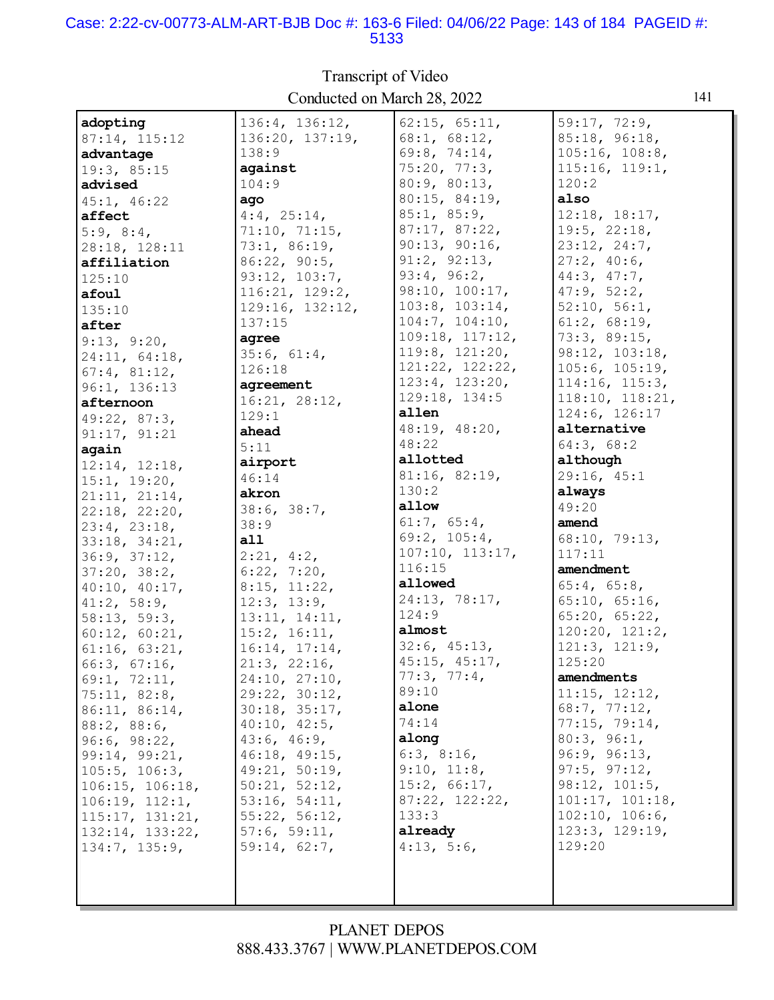### Case: 2:22-cv-00773-ALM-ART-BJB Doc #: 163-6 Filed: 04/06/22 Page: 143 of 184 PAGEID #: 5133

| adopting            | 136:4, 136:12,                | 62:15, 65:11,    | 59:17, 72:9,                     |
|---------------------|-------------------------------|------------------|----------------------------------|
| 87:14, 115:12       | 136:20, 137:19,               | 68:1, 68:12,     | 85:18, 96:18,                    |
| advantage           | 138:9                         | 69:8, 74:14,     | 105:16, 108:8,                   |
| 19:3, 85:15         | against                       | 75:20, 77:3,     | 115:16, 119:1,                   |
| advised             | 104:9                         | 80:9, 80:13,     | 120:2                            |
| 45:1, 46:22         | ago                           | 80:15, 84:19,    | also                             |
| affect              | $4:4$ , $25:14$ ,             | 85:1, 85:9,      | 12:18, 18:17,                    |
| 5:9, 8:4,           | 71:10, 71:15,                 | 87:17, 87:22,    | 19:5, 22:18,                     |
| 28:18, 128:11       | 73:1, 86:19,                  | 90:13, 90:16,    | 23:12, 24:7,                     |
| affiliation         | 86:22, 90:5,                  | 91:2, 92:13,     | 27:2, 40:6,                      |
| 125:10              | 93:12, 103:7,                 | 93:4, 96:2,      | 44:3, 47:7,                      |
| afoul               | 116:21, 129:2,                | 98:10, 100:17,   | 47:9, 52:2,                      |
| 135:10              | 129:16, 132:12,               | 103:8, 103:14,   | 52:10, 56:1,                     |
| after               | 137:15                        | 104:7, 104:10,   | 61:2, 68:19,                     |
| 9:13, 9:20,         | agree                         | 109:18, 117:12,  | 73:3, 89:15,                     |
| 24:11, 64:18,       | 35:6, 61:4,                   | 119:8, 121:20,   | 98:12, 103:18,                   |
| 67:4, 81:12,        | 126:18                        | 121:22, 122:22,  | 105:6, 105:19,                   |
| 96:1, 136:13        | agreement                     | 123:4, 123:20,   | 114:16, 115:3,                   |
| afternoon           | 16:21, 28:12,                 | 129:18, 134:5    | 118:10, 118:21,                  |
|                     | 129:1                         | allen            | 124:6, 126:17                    |
| 49:22, 87:3,        | ahead                         | 48:19, 48:20,    | alternative                      |
| 91:17, 91:21        | 5:11                          | 48:22            | 64:3, 68:2                       |
| again               | airport                       | allotted         | although                         |
| 12:14, 12:18,       | 46:14                         | 81:16, 82:19,    | 29:16, 45:1                      |
| 15:1, 19:20,        | akron                         | 130:2            | always                           |
| 21:11, 21:14,       | 38:6, 38:7,                   | allow            | 49:20                            |
| 22:18, 22:20,       | 38:9                          | 61:7, 65:4,      | amend                            |
| 23:4, 23:18,        | all                           | 69:2, 105:4,     | 68:10, 79:13,                    |
| 33:18, 34:21,       |                               | 107:10, 113:17,  | 117:11                           |
| 36:9, 37:12,        | 2:21, 4:2,                    | 116:15           | amendment                        |
| 37:20, 38:2,        | 6:22, 7:20,                   | allowed          | 65:4, 65:8,                      |
| 40:10, 40:17,       | 8:15, 11:22,                  | 24:13, 78:17,    | 65:10, 65:16,                    |
| 41:2, 58:9,         | 12:3, 13:9,                   | 124:9            | 65:20, 65:22,                    |
| 58:13, 59:3,        | 13:11, 14:11,                 | almost           | 120:20, 121:2,                   |
| 60:12, 60:21,       | 15:2, 16:11,                  | 32:6, 45:13,     | 121:3, 121:9,                    |
| 61:16, 63:21,       | 16:14, 17:14,                 | 45:15, 45:17,    | 125:20                           |
| 66:3, 67:16,        | 21:3, 22:16,<br>24:10, 27:10, | 77:3, 77:4,      | amendments                       |
| 69:1, 72:11,        |                               | 89:10            |                                  |
| 75:11, 82:8,        | 29:22, 30:12,                 | alone            | 11:15, 12:12,                    |
| 86:11, 86:14,       | 30:18, 35:17,                 | 74:14            | 68:7, 77:12,                     |
| 88:2, 88:6,         | 40:10, 42:5,                  | along            | 77:15, 79:14,                    |
| 96:6, 98:22,        | 43:6, 46:9,                   |                  | 80:3, 96:1,                      |
| 99:14, 99:21,       | 46:18, 49:15,                 | 6:3, 8:16,       | 96:9, 96:13,                     |
| $105:5$ , $106:3$ , | 49:21, 50:19,                 | 9:10, 11:8,      | 97:5, 97:12,                     |
| 106:15, 106:18,     | 50:21, 52:12,                 | 15:2, 66:17,     | 98:12, 101:5,<br>101:17, 101:18, |
| 106:19, 112:1,      | 53:16, 54:11,                 | 87:22, 122:22,   |                                  |
| 115:17, 131:21,     | 55:22, 56:12,                 | 133:3<br>already | 102:10, 106:6,<br>123:3, 129:19, |
| 132:14, 133:22,     | 57:6, 59:11,                  |                  | 129:20                           |
| 134:7, 135:9,       | 59:14, 62:7,                  | 4:13, 5:6,       |                                  |
|                     |                               |                  |                                  |
|                     |                               |                  |                                  |
|                     |                               |                  |                                  |

### Transcript of Video Conducted on March 28, 2022 141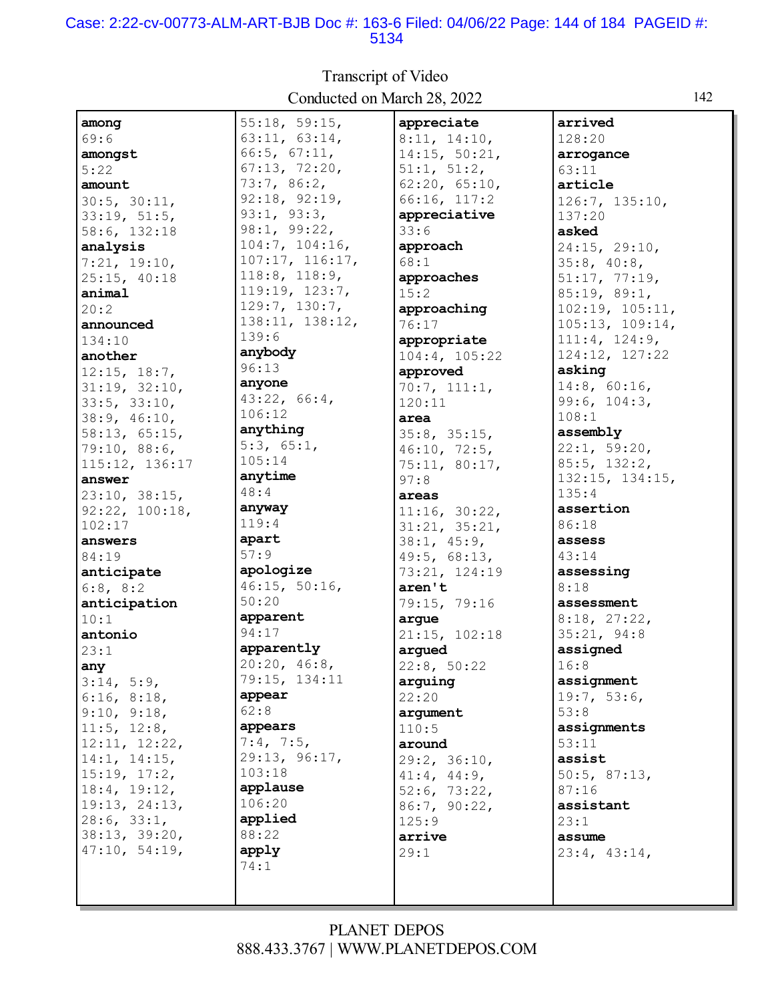### Case: 2:22-cv-00773-ALM-ART-BJB Doc #: 163-6 Filed: 04/06/22 Page: 144 of 184 PAGEID #: 5134

| Conducted on ividicil 20, $2022$ |                     |                   |                 |  |  |
|----------------------------------|---------------------|-------------------|-----------------|--|--|
| among                            | 55:18, 59:15,       | appreciate        | arrived         |  |  |
| 69:6                             | 63:11, 63:14,       | 8:11, 14:10,      | 128:20          |  |  |
| amongst                          | 66:5, 67:11,        | 14:15, 50:21,     | arrogance       |  |  |
| 5:22                             | 67:13, 72:20,       | 51:1, 51:2,       | 63:11           |  |  |
| amount                           | 73:7,86:2,          | 62:20, 65:10,     | article         |  |  |
| 30:5, 30:11,                     | 92:18, 92:19,       | 66:16, 117:2      | 126:7, 135:10,  |  |  |
| 33:19, 51:5,                     | 93:1, 93:3,         | appreciative      | 137:20          |  |  |
| 58:6, 132:18                     | 98:1, 99:22,        | 33:6              | asked           |  |  |
| analysis                         | 104:7, 104:16,      | approach          | 24:15, 29:10,   |  |  |
| 7:21, 19:10,                     | 107:17, 116:17,     | 68:1              | 35:8, 40:8,     |  |  |
| 25:15, 40:18                     | $118:8$ , $118:9$ , | approaches        | 51:17, 77:19,   |  |  |
| animal                           | 119:19, 123:7,      | 15:2              | 85:19, 89:1,    |  |  |
| 20:2                             | 129:7, 130:7,       | approaching       | 102:19, 105:11, |  |  |
| announced                        | 138:11, 138:12,     | 76:17             | 105:13, 109:14, |  |  |
| 134:10                           | 139:6               | appropriate       | 111:4, 124:9,   |  |  |
| another                          | anybody             | 104:4, 105:22     | 124:12, 127:22  |  |  |
| 12:15, 18:7,                     | 96:13               | approved          | asking          |  |  |
| 31:19, 32:10,                    | anyone              | 70:7, 111:1,      | 14:8, 60:16,    |  |  |
| 33:5, 33:10,                     | 43:22, 66:4,        | 120:11            | 99:6, 104:3,    |  |  |
| 38:9, 46:10,                     | 106:12              | area              | 108:1           |  |  |
| 58:13, 65:15,                    | anything            | 35:8, 35:15,      | assembly        |  |  |
| 79:10, 88:6,                     | 5:3, 65:1,          | 46:10, 72:5,      | 22:1, 59:20,    |  |  |
| 115:12, 136:17                   | 105:14              | 75:11, 80:17,     | 85:5, 132:2,    |  |  |
| answer                           | anytime             | 97:8              | 132:15, 134:15, |  |  |
| 23:10, 38:15,                    | 48:4                | areas             | 135:4           |  |  |
| 92:22, 100:18,                   | anyway              | 11:16, 30:22,     | assertion       |  |  |
| 102:17                           | 119:4               | 31:21, 35:21,     | 86:18           |  |  |
| answers                          | apart               | 38:1, 45:9,       | assess          |  |  |
| 84:19                            | 57:9                | 49:5, 68:13,      | 43:14           |  |  |
| anticipate                       | apologize           | 73:21, 124:19     | assessing       |  |  |
| 6:8, 8:2                         | 46:15, 50:16,       | aren't            | 8:18            |  |  |
| anticipation                     | 50:20               | 79:15, 79:16      | assessment      |  |  |
| 10:1                             | apparent            | arque             | 8:18, 27:22,    |  |  |
| antonio                          | 94:17               | 21:15, 102:18     | 35:21, 94:8     |  |  |
| 23:1                             | apparently          | arqued            | assigned        |  |  |
| any                              | 20:20, 46:8,        | 22:8, 50:22       | 16:8            |  |  |
| 3:14, 5:9,                       | 79:15, 134:11       | arguing           | assignment      |  |  |
| 6:16, 8:18,                      | appear              | 22:20             | 19:7, 53:6,     |  |  |
| 9:10, 9:18,                      | 62:8                | argument          | 53:8            |  |  |
| 11:5, 12:8,                      | appears             | 110:5             | assignments     |  |  |
| 12:11, 12:22,                    | 7:4, 7:5,           | around            | 53:11           |  |  |
| 14:1, 14:15,                     | 29:13, 96:17,       | 29:2, 36:10,      | assist          |  |  |
| 15:19, 17:2,                     | 103:18              | $41:4$ , $44:9$ , | 50:5, 87:13,    |  |  |
| 18:4, 19:12,                     | applause            | 52:6, 73:22,      | 87:16           |  |  |
| 19:13, 24:13,                    | 106:20              | 86:7, 90:22,      | assistant       |  |  |
| 28:6, 33:1,                      | applied             | 125:9             | 23:1            |  |  |
| 38:13, 39:20,                    | 88:22               | arrive            | assume          |  |  |
| 47:10, 54:19,                    | apply               | 29:1              | 23:4, 43:14,    |  |  |
|                                  | 74:1                |                   |                 |  |  |
|                                  |                     |                   |                 |  |  |
|                                  |                     |                   |                 |  |  |

Transcript of Video Conducted on March 28, 2022 142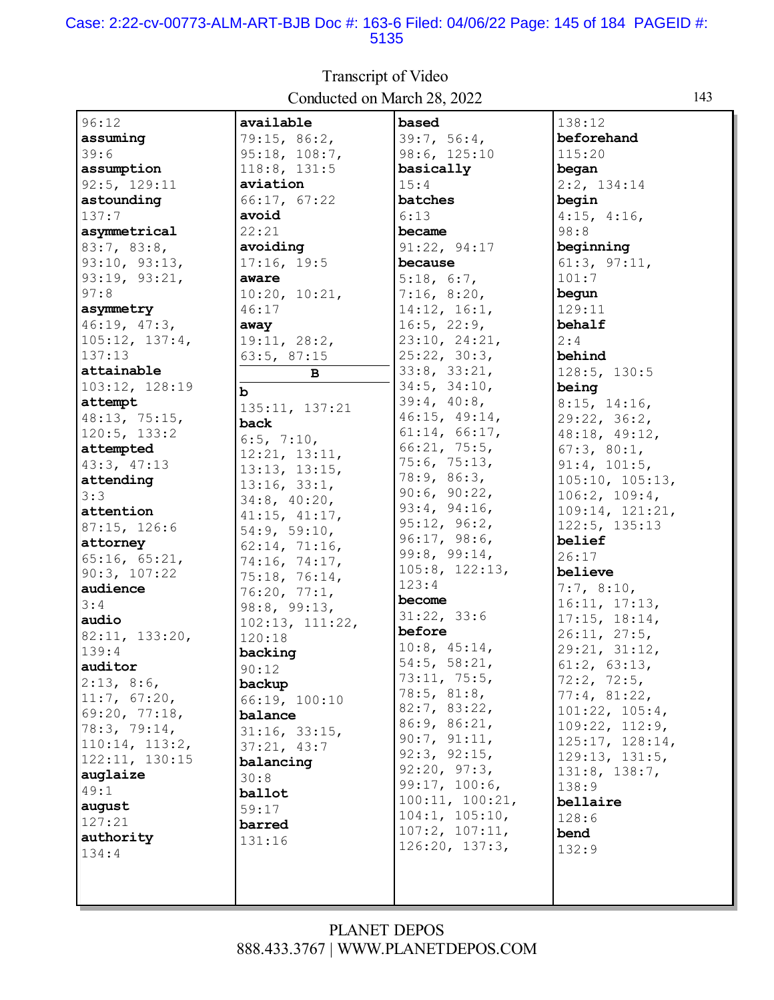#### Case: 2:22-cv-00773-ALM-ART-BJB Doc #: 163-6 Filed: 04/06/22 Page: 145 of 184 PAGEID #: 5135

| 96:12          | available              | based           | 138:12             |
|----------------|------------------------|-----------------|--------------------|
| assuming       | 79:15, 86:2,           | 39:7, 56:4,     | beforehand         |
| 39:6           | 95:18, 108:7,          | 98:6, 125:10    | 115:20             |
| assumption     | 118:8, 131:5           | basically       | began              |
| 92:5, 129:11   | aviation               | 15:4            | 2:2, 134:14        |
| astounding     | 66:17, 67:22           | batches         | begin              |
| 137:7          | avoid                  | 6:13            | $4:15$ , $4:16$ ,  |
| asymmetrical   | 22:21                  | became          | 98:8               |
| 83:7, 83:8,    | avoiding               | 91:22, 94:17    | beginning          |
| 93:10, 93:13,  | 17:16, 19:5            | because         | 61:3, 97:11,       |
| 93:19, 93:21,  | aware                  | 5:18, 6:7,      | 101:7              |
| 97:8           |                        |                 | begun              |
| asymmetry      | 10:20, 10:21,<br>46:17 | 7:16, 8:20,     | 129:11             |
|                |                        | 14:12, 16:1,    |                    |
| 46:19, 47:3,   | away                   | 16:5, 22:9,     | behalf             |
| 105:12, 137:4, | 19:11, 28:2,           | 23:10, 24:21,   | 2:4                |
| 137:13         | 63:5, 87:15            | 25:22, 30:3,    | behind             |
| attainable     | в                      | 33:8, 33:21,    | 128:5, 130:5       |
| 103:12, 128:19 | b                      | 34:5, 34:10,    | being              |
| attempt        | 135:11, 137:21         | 39:4, 40:8,     | 8:15, 14:16,       |
| 48:13, 75:15,  | back                   | 46:15, 49:14,   | 29:22, 36:2,       |
| 120:5, 133:2   | 6:5, 7:10,             | 61:14, 66:17,   | 48:18, 49:12,      |
| attempted      | 12:21, 13:11,          | 66:21, 75:5,    | 67:3, 80:1,        |
| 43:3, 47:13    | 13:13, 13:15,          | 75:6, 75:13,    | 91:4, 101:5,       |
| attending      | 13:16, 33:1,           | 78:9, 86:3,     | 105:10, 105:13,    |
| 3:3            | $34:8$ , $40:20$ ,     | 90:6, 90:22,    | 106:2, 109:4,      |
| attention      | 41:15, 41:17,          | 93:4, 94:16,    | 109:14, 121:21,    |
| 87:15, 126:6   | 54:9, 59:10,           | 95:12, 96:2,    | 122:5, 135:13      |
| attorney       | 62:14, 71:16,          | 96:17, 98:6,    | belief             |
| 65:16, 65:21,  | 74:16, 74:17,          | 99:8, 99:14,    | 26:17              |
| 90:3, 107:22   | 75:18, 76:14,          | 105:8, 122:13,  | believe            |
| audience       | 76:20, 77:1,           | 123:4           | 7:7, 8:10,         |
| 3:4            | 98:8, 99:13,           | become          | 16:11, 17:13,      |
| audio          | 102:13, 111:22,        | 31:22, 33:6     | 17:15, 18:14,      |
| 82:11, 133:20, | 120:18                 | before          | 26:11, 27:5,       |
| 139:4          | backing                | 10:8, 45:14,    | 29:21, 31:12,      |
| auditor        | 90:12                  | 54:5, 58:21,    | $61:2$ , $63:13$ , |
| 2:13, 8:6,     | backup                 | 73:11, 75:5,    | 72:2, 72:5,        |
| 11:7, 67:20,   | 66:19, 100:10          | 78:5, 81:8,     | 77:4, 81:22,       |
| 69:20, 77:18,  | balance                | 82:7, 83:22,    | 101:22, 105:4,     |
| 78:3, 79:14,   | 31:16, 33:15,          | 86:9, 86:21,    | 109:22, 112:9,     |
| 110:14, 113:2, | 37:21, 43:7            | 90:7, 91:11,    | 125:17, 128:14,    |
| 122:11, 130:15 | balancing              | 92:3, 92:15,    | 129:13, 131:5,     |
| auglaize       |                        | 92:20, 97:3,    | 131:8, 138:7,      |
| 49:1           | 30:8<br>ballot         | 99:17, 100:6,   | 138:9              |
| august         |                        | 100:11, 100:21, | bellaire           |
| 127:21         | 59:17                  | 104:1, 105:10,  | 128:6              |
| authority      | barred                 | 107:2, 107:11,  | bend               |
| 134:4          | 131:16                 | 126:20, 137:3,  | 132:9              |
|                |                        |                 |                    |
|                |                        |                 |                    |
|                |                        |                 |                    |

Transcript of Video Conducted on March 28, 2022

## PLANET DEPOS 888.433.3767 | WWW.PLANETDEPOS.COM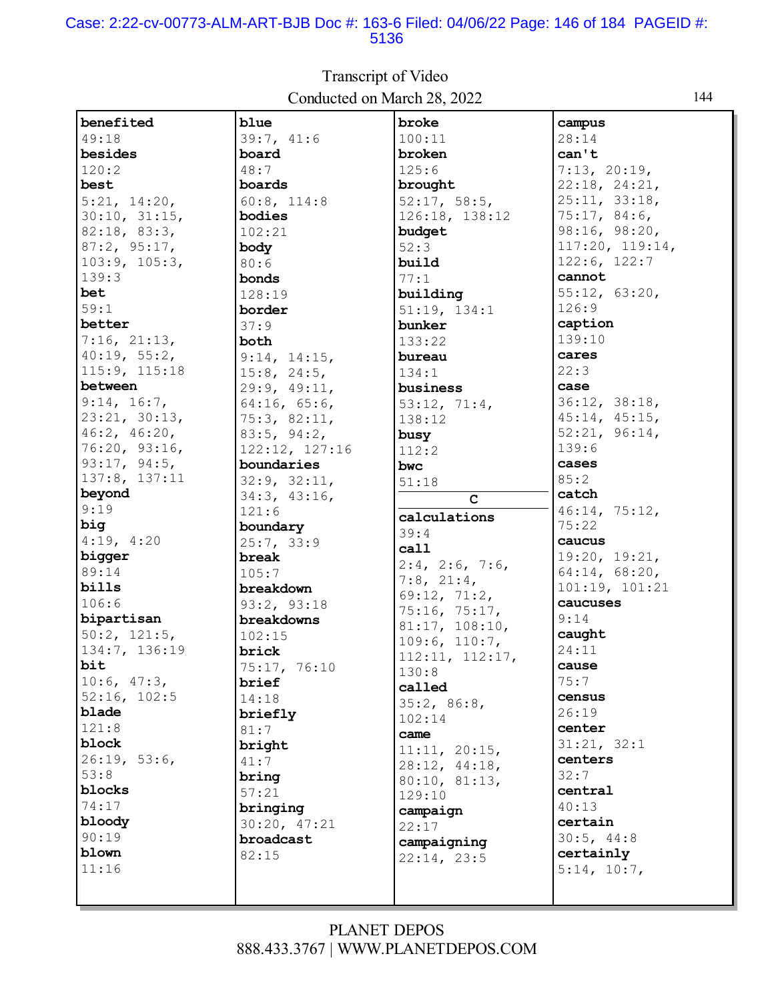#### Case: 2:22-cv-00773-ALM-ART-BJB Doc #: 163-6 Filed: 04/06/22 Page: 146 of 184 PAGEID #: 5136

| benefited     | blue              | broke                | campus          |
|---------------|-------------------|----------------------|-----------------|
| 49:18         | 39:7, 41:6        | 100:11               | 28:14           |
| besides       | board             | broken               | can't           |
| 120:2         | 48:7              | 125:6                | 7:13, 20:19,    |
| best          | boards            | brought              | 22:18, 24:21,   |
| 5:21, 14:20,  | 60:8, 114:8       | 52:17, 58:5,         | 25:11, 33:18,   |
| 30:10, 31:15, | bodies            | 126:18, 138:12       | 75:17,84:6,     |
| 82:18, 83:3,  | 102:21            | budget               | 98:16, 98:20,   |
| 87:2, 95:17,  | body              | 52:3                 | 117:20, 119:14, |
| 103:9, 105:3, | 80:6              | build                | 122:6, 122:7    |
| 139:3         | bonds             | 77:1                 | cannot          |
| bet           | 128:19            | building             | 55:12, 63:20,   |
| 59:1          | border            | 51:19, 134:1         | 126:9           |
| better        | 37:9              | bunker               | caption         |
| 7:16, 21:13,  | both              | 133:22               | 139:10          |
| 40:19, 55:2,  | 9:14, 14:15,      | bureau               | cares           |
| 115:9, 115:18 |                   | 134:1                | 22:3            |
| between       | $15:8$ , $24:5$ , | business             | case            |
| 9:14, 16:7,   | 29:9, 49:11,      |                      | 36:12, 38:18,   |
| 23:21, 30:13, | 64:16, 65:6,      | 53:12, 71:4,         | 45:14, 45:15,   |
| 46:2, 46:20,  | 75:3, 82:11,      | 138:12               | 52:21, 96:14,   |
| 76:20, 93:16, | 83:5, 94:2,       | busy                 | 139:6           |
| 93:17, 94:5,  | 122:12, 127:16    | 112:2                | cases           |
| 137:8, 137:11 | boundaries        | bwc                  | 85:2            |
| beyond        | 32:9, 32:11,      | 51:18                | catch           |
| 9:19          | 34:3, 43:16,      | $\mathbf C$          |                 |
|               | 121:6             | calculations         | 46:14, 75:12,   |
| big           | boundary          | 39:4                 | 75:22           |
| 4:19, 4:20    | 25:7, 33:9        | call                 | caucus          |
| bigger        | break             | $2:4$ , $2:6$ , 7:6, | 19:20, 19:21,   |
| 89:14         | 105:7             | $7:8$ , $21:4$ ,     | 64:14, 68:20,   |
| bills         | breakdown         | 69:12, 71:2,         | 101:19, 101:21  |
| 106:6         | 93:2, 93:18       | 75:16, 75:17,        | caucuses        |
| bipartisan    | breakdowns        | 81:17, 108:10,       | 9:14            |
| 50:2, 121:5,  | 102:15            | 109:6, 110:7,        | caught          |
| 134:7, 136:19 | brick             | 112:11, 112:17,      | 24:11           |
| bit           | 75:17, 76:10      | 130:8                | cause           |
| 10:6, 47:3,   | brief             | called               | 75:7            |
| 52:16, 102:5  | 14:18             | 35:2, 86:8,          | census          |
| blade         | briefly           | 102:14               | 26:19           |
| 121:8         | 81:7              | came                 | center          |
| block         | bright            | 11:11, 20:15,        | 31:21, 32:1     |
| 26:19, 53:6,  | 41:7              | 28:12, 44:18,        | centers         |
| 53:8          | bring             | 80:10, 81:13,        | 32:7            |
| blocks        | 57:21             | 129:10               | central         |
| 74:17         | bringing          | campaign             | 40:13           |
| bloody        | 30:20, 47:21      | 22:17                | certain         |
| 90:19         | broadcast         |                      | 30:5, 44:8      |
| blown         | 82:15             | campaigning          | certainly       |
| 11:16         |                   | 22:14, 23:5          | 5:14, 10:7,     |
|               |                   |                      |                 |
|               |                   |                      |                 |

Transcript of Video Conducted on March 28, 2022 144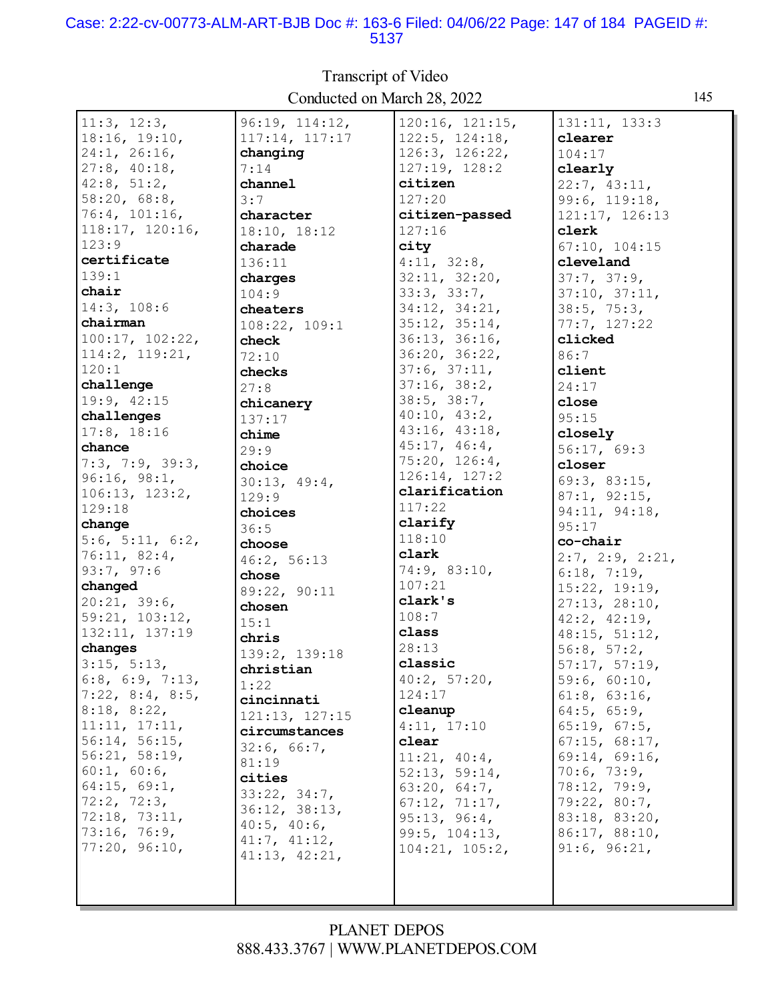#### Case: 2:22-cv-00773-ALM-ART-BJB Doc #: 163-6 Filed: 04/06/22 Page: 147 of 184 PAGEID #: 5137

| Conducted on March 28, 2022 |                        |                 |                    | 145 |
|-----------------------------|------------------------|-----------------|--------------------|-----|
| 11:3, 12:3,                 | 96:19, 114:12,         | 120:16, 121:15, | 131:11, 133:3      |     |
| 18:16, 19:10,               | 117:14, 117:17         | 122:5, 124:18,  | clearer            |     |
| 24:1, 26:16,                | changing               | 126:3, 126:22,  | 104:17             |     |
| 27:8, 40:18,                | 7:14                   | 127:19, 128:2   | clearly            |     |
| 42:8, 51:2,                 | channel                | citizen         | 22:7, 43:11,       |     |
| 58:20, 68:8,                | 3:7                    | 127:20          | 99:6, 119:18,      |     |
| 76:4, 101:16,               | character              | citizen-passed  | 121:17, 126:13     |     |
| 118:17, 120:16,             | 18:10, 18:12           | 127:16          | clerk              |     |
| 123:9                       | charade                | city            | 67:10, 104:15      |     |
| certificate                 | 136:11                 | 4:11, 32:8,     | cleveland          |     |
| 139:1                       | charges                | 32:11, 32:20,   | 37:7, 37:9,        |     |
| chair                       | 104:9                  | 33:3, 33:7,     | 37:10, 37:11,      |     |
| 14:3, 108:6                 | cheaters               | 34:12, 34:21,   | 38:5, 75:3,        |     |
| chairman                    | 108:22, 109:1          | 35:12, 35:14,   | 77:7, 127:22       |     |
| 100:17, 102:22,             | check                  | 36:13, 36:16,   | clicked            |     |
| 114:2, 119:21,              | 72:10                  | 36:20, 36:22,   | 86:7               |     |
| 120:1                       | checks                 | 37:6, 37:11,    | client             |     |
| challenge                   | 27:8                   | 37:16, 38:2,    | 24:17              |     |
| 19:9, 42:15                 | chicanery              | 38:5, 38:7,     | close              |     |
| challenges                  | 137:17                 | 40:10, 43:2,    | 95:15              |     |
| 17:8, 18:16                 | chime                  | 43:16, 43:18,   | closely            |     |
| chance                      | 29:9                   | 45:17, 46:4,    | 56:17, 69:3        |     |
| 7:3, 7:9, 39:3,             | choice                 | 75:20, 126:4,   | closer             |     |
| 96:16, 98:1,                | 30:13, 49:4,           | 126:14, 127:2   | 69:3, 83:15,       |     |
| 106:13, 123:2,              | 129:9                  | clarification   | 87:1, 92:15,       |     |
| 129:18                      |                        | 117:22          | 94:11, 94:18,      |     |
| change                      | choices<br>36:5        | clarify         | 95:17              |     |
| 5:6, 5:11, 6:2,             |                        | 118:10          | co-chair           |     |
| 76:11, 82:4,                | choose                 | clark           | 2:7, 2:9, 2:21,    |     |
| 93:7, 97:6                  | 46:2, 56:13<br>chose   | 74:9, 83:10,    | 6:18, 7:19,        |     |
| changed                     |                        | 107:21          | 15:22, 19:19,      |     |
| 20:21, 39:6,                | 89:22, 90:11<br>chosen | clark's         | 27:13, 28:10,      |     |
| 59:21, 103:12,              |                        | 108:7           | $42:2$ , $42:19$ , |     |
| 132:11, 137:19              | 15:1                   | class           | 48:15, 51:12,      |     |
| changes                     | chris                  | 28:13           | 56:8, 57:2,        |     |
| 3:15, 5:13,                 | 139:2, 139:18          | classic         | 57:17, 57:19,      |     |
| $6:8$ , $6:9$ , $7:13$ ,    | christian              | 40:2, 57:20,    | 59:6, 60:10,       |     |
| 7:22, 8:4, 8:5,             | 1:22                   | 124:17          | 61:8, 63:16,       |     |
| 8:18, 8:22,                 | cincinnati             | cleanup         | $64:5$ , $65:9$ ,  |     |
| 11:11, 17:11,               | 121:13, 127:15         | 4:11, 17:10     | 65:19, 67:5,       |     |
| 56:14, 56:15,               | circumstances          | clear           | 67:15, 68:17,      |     |
| 56:21, 58:19,               | 32:6, 66:7,            | 11:21, 40:4,    | 69:14, 69:16,      |     |
| 60:1, 60:6,                 | 81:19                  | 52:13, 59:14,   | 70:6, 73:9,        |     |
| 64:15, 69:1,                | cities                 | 63:20, 64:7,    | 78:12, 79:9,       |     |
| 72:2, 72:3,                 | 33:22, 34:7,           | 67:12, 71:17,   | 79:22, 80:7,       |     |
| 72:18, 73:11,               | 36:12, 38:13,          | 95:13, 96:4,    | 83:18, 83:20,      |     |
| 73:16, 76:9,                | $40:5$ , $40:6$ ,      | 99:5, 104:13,   | 86:17, 88:10,      |     |
| 77:20, 96:10,               | 41:7, 41:12,           | 104:21, 105:2,  | 91:6, 96:21,       |     |
|                             | 41:13, 42:21,          |                 |                    |     |
|                             |                        |                 |                    |     |
|                             |                        |                 |                    |     |

# Transcript of Video Conducted on March 28, 2022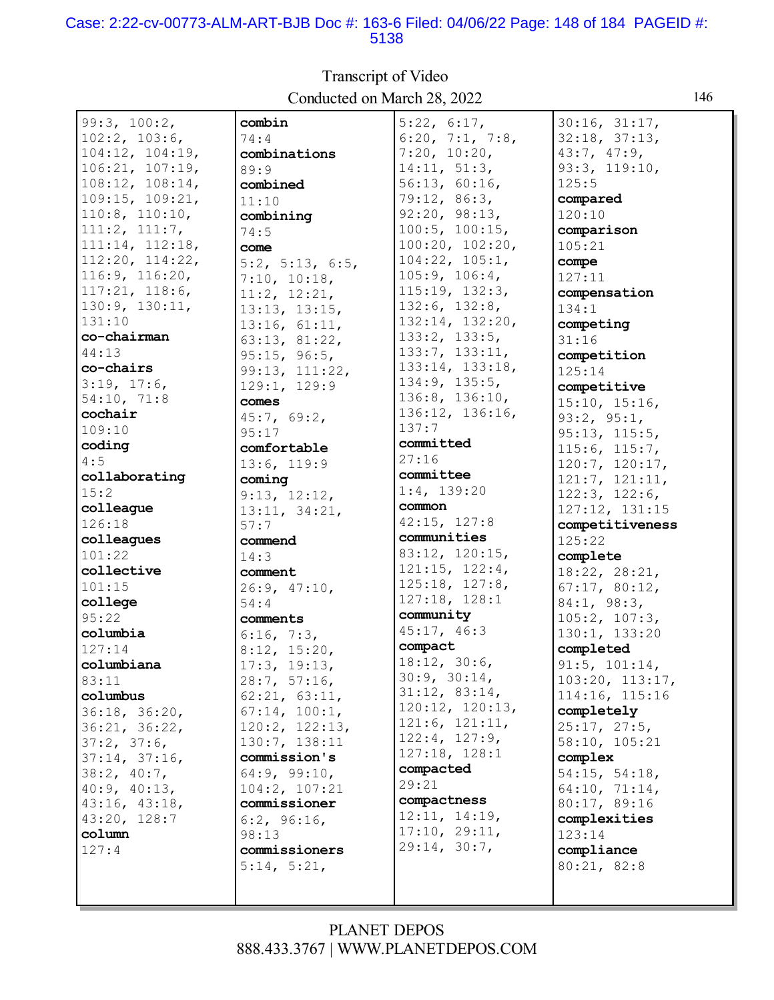#### Case: 2:22-cv-00773-ALM-ART-BJB Doc #: 163-6 Filed: 04/06/22 Page: 148 of 184 PAGEID #: 5138

 $99:3, 100:2,$ combin  $5:22, 6:17,$  $30:16, 31:17,$  $102:2, 103:6,$  $74:4$ 6:20, 7:1, 7:8,  $32:18, 37:13,$ 104:12, 104:19,  $7:20, 10:20,$ combinations  $43:7, 47:9,$ 93:3, 119:10,  $106:21, 107:19.$  $14:11, 51:3$ ,  $89:9$  $108:12, 108:14,$  $56:13, 60:16,$  $125:5$ combined  $109:15, 109:21,$ 79:12, 86:3, compared  $11:10$  $110:8$ ,  $110:10$ ,  $92:20, 98:13,$  $120:10$ combining  $111:2, 111:7,$  $100:5$ ,  $100:15$ , comparison  $74:5$  $111:14, 112:18,$  $100:20, 102:20,$ come  $105:21$ 112:20, 114:22,  $104:22, 105:1,$ compe 5:2, 5:13, 6:5,  $116:9, 116:20,$  $7:10, 10:18,$  $105:9, 106:4,$  $127:11$  $115:19, 132:3,$  $117:21, 118:6,$ compensation  $11:2, 12:21,$  $130:9, 130:11,$  $132:6, 132:8,$  $134:1$  $13:13, 13:15,$  $132:14, 132:20,$  $131:10$  $13:16, 61:11,$ competing co-chairman  $133:2, 133:5,$ 63:13, 81:22,  $31:16$ 133:7, 133:11, 44:13  $95:15, 96:5,$ competition 133:14, 133:18, co-chairs 99:13, 111:22,  $125:14$  $134:9, 135:5,$  $3:19, 17:6,$ 129:1, 129:9 competitive 136:8, 136:10, 54:10, 71:8 comes  $15:10, 15:16,$ 136:12, 136:16, cochair  $45:7, 69:2,$  $93:2, 95:1,$  $137:7$  $109:10$  $95:17$  $95:13, 115:5,$ committed coding comfortable  $115:6, 115:7,$  $27:16$  $4:5$  $13:6, 119:9$ 120:7, 120:17, committee collaborating  $121:7, 121:11,$ coming  $1:4, 139:20$  $15:2$  $122:3, 122:6,$  $9:13, 12:12.$ common colleague  $13:11, 34:21,$  $127:12, 131:15$ 42:15, 127:8  $126:18$ competitiveness  $57:7$ communities colleagues commend  $125:22$ 83:12, 120:15,  $101:22$ complete  $14:3$  $121:15, 122:4,$ collective comment 18:22, 28:21,  $125:18, 127:8,$  $101:15$  $67:17, 80:12,$  $26:9, 47:10,$  $127:18, 128:1$ college  $84:1, 98:3,$  $54:4$ community  $95:22$  $105:2, 107:3,$ comments 45:17, 46:3 columbia  $6:16, 7:3,$ 130:1, 133:20 compact  $127:14$ completed  $8:12, 15:20,$  $18:12, 30:6,$  $17:3, 19:13,$ columbiana  $91:5, 101:14,$  $30:9, 30:14,$  $28:7, 57:16,$  $103:20, 113:17,$  $83:11$  $31:12, 83:14,$ columbus  $62:21, 63:11,$ 114:16, 115:16 120:12, 120:13,  $67:14, 100:1,$ 36:18, 36:20, completely  $121:6, 121:11,$ 120:2, 122:13, 36:21, 36:22,  $25:17, 27:5,$  $122:4, 127:9,$  $37:2, 37:6,$ 130:7, 138:11 58:10, 105:21  $127:18, 128:1$  $37:14, 37:16,$ commission's complex compacted  $38:2, 40:7,$ 64:9, 99:10,  $54:15, 54:18,$  $29:21$ 40:9, 40:13,  $104:2, 107:21$  $64:10, 71:14,$ compactness 43:16, 43:18, commissioner 80:17, 89:16  $12:11, 14:19.$ 43:20, 128:7  $6:2, 96:16,$ complexities  $17:10, 29:11,$ column  $98:13$  $123:14$  $29:14, 30:7,$  $127:4$ commissioners compliance  $5:14, 5:21$ 80:21, 82:8

### Transcript of Video Conducted on March 28, 2022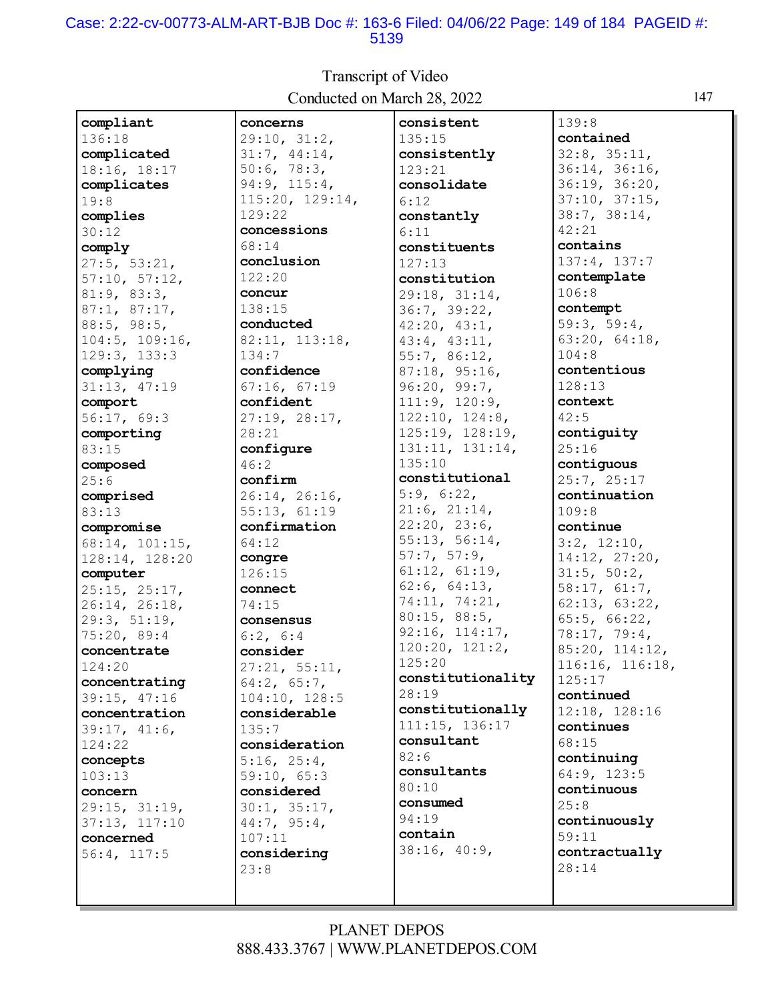#### Case: 2:22-cv-00773-ALM-ART-BJB Doc #: 163-6 Filed: 04/06/22 Page: 149 of 184 PAGEID #: 5139

**compliant** 136:18 **complicated** 18:16, 18:17 **complicates** 19:8 **complies** 30:12 **comply** 27:5, 53:21, 57:10, 57:12, 81:9, 83:3, 87:1, 87:17, 88:5, 98:5, 104:5, 109:16, 129:3, 133:3 **complying** 31:13, 47:19 **comport** 56:17, 69:3 **comporting** 83:15 **composed** 25:6 **comprised** 83:13 **compromise** 68:14, 101:15, 128:14, 128:20 **computer** 25:15, 25:17, 26:14, 26:18, 29:3, 51:19, 75:20, 89:4 **concentrate** 124:20 **concentrating** 39:15, 47:16 **concentration** 39:17, 41:6, 124:22 **concepts** 103:13 **concern** 29:15, 31:19, 37:13, 117:10 **concerned** 56:4, 117:5 **concerns** 29:10, 31:2, 31:7, 44:14, 50:6, 78:3, 94:9, 115:4, 115:20, 129:14, 129:22 **concessions** 68:14 **conclusion** 122:20 **concur** 138:15 **conducted** 82:11, 113:18, 134:7 **confidence** 67:16, 67:19 **confident** 27:19, 28:17, 28:21 **configure** 46:2 **confirm** 26:14, 26:16, 55:13, 61:19 **confirmation** 64:12 **congre** 126:15 **connect** 74:15 **consensus** 6:2, 6:4 **consider** 27:21, 55:11, 64:2, 65:7, 104:10, 128:5 **considerable** 135:7 **consideration** 5:16, 25:4, 59:10, 65:3 **considered** 30:1, 35:17, 44:7, 95:4, 107:11 **considering** 23:8 **consistent** 135:15 **consistently** 123:21 **consolidate** 6:12 **constantly** 6:11 **constituents** 127:13 **constitution** 29:18, 31:14, 36:7, 39:22, 42:20, 43:1, 43:4, 43:11, 55:7, 86:12, 87:18, 95:16, 96:20, 99:7, 111:9, 120:9, 122:10, 124:8, 125:19, 128:19, 131:11, 131:14, 135:10 **constitutional** 5:9, 6:22, 21:6, 21:14, 22:20, 23:6, 55:13, 56:14, 57:7, 57:9, 61:12, 61:19, 62:6, 64:13, 74:11, 74:21, 80:15, 88:5, 92:16, 114:17, 120:20, 121:2, 125:20 **constitutionality** 28:19 **constitutionally** 111:15, 136:17 **consultant** 82:6 **consultants** 80:10 **consumed** 94:19 **contain** 38:16, 40:9, 139:8 **contained** 32:8, 35:11, 36:14, 36:16, 36:19, 36:20, 37:10, 37:15, 38:7, 38:14, 42:21 **contains** 137:4, 137:7 **contemplate** 106:8 **contempt** 59:3, 59:4, 63:20, 64:18, 104:8 **contentious** 128:13 **context** 42:5 **contiguity** 25:16 **contiguous** 25:7, 25:17 **continuation** 109:8 **continue** 3:2, 12:10, 14:12, 27:20, 31:5, 50:2, 58:17, 61:7, 62:13, 63:22, 65:5, 66:22, 78:17, 79:4, 85:20, 114:12, 116:16, 116:18, 125:17 **continued** 12:18, 128:16 **continues** 68:15 **continuing** 64:9, 123:5 **continuous** 25:8 **continuously** 59:11 **contractually** 28:14

Transcript of Video Conducted on March 28, 2022 147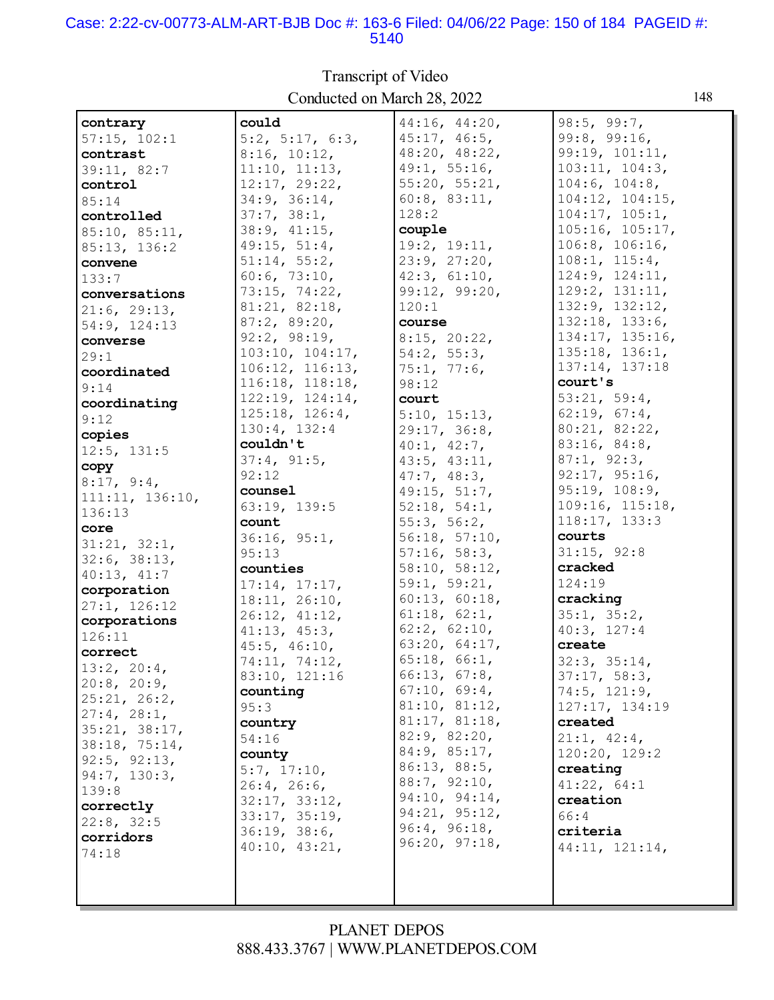#### Case: 2:22-cv-00773-ALM-ART-BJB Doc #: 163-6 Filed: 04/06/22 Page: 150 of 184 PAGEID #: 5140

| contrary          | could                 | 44:16, 44:20, | 98:5, 99:7,          |
|-------------------|-----------------------|---------------|----------------------|
| 57:15, 102:1      | 5:2, 5:17, 6:3,       | 45:17, 46:5,  | 99:8, 99:16,         |
| contrast          | 8:16, 10:12,          | 48:20, 48:22, | 99:19, 101:11,       |
|                   |                       |               | 103:11, 104:3,       |
| 39:11, 82:7       | 11:10, 11:13,         | 49:1, 55:16,  |                      |
| control           | 12:17, 29:22,         | 55:20, 55:21, | 104:6, 104:8,        |
| 85:14             | 34:9, 36:14,          | 60:8, 83:11,  | 104:12, 104:15,      |
| controlled        | 37:7, 38:1,           | 128:2         | 104:17, 105:1,       |
| 85:10, 85:11,     | 38:9, 41:15,          | couple        | 105:16, 105:17,      |
| 85:13, 136:2      | 49:15, 51:4,          | 19:2, 19:11,  | 106:8, 106:16,       |
| convene           | 51:14, 55:2,          | 23:9, 27:20,  | 108:1, 115:4,        |
|                   | 60:6, 73:10,          | 42:3, 61:10,  | 124:9, 124:11,       |
| 133:7             |                       | 99:12, 99:20, | 129:2, 131:11,       |
| conversations     | 73:15, 74:22,         |               |                      |
| 21:6, 29:13,      | 81:21, 82:18,         | 120:1         | 132:9, 132:12,       |
| 54:9, 124:13      | 87:2, 89:20,          | course        | 132:18, 133:6,       |
| converse          | 92:2, 98:19,          | 8:15, 20:22,  | 134:17, 135:16,      |
| 29:1              | 103:10, 104:17,       | 54:2, 55:3,   | $135:18$ , $136:1$ , |
| coordinated       | $106:12$ , $116:13$ , | 75:1, 77:6,   | 137:14, 137:18       |
| 9:14              | 116:18, 118:18,       | 98:12         | court's              |
|                   | 122:19, 124:14,       | court         | 53:21, 59:4,         |
| coordinating      | $125:18$ , $126:4$ ,  | 5:10, 15:13,  | 62:19, 67:4,         |
| 9:12              | 130:4, 132:4          |               | 80:21, 82:22,        |
| copies            |                       | 29:17, 36:8,  |                      |
| 12:5, 131:5       | couldn't              | 40:1, 42:7,   | 83:16, 84:8,         |
| copy              | 37:4, 91:5,           | 43:5, 43:11,  | 87:1, 92:3,          |
| 8:17, 9:4,        | 92:12                 | 47:7, 48:3,   | 92:17, 95:16,        |
| 111:11, 136:10,   | counsel               | 49:15, 51:7,  | 95:19, 108:9,        |
| 136:13            | 63:19, 139:5          | 52:18, 54:1,  | 109:16, 115:18,      |
| core              | count                 | 55:3, 56:2,   | 118:17, 133:3        |
| 31:21, 32:1,      | 36:16, 95:1,          | 56:18, 57:10, | courts               |
|                   | 95:13                 | 57:16, 58:3,  | 31:15, 92:8          |
| 32:6, 38:13,      | counties              | 58:10, 58:12, | cracked              |
| 40:13, 41:7       | 17:14, 17:17,         | 59:1, 59:21,  | 124:19               |
| corporation       | 18:11, 26:10,         | 60:13, 60:18, | cracking             |
| 27:1, 126:12      | 26:12, 41:12,         | 61:18, 62:1,  | 35:1, 35:2,          |
| corporations      |                       | 62:2, 62:10,  | 40:3, 127:4          |
| 126:11            | 41:13, 45:3,          |               |                      |
| correct           | $45:5$ , $46:10$ ,    | 63:20, 64:17, | create               |
| 13:2, 20:4,       | 74:11, 74:12,         | 65:18, 66:1,  | 32:3, 35:14,         |
| $20:8$ , $20:9$ , | 83:10, 121:16         | 66:13, 67:8,  | 37:17, 58:3,         |
| 25:21, 26:2,      | counting              | 67:10, 69:4,  | $74:5$ , $121:9$ ,   |
| 27:4, 28:1,       | 95:3                  | 81:10, 81:12, | 127:17, 134:19       |
| 35:21, 38:17,     | country               | 81:17, 81:18, | created              |
|                   | 54:16                 | 82:9, 82:20,  | 21:1, 42:4,          |
| 38:18, 75:14,     | county                | 84:9, 85:17,  | 120:20, 129:2        |
| 92:5, 92:13,      | 5:7, 17:10,           | 86:13, 88:5,  | creating             |
| 94:7, 130:3,      | 26:4, 26:6,           | 88:7, 92:10,  | 41:22, 64:1          |
| 139:8             | 32:17, 33:12,         | 94:10, 94:14, | creation             |
| correctly         |                       | 94:21, 95:12, | 66:4                 |
| 22:8, 32:5        | 33:17, 35:19,         | 96:4, 96:18,  |                      |
| corridors         | 36:19, 38:6,          | 96:20, 97:18, | criteria             |
| 74:18             | 40:10, 43:21,         |               | 44:11, 121:14,       |
|                   |                       |               |                      |
|                   |                       |               |                      |
|                   |                       |               |                      |

Transcript of Video Conducted on March 28, 2022 148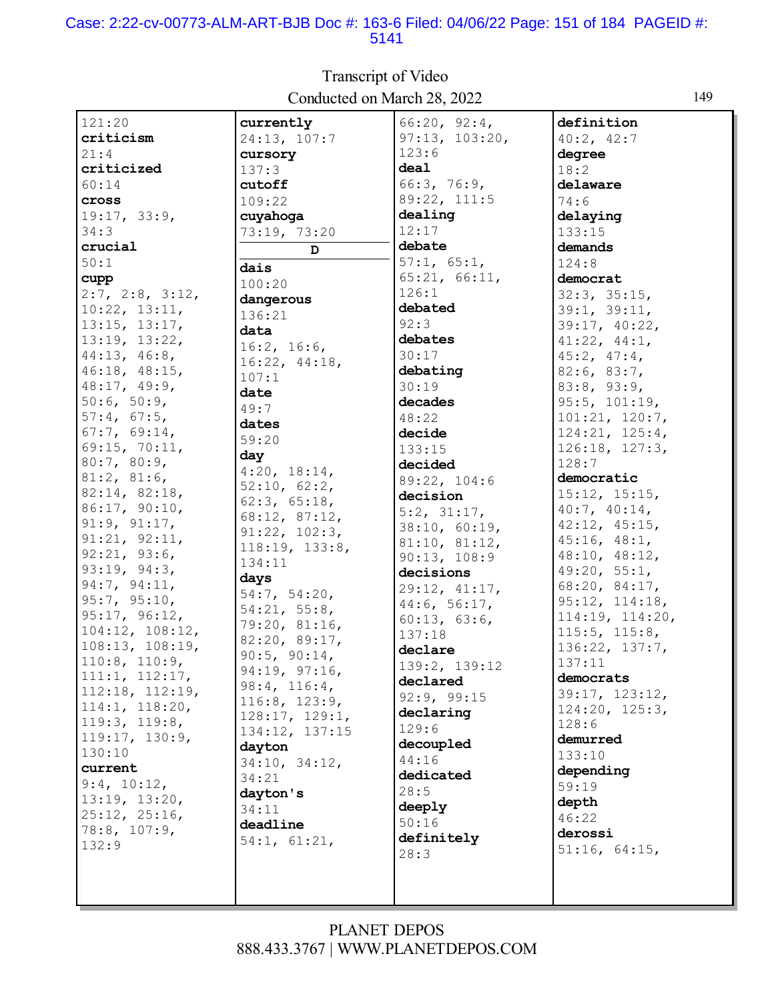#### Case: 2:22-cv-00773-ALM-ART-BJB Doc #: 163-6 Filed: 04/06/22 Page: 151 of 184 PAGEID #: 5141

| 121:20          | currently      | 66:20, 92:4,   | definition        |
|-----------------|----------------|----------------|-------------------|
| criticism       | 24:13, 107:7   | 97:13, 103:20, | 40:2, 42:7        |
| 21:4            | cursory        | 123:6          | degree            |
| criticized      | 137:3          | deal           | 18:2              |
| 60:14           | cutoff         | 66:3, 76:9,    | delaware          |
| cross           |                | 89:22, 111:5   | 74:6              |
|                 | 109:22         | dealing        |                   |
| 19:17, 33:9,    | cuyahoga       |                | delaying          |
| 34:3            | 73:19, 73:20   | 12:17          | 133:15            |
| crucial         | D              | debate         | demands           |
| 50:1            | dais           | 57:1, 65:1,    | 124:8             |
| cupp            | 100:20         | 65:21, 66:11,  | democrat          |
| 2:7, 2:8, 3:12, | dangerous      | 126:1          | 32:3, 35:15,      |
| 10:22, 13:11,   | 136:21         | debated        | 39:1, 39:11,      |
| 13:15, 13:17,   | data           | 92:3           | 39:17, 40:22,     |
| 13:19, 13:22,   | 16:2, 16:6,    | debates        | 41:22, 44:1,      |
| 44:13, 46:8,    | 16:22, 44:18,  | 30:17          | $45:2$ , $47:4$ , |
| 46:18, 48:15,   | 107:1          | debating       | 82:6, 83:7,       |
| 48:17, 49:9,    | date           | 30:19          | 83:8, 93:9,       |
| 50:6, 50:9,     |                | decades        | 95:5, 101:19,     |
| 57:4, 67:5,     | 49:7           | 48:22          | 101:21, 120:7,    |
| 67:7, 69:14,    | dates          | decide         | 124:21, 125:4,    |
| 69:15, 70:11,   | 59:20          | 133:15         | 126:18, 127:3,    |
| 80:7, 80:9,     | day            | decided        | 128:7             |
| 81:2, 81:6,     | 4:20, 18:14,   | 89:22, 104:6   | democratic        |
| 82:14, 82:18,   | 52:10, 62:2,   | decision       | 15:12, 15:15,     |
| 86:17, 90:10,   | 62:3, 65:18,   | 5:2, 31:17,    | 40:7, 40:14,      |
| 91:9, 91:17,    | 68:12, 87:12,  | 38:10, 60:19,  | 42:12, 45:15,     |
| 91:21, 92:11,   | 91:22, 102:3,  |                | 45:16, 48:1,      |
| 92:21, 93:6,    | 118:19, 133:8, | 81:10, 81:12,  | 48:10, 48:12,     |
| 93:19, 94:3,    | 134:11         | 90:13, 108:9   | 49:20, 55:1,      |
| 94:7, 94:11,    | days           | decisions      | 68:20, 84:17,     |
| 95:7, 95:10,    | 54:7, 54:20,   | 29:12, 41:17,  | 95:12, 114:18,    |
| 95:17, 96:12,   | 54:21, 55:8,   | 44:6, 56:17,   | 114:19, 114:20,   |
| 104:12, 108:12, | 79:20, 81:16,  | 60:13, 63:6,   | 115:5, 115:8,     |
| 108:13, 108:19, | 82:20, 89:17,  | 137:18         | 136:22, 137:7,    |
| 110:8, 110:9,   | 90:5, 90:14,   | declare        | 137:11            |
| 111:1, 112:17,  | 94:19, 97:16,  | 139:2, 139:12  | democrats         |
| 112:18, 112:19, | 98:4, 116:4,   | declared       |                   |
| 114:1, 118:20,  | 116:8, 123:9,  | 92:9, 99:15    | 39:17, 123:12,    |
| 119:3, 119:8,   | 128:17, 129:1, | declaring      | 124:20, 125:3,    |
| 119:17, 130:9,  | 134:12, 137:15 | 129:6          | 128:6             |
| 130:10          | dayton         | decoupled      | demurred          |
|                 | 34:10, 34:12,  | 44:16          | 133:10            |
| current         | 34:21          | dedicated      | depending         |
| 9:4, 10:12,     | dayton's       | 28:5           | 59:19             |
| 13:19, 13:20,   | 34:11          | deeply         | depth             |
| 25:12, 25:16,   | deadline       | 50:16          | 46:22             |
| 78:8, 107:9,    | 54:1, 61:21,   | definitely     | derossi           |
| 132:9           |                | 28:3           | 51:16, 64:15,     |
|                 |                |                |                   |
|                 |                |                |                   |
|                 |                |                |                   |

Transcript of Video Conducted on March 28, 2022 149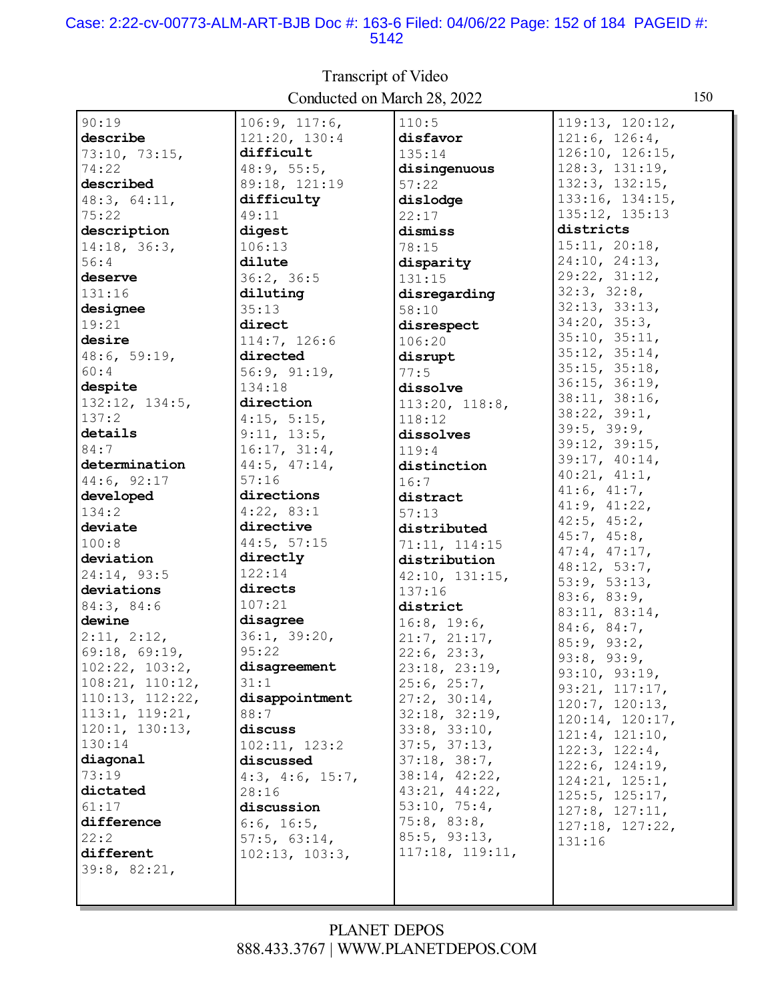#### Case: 2:22-cv-00773-ALM-ART-BJB Doc #: 163-6 Filed: 04/06/22 Page: 152 of 184 PAGEID #: 5142

 $90:19$  $106:9, 117:6,$  $110:5$  $119:13, 120:12,$ describe 121:20, 130:4 disfavor  $121:6, 126:4,$  $126:10, 126:15,$ 73:10, 73:15, difficult  $135:14$ 128:3, 131:19, 74:22  $48:9, 55:5,$ disingenuous described 89:18, 121:19  $132:3, 132:15,$  $57:22$ 133:16, 134:15, 48:3, 64:11, difficulty dislodge 135:12, 135:13 49:11  $75:22$  $22:17$ districts description digest dismiss  $15:11, 20:18,$  $14:18, 36:3,$  $106:13$  $78:15$ 24:10, 24:13,  $56:4$ dilute disparity  $29:22, 31:12,$ deserve  $36:2, 36:5$ 131:15  $32:3, 32:8,$ 131:16 diluting disregarding  $32:13, 33:13,$  $35:13$ designee  $58:10$  $34:20, 35:3,$ 19:21 direct disrespect  $35:10, 35:11,$ desire 114:7, 126:6 106:20  $35:12, 35:14,$  $48:6, 59:19,$ directed disrupt  $35:15, 35:18,$ 56:9, 91:19,  $60:4$  $77:5$  $36:15, 36:19,$ despite 134:18 dissolve 38:11, 38:16,  $113:20, 118:8,$  $132:12, 134:5,$ direction  $38:22, 39:1,$  $137:2$  $4:15, 5:15,$  $118:12$  $39:5, 39:9,$ details  $9:11, 13:5,$ dissolves  $39:12, 39:15,$ 84:7  $16:17, 31:4,$  $119:4$ 39:17, 40:14, determination 44:5, 47:14, distinction  $40:21, 41:1,$  $44:6, 92:17$  $57:16$  $16:7$  $41:6, 41:7,$ directions developed distract  $41:9, 41:22,$  $4:22, 83:1$ 134:2  $57:13$  $42:5$ ,  $45:2$ , deviate directive distributed  $45:7, 45:8,$ 44:5, 57:15  $100:8$ 71:11, 114:15  $47:4, 47:17,$ deviation directly distribution 48:12, 53:7,  $122:14$ 24:14, 93:5  $42:10, 131:15,$  $53:9, 53:13,$ deviations directs 137:16  $83:6, 83:9,$  $107:21$ 84:3, 84:6 district 83:11, 83:14, dewine disagree  $16:8, 19:6,$  $84:6, 84:7,$  $2:11, 2:12,$  $36:1, 39:20.$  $21:7, 21:17,$  $85:9, 93:2,$ 69:18, 69:19,  $95:22$  $22:6, 23:3,$  $93:8, 93:9,$  $102:22, 103:2,$ disagreement  $23:18, 23:19,$ 93:10, 93:19,  $108:21, 110:12,$  $31:1$  $25:6, 25:7,$  $93:21, 117:17,$  $110:13, 112:22,$  $27:2, 30:14,$ disappointment  $120:7, 120:13,$  $113:1, 119:21,$ 88:7  $32:18, 32:19,$  $120:14, 120:17,$  $120:1, 130:13,$ discuss  $33:8, 33:10,$  $121:4, 121:10,$ 130:14  $37:5, 37:13,$  $102:11. 123:2$  $122:3, 122:4,$ diagonal  $37:18, 38:7,$ discussed  $122:6, 124:19,$  $73:19$ 38:14, 42:22,  $4:3, 4:6, 15:7,$ 124:21, 125:1, dictated  $43:21, 44:22,$  $28:16$  $125:5, 125:17,$  $53:10, 75:4,$  $61:17$ discussion  $127:8, 127:11,$ difference  $75:8, 83:8,$  $6:6, 16:5,$  $127:18, 127:22,$  $22:2$  $85:5, 93:13,$  $57:5, 63:14,$  $131:16$ 117:18, 119:11, different  $102:13, 103:3,$ 39:8, 82:21,

### **Transcript of Video** Conducted on March 28, 2022

#### **PLANET DEPOS** 888.433.3767 | WWW.PLANETDEPOS.COM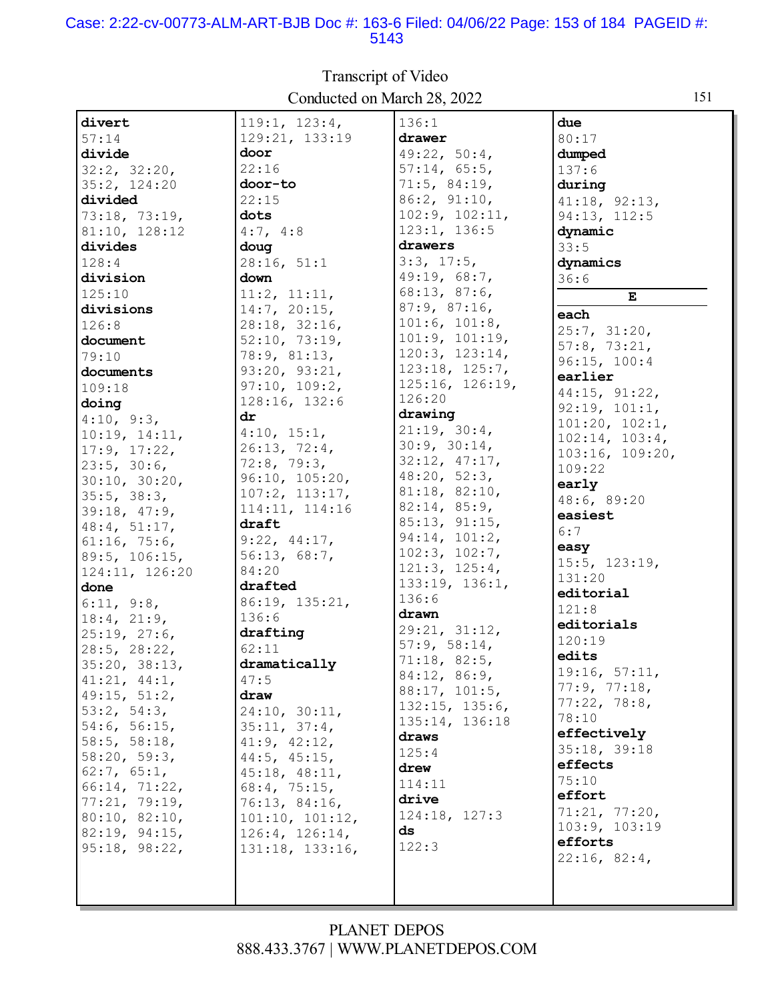#### Case: 2:22-cv-00773-ALM-ART-BJB Doc #: 163-6 Filed: 04/06/22 Page: 153 of 184 PAGEID #: 5143

|                    | Conducted on march $20, 2022$ |                               |                                  |
|--------------------|-------------------------------|-------------------------------|----------------------------------|
| divert             | 119:1, 123:4,                 | 136:1                         | due                              |
| 57:14              | 129:21, 133:19                | drawer                        | 80:17                            |
| divide             | door                          | 49:22, 50:4,                  | dumped                           |
| 32:2, 32:20,       | 22:16                         | 57:14, 65:5,                  | 137:6                            |
| 35:2, 124:20       | door-to                       | 71:5, 84:19,                  | during                           |
| divided            | 22:15                         | 86:2, 91:10,                  | 41:18, 92:13,                    |
| 73:18, 73:19,      | dots                          | 102:9, 102:11,                | 94:13, 112:5                     |
| 81:10, 128:12      | 4:7, 4:8                      | 123:1, 136:5                  | dynamic                          |
| divides            | doug                          | drawers                       | 33:5                             |
| 128:4              | 28:16, 51:1                   | 3:3, 17:5,                    | dynamics                         |
| division           | down                          | 49:19, 68:7,                  | 36:6                             |
| 125:10             | 11:2, 11:11,                  | 68:13, 87:6,                  | Е                                |
| divisions          | 14:7, 20:15,                  | 87:9, 87:16,                  | each                             |
| 126:8              | 28:18, 32:16,                 | 101:6, 101:8,                 |                                  |
| document           | 52:10, 73:19,                 | 101:9, 101:19,                | 25:7, 31:20,                     |
| 79:10              | 78:9, 81:13,                  | 120:3, 123:14,                | 57:8, 73:21,                     |
| documents          | 93:20, 93:21,                 | 123:18, 125:7,                | 96:15, 100:4                     |
| 109:18             | 97:10, 109:2,                 | 125:16, 126:19,               | earlier                          |
| doing              | 128:16, 132:6                 | 126:20                        | 44:15, 91:22,                    |
| 4:10, 9:3,         | $\mathbf{dr}$                 | drawing                       | 92:19, 101:1,                    |
| 10:19, 14:11,      | 4:10, 15:1,                   | 21:19, 30:4,                  | 101:20, 102:1,<br>102:14, 103:4, |
| 17:9, 17:22,       | 26:13, 72:4,                  | 30:9, 30:14,                  | 103:16, 109:20,                  |
| 23:5, 30:6,        | 72:8, 79:3,                   | 32:12, 47:17,                 | 109:22                           |
| 30:10, 30:20,      | 96:10, 105:20,                | 48:20, 52:3,                  | early                            |
| 35:5, 38:3,        | 107:2, 113:17,                | 81:18, 82:10,                 | 48:6, 89:20                      |
| 39:18, 47:9,       | 114:11, 114:16                | 82:14, 85:9,                  | easiest                          |
| 48:4, 51:17,       | draft                         | 85:13, 91:15,                 | 6:7                              |
| 61:16, 75:6,       | 9:22, 44:17,                  | 94:14, 101:2,                 | easy                             |
| 89:5, 106:15,      | 56:13, 68:7,                  | 102:3, 102:7,                 | 15:5, 123:19,                    |
| 124:11, 126:20     | 84:20                         | 121:3, 125:4,                 | 131:20                           |
| done               | drafted                       | 133:19, 136:1,                | editorial                        |
| 6:11, 9:8,         | 86:19, 135:21,                | 136:6                         | 121:8                            |
| 18:4, 21:9,        | 136:6                         | drawn                         | editorials                       |
| 25:19, 27:6,       | drafting                      | 29:21, 31:12,                 | 120:19                           |
| $28:5$ , $28:22$ , | 62:11                         | 57:9, 58:14,<br>71:18, 82:5,  | edits                            |
| 35:20, 38:13,      | dramatically                  |                               | 19:16, 57:11,                    |
| 41:21, 44:1,       | 47:5                          | 84:12, 86:9,<br>88:17, 101:5, | 77:9, 77:18,                     |
| 49:15, 51:2,       | draw                          | 132:15, 135:6,                | 77:22, 78:8,                     |
| 53:2, 54:3,        | 24:10, 30:11,                 | 135:14, 136:18                | 78:10                            |
| 54:6, 56:15,       | 35:11, 37:4,                  | draws                         | effectively                      |
| 58:5, 58:18,       | 41:9, 42:12,                  | 125:4                         | 35:18, 39:18                     |
| 58:20, 59:3,       | $44:5$ , $45:15$ ,            | drew                          | effects                          |
| 62:7, 65:1,        | 45:18, 48:11,                 |                               | 75:10                            |
| 66:14, 71:22,      | $68:4$ , $75:15$ ,            | 114:11<br>drive               | effort                           |
| 77:21, 79:19,      | 76:13, 84:16,                 | 124:18, 127:3                 | 71:21, 77:20,                    |
| 80:10, 82:10,      | 101:10, 101:12,               | ds                            | 103:9, 103:19                    |
| 82:19, 94:15,      | 126:4, 126:14,                | 122:3                         | efforts                          |
| 95:18, 98:22,      | 131:18, 133:16,               |                               | 22:16, 82:4,                     |
|                    |                               |                               |                                  |
|                    |                               |                               |                                  |
|                    |                               |                               |                                  |

## Transcript of Video Conducted on March 28, 2022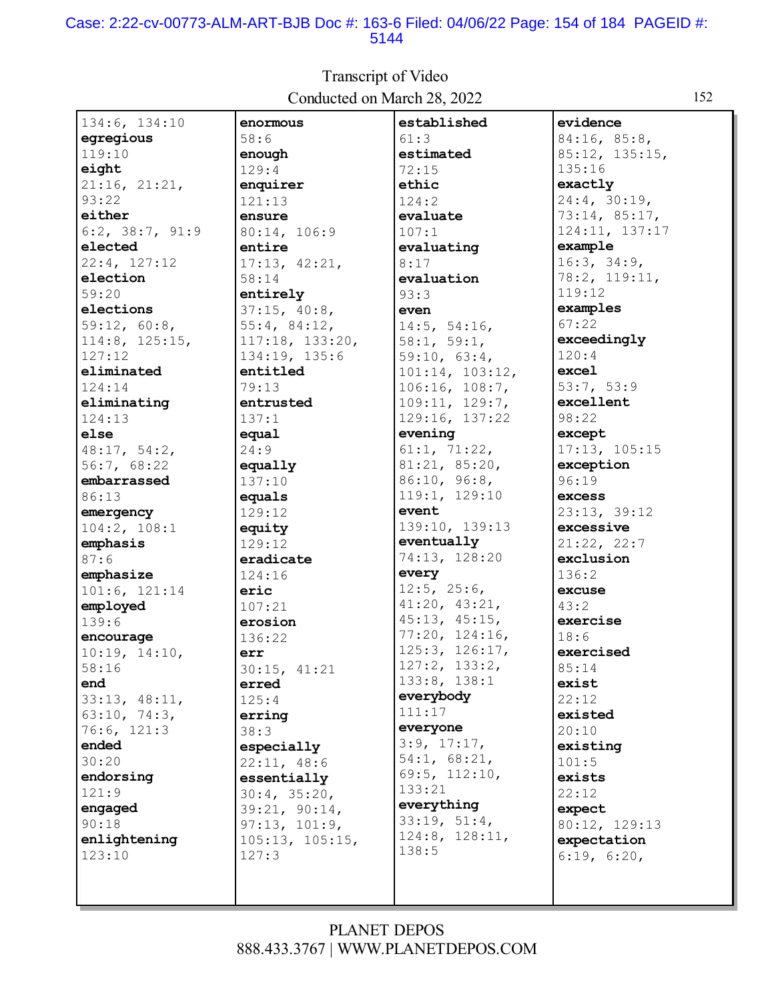#### Case: 2:22-cv-00773-ALM-ART-BJB Doc #: 163-6 Filed: 04/06/22 Page: 154 of 184 PAGEID #: 5144

established 134:6, 134:10 enormous evidence egregious  $58:6$  $61:3$ 84:16, 85:8, 119:10 estimated 85:12, 135:15, enough eight  $129:4$  $72:15$  $135:16$ 21:16, 21:21, exactly enquirer ethic  $93:22$ 24:4, 30:19,  $121:13$  $124:2$ 73:14, 85:17, either ensure evaluate  $6:2, 38:7, 91:9$ 80:14, 106:9  $107:1$ 124:11, 137:17 example elected evaluating entire 22:4, 127:12  $17:13, 42:21,$  $16:3, 34:9,$  $8:17$ election 78:2, 119:11, 58:14 evaluation 119:12  $59:20$ entirely  $93:3$ examples elections  $37:15, 40:8,$ even  $59:12, 60:8,$  $55:4, 84:12,$  $14:5, 54:16,$  $67:22$  $114:8, 125:15,$  $117:18, 133:20,$  $58:1, 59:1,$ exceedingly  $120:4$  $127:12$  $134:19, 135:6$  $59:10, 63:4,$ entitled  $101:14, 103:12,$ excel eliminated  $53:7, 53:9$ 124:14  $79:13$  $106:16, 108:7,$ excellent eliminating entrusted  $109:11, 129:7,$ 129:16, 137:22 98:22  $137:1$  $124:13$ evening else equal except 48:17, 54:2,  $24:9$  $61:1, 71:22,$ 17:13, 105:15  $81:21, 85:20,$ 56:7, 68:22 exception equally 86:10, 96:8, embarrassed  $96:19$  $137:10$ 119:1, 129:10 86:13 excess equals event 23:13, 39:12 emergency 129:12 139:10, 139:13  $104:2, 108:1$ excessive equity eventually  $21:22, 22:7$ emphasis  $129:12$ 74:13, 128:20 exclusion  $87:6$ eradicate emphasize 124:16 every  $136:2$  $12:5$ ,  $25:6$ , excuse  $101:6, 121:14$ eric  $41:20, 43:21,$ employed  $43:2$  $107:21$  $45:13, 45:15,$  $139:6$ exercise erosion  $77:20, 124:16,$ encourage 136:22  $18:6$  $125:3, 126:17,$ exercised  $10:19, 14:10,$ err  $127:2, 133:2,$  $58:16$  $85:14$  $30:15, 41:21$  $133:8, 138:1$ exist end erred everybody 33:13, 48:11,  $125:4$  $22:12$  $111:17$  $63:10, 74:3,$ existed erring everyone  $76:6, 121:3$  $20:10$  $38:3$  $3:9, 17:17,$ ended especially existing  $54:1, 68:21,$  $30:20$  $101:5$  $22:11, 48:6$  $69:5, 112:10,$ endorsing essentially exists  $133:21$ 121:9  $30:4, 35:20,$  $22:12$ everything engaged  $39:21, 90:14,$ expect  $33:19, 51:4,$  $90:18$  $97:13, 101:9,$ 80:12, 129:13  $124:8$ ,  $128:11$ , enlightening 105:13, 105:15, expectation  $138:5$  $123:10$  $127:3$  $6:19, 6:20,$ 

### Transcript of Video Conducted on March 28, 2022

**PLANET DEPOS** 888.433.3767 | WWW.PLANETDEPOS.COM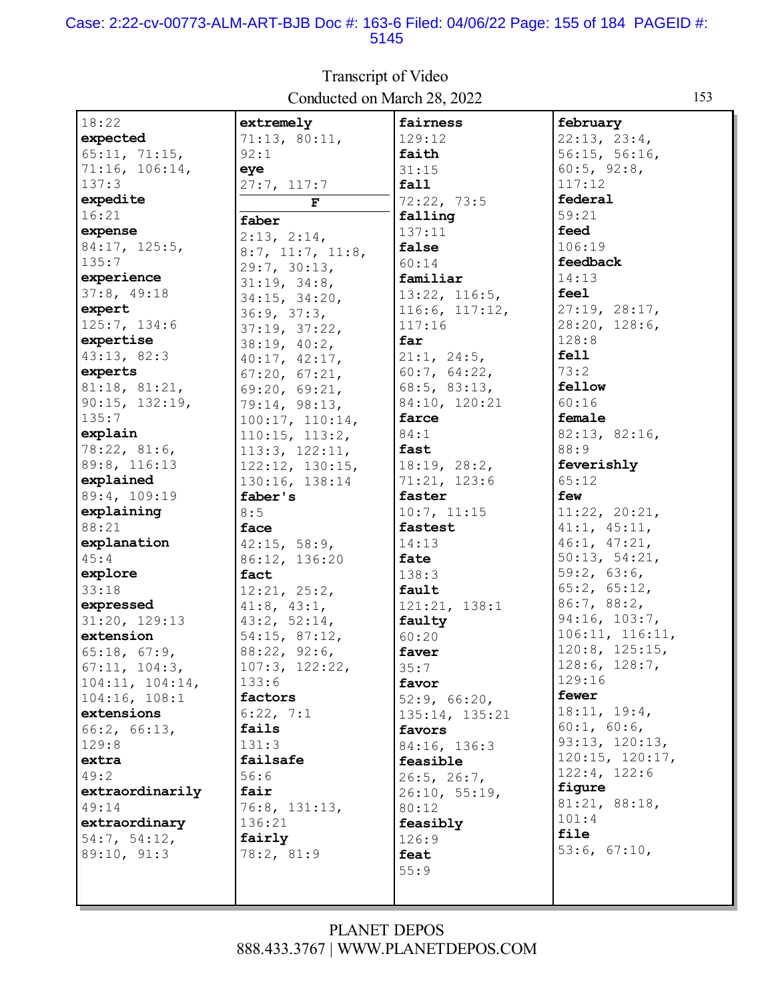#### Case: 2:22-cv-00773-ALM-ART-BJB Doc #: 163-6 Filed: 04/06/22 Page: 155 of 184 PAGEID #: 5145

| 18:22                            | extremely                    | fairness           | february        |
|----------------------------------|------------------------------|--------------------|-----------------|
| expected                         | 71:13, 80:11,                | 129:12             | 22:13, 23:4,    |
| 65:11, 71:15,                    | 92:1                         | faith              | 56:15, 56:16,   |
| 71:16, 106:14,                   | eye                          | 31:15              | 60:5, 92:8,     |
| 137:3                            | 27:7, 117:7                  | fall               | 117:12          |
| expedite                         | F                            | 72:22, 73:5        | federal         |
| 16:21                            | faber                        | falling            | 59:21           |
| expense                          | 2:13, 2:14,                  | 137:11             | feed            |
| 84:17, 125:5,                    |                              | false              | 106:19          |
| 135:7                            | 8:7, 11:7, 11:8,             | 60:14              | feedback        |
| experience                       | 29:7, 30:13,<br>31:19, 34:8, | familiar           | 14:13           |
| 37:8, 49:18                      | 34:15, 34:20,                | 13:22, 116:5,      | feel            |
| expert                           | 36:9, 37:3,                  | 116:6, 117:12,     | 27:19, 28:17,   |
| 125:7, 134:6                     | 37:19, 37:22,                | 117:16             | 28:20, 128:6,   |
| expertise                        | 38:19, 40:2,                 | far                | 128:8           |
| 43:13, 82:3                      | 40:17, 42:17,                | 21:1, 24:5,        | fell            |
| experts                          | 67:20, 67:21,                | 60:7, 64:22,       | 73:2            |
| 81:18, 81:21,                    | 69:20, 69:21,                | $68:5$ , $83:13$ , | fellow          |
| 90:15, 132:19,                   | 79:14, 98:13,                | 84:10, 120:21      | 60:16           |
| 135:7                            | 100:17, 110:14,              | farce              | female          |
| explain                          | 110:15, 113:2,               | 84:1               | 82:13, 82:16,   |
| 78:22, 81:6,                     | 113:3, 122:11,               | fast               | 88:9            |
| 89:8, 116:13                     | 122:12, 130:15,              | 18:19, 28:2,       | feverishly      |
| explained                        | 130:16, 138:14               | 71:21, 123:6       | 65:12           |
| 89:4, 109:19                     | faber's                      | faster             | few             |
| explaining                       | 8:5                          | 10:7, 11:15        | 11:22, 20:21,   |
| 88:21                            | face                         | fastest            | 41:1, 45:11,    |
| explanation                      |                              | 14:13              | 46:1, 47:21,    |
| 45:4                             | 42:15, 58:9,                 | fate               | 50:13, 54:21,   |
| explore                          | 86:12, 136:20<br>fact        | 138:3              | 59:2, 63:6,     |
| 33:18                            |                              | fault              | 65:2, 65:12,    |
| expressed                        | 12:21, 25:2,                 |                    | 86:7, 88:2,     |
|                                  | $41:8$ , $43:1$ ,            | 121:21, 138:1      | 94:16, 103:7,   |
| 31:20, 129:13<br>extension       | 43:2, 52:14,                 | faulty             | 106:11, 116:11, |
|                                  | 54:15, 87:12,                | 60:20<br>faver     | 120:8, 125:15,  |
| 65:18, 67:9,                     | 88:22, 92:6,                 |                    | 128:6, 128:7,   |
| 67:11, 104:3,<br>104:11, 104:14, | 107:3, 122:22,<br>133:6      | 35:7               | 129:16          |
|                                  | factors                      | favor              | fewer           |
| 104:16, 108:1                    |                              | 52:9, 66:20,       | 18:11, 19:4,    |
| extensions                       | 6:22, 7:1                    | 135:14, 135:21     | 60:1, 60:6,     |
| 66:2, 66:13,                     | fails                        | favors             | 93:13, 120:13,  |
| 129:8                            | 131:3                        | 84:16, 136:3       | 120:15, 120:17, |
| extra                            | failsafe                     | feasible           | 122:4, 122:6    |
| 49:2                             | 56:6                         | 26:5, 26:7,        | figure          |
| extraordinarily                  | fair                         | 26:10, 55:19,      | 81:21, 88:18,   |
| 49:14                            | 76:8, 131:13,                | 80:12              | 101:4           |
| extraordinary                    | 136:21                       | feasibly           | file            |
| 54:7, 54:12,                     | fairly                       | 126:9              | 53:6, 67:10,    |
| 89:10, 91:3                      | 78:2, 81:9                   | feat               |                 |
|                                  |                              | 55:9               |                 |
|                                  |                              |                    |                 |

Transcript of Video Conducted on March 28, 2022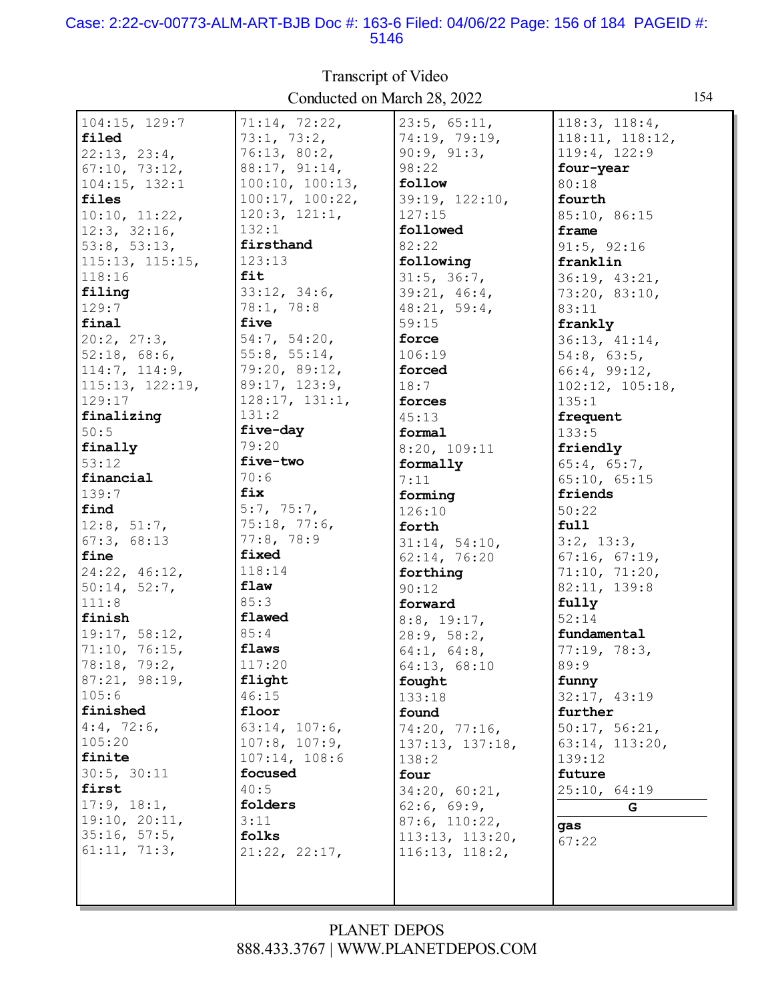#### Case: 2:22-cv-00773-ALM-ART-BJB Doc #: 163-6 Filed: 04/06/22 Page: 156 of 184 PAGEID #: 5146

104:15, 129:7 **filed** 22:13, 23:4, 67:10, 73:12, 104:15, 132:1 **files** 10:10, 11:22, 12:3, 32:16, 53:8, 53:13, 115:13, 115:15, 118:16 **filing** 129:7 **final** 20:2, 27:3, 52:18, 68:6, 114:7, 114:9, 115:13, 122:19, 129:17 **finalizing** 50:5 **finally** 53:12 **financial** 139:7 **find** 12:8, 51:7, 67:3, 68:13 **fine** 24:22, 46:12, 50:14, 52:7, 111:8 **finish** 19:17, 58:12, 71:10, 76:15, 78:18, 79:2, 87:21, 98:19, 105:6 **finished** 4:4, 72:6, 105:20 **finite** 30:5, 30:11 **first** 17:9, 18:1, 19:10, 20:11, 35:16, 57:5, 61:11, 71:3, 71:14, 72:22, 73:1, 73:2, 76:13, 80:2, 88:17, 91:14, 100:10, 100:13, 100:17, 100:22, 120:3, 121:1, 132:1 **firsthand** 123:13 **fit** 33:12, 34:6, 78:1, 78:8 **five** 54:7, 54:20, 55:8, 55:14, 79:20, 89:12, 89:17, 123:9, 128:17, 131:1, 131:2 **five-day** 79:20 **five-two** 70:6 **fix** 5:7, 75:7, 75:18, 77:6, 77:8, 78:9 **fixed** 118:14 **flaw** 85:3 **flawed** 85:4 **flaws** 117:20 **flight** 46:15 **floor** 63:14, 107:6, 107:8, 107:9, 107:14, 108:6 **focused** 40:5 **folders** 3:11 **folks** 21:22, 22:17, 23:5, 65:11, 74:19, 79:19, 90:9, 91:3, 98:22 **follow** 39:19, 122:10, 127:15 **followed** 82:22 **following** 31:5, 36:7, 39:21, 46:4, 48:21, 59:4, 59:15 **force** 106:19 **forced** 18:7 **forces** 45:13 **formal** 8:20, 109:11 **formally** 7:11 **forming** 126:10 **forth** 31:14, 54:10, 62:14, 76:20 **forthing** 90:12 **forward** 8:8, 19:17, 28:9, 58:2, 64:1, 64:8, 64:13, 68:10 **fought** 133:18 **found** 74:20, 77:16, 137:13, 137:18, 138:2 **four** 34:20, 60:21, 62:6, 69:9, 87:6, 110:22, 113:13, 113:20, 116:13, 118:2, 118:3, 118:4, 118:11, 118:12, 119:4, 122:9 **four-year** 80:18 **fourth** 85:10, 86:15 **frame** 91:5, 92:16 **franklin** 36:19, 43:21, 73:20, 83:10, 83:11 **frankly** 36:13, 41:14, 54:8, 63:5, 66:4, 99:12, 102:12, 105:18, 135:1 **frequent** 133:5 **friendly** 65:4, 65:7, 65:10, 65:15 **friends** 50:22 **full** 3:2, 13:3, 67:16, 67:19, 71:10, 71:20, 82:11, 139:8 **fully** 52:14 **fundamental** 77:19, 78:3, 89:9 **funny** 32:17, 43:19 **further** 50:17, 56:21, 63:14, 113:20, 139:12 **future** 25:10, 64:19 **G gas** 67:22

### Transcript of Video Conducted on March 28, 2022 154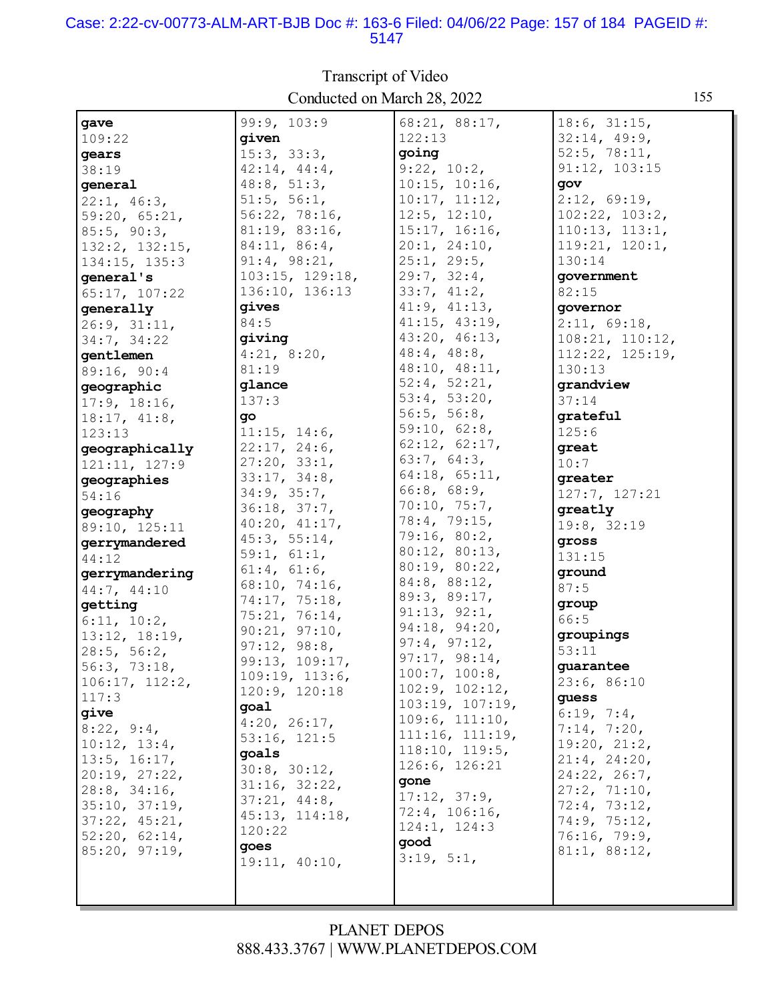#### Case: 2:22-cv-00773-ALM-ART-BJB Doc #: 163-6 Filed: 04/06/22 Page: 157 of 184 PAGEID #: 5147

| gave                 | 99:9, 103:9     | 68:21, 88:17,                 | 18:6, 31:15,    |
|----------------------|-----------------|-------------------------------|-----------------|
| 109:22               | qiven           | 122:13                        | 32:14, 49:9,    |
|                      |                 |                               |                 |
| gears                | 15:3, 33:3,     | going                         | 52:5, 78:11,    |
| 38:19                | 42:14, 44:4,    | 9:22, 10:2,                   | 91:12, 103:15   |
| general              | 48:8, 51:3,     | 10:15, 10:16,                 | gov             |
| 22:1, 46:3,          | 51:5, 56:1,     | 10:17, 11:12,                 | 2:12, 69:19,    |
| 59:20, 65:21,        | 56:22, 78:16,   | $12:5$ , $12:10$ ,            | 102:22, 103:2,  |
| 85:5, 90:3,          | 81:19, 83:16,   | 15:17, 16:16,                 | 110:13, 113:1,  |
| $132:2$ , $132:15$ , | 84:11, 86:4,    | 20:1, 24:10,                  | 119:21, 120:1,  |
| $134:15$ , $135:3$   | 91:4, 98:21,    | 25:1, 29:5,                   | 130:14          |
| general's            | 103:15, 129:18, | 29:7, 32:4,                   | government      |
| 65:17, 107:22        | 136:10, 136:13  | 33:7, 41:2,                   | 82:15           |
| generally            | gives           | 41:9, 41:13,                  | qovernor        |
|                      | 84:5            | 41:15, 43:19,                 | 2:11, 69:18,    |
| 26:9, 31:11,         |                 |                               |                 |
| 34:7, 34:22          | qiving          | 43:20, 46:13,                 | 108:21, 110:12, |
| qentlemen            | 4:21, 8:20,     | $48:4$ , $48:8$ ,             | 112:22, 125:19, |
| 89:16, 90:4          | 81:19           | 48:10, 48:11,                 | 130:13          |
| qeographic           | qlance          | 52:4, 52:21,                  | grandview       |
| 17:9, 18:16,         | 137:3           | 53:4, 53:20,                  | 37:14           |
| 18:17, 41:8,         | go              | 56:5, 56:8,                   | qrateful        |
| 123:13               | 11:15, 14:6,    | 59:10, 62:8,                  | 125:6           |
| geographically       | 22:17, 24:6,    | 62:12, 62:17,                 | great           |
| 121:11, 127:9        | 27:20, 33:1,    | 63:7, 64:3,                   | 10:7            |
| geographies          | 33:17, 34:8,    | 64:18, 65:11,                 | qreater         |
| 54:16                | 34:9, 35:7,     | $66:8$ , $68:9$ ,             | 127:7, 127:21   |
|                      | 36:18, 37:7,    | 70:10, 75:7,                  | greatly         |
| geography            | 40:20, 41:17,   | 78:4, 79:15,                  |                 |
| 89:10, 125:11        | 45:3, 55:14,    | 79:16, 80:2,                  | 19:8, 32:19     |
| gerrymandered        | 59:1, 61:1,     | 80:12, 80:13,                 | gross           |
| 44:12                |                 | 80:19, 80:22,                 | 131:15          |
| gerrymandering       | 61:4, 61:6,     | $84:8$ , $88:12$ ,            | ground          |
| 44:7, 44:10          | 68:10, 74:16,   | 89:3, 89:17,                  | 87:5            |
| getting              | 74:17, 75:18,   | 91:13, 92:1,                  | group           |
| 6:11, 10:2,          | 75:21, 76:14,   |                               | 66:5            |
| 13:12, 18:19,        | 90:21, 97:10,   | 94:18, 94:20,<br>97:4, 97:12, | groupings       |
| 28:5, 56:2,          | 97:12, 98:8,    |                               | 53:11           |
| 56:3, 73:18,         | 99:13, 109:17,  | 97:17, 98:14,                 | guarantee       |
| 106:17, 112:2,       | 109:19, 113:6,  | 100:7, 100:8,                 | 23:6, 86:10     |
| 117:3                | 120:9, 120:18   | 102:9, 102:12,                | guess           |
| give                 | goal            | 103:19, 107:19,               | 6:19, 7:4,      |
| 8:22, 9:4,           | 4:20, 26:17,    | 109:6, 111:10,                | 7:14, 7:20,     |
|                      | 53:16, 121:5    | 111:16, 111:19,               |                 |
| 10:12, 13:4,         | goals           | 118:10, 119:5,                | 19:20, 21:2,    |
| 13:5, 16:17,         | 30:8, 30:12,    | 126:6, 126:21                 | 21:4, 24:20,    |
| 20:19, 27:22,        | 31:16, 32:22,   | gone                          | 24:22, 26:7,    |
| 28:8, 34:16,         | 37:21, 44:8,    | 17:12, 37:9,                  | 27:2, 71:10,    |
| 35:10, 37:19,        | 45:13, 114:18,  | 72:4, 106:16,                 | 72:4, 73:12,    |
| 37:22, 45:21,        | 120:22          | 124:1, 124:3                  | 74:9, 75:12,    |
| 52:20, 62:14,        |                 | qood                          | 76:16, 79:9,    |
| 85:20, 97:19,        | qoes            | 3:19, 5:1,                    | 81:1, 88:12,    |
|                      | 19:11, 40:10,   |                               |                 |
|                      |                 |                               |                 |
|                      |                 |                               |                 |

Transcript of Video Conducted on March 28, 2022 155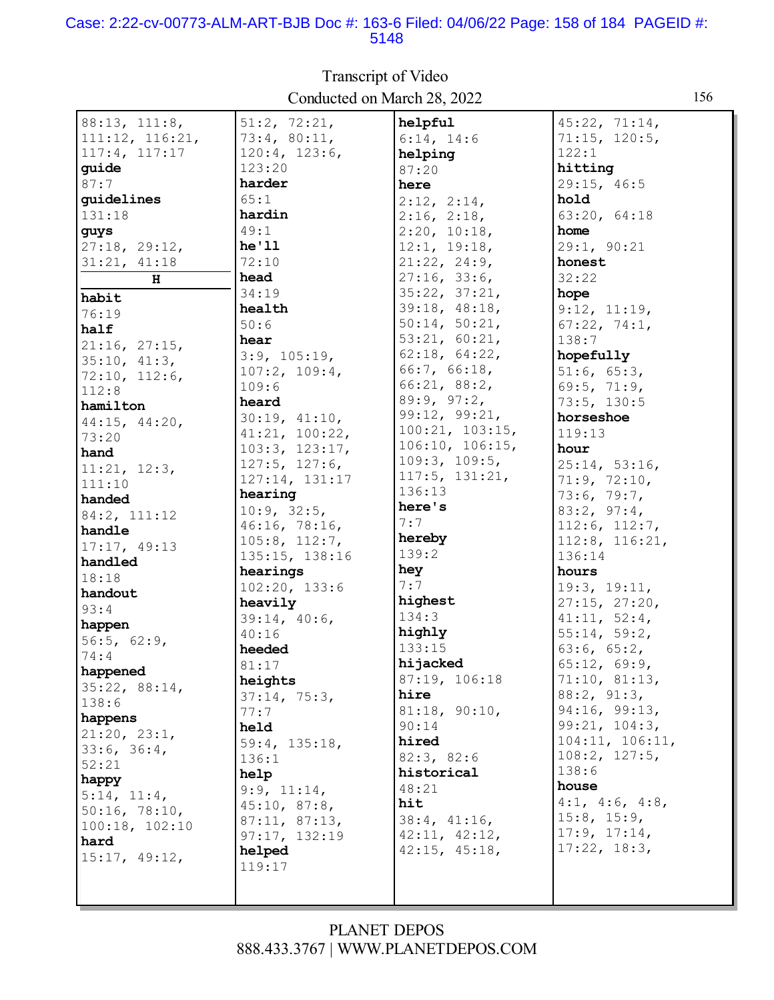#### Case: 2:22-cv-00773-ALM-ART-BJB Doc #: 163-6 Filed: 04/06/22 Page: 158 of 184 PAGEID #: 5148

| 88:13, 111:8,          | 51:2, 72:21,   | helpful         | 45:22, 71:14,        |
|------------------------|----------------|-----------------|----------------------|
| 111:12, 116:21,        | 73:4, 80:11,   | 6:14, 14:6      | 71:15, 120:5,        |
| 117:4, 117:17          | 120:4, 123:6,  | helping         | 122:1                |
| quide                  | 123:20         | 87:20           | hitting              |
| 87:7                   | harder         | here            | 29:15, 46:5          |
| quidelines             | 65:1           |                 | hold                 |
| 131:18                 | hardin         | 2:12, 2:14,     | 63:20, 64:18         |
|                        | 49:1           | 2:16, 2:18,     | home                 |
| guys                   | he'11          | 2:20, 10:18,    |                      |
| 27:18, 29:12,          | 72:10          | 12:1, 19:18,    | 29:1, 90:21          |
| 31:21, 41:18           |                | 21:22, 24:9,    | honest               |
| H                      | head           | 27:16, 33:6,    | 32:22                |
| habit                  | 34:19          | 35:22, 37:21,   | hope                 |
| 76:19                  | health         | 39:18, 48:18,   | 9:12, 11:19,         |
| half                   | 50:6           | 50:14, 50:21,   | 67:22, 74:1,         |
| 21:16, 27:15,          | hear           | 53:21, 60:21,   | 138:7                |
| 35:10, 41:3,           | 3:9, 105:19,   | 62:18, 64:22,   | hopefully            |
| 72:10, 112:6,          | 107:2, 109:4,  | 66:7, 66:18,    | 51:6, 65:3,          |
| 112:8                  | 109:6          | 66:21, 88:2,    | 69:5, 71:9,          |
| hamilton               | heard          | 89:9, 97:2,     | 73:5, 130:5          |
| 44:15, 44:20,          | 30:19, 41:10,  | 99:12, 99:21,   | horseshoe            |
| 73:20                  | 41:21, 100:22, | 100:21, 103:15, | 119:13               |
| hand                   | 103:3, 123:17, | 106:10, 106:15, | hour                 |
| 11:21, 12:3,           | 127:5, 127:6,  | 109:3, 109:5,   | 25:14, 53:16,        |
| 111:10                 | 127:14, 131:17 | 117:5, 131:21,  | 71:9, 72:10,         |
| handed                 | hearing        | 136:13          | 73:6, 79:7,          |
| 84:2, 111:12           | 10:9, 32:5,    | here's          | 83:2, 97:4,          |
| handle                 | 46:16, 78:16,  | 7:7             | 112:6, 112:7,        |
| 17:17, 49:13           | 105:8, 112:7,  | hereby          | $112:8$ , $116:21$ , |
| handled                | 135:15, 138:16 | 139:2           | 136:14               |
| 18:18                  | hearings       | hey             | hours                |
| handout                | 102:20, 133:6  | 7:7             | 19:3, 19:11,         |
| 93:4                   | heavily        | highest         | 27:15, 27:20,        |
| happen                 | 39:14, 40:6,   | 134:3           | 41:11, 52:4,         |
| 56:5, 62:9,            | 40:16          | highly          | 55:14, 59:2,         |
| 74:4                   | heeded         | 133:15          | 63:6, 65:2,          |
| happened               | 81:17          | hijacked        | 65:12, 69:9,         |
|                        | heights        | 87:19, 106:18   | 71:10, 81:13,        |
| 35:22, 88:14,<br>138:6 | 37:14, 75:3,   | hire            | 88:2, 91:3,          |
|                        | 77:7           | 81:18, 90:10,   | 94:16, 99:13,        |
| happens                | held           | 90:14           | 99:21, 104:3,        |
| 21:20, 23:1,           | 59:4, 135:18,  | hired           | 104:11, 106:11,      |
| 33:6, 36:4,            | 136:1          | 82:3, 82:6      | 108:2, 127:5,        |
| 52:21                  | help           | historical      | 138:6                |
| happy                  | 9:9, 11:14,    | 48:21           | house                |
| 5:14, 11:4,            | 45:10, 87:8,   | hit             | 4:1, 4:6, 4:8,       |
| 50:16, 78:10,          | 87:11, 87:13,  | 38:4, 41:16,    | $15:8$ , $15:9$ ,    |
| 100:18, 102:10         | 97:17, 132:19  | 42:11, 42:12,   | 17:9, 17:14,         |
| hard                   | helped         | 42:15, 45:18,   | 17:22, 18:3,         |
| 15:17, 49:12,          | 119:17         |                 |                      |
|                        |                |                 |                      |
|                        |                |                 |                      |

Transcript of Video Conducted on March 28, 2022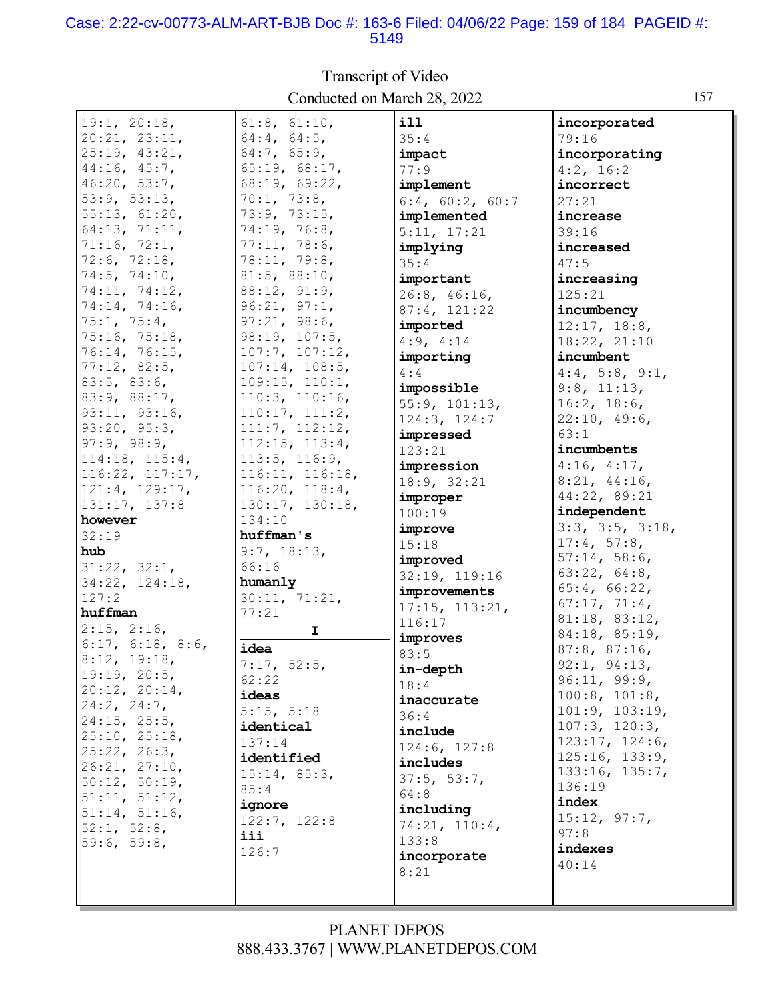#### Case: 2:22-cv-00773-ALM-ART-BJB Doc #: 163-6 Filed: 04/06/22 Page: 159 of 184 PAGEID #: 5149

Transcript of Video Conducted on March 28, 2022 157

| , |  |  |  |
|---|--|--|--|
| g |  |  |  |
|   |  |  |  |
|   |  |  |  |
|   |  |  |  |
|   |  |  |  |
|   |  |  |  |
|   |  |  |  |

| 19:1, 20:18,                            | 61:8, 61:10,                      | i11             | incorporated        |
|-----------------------------------------|-----------------------------------|-----------------|---------------------|
| 20:21, 23:11,                           | 64:4, 64:5,                       | 35:4            | 79:16               |
| 25:19, 43:21,                           | 64:7, 65:9,                       | impact          | incorporating       |
| 44:16, 45:7,                            | 65:19, 68:17,                     | 77:9            | $4:2$ , 16:2        |
| 46:20, 53:7,                            | 68:19, 69:22,                     | implement       | incorrect           |
| 53:9, 53:13,                            | 70:1, 73:8,                       | 6:4, 60:2, 60:7 | 27:21               |
| 55:13, 61:20,                           | 73:9, 73:15,                      | implemented     | increase            |
| 64:13, 71:11,                           | 74:19, 76:8,                      | 5:11, 17:21     | 39:16               |
| 71:16, 72:1,                            | 77:11, 78:6,                      | implying        | increased           |
| 72:6, 72:18,                            | 78:11, 79:8,                      | 35:4            | 47:5                |
| 74:5, 74:10,                            | 81:5, 88:10,                      | important       | increasing          |
| 74:11, 74:12,                           | 88:12, 91:9,                      | 26:8, 46:16,    | 125:21              |
| 74:14, 74:16,                           | 96:21, 97:1,                      | 87:4, 121:22    | incumbency          |
| 75:1, 75:4,                             | 97:21, 98:6,                      | imported        | 12:17, 18:8,        |
| 75:16, 75:18,                           | 98:19, 107:5,                     | 4:9, 4:14       | 18:22, 21:10        |
| 76:14, 76:15,                           | 107:7, 107:12,                    | importing       | incumbent           |
| 77:12, 82:5,                            | 107:14, 108:5,                    | 4:4             | $4:4$ , 5:8, 9:1,   |
| 83:5, 83:6,                             | 109:15, 110:1,                    | impossible      | 9:8, 11:13,         |
| 83:9, 88:17,                            | 110:3, 110:16,                    | 55:9, 101:13,   | 16:2, 18:6,         |
| 93:11, 93:16,                           | 110:17, 111:2,                    | 124:3, 124:7    | 22:10, 49:6,        |
| 93:20, 95:3,                            | 111:7, 112:12,                    | impressed       | 63:1                |
| 97:9, 98:9,                             | 112:15, 113:4,                    | 123:21          | incumbents          |
| $114:18$ , $115:4$ ,<br>116:22, 117:17, | 113:5, 116:9,                     | impression      | 4:16, 4:17,         |
| 121:4, 129:17,                          | 116:11, 116:18,<br>116:20, 118:4, | 18:9, 32:21     | 8:21, 44:16,        |
| 131:17, 137:8                           | 130:17, 130:18,                   | improper        | 44:22, 89:21        |
|                                         |                                   |                 |                     |
|                                         |                                   | 100:19          | independent         |
| however                                 | 134:10                            | improve         | 3:3, 3:5, 3:18,     |
| 32:19                                   | huffman's                         | 15:18           | 17:4, 57:8,         |
| hub                                     | 9:7, 18:13,                       | improved        | 57:14, 58:6,        |
| 31:22, 32:1,                            | 66:16                             | 32:19, 119:16   | 63:22, 64:8,        |
| 34:22, 124:18,                          | humanly                           | improvements    | 65:4, 66:22,        |
| 127:2                                   | 30:11, 71:21,                     | 17:15, 113:21,  | 67:17, 71:4,        |
| huffman                                 | 77:21                             | 116:17          | 81:18, 83:12,       |
| 2:15, 2:16,                             | I                                 | improves        | 84:18, 85:19,       |
| 6:17, 6:18, 8:6,                        | idea                              | 83:5            | 87:8, 87:16,        |
| 8:12, 19:18,                            | 7:17, 52:5,                       | in-depth        | 92:1, 94:13,        |
| 19:19, 20:5,                            | 62:22                             | 18:4            | 96:11, 99:9,        |
| 20:12, 20:14,                           | ideas                             | inaccurate      | $100:8$ , $101:8$ , |
| 24:2, 24:7,<br>$24:15$ , $25:5$ ,       | 5:15, 5:18                        | 36:4            | 101:9, 103:19,      |
| 25:10, 25:18,                           | identical                         | include         | 107:3, 120:3,       |
| 25:22, 26:3,                            | 137:14                            | 124:6, 127:8    | 123:17, 124:6,      |
| 26:21, 27:10,                           | identified                        | includes        | 125:16, 133:9,      |
| 50:12, 50:19,                           | 15:14, 85:3,                      | 37:5, 53:7,     | 133:16, 135:7,      |
| 51:11, 51:12,                           | 85:4                              | 64:8            | 136:19              |
| 51:14, 51:16,                           | ignore                            | including       | index               |
| 52:1, 52:8,                             | 122:7, 122:8                      | 74:21, 110:4,   | 15:12, 97:7,        |
| 59:6, 59:8,                             | iii                               | 133:8           | 97:8                |
|                                         | 126:7                             | incorporate     | indexes             |
|                                         |                                   | 8:21            | 40:14               |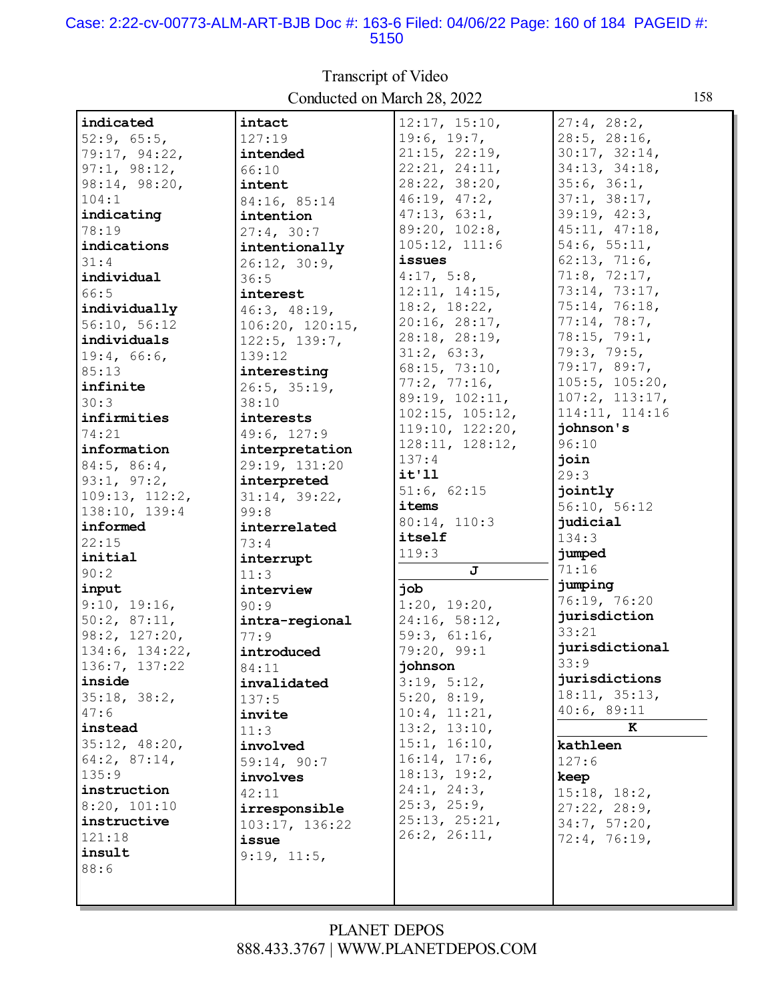#### Case: 2:22-cv-00773-ALM-ART-BJB Doc #: 163-6 Filed: 04/06/22 Page: 160 of 184 PAGEID #: 5150

| indicated         | intact          | 12:17, 15:10,   | 27:4, 28:2,    |
|-------------------|-----------------|-----------------|----------------|
| 52:9, 65:5,       | 127:19          | 19:6, 19:7,     | 28:5, 28:16,   |
| 79:17, 94:22,     | intended        | 21:15, 22:19,   | 30:17, 32:14,  |
| 97:1, 98:12,      | 66:10           | 22:21, 24:11,   | 34:13, 34:18,  |
| 98:14, 98:20,     | intent          | 28:22, 38:20,   | 35:6, 36:1,    |
| 104:1             | 84:16, 85:14    | 46:19, 47:2,    | 37:1, 38:17,   |
| indicating        | intention       | 47:13, 63:1,    | 39:19, 42:3,   |
| 78:19             | 27:4, 30:7      | 89:20, 102:8,   | 45:11, 47:18,  |
| indications       | intentionally   | 105:12, 111:6   | 54:6, 55:11,   |
| 31:4              | 26:12, 30:9,    | issues          | 62:13, 71:6,   |
| individual        | 36:5            | 4:17, 5:8,      | 71:8, 72:17,   |
| 66:5              | interest        | 12:11, 14:15,   | 73:14, 73:17,  |
| individually      | 46:3, 48:19,    | 18:2, 18:22,    | 75:14, 76:18,  |
| 56:10, 56:12      | 106:20, 120:15, | 20:16, 28:17,   | 77:14, 78:7,   |
| individuals       | 122:5, 139:7,   | 28:18, 28:19,   | 78:15, 79:1,   |
| 19:4, 66:6,       | 139:12          | 31:2, 63:3,     | 79:3, 79:5,    |
| 85:13             | interesting     | 68:15, 73:10,   | 79:17,89:7,    |
| infinite          | 26:5, 35:19,    | 77:2, 77:16,    | 105:5, 105:20, |
| 30:3              | 38:10           | 89:19, 102:11,  | 107:2, 113:17, |
| infirmities       | interests       | 102:15, 105:12, | 114:11, 114:16 |
| 74:21             | 49:6, 127:9     | 119:10, 122:20, | johnson's      |
| information       | interpretation  | 128:11, 128:12, | 96:10          |
| $84:5$ , $86:4$ , | 29:19, 131:20   | 137:4           | join           |
| 93:1, 97:2,       | interpreted     | it'11           | 29:3           |
| 109:13, 112:2,    | 31:14, 39:22,   | 51:6, 62:15     | jointly        |
| 138:10, 139:4     | 99:8            | items           | 56:10, 56:12   |
| informed          | interrelated    | 80:14, 110:3    | judicial       |
| 22:15             | 73:4            | itself          | 134:3          |
| initial           | interrupt       | 119:3           | jumped         |
| 90:2              | 11:3            | J               | 71:16          |
| input             | interview       | job             | jumping        |
| 9:10, 19:16,      | 90:9            | 1:20, 19:20,    | 76:19, 76:20   |
| 50:2, 87:11,      | intra-regional  | 24:16, 58:12,   | jurisdiction   |
| 98:2, 127:20,     | 77:9            | 59:3, 61:16,    | 33:21          |
| 134:6, 134:22,    | introduced      | 79:20, 99:1     | jurisdictional |
| 136:7, 137:22     | 84:11           | johnson         | 33:9           |
| inside            | invalidated     | 3:19, 5:12,     | jurisdictions  |
| 35:18, 38:2,      | 137:5           | 5:20, 8:19,     | 18:11, 35:13,  |
| 47:6              |                 | 10:4, 11:21,    | 40:6, 89:11    |
| instead           | invite<br>11:3  | 13:2, 13:10,    | K              |
| 35:12, 48:20,     | involved        | 15:1, 16:10,    | kathleen       |
| $64:2$ , 87:14,   |                 | 16:14, 17:6,    | 127:6          |
| 135:9             | 59:14, 90:7     | 18:13, 19:2,    |                |
| instruction       | involves        | 24:1, 24:3,     | keep           |
| 8:20, 101:10      | 42:11           | 25:3, 25:9,     | 15:18, 18:2,   |
| instructive       | irresponsible   | 25:13, 25:21,   | 27:22, 28:9,   |
| 121:18            | 103:17, 136:22  | 26:2, 26:11,    | 34:7, 57:20,   |
| insult            | issue           |                 | 72:4, 76:19,   |
| 88:6              | 9:19, 11:5,     |                 |                |
|                   |                 |                 |                |
|                   |                 |                 |                |

Transcript of Video Conducted on March 28, 2022 158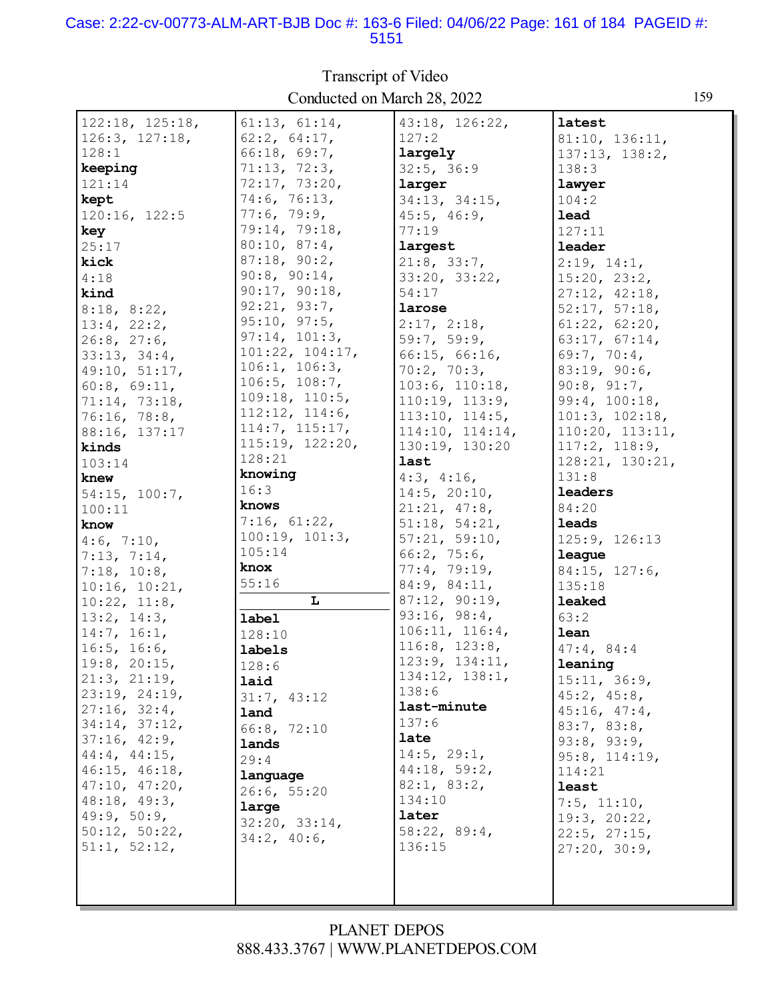#### Case: 2:22-cv-00773-ALM-ART-BJB Doc #: 163-6 Filed: 04/06/22 Page: 161 of 184 PAGEID #: 5151

| $122:18$ , $125:18$ , | 61:13, 61:14,   | 43:18, 126:22,  | latest            |
|-----------------------|-----------------|-----------------|-------------------|
| 126:3, 127:18,        | 62:2, 64:17,    | 127:2           | 81:10, 136:11,    |
| 128:1                 | 66:18, 69:7,    | largely         | 137:13, 138:2,    |
| keeping               | 71:13, 72:3,    | 32:5, 36:9      | 138:3             |
| 121:14                | 72:17, 73:20,   | larger          | lawyer            |
| kept                  | 74:6, 76:13,    | 34:13, 34:15,   | 104:2             |
| 120:16, 122:5         | 77:6, 79:9,     | 45:5, 46:9,     | lead              |
| key                   | 79:14, 79:18,   | 77:19           | 127:11            |
| 25:17                 | 80:10, 87:4,    | largest         | leader            |
| kick                  | 87:18, 90:2,    | 21:8, 33:7,     | 2:19, 14:1,       |
| 4:18                  | 90:8, 90:14,    | 33:20, 33:22,   | 15:20, 23:2,      |
| kind                  | 90:17, 90:18,   | 54:17           | 27:12, 42:18,     |
| 8:18, 8:22,           | 92:21, 93:7,    | larose          | 52:17, 57:18,     |
| 13:4, 22:2,           | 95:10, 97:5,    | 2:17, 2:18,     | 61:22, 62:20,     |
| $26:8$ , $27:6$ ,     | 97:14, 101:3,   | 59:7, 59:9,     | 63:17, 67:14,     |
| 33:13, 34:4,          | 101:22, 104:17, | 66:15, 66:16,   | 69:7, 70:4,       |
| 49:10, 51:17,         | 106:1, 106:3,   | 70:2, 70:3,     | 83:19, 90:6,      |
| 60:8, 69:11,          | 106:5, 108:7,   | 103:6, 110:18,  | 90:8, 91:7,       |
| 71:14, 73:18,         | 109:18, 110:5,  | 110:19, 113:9,  | 99:4, 100:18,     |
| 76:16, 78:8,          | 112:12, 114:6,  | 113:10, 114:5,  | 101:3, 102:18,    |
| 88:16, 137:17         | 114:7, 115:17,  | 114:10, 114:14, | 110:20, 113:11,   |
| kinds                 | 115:19, 122:20, | 130:19, 130:20  | 117:2, 118:9,     |
| 103:14                | 128:21          | last            | 128:21, 130:21,   |
| knew                  | knowing         | 4:3, 4:16,      | 131:8             |
| 54:15, 100:7,         | 16:3            | 14:5, 20:10,    | leaders           |
| 100:11                | knows           | 21:21, 47:8,    | 84:20             |
| know                  | 7:16, 61:22,    | 51:18, 54:21,   | leads             |
| 4:6, 7:10,            | 100:19, 101:3,  | 57:21, 59:10,   | 125:9, 126:13     |
| 7:13, 7:14,           | 105:14          | 66:2, 75:6,     | league            |
| 7:18, 10:8,           | knox            | 77:4, 79:19,    | 84:15, 127:6,     |
| 10:16, 10:21,         | 55:16           | 84:9, 84:11,    | 135:18            |
| 10:22, 11:8,          | L               | 87:12, 90:19,   | leaked            |
| 13:2, 14:3,           | label           | 93:16, 98:4,    | 63:2              |
| 14:7, 16:1,           | 128:10          | 106:11, 116:4,  | lean              |
| 16:5, 16:6,           | labels          | 116:8, 123:8,   | 47:4,84:4         |
| $19:8$ , 20:15,       | 128:6           | 123:9, 134:11,  | leaning           |
| 21:3, 21:19,          | laid            | 134:12, 138:1,  | 15:11, 36:9,      |
| 23:19, 24:19,         | 31:7, 43:12     | 138:6           | 45:2, 45:8,       |
| 27:16, 32:4,          | land            | last-minute     | 45:16, 47:4,      |
| 34:14, 37:12,         | 66:8, 72:10     | 137:6           | 83:7, 83:8,       |
| 37:16, 42:9,          | lands           | late            | 93:8, 93:9,       |
| 44:4, 44:15,          | 29:4            | 14:5, 29:1,     | 95:8, 114:19,     |
| 46:15, 46:18,         | language        | 44:18, 59:2,    | 114:21            |
| 47:10, 47:20,         | 26:6, 55:20     | 82:1, 83:2,     | least             |
| 48:18, 49:3,          | large           | 134:10          | $7:5$ , $11:10$ , |
| 49:9, 50:9,           | 32:20, 33:14,   | later           | 19:3, 20:22,      |
| 50:12, 50:22,         | 34:2, 40:6,     | 58:22, 89:4,    | 22:5, 27:15,      |
| 51:1, 52:12,          |                 | 136:15          | 27:20, 30:9,      |
|                       |                 |                 |                   |
|                       |                 |                 |                   |
|                       |                 |                 |                   |

# Transcript of Video Conducted on March 28, 2022

159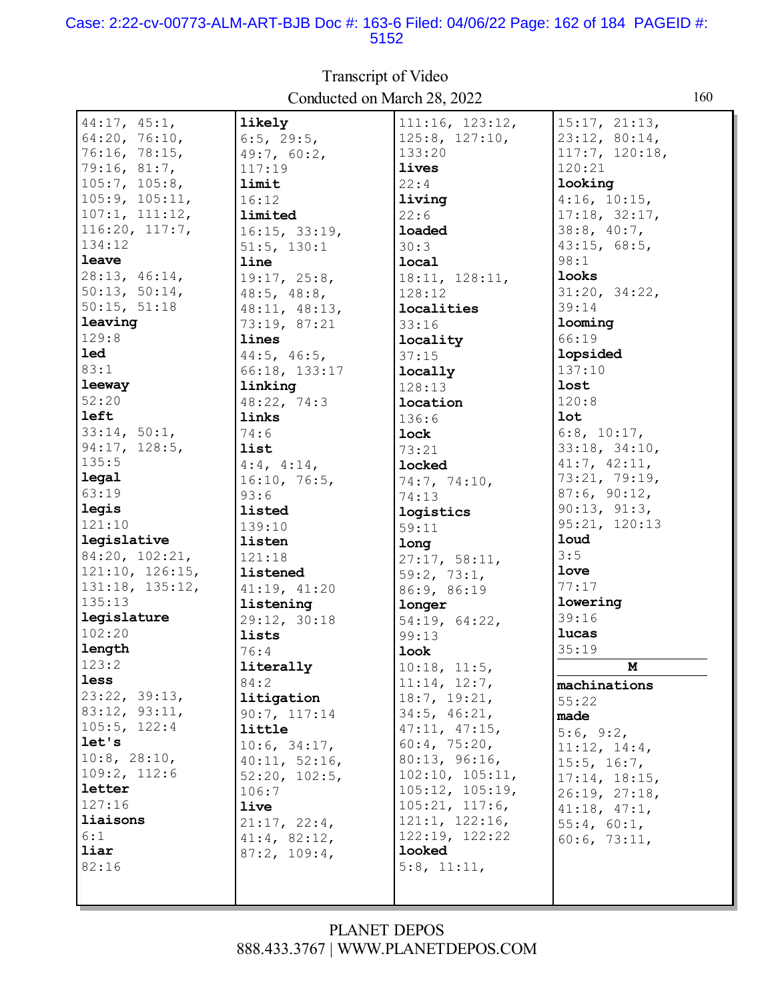#### Case: 2:22-cv-00773-ALM-ART-BJB Doc #: 163-6 Filed: 04/06/22 Page: 162 of 184 PAGEID #: 5152

| 44:17, 45:1,    | likely                   | 111:16, 123:12,    | 15:17, 21:13,     |
|-----------------|--------------------------|--------------------|-------------------|
| 64:20, 76:10,   | $6:5$ , 29:5,            | 125:8, 127:10,     | 23:12, 80:14,     |
| 76:16, 78:15,   | 49:7, 60:2,              | 133:20             | 117:7, 120:18,    |
| 79:16, 81:7,    | 117:19                   | <b>lives</b>       | 120:21            |
| 105:7, 105:8,   | limit                    | 22:4               | looking           |
| 105:9, 105:11,  | 16:12                    | living             | 4:16, 10:15,      |
| 107:1, 111:12,  | limited                  | 22:6               | 17:18, 32:17,     |
| 116:20, 117:7,  | 16:15, 33:19,            | <b>loaded</b>      | 38:8, 40:7,       |
| 134:12          | $51:5$ , $130:1$         | 30:3               | 43:15, 68:5,      |
| leave           | line                     | local              | 98:1              |
| 28:13, 46:14,   | 19:17, 25:8,             | 18:11, 128:11,     | looks             |
| 50:13, 50:14,   | $48:5$ , $48:8$ ,        | 128:12             | 31:20, 34:22,     |
| 50:15, 51:18    | 48:11, 48:13,            | localities         | 39:14             |
| leaving         | 73:19, 87:21             | 33:16              | looming           |
| 129:8           | lines                    | locality           | 66:19             |
| <b>led</b>      | $44:5$ , $46:5$ ,        |                    | lopsided          |
| 83:1            |                          | 37:15              | 137:10            |
| leeway          | 66:18, 133:17<br>linking | locally            | lost              |
| 52:20           |                          | 128:13             | 120:8             |
| left            | 48:22, 74:3<br>links     | location           | <b>lot</b>        |
|                 |                          | 136:6              |                   |
| 33:14, 50:1,    | 74:6                     | lock               | $6:8$ , $10:17$ , |
| 94:17, 128:5,   | list                     | 73:21              | 33:18, 34:10,     |
| 135:5           | $4:4$ , $4:14$ ,         | <b>locked</b>      | 41:7, 42:11,      |
| legal           | 16:10, 76:5,             | 74:7, 74:10,       | 73:21, 79:19,     |
| 63:19           | 93:6                     | 74:13              | 87:6, 90:12,      |
| legis           | listed                   | logistics          | 90:13, 91:3,      |
| 121:10          | 139:10                   | 59:11              | 95:21, 120:13     |
| legislative     | listen                   | long               | <b>loud</b>       |
| 84:20, 102:21,  | 121:18                   | 27:17, 58:11,      | 3:5               |
| 121:10, 126:15, | listened                 | 59:2, 73:1,        | love              |
| 131:18, 135:12, | 41:19, 41:20             | 86:9, 86:19        | 77:17             |
| 135:13          | listening                | longer             | lowering          |
| legislature     | 29:12, 30:18             | 54:19, 64:22,      | 39:16             |
| 102:20          | lists                    | 99:13              | lucas             |
| length          | 76:4                     | look               | 35:19             |
| 123:2           | literally                | $10:18$ , $11:5$ , | M                 |
| less            | 84:2                     | 11:14, 12:7,       | machinations      |
| 23:22, 39:13,   | litigation               | 18:7, 19:21,       | 55:22             |
| 83:12, 93:11,   | 90:7, 117:14             | 34:5, 46:21,       | made              |
| 105:5, 122:4    | little                   | 47:11, 47:15,      | 5:6, 9:2,         |
| let's           | 10:6, 34:17,             | 60:4, 75:20,       | 11:12, 14:4,      |
| 10:8, 28:10,    | 40:11, 52:16,            | 80:13, 96:16,      | 15:5, 16:7,       |
| 109:2, 112:6    | 52:20, 102:5,            | 102:10, 105:11,    | 17:14, 18:15,     |
| letter          | 106:7                    | 105:12, 105:19,    | 26:19, 27:18,     |
| 127:16          | live                     | 105:21, 117:6,     | 41:18, 47:1,      |
| liaisons        | 21:17, 22:4,             | 121:1, 122:16,     | 55:4, 60:1,       |
| 6:1             | 41:4, 82:12,             | 122:19, 122:22     | 60:6, 73:11,      |
| liar            | 87:2, 109:4,             | looked             |                   |
| 82:16           |                          | 5:8, 11:11,        |                   |
|                 |                          |                    |                   |
|                 |                          |                    |                   |

Transcript of Video Conducted on March 28, 2022 160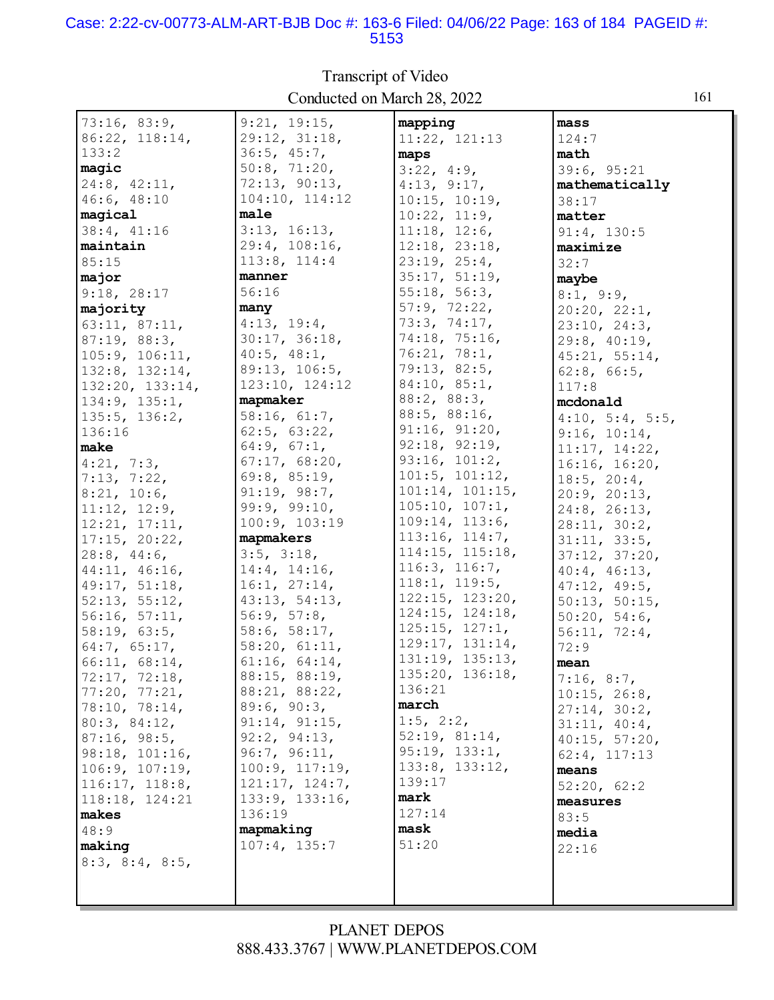#### Case: 2:22-cv-00773-ALM-ART-BJB Doc #: 163-6 Filed: 04/06/22 Page: 163 of 184 PAGEID #: 5153

| 73:16, 83:9,            | 9:21, 19:15,             | mapping                            | mass               |
|-------------------------|--------------------------|------------------------------------|--------------------|
| $86:22$ , $118:14$ ,    | 29:12, 31:18,            | 11:22, 121:13                      | 124:7              |
| 133:2                   | 36:5, 45:7,              | maps                               | math               |
| magic                   | 50:8, 71:20,             | 3:22, 4:9,                         | 39:6, 95:21        |
| $24:8$ , $42:11$ ,      | 72:13, 90:13,            | 4:13, 9:17,                        | mathematically     |
| 46:6, 48:10             | 104:10, 114:12           | 10:15, 10:19,                      | 38:17              |
| magical                 | male                     | 10:22, 11:9,                       | matter             |
| 38:4, 41:16             | 3:13, 16:13,             | 11:18, 12:6,                       | 91:4, 130:5        |
| maintain                | 29:4, 108:16,            | 12:18, 23:18,                      | maximize           |
| 85:15                   | 113:8, 114:4             | 23:19, 25:4,                       | 32:7               |
| major                   | manner                   | 35:17, 51:19,                      | maybe              |
| 9:18, 28:17             | 56:16                    | 55:18, 56:3,                       | 8:1, 9:9,          |
| majority                | many                     | 57:9, 72:22,                       | 20:20, 22:1,       |
| 63:11, 87:11,           | 4:13, 19:4,              | 73:3, 74:17,                       | 23:10, 24:3,       |
| 87:19, 88:3,            | 30:17, 36:18,            | 74:18, 75:16,                      | 29:8, 40:19,       |
| 105:9, 106:11,          | $40:5$ , $48:1$ ,        | 76:21, 78:1,                       | 45:21, 55:14,      |
| 132:8, 132:14,          | 89:13, 106:5,            | 79:13, 82:5,                       | $62:8$ , $66:5$ ,  |
| 132:20, 133:14,         | 123:10, 124:12           | 84:10, 85:1,                       | 117:8              |
| 134:9, 135:1,           | mapmaker                 | 88:2, 88:3,                        | mcdonald           |
| 135:5, 136:2,           | 58:16, 61:7,             | 88:5, 88:16,                       | 4:10, 5:4, 5:5,    |
| 136:16                  | 62:5, 63:22,             | 91:16, 91:20,                      | 9:16, 10:14,       |
| make                    | 64:9, 67:1,              | 92:18, 92:19,                      | 11:17, 14:22,      |
| 4:21, 7:3,              | 67:17, 68:20,            | 93:16, 101:2,                      | 16:16, 16:20,      |
| 7:13, 7:22,             | 69:8, 85:19,             | 101:5, 101:12,                     | $18:5$ , $20:4$ ,  |
| 8:21, 10:6,             | 91:19, 98:7,             | 101:14, 101:15,                    | 20:9, 20:13,       |
| 11:12, 12:9,            | 99:9, 99:10,             | 105:10, 107:1,                     | $24:8$ , $26:13$ , |
| 12:21, 17:11,           | 100:9, 103:19            | 109:14, 113:6,                     | 28:11, 30:2,       |
| 17:15, 20:22,           | mapmakers                | 113:16, 114:7,                     | 31:11, 33:5,       |
| $28:8$ , 44:6,          | $3:5$ , $3:18$ ,         | 114:15, 115:18,                    | 37:12, 37:20,      |
| 44:11, 46:16,           | $14:4$ , $14:16$ ,       | 116:3, 116:7,                      | 40:4, 46:13,       |
| 49:17, 51:18,           | 16:1, 27:14,             | 118:1, 119:5,                      | 47:12, 49:5,       |
| 52:13, 55:12,           | 43:13, 54:13,            | 122:15, 123:20,                    | 50:13, 50:15,      |
| 56:16, 57:11,           | 56:9, 57:8,              | 124:15, 124:18,                    | 50:20, 54:6,       |
| 58:19, 63:5,            | 58:6, 58:17,             | 125:15, 127:1,                     | 56:11, 72:4,       |
| 64:7, 65:17,            | 58:20, 61:11,            | 129:17, 131:14,<br>131:19, 135:13, | 72:9               |
| 66:11, 68:14,           | 61:16, 64:14,            | 135:20, 136:18,                    | mean               |
| 72:17, 72:18,           | 88:15, 88:19,            | 136:21                             | 7:16, 8:7,         |
| 77:20, 77:21,           | 88:21, 88:22,            | march                              | 10:15, 26:8,       |
| 78:10, 78:14,           | 89:6, 90:3,              | $1:5$ , $2:2$ ,                    | 27:14, 30:2,       |
| 80:3, 84:12,            | 91:14, 91:15,            | 52:19, 81:14,                      | 31:11, 40:4,       |
| 87:16, 98:5,            | 92:2, 94:13,             | 95:19, 133:1,                      | 40:15, 57:20,      |
| 98:18, 101:16,          | 96:7, 96:11,             | 133:8, 133:12,                     | 62:4, 117:13       |
| 106:9, 107:19,          | 100:9, 117:19,           | 139:17                             | means              |
| 116:17, 118:8,          | 121:17, 124:7,           | mark                               | 52:20, 62:2        |
| 118:18, 124:21          | 133:9, 133:16,<br>136:19 | 127:14                             | measures           |
| makes<br>48:9           | mapmaking                | mask                               | 83:5               |
| making                  | 107:4, 135:7             | 51:20                              | media              |
|                         |                          |                                    | 22:16              |
| $8:3$ , $8:4$ , $8:5$ , |                          |                                    |                    |
|                         |                          |                                    |                    |

Transcript of Video Conducted on March 28, 2022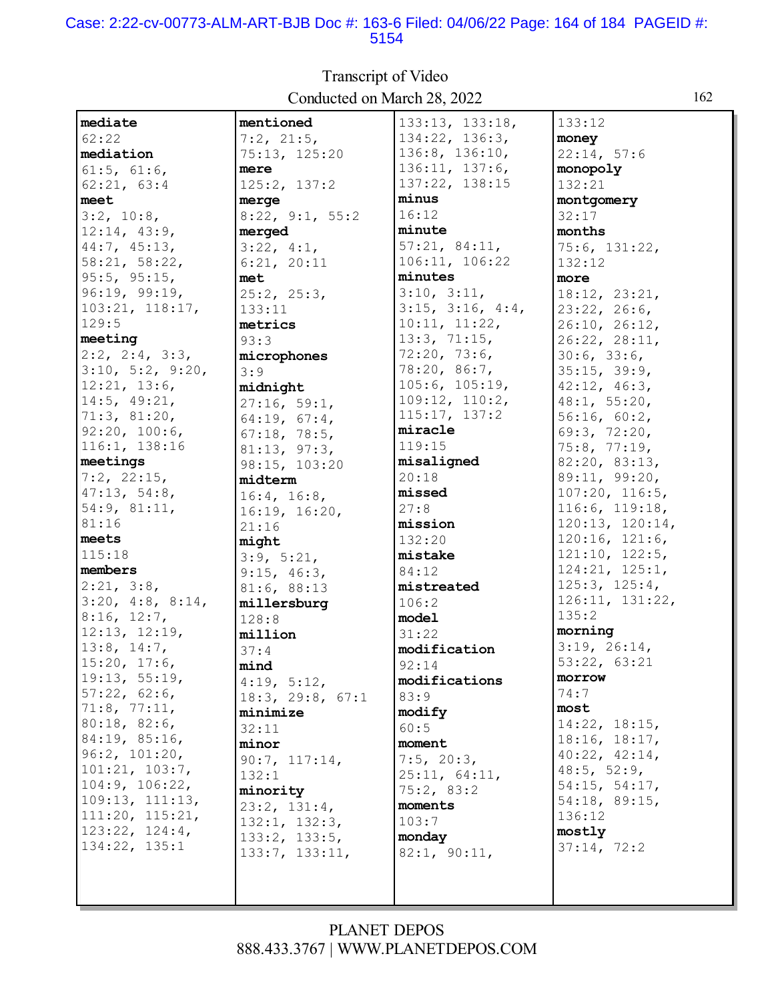#### Case: 2:22-cv-00773-ALM-ART-BJB Doc #: 163-6 Filed: 04/06/22 Page: 164 of 184 PAGEID #: 5154

| mediate          | mentioned                     | 133:13, 133:18,           | 133:12              |
|------------------|-------------------------------|---------------------------|---------------------|
| 62:22            | 7:2, 21:5,                    | 134:22, 136:3,            | money               |
| mediation        | 75:13, 125:20                 | 136:8, 136:10,            | 22:14, 57:6         |
| 61:5, 61:6,      | mere                          | 136:11, 137:6,            | monopoly            |
| 62:21, 63:4      | 125:2, 137:2                  | 137:22, 138:15            | 132:21              |
| meet             | merge                         | minus                     | montgomery          |
| $3:2$ , $10:8$ , | 8:22, 9:1, 55:2               | 16:12                     | 32:17               |
|                  |                               | minute                    | months              |
| 12:14, 43:9,     | merged                        | 57:21, 84:11,             |                     |
| 44:7, 45:13,     | 3:22, 4:1,                    | 106:11, 106:22            | 75:6, 131:22,       |
| 58:21, 58:22,    | 6:21, 20:11                   |                           | 132:12              |
| 95:5, 95:15,     | met                           | minutes                   | more                |
| 96:19, 99:19,    | 25:2, 25:3,                   | 3:10, 3:11,               | 18:12, 23:21,       |
| 103:21, 118:17,  | 133:11                        | $3:15$ , $3:16$ , $4:4$ , | 23:22, 26:6,        |
| 129:5            | metrics                       | 10:11, 11:22,             | 26:10, 26:12,       |
| meeting          | 93:3                          | 13:3, 71:15,              | 26:22, 28:11,       |
| 2:2, 2:4, 3:3,   | microphones                   | 72:20, 73:6,              | 30:6, 33:6,         |
| 3:10, 5:2, 9:20, | 3:9                           | 78:20, 86:7,              | 35:15, 39:9,        |
| 12:21, 13:6,     | midnight                      | 105:6, 105:19,            | 42:12, 46:3,        |
| 14:5, 49:21,     | 27:16, 59:1,                  | 109:12, 110:2,            | 48:1, 55:20,        |
| 71:3, 81:20,     | 64:19, 67:4,                  | 115:17, 137:2             | 56:16, 60:2,        |
| 92:20, 100:6,    | 67:18, 78:5,                  | miracle                   | 69:3, 72:20,        |
| 116:1, 138:16    | 81:13, 97:3,                  | 119:15                    | 75:8, 77:19,        |
| meetings         | 98:15, 103:20                 | misaligned                | 82:20, 83:13,       |
| 7:2, 22:15,      | midterm                       | 20:18                     | 89:11, 99:20,       |
| 47:13, 54:8,     | 16:4, 16:8,                   | missed                    | 107:20, 116:5,      |
| 54:9, 81:11,     | 16:19, 16:20,                 | 27:8                      | 116:6, 119:18,      |
| 81:16            | 21:16                         | mission                   | 120:13, 120:14,     |
| meets            | might                         | 132:20                    | 120:16, 121:6,      |
| 115:18           | 3:9, 5:21,                    | mistake                   | 121:10, 122:5,      |
| members          | 9:15, 46:3,                   | 84:12                     | 124:21, 125:1,      |
| 2:21, 3:8,       | 81:6, 88:13                   | mistreated                | 125:3, 125:4,       |
| 3:20, 4:8, 8:14, | millersburg                   | 106:2                     | 126:11, 131:22,     |
| 8:16, 12:7,      | 128:8                         | model                     | 135:2               |
| 12:13, 12:19,    | million                       | 31:22                     | morning             |
| 13:8, 14:7,      | 37:4                          | modification              | 3:19, 26:14,        |
| 15:20, 17:6,     | mind                          | 92:14                     | 53:22, 63:21        |
| 19:13, 55:19,    | 4:19, 5:12,                   | modifications             | morrow              |
| 57:22, 62:6,     | 18:3, 29:8, 67:1              | 83:9                      | 74:7                |
| 71:8, 77:11,     | minimize                      | modify                    | most                |
| 80:18, 82:6,     | 32:11                         | 60:5                      | $14:22$ , $18:15$ , |
| 84:19, 85:16,    | minor                         | moment                    | 18:16, 18:17,       |
| 96:2, 101:20,    | 90:7, 117:14,                 | $7:5$ , $20:3$ ,          | 40:22, 42:14,       |
| 101:21, 103:7,   | 132:1                         | 25:11, 64:11,             | 48:5, 52:9,         |
| 104:9, 106:22,   | minority                      | 75:2, 83:2                | 54:15, 54:17,       |
| 109:13, 111:13,  |                               | moments                   | 54:18, 89:15,       |
| 111:20, 115:21,  | 23:2, 131:4,<br>132:1, 132:3, | 103:7                     | 136:12              |
| 123:22, 124:4,   |                               | monday                    | mostly              |
| 134:22, 135:1    | 133:2, 133:5,                 |                           | 37:14, 72:2         |
|                  | 133:7, 133:11,                | 82:1, 90:11,              |                     |
|                  |                               |                           |                     |
|                  |                               |                           |                     |
|                  |                               |                           |                     |

Transcript of Video Conducted on March 28, 2022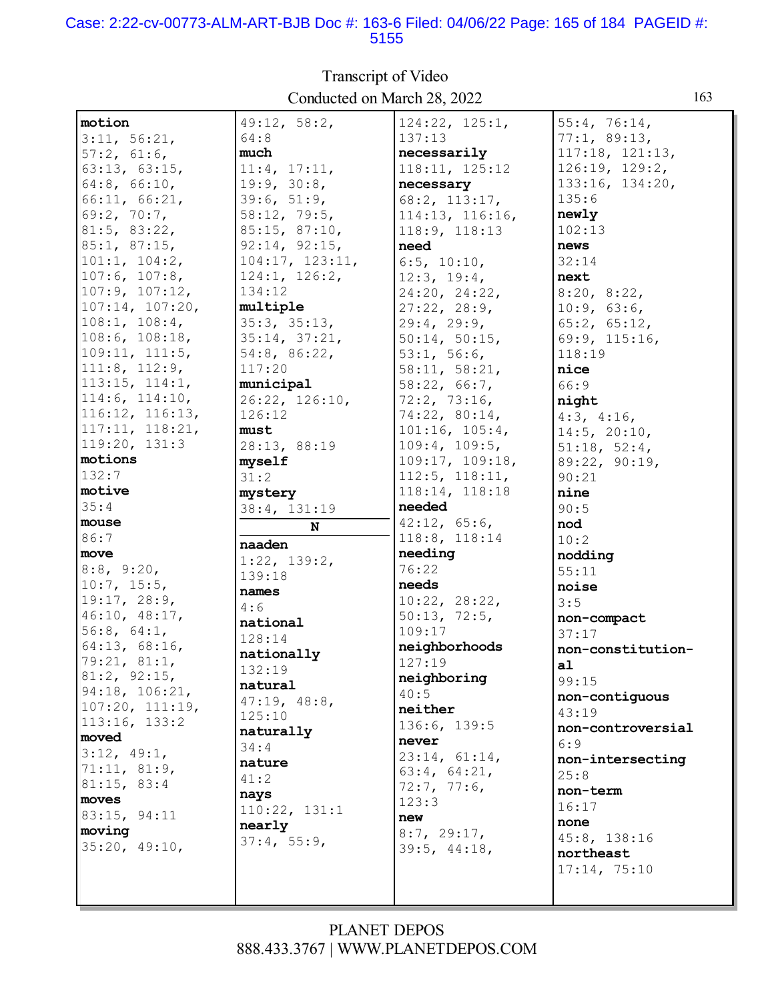#### Case: 2:22-cv-00773-ALM-ART-BJB Doc #: 163-6 Filed: 04/06/22 Page: 165 of 184 PAGEID #: 5155

| Conducted on March 28, 2022<br>163 |                 |                     |                          |
|------------------------------------|-----------------|---------------------|--------------------------|
| motion                             | 49:12, 58:2,    | 124:22, 125:1,      | 55:4, 76:14,             |
| 3:11, 56:21,                       | 64:8            | 137:13              | 77:1, 89:13,             |
| 57:2, 61:6,                        | much            | necessarily         | $117:18$ , $121:13$ ,    |
| 63:13, 63:15,                      | 11:4, 17:11,    | 118:11, 125:12      | 126:19, 129:2,           |
| 64:8, 66:10,                       | 19:9, 30:8,     | necessary           | 133:16, 134:20,          |
| 66:11, 66:21,                      | 39:6, 51:9,     | $68:2$ , $113:17$ , | 135:6                    |
| 69:2, 70:7,                        | 58:12, 79:5,    | 114:13, 116:16,     | newly                    |
| 81:5, 83:22,                       | 85:15, 87:10,   | 118:9, 118:13       | 102:13                   |
| 85:1, 87:15,                       | 92:14, 92:15,   | need                | news                     |
| 101:1, 104:2,                      | 104:17, 123:11, | 6:5, 10:10,         | 32:14                    |
| 107:6, 107:8,                      | 124:1, 126:2,   | 12:3, 19:4,         | next                     |
| 107:9, 107:12,                     | 134:12          | 24:20, 24:22,       | 8:20, 8:22,              |
| 107:14, 107:20,                    | multiple        | 27:22, 28:9,        | 10:9, 63:6,              |
| 108:1, 108:4,                      | 35:3, 35:13,    | 29:4, 29:9,         | 65:2, 65:12,             |
| 108:6, 108:18,                     | 35:14, 37:21,   | 50:14, 50:15,       | 69:9, 115:16,            |
| 109:11, 111:5,                     | 54:8, 86:22,    | 53:1, 56:6,         | 118:19                   |
| 111:8, 112:9,                      | 117:20          | 58:11, 58:21,       | nice                     |
| 113:15, 114:1,                     | municipal       | 58:22, 66:7,        | 66:9                     |
| 114:6, 114:10,                     | 26:22, 126:10,  | 72:2, 73:16,        | night                    |
| 116:12, 116:13,                    | 126:12          | 74:22, 80:14,       | 4:3, 4:16,               |
| 117:11, 118:21,                    | must            | 101:16, 105:4,      | 14:5, 20:10,             |
| 119:20, 131:3                      | 28:13, 88:19    | 109:4, 109:5,       | 51:18, 52:4,             |
| motions                            | myself          | 109:17, 109:18,     | 89:22, 90:19,            |
| 132:7                              | 31:2            | 112:5, 118:11,      | 90:21                    |
| motive                             | mystery         | 118:14, 118:18      | nine                     |
| 35:4                               | 38:4, 131:19    | needed              | 90:5                     |
| mouse                              | ${\bf N}$       | 42:12, 65:6,        | nod                      |
| 86:7                               |                 | 118:8, 118:14       | 10:2                     |
| move                               | naaden          | needing             | nodding                  |
| 8:8, 9:20,                         | 1:22, 139:2,    | 76:22               | 55:11                    |
| 10:7, 15:5,                        | 139:18          | needs               | noise                    |
| 19:17, 28:9,                       | names           | 10:22, 28:22,       | 3:5                      |
| 46:10, 48:17,                      | 4:6             | 50:13, 72:5,        | non-compact              |
| 56:8, 64:1,                        | national        | 109:17              | 37:17                    |
| 64:13, 68:16,                      | 128:14          | neighborhoods       | non-constitution-        |
| 79:21, 81:1,                       | nationally      | 127:19              | a1                       |
| 81:2, 92:15,                       | 132:19          | neighboring         | 99:15                    |
| 94:18, 106:21,                     | natural         | 40:5                | non-contiguous           |
| 107:20, 111:19,                    | 47:19, 48:8,    | neither             | 43:19                    |
| 113:16, 133:2                      | 125:10          | 136:6, 139:5        |                          |
| moved                              | naturally       | never               | non-controversial<br>6:9 |
| 3:12, 49:1,                        | 34:4            | 23:14, 61:14,       |                          |
| 71:11, 81:9,                       | nature          | 63:4, 64:21,        | non-intersecting         |
| 81:15, 83:4                        | 41:2            | 72:7, 77:6,         | 25:8                     |
| moves                              | nays            | 123:3               | non-term                 |
| 83:15, 94:11                       | 110:22, 131:1   | new                 | 16:17                    |
| moving                             | nearly          | 8:7, 29:17,         | none                     |
| 35:20, 49:10,                      | 37:4, 55:9,     | 39:5, 44:18,        | 45:8, 138:16             |
|                                    |                 |                     | northeast                |
|                                    |                 |                     | 17:14, 75:10             |
|                                    |                 |                     |                          |

Transcript of Video Conducted on March 28, 2022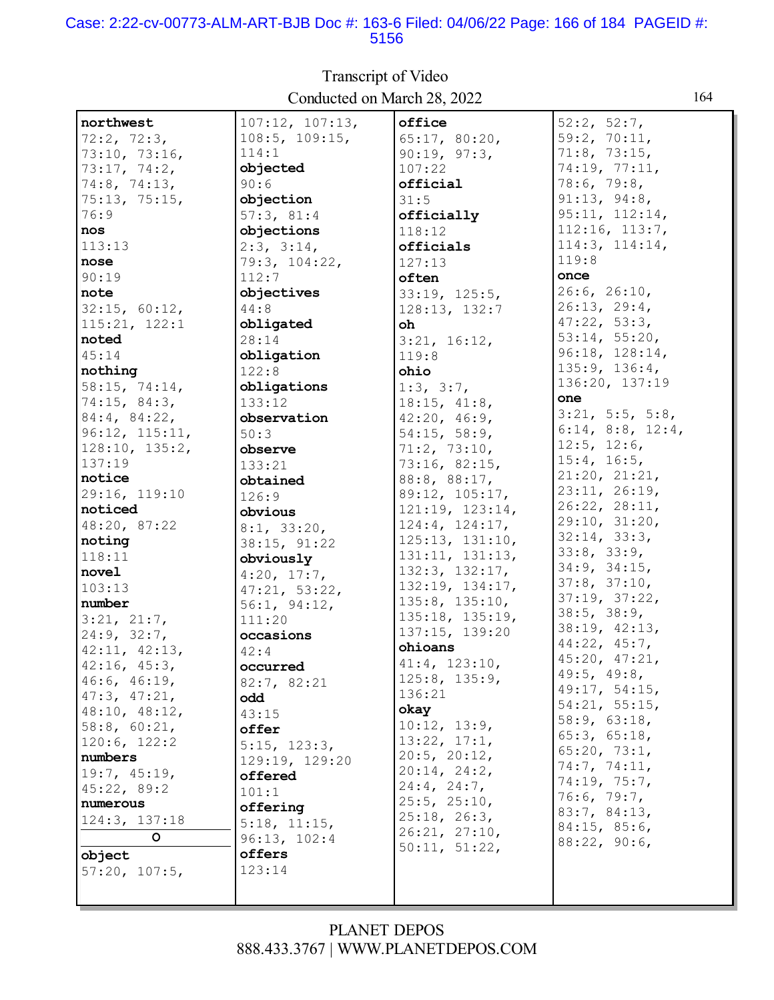#### Case: 2:22-cv-00773-ALM-ART-BJB Doc #: 163-6 Filed: 04/06/22 Page: 166 of 184 PAGEID #: 5156

| northwest      | 107:12, 107:13,      | office            | 52:2, 52:7,               |
|----------------|----------------------|-------------------|---------------------------|
| 72:2, 72:3,    | $108:5$ , $109:15$ , | 65:17, 80:20,     | 59:2, 70:11,              |
| 73:10, 73:16,  | 114:1                | 90:19, 97:3,      | 71:8, 73:15,              |
| 73:17, 74:2,   | objected             | 107:22            | 74:19, 77:11,             |
| 74:8, 74:13,   | 90:6                 | official          | 78:6, 79:8,               |
| 75:13, 75:15,  | objection            | 31:5              | 91:13, 94:8,              |
| 76:9           | 57:3, 81:4           | officially        | 95:11, 112:14,            |
| nos            | objections           | 118:12            | 112:16, 113:7,            |
| 113:13         | 2:3, 3:14,           | officials         | 114:3, 114:14,            |
| nose           | 79:3, 104:22,        | 127:13            | 119:8                     |
| 90:19          | 112:7                | often             | once                      |
| note           | objectives           | 33:19, 125:5,     | 26:6, 26:10,              |
| 32:15, 60:12,  | 44:8                 | 128:13, 132:7     | 26:13, 29:4,              |
| 115:21, 122:1  | obligated            | oh                | 47:22, 53:3,              |
| noted          | 28:14                | 3:21, 16:12,      | 53:14, 55:20,             |
| 45:14          | obligation           | 119:8             | 96:18, 128:14,            |
| nothing        | 122:8                | ohio              | 135:9, 136:4,             |
| 58:15, 74:14,  | obligations          | 1:3, 3:7,         | 136:20, 137:19            |
| 74:15, 84:3,   | 133:12               | 18:15, 41:8,      | one                       |
| 84:4, 84:22,   | observation          | 42:20, 46:9,      | 3:21, 5:5, 5:8,           |
| 96:12, 115:11, | 50:3                 | 54:15, 58:9,      | $6:14$ , $8:8$ , $12:4$ , |
| 128:10, 135:2, | observe              | 71:2, 73:10,      | $12:5$ , $12:6$ ,         |
| 137:19         | 133:21               | 73:16, 82:15,     | 15:4, 16:5,               |
| notice         | obtained             | 88:8, 88:17,      | 21:20, 21:21,             |
| 29:16, 119:10  | 126:9                | 89:12, 105:17,    | 23:11, 26:19,             |
| noticed        | obvious              | 121:19, 123:14,   | 26:22, 28:11,             |
| 48:20, 87:22   | 8:1, 33:20,          | 124:4, 124:17,    | 29:10, 31:20,             |
| noting         | 38:15, 91:22         | 125:13, 131:10,   | 32:14, 33:3,              |
| 118:11         | obviously            | 131:11, 131:13,   | 33:8, 33:9,               |
| novel          | 4:20, 17:7,          | 132:3, 132:17,    | 34:9, 34:15,              |
| 103:13         | 47:21, 53:22,        | 132:19, 134:17,   | 37:8, 37:10,              |
| number         | 56:1, 94:12,         | 135:8, 135:10,    | 37:19, 37:22,             |
| 3:21, 21:7,    | 111:20               | 135:18, 135:19,   | 38:5, 38:9,               |
| 24:9, 32:7,    | occasions            | 137:15, 139:20    | 38:19, 42:13,             |
| 42:11, 42:13,  | 42:4                 | ohioans           | 44:22, 45:7,              |
| 42:16, 45:3,   | occurred             | 41:4, 123:10,     | 45:20, 47:21,             |
| 46:6, 46:19,   | 82:7, 82:21          | 125:8, 135:9,     | 49:5, 49:8,               |
| 47:3, 47:21,   | odd                  | 136:21            | 49:17, 54:15,             |
| 48:10, 48:12,  | 43:15                | okay              | 54:21, 55:15,             |
| 58:8, 60:21,   | offer                | 10:12, 13:9,      | 58:9, 63:18,              |
| 120:6, 122:2   |                      | 13:22, 17:1,      | 65:3, 65:18,              |
| numbers        | 5:15, 123:3,         | 20:5, 20:12,      | 65:20, 73:1,              |
| 19:7, 45:19,   | 129:19, 129:20       | 20:14, 24:2,      | 74:7, 74:11,              |
| 45:22, 89:2    | offered              | $24:4$ , $24:7$ , | 74:19, 75:7,              |
| numerous       | 101:1                | 25:5, 25:10,      | 76:6, 79:7,               |
| 124:3, 137:18  | offering             | 25:18, 26:3,      | 83:7, 84:13,              |
| $\circ$        | 5:18, 11:15,         | 26:21, 27:10,     | 84:15, 85:6,              |
|                | 96:13, 102:4         | 50:11, 51:22,     | 88:22, 90:6,              |
| object         | offers               |                   |                           |
| 57:20, 107:5,  | 123:14               |                   |                           |
|                |                      |                   |                           |

# Transcript of Video Conducted on March 28, 2022

164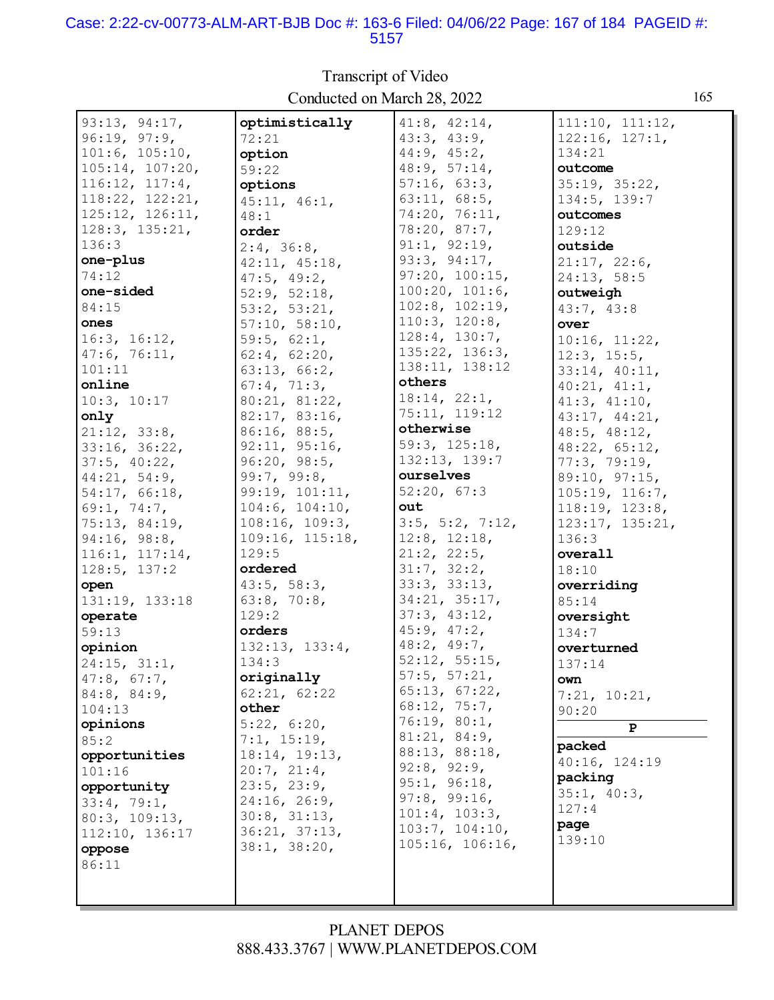#### Case: 2:22-cv-00773-ALM-ART-BJB Doc #: 163-6 Filed: 04/06/22 Page: 167 of 184 PAGEID #: 5157

 $93:13, 94:17,$ optimistically  $41:8, 42:14,$  $111:10, 111:12,$  $96:19, 97:9,$ 72:21  $43:3, 43:9,$  $122:16, 127:1,$  $101:6, 105:10,$  $44:9, 45:2,$ option 134:21  $105:14, 107:20.$ 48:9, 57:14, outcome  $59:22$ 35:19, 35:22,  $116:12, 117:4.$  $57:16, 63:3.$ options 118:22, 122:21,  $63:11, 68:5,$ 134:5, 139:7  $45:11, 46:1,$ 125:12, 126:11, 74:20, 76:11, outcomes  $48:1$  $128:3, 135:21,$  $78:20, 87:7,$ order  $129:12$  $91:1, 92:19,$  $136:3$ outside  $2:4, 36:8,$ one-plus  $93:3, 94:17,$  $21:17, 22:6,$  $42:11, 45:18,$ 74:12  $97:20, 100:15,$  $47:5, 49:2,$ 24:13, 58:5 one-sided  $52:9, 52:18$  $100:20, 101:6,$ outweigh  $102:8$ ,  $102:19$ , 84:15  $53:2, 53:21,$  $43:7, 43:8$  $110:3, 120:8,$ ones  $57:10, 58:10,$ over  $128:4, 130:7,$  $16:3, 16:12,$  $59:5, 62:1,$  $10:16, 11:22,$ 135:22, 136:3,  $47:6, 76:11,$  $62:4, 62:20,$  $12:3, 15:5,$ 138:11, 138:12  $101:11$  $63:13, 66:2,$  $33:14, 40:11,$ others online  $67:4, 71:3,$  $40:21, 41:1,$  $18:14, 22:1,$  $10:3, 10:17$ 80:21, 81:22,  $41:3, 41:10,$ 75:11, 119:12 only  $82:17, 83:16,$  $43:17, 44:21,$ otherwise  $21:12, 33:8,$ 86:16, 88:5,  $48:5, 48:12,$  $92:11, 95:16,$ 59:3, 125:18, 33:16, 36:22,  $48:22, 65:12,$ 132:13, 139:7  $96:20, 98:5,$  $37:5, 40:22,$  $77:3, 79:19.$ 99:7, 99:8, 44:21, 54:9, ourselves 89:10, 97:15, 54:17, 66:18, 99:19, 101:11,  $52:20, 67:3$  $105:19, 116:7,$  $104:6, 104:10,$ 69:1, 74:7, out  $118:19, 123:8,$ 75:13, 84:19,  $108:16, 109:3,$  $3:5$ ,  $5:2$ ,  $7:12$ ,  $123:17.135:21.$  $94:16, 98:8,$  $109:16, 115:18,$  $12:8, 12:18,$  $136:3$ 116:1, 117:14,  $129:5$  $21:2, 22:5,$ overall ordered  $31:7, 32:2,$  $128:5, 137:2$ 18:10  $33:3, 33:13,$  $43:5, 58:3,$ open overriding  $34:21, 35:17.$  $63:8, 70:8,$ 131:19, 133:18 85:14  $129:2$  $37:3, 43:12,$ operate oversight  $45:9, 47:2,$ orders  $59:13$  $134:7$ 48:2, 49:7, 132:13, 133:4, opinion overturned  $52:12, 55:15,$ 134:3  $24:15, 31:1,$  $137:14$  $57:5$ ,  $57:21$ , originally  $47:8, 67:7,$ own  $65:13, 67:22,$ 84:8, 84:9,  $62:21, 62:22$  $7:21, 10:21,$  $68:12, 75:7,$ other  $104:13$  $90:20$  $76:19, 80:1,$ opinions  $5:22, 6:20,$  $\overline{P}$  $81:21, 84:9,$  $7:1, 15:19,$  $85:2$ packed 88:13, 88:18,  $18:14, 19:13,$ opportunities 40:16, 124:19  $92:8, 92:9,$  $20:7, 21:4,$  $101:16$ packing  $95:1, 96:18,$  $23:5, 23:9,$ opportunity  $35:1, 40:3,$  $97:8, 99:16,$ 24:16, 26:9,  $33:4, 79:1,$  $127:4$  $101:4, 103:3,$  $30:8, 31:13,$ 80:3, 109:13, page  $103:7, 104:10,$  $36:21, 37:13,$ 112:10, 136:17 139:10  $105:16, 106:16,$  $38:1, 38:20,$ oppose 86:11

### Transcript of Video Conducted on March 28, 2022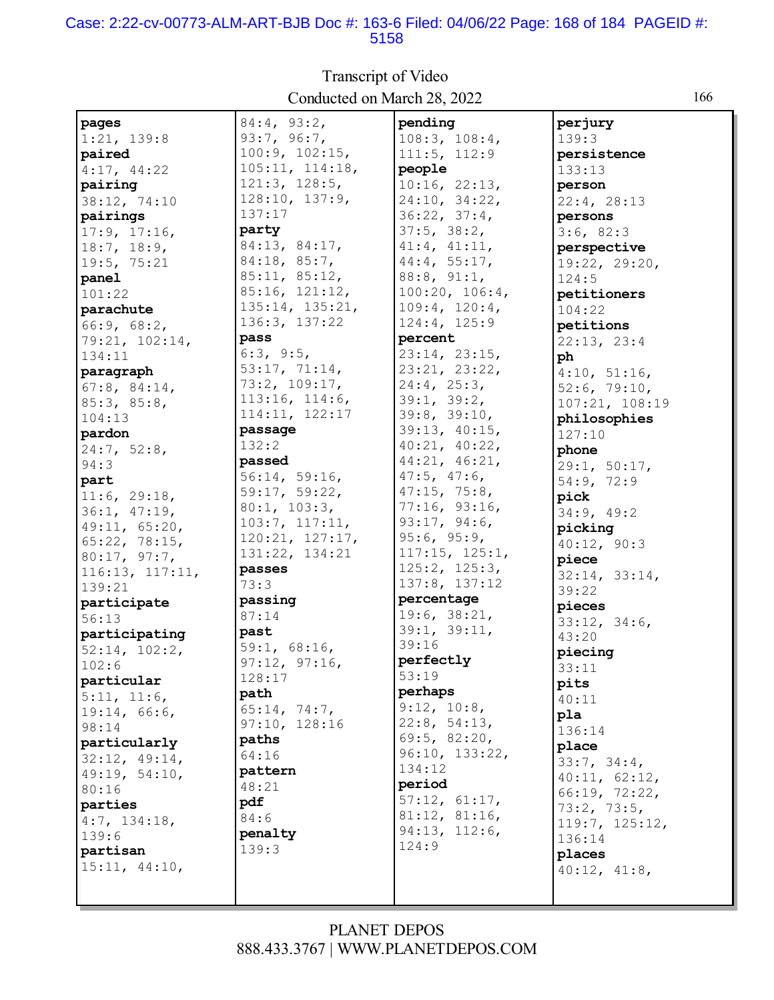#### Case: 2:22-cv-00773-ALM-ART-BJB Doc #: 163-6 Filed: 04/06/22 Page: 168 of 184 PAGEID #: 5158

| pages           | 84:4, 93:2,     | pending           | perjury        |
|-----------------|-----------------|-------------------|----------------|
| 1:21, 139:8     | 93:7, 96:7,     | 108:3, 108:4,     | 139:3          |
| paired          | 100:9, 102:15,  | 111:5, 112:9      | persistence    |
| 4:17, 44:22     | 105:11, 114:18, | people            | 133:13         |
| pairing         | 121:3, 128:5,   | 10:16, 22:13,     | person         |
| 38:12, 74:10    | 128:10, 137:9,  | 24:10, 34:22,     | 22:4, 28:13    |
|                 | 137:17          | 36:22, 37:4,      |                |
| pairings        | party           | 37:5, 38:2,       | persons        |
| 17:9, 17:16,    | 84:13, 84:17,   |                   | 3:6, 82:3      |
| 18:7, 18:9,     |                 | 41:4, 41:11,      | perspective    |
| 19:5, 75:21     | 84:18, 85:7,    | 44:4, 55:17,      | 19:22, 29:20,  |
| panel           | 85:11, 85:12,   | 88:8, 91:1,       | 124:5          |
| 101:22          | 85:16, 121:12,  | 100:20, 106:4,    | petitioners    |
| parachute       | 135:14, 135:21, | 109:4, 120:4,     | 104:22         |
| 66:9, 68:2,     | 136:3, 137:22   | 124:4, 125:9      | petitions      |
| 79:21, 102:14,  | pass            | percent           | 22:13, 23:4    |
| 134:11          | 6:3, 9:5,       | 23:14, 23:15,     | ph             |
| paragraph       | 53:17, 71:14,   | 23:21, 23:22,     | 4:10, 51:16,   |
| 67:8, 84:14,    | 73:2, 109:17,   | 24:4, 25:3,       | 52:6, 79:10,   |
| 85:3, 85:8,     | 113:16, 114:6,  | 39:1, 39:2,       | 107:21, 108:19 |
| 104:13          | 114:11, 122:17  | 39:8, 39:10,      | philosophies   |
| pardon          | passage         | 39:13, 40:15,     | 127:10         |
|                 | 132:2           | 40:21, 40:22,     |                |
| 24:7, 52:8,     | passed          | 44:21, 46:21,     | phone          |
| 94:3            | 56:14, 59:16,   | $47:5$ , $47:6$ , | 29:1, 50:17,   |
| part            | 59:17, 59:22,   | 47:15, 75:8,      | 54:9, 72:9     |
| 11:6, 29:18,    |                 | 77:16, 93:16,     | pick           |
| 36:1, 47:19,    | 80:1, 103:3,    |                   | 34:9, 49:2     |
| 49:11, 65:20,   | 103:7, 117:11,  | 93:17, 94:6,      | picking        |
| 65:22, 78:15,   | 120:21, 127:17, | 95:6, 95:9,       | 40:12, 90:3    |
| 80:17, 97:7,    | 131:22, 134:21  | 117:15, 125:1,    | piece          |
| 116:13, 117:11, | passes          | 125:2, 125:3,     | 32:14, 33:14,  |
| 139:21          | 73:3            | 137:8, 137:12     | 39:22          |
| participate     | passing         | percentage        | pieces         |
| 56:13           | 87:14           | 19:6, 38:21,      | 33:12, 34:6,   |
| participating   | past            | 39:1, 39:11,      | 43:20          |
| 52:14, 102:2,   | 59:1, 68:16,    | 39:16             | piecing        |
| 102:6           | 97:12, 97:16,   | perfectly         | 33:11          |
| particular      | 128:17          | 53:19             | pits           |
| 5:11, 11:6,     | path            | perhaps           | 40:11          |
| 19:14, 66:6,    | 65:14, 74:7,    | 9:12, 10:8,       |                |
| 98:14           | 97:10, 128:16   | 22:8, 54:13,      | pla            |
| particularly    | paths           | 69:5, 82:20,      | 136:14         |
|                 | 64:16           | 96:10, 133:22,    | place          |
| 32:12, 49:14,   | pattern         | 134:12            | 33:7, 34:4,    |
| 49:19, 54:10,   | 48:21           | period            | 40:11, 62:12,  |
| 80:16           |                 | 57:12, 61:17,     | 66:19, 72:22,  |
| parties         | pdf             | 81:12, 81:16,     | 73:2, 73:5,    |
| 4:7, 134:18,    | 84:6            | 94:13, 112:6,     | 119:7, 125:12, |
| 139:6           | penalty         | 124:9             | 136:14         |
| partisan        | 139:3           |                   | places         |
| 15:11, 44:10,   |                 |                   | 40:12, 41:8,   |
|                 |                 |                   |                |
|                 |                 |                   |                |

Transcript of Video Conducted on March 28, 2022 166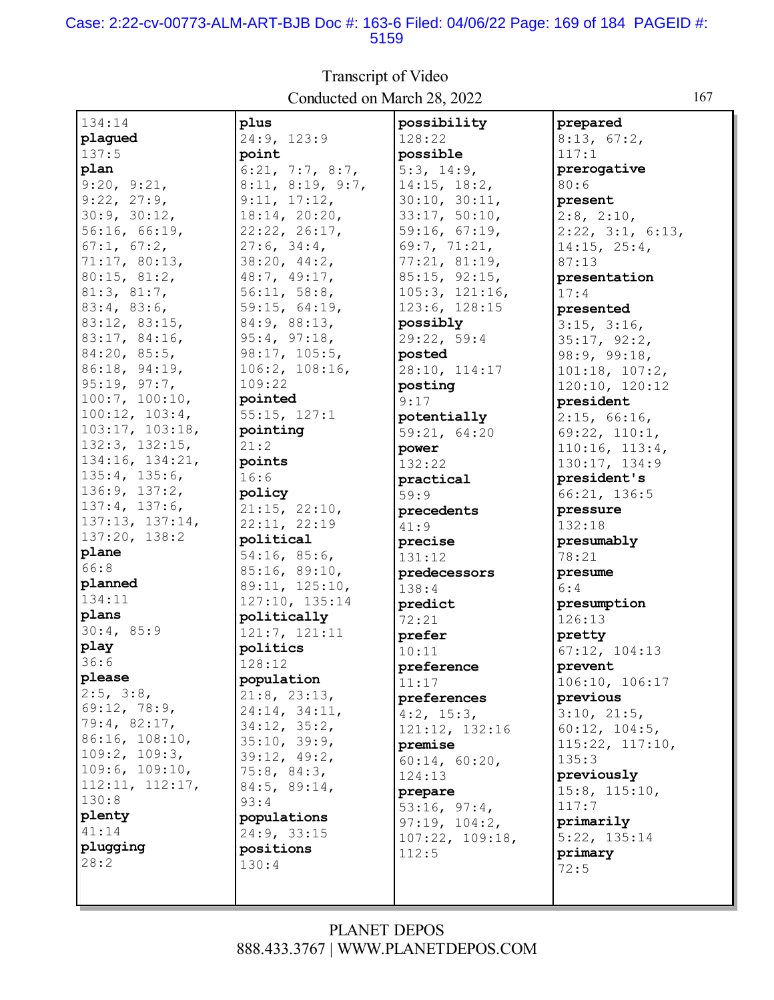#### Case: 2:22-cv-00773-ALM-ART-BJB Doc #: 163-6 Filed: 04/06/22 Page: 169 of 184 PAGEID #: 5159

|                          | Conducted on ividicit 20, $2022$ |                  |                           |
|--------------------------|----------------------------------|------------------|---------------------------|
| 134:14                   | plus                             | possibility      | prepared                  |
| plagued                  | 24:9, 123:9                      | 128:22           | 8:13, 67:2,               |
| 137:5                    | point                            | possible         | 117:1                     |
| plan                     | 6:21, 7:7, 8:7,                  | 5:3, 14:9,       | prerogative               |
| 9:20, 9:21,              | 8:11, 8:19, 9:7,                 | 14:15, 18:2,     | 80:6                      |
| 9:22, 27:9,              | 9:11, 17:12,                     | 30:10, 30:11,    | present                   |
| 30:9, 30:12,             | 18:14, 20:20,                    | 33:17, 50:10,    | $2:8$ , $2:10$ ,          |
| 56:16, 66:19.            | 22:22, 26:17,                    | 59:16, 67:19,    | $2:22$ , $3:1$ , $6:13$ , |
| 67:1, 67:2,              | 27:6, 34:4,                      | 69:7, 71:21,     | 14:15, 25:4,              |
| 71:17, 80:13,            | 38:20, 44:2,                     | 77:21, 81:19,    | 87:13                     |
| 80:15, 81:2,             | 48:7, 49:17,                     | 85:15, 92:15,    | presentation              |
| 81:3, 81:7,              | 56:11, 58:8,                     | 105:3, 121:16,   | 17:4                      |
| 83:4, 83:6,              | 59:15, 64:19,                    | 123:6, 128:15    | presented                 |
| 83:12, 83:15,            | 84:9, 88:13,                     | possibly         | 3:15, 3:16,               |
| 83:17, 84:16,            | 95:4, 97:18,                     | 29:22, 59:4      | 35:17, 92:2,              |
| 84:20, 85:5,             | 98:17, 105:5,                    | posted           | 98:9, 99:18,              |
| 86:18, 94:19,            | 106:2, 108:16,                   | 28:10, 114:17    | 101:18, 107:2,            |
| 95:19, 97:7,             | 109:22                           | posting          | 120:10, 120:12            |
| 100:7, 100:10,           | pointed                          | 9:17             | president                 |
| 100:12, 103:4,           | 55:15, 127:1                     | potentially      | 2:15, 66:16,              |
| 103:17, 103:18,          | pointing                         | 59:21, 64:20     | 69:22, 110:1,             |
| 132:3, 132:15,           | 21:2                             | power            | 110:16, 113:4,            |
| 134:16, 134:21,          | points                           | 132:22           | 130:17, 134:9             |
| 135:4, 135:6,            | 16:6                             | practical        | president's               |
| 136:9, 137:2,            | policy                           | 59:9             | 66:21, 136:5              |
| 137:4, 137:6,            | 21:15, 22:10,                    | precedents       | pressure                  |
| 137:13, 137:14,          | 22:11, 22:19                     | 41:9             | 132:18                    |
| 137:20, 138:2            | political                        | precise          | presumably                |
| plane                    | 54:16, 85:6,                     | 131:12           | 78:21                     |
| 66:8                     | 85:16, 89:10,                    | predecessors     | presume                   |
| planned                  | 89:11, 125:10,                   | 138:4            | 6:4                       |
| 134:11                   | 127:10, 135:14                   | predict          | presumption               |
| plans                    | politically                      | 72:21            | 126:13                    |
| 30:4, 85:9               | 121:7, 121:11                    | prefer           | pretty                    |
| play                     | politics                         | 10:11            | 67:12, 104:13             |
| 36:6                     | 128:12                           | preference       | prevent                   |
| please                   | population                       | 11:17            | 106:10, 106:17            |
| 2:5, 3:8,                | 21:8, 23:13,                     | preferences      | previous                  |
| 69:12, 78:9,             | 24:14, 34:11,                    | $4:2$ , $15:3$ , | 3:10, 21:5,               |
| 79:4, 82:17,             | 34:12, 35:2,                     | 121:12, 132:16   | 60:12, 104:5,             |
| 86:16, 108:10,           | 35:10, 39:9,                     | premise          | 115:22, 117:10,           |
| 109:2, 109:3,            | 39:12, 49:2,                     | 60:14, 60:20,    | 135:3                     |
| 109:6, 109:10,           | 75:8, 84:3,                      | 124:13           | previously                |
| 112:11, 112:17,<br>130:8 | 84:5, 89:14,                     | prepare          | $15:8$ , $115:10$ ,       |
| plenty                   | 93:4                             | 53:16, 97:4,     | 117:7                     |
| 41:14                    | populations                      | 97:19, 104:2,    | primarily                 |
| plugging                 | 24:9, 33:15                      | 107:22, 109:18,  | 5:22, 135:14              |
| 28:2                     | positions                        | 112:5            | primary                   |
|                          | 130:4                            |                  | 72:5                      |
|                          |                                  |                  |                           |

Transcript of Video Conducted on March 28, 2022 167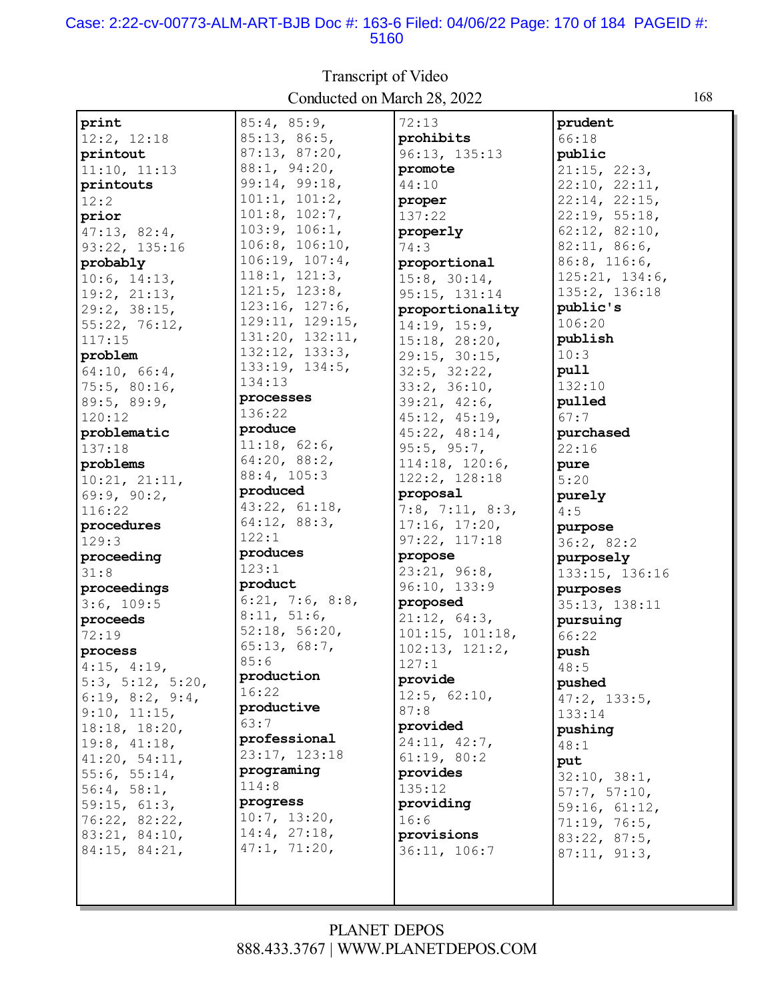#### Case: 2:22-cv-00773-ALM-ART-BJB Doc #: 163-6 Filed: 04/06/22 Page: 170 of 184 PAGEID #: 5160

| print               | 85:4, 85:9,     | 72:13                    | prudent            |
|---------------------|-----------------|--------------------------|--------------------|
| 12:2, 12:18         | 85:13, 86:5,    | prohibits                | 66:18              |
| printout            | 87:13, 87:20,   | 96:13, 135:13            | public             |
| 11:10, 11:13        | 88:1, 94:20,    | promote                  | 21:15, 22:3,       |
| printouts           | 99:14, 99:18,   | 44:10                    | 22:10, 22:11,      |
| 12:2                | 101:1, 101:2,   | proper                   | 22:14, 22:15,      |
| prior               | 101:8, 102:7,   | 137:22                   | 22:19, 55:18,      |
| 47:13, 82:4,        | 103:9, 106:1,   | properly                 | 62:12, 82:10,      |
| 93:22, 135:16       | 106:8, 106:10,  | 74:3                     | 82:11, 86:6,       |
| probably            | 106:19, 107:4,  | proportional             | $86:8$ , $116:6$ , |
| 10:6, 14:13,        | 118:1, 121:3,   | 15:8, 30:14,             | 125:21, 134:6,     |
| 19:2, 21:13,        | 121:5, 123:8,   | 95:15, 131:14            | 135:2, 136:18      |
| 29:2, 38:15,        | 123:16, 127:6,  | proportionality          | public's           |
| 55:22, 76:12,       | 129:11, 129:15, | 14:19, 15:9,             | 106:20             |
| 117:15              | 131:20, 132:11, | 15:18, 28:20,            | publish            |
| problem             | 132:12, 133:3,  | 29:15, 30:15,            | 10:3               |
| 64:10, 66:4,        | 133:19, 134:5,  | 32:5, 32:22,             | pull               |
| 75:5, 80:16,        | 134:13          | 33:2, 36:10,             | 132:10             |
| 89:5, 89:9,         | processes       | 39:21, 42:6,             | pulled             |
| 120:12              | 136:22          | 45:12, 45:19,            | 67:7               |
| problematic         | produce         | 45:22, 48:14,            | purchased          |
| 137:18              | 11:18, 62:6,    | 95:5, 95:7,              | 22:16              |
| problems            | 64:20, 88:2,    | 114:18, 120:6,           | pure               |
| 10:21, 21:11,       | 88:4, 105:3     | 122:2, 128:18            | 5:20               |
| 69:9, 90:2,         | produced        | proposal                 | purely             |
| 116:22              | 43:22, 61:18,   | $7:8$ , $7:11$ , $8:3$ , | 4:5                |
| procedures          | 64:12, 88:3,    | 17:16, 17:20,            | purpose            |
| 129:3               | 122:1           | 97:22, 117:18            | 36:2, 82:2         |
| proceeding          | produces        | propose                  | purposely          |
| 31:8                | 123:1           | 23:21, 96:8,             | 133:15, 136:16     |
| proceedings         | product         | 96:10, 133:9             | purposes           |
| 3:6, 109:5          | 6:21, 7:6, 8:8, | proposed                 | 35:13, 138:11      |
| proceeds            | 8:11, 51:6,     | 21:12, 64:3,             | pursuing           |
| 72:19               | 52:18, 56:20,   | 101:15, 101:18,          | 66:22              |
| process             | 65:13, 68:7,    | 102:13, 121:2,           | push               |
| $4:15$ , $4:19$ ,   | 85:6            | 127:1                    | 48:5               |
| 5:3, 5:12, 5:20,    | production      | provide                  | pushed             |
| 6:19, 8:2, 9:4,     | 16:22           | 12:5, 62:10,             | 47:2, 133:5,       |
| 9:10, 11:15,        | productive      | 87:8                     | 133:14             |
| 18:18, 18:20,       | 63:7            | provided                 | pushing            |
| 19:8, 41:18,        | professional    | 24:11, 42:7,             | 48:1               |
| 41:20, 54:11,       | 23:17, 123:18   | 61:19, 80:2              | put                |
| 55:6, 55:14,        | programing      | provides                 | 32:10, 38:1,       |
| 56:4, 58:1,         | 114:8           | 135:12                   | 57:7, 57:10,       |
| 59:15, 61:3,        | progress        | providing                | 59:16, 61:12,      |
| 76:22, 82:22,       | 10:7, 13:20,    | 16:6                     | 71:19, 76:5,       |
| 83:21, 84:10,       | 14:4, 27:18,    | provisions               | 83:22, 87:5,       |
| $84:15$ , $84:21$ , | 47:1, 71:20,    | 36:11, 106:7             | 87:11, 91:3,       |
|                     |                 |                          |                    |
|                     |                 |                          |                    |
|                     |                 |                          |                    |

Transcript of Video Conducted on March 28, 2022 168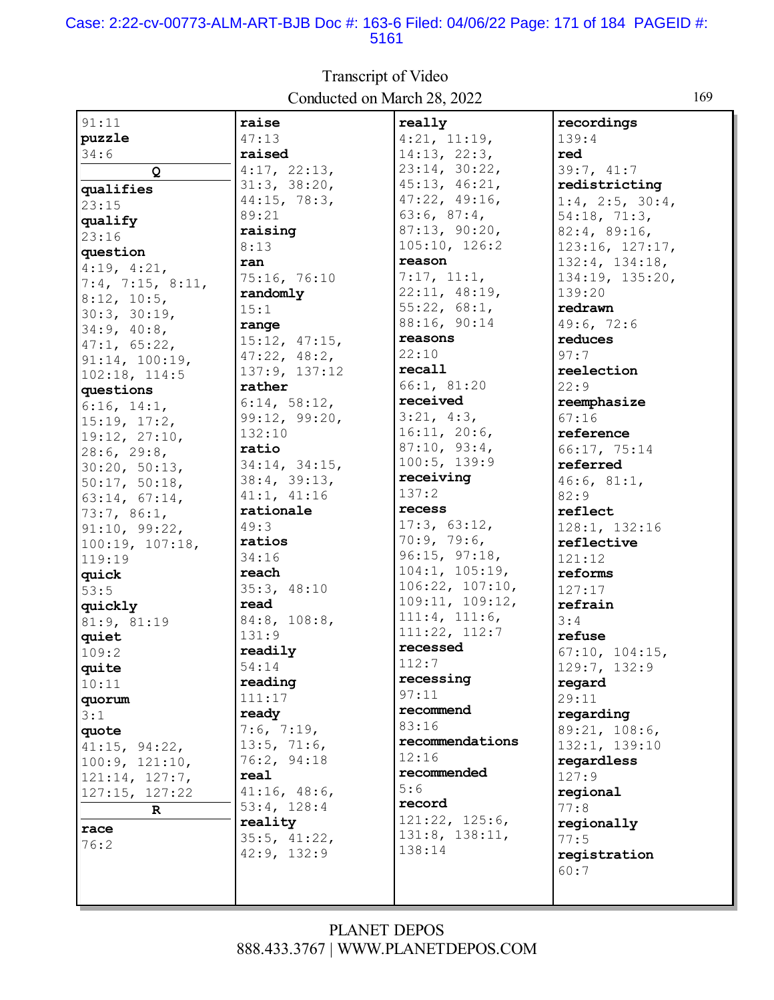#### Case: 2:22-cv-00773-ALM-ART-BJB Doc #: 163-6 Filed: 04/06/22 Page: 171 of 184 PAGEID #: 5161

91:11 **puzzle** 34:6 **Q qualifies** 23:15 **qualify** 23:16 **question** 4:19, 4:21, 7:4, 7:15, 8:11, 8:12, 10:5, 30:3, 30:19, 34:9, 40:8, 47:1, 65:22, 91:14, 100:19, 102:18, 114:5 **questions** 6:16, 14:1, 15:19, 17:2, 19:12, 27:10, 28:6, 29:8, 30:20, 50:13, 50:17, 50:18, 63:14, 67:14, 73:7, 86:1, 91:10, 99:22, 100:19, 107:18, 119:19 **quick** 53:5 **quickly** 81:9, 81:19 **quiet** 109:2 **quite** 10:11 **quorum** 3:1 **quote** 41:15, 94:22, 100:9, 121:10, 121:14, 127:7, 127:15, 127:22 **R race** 76:2 **raise** 47:13 **raised** 4:17, 22:13, 31:3, 38:20, 44:15, 78:3, 89:21 **raising** 8:13 **ran** 75:16, 76:10 **randomly** 15:1 **range** 15:12, 47:15, 47:22, 48:2, 137:9, 137:12 **rather** 6:14, 58:12, 99:12, 99:20, 132:10 **ratio** 34:14, 34:15, 38:4, 39:13, 41:1, 41:16 **rationale** 49:3 **ratios** 34:16 **reach** 35:3, 48:10 **read** 84:8, 108:8, 131:9 **readily** 54:14 **reading** 111:17 **ready** 7:6, 7:19, 13:5, 71:6, 76:2, 94:18 **real** 41:16, 48:6, 53:4, 128:4 **reality** 35:5, 41:22, 42:9, 132:9 **really** 4:21, 11:19, 14:13, 22:3, 23:14, 30:22, 45:13, 46:21, 47:22, 49:16, 63:6, 87:4, 87:13, 90:20, 105:10, 126:2 **reason** 7:17, 11:1, 22:11, 48:19, 55:22, 68:1, 88:16, 90:14 **reasons** 22:10 **recall** 66:1, 81:20 **received** 3:21, 4:3, 16:11, 20:6, 87:10, 93:4, 100:5, 139:9 **receiving** 137:2 **recess** 17:3, 63:12, 70:9, 79:6, 96:15, 97:18, 104:1, 105:19, 106:22, 107:10, 109:11, 109:12, 111:4, 111:6, 111:22, 112:7 **recessed** 112:7 **recessing** 97:11 **recommend** 83:16 **recommendations** 12:16 **recommended** 5:6 **record** 121:22, 125:6, 131:8, 138:11, 138:14 **recordings** 139:4 **red** 39:7, 41:7 **redistricting** 1:4, 2:5, 30:4, 54:18, 71:3, 82:4, 89:16, 123:16, 127:17, 132:4, 134:18, 134:19, 135:20, 139:20 **redrawn** 49:6, 72:6 **reduces** 97:7 **reelection** 22:9 **reemphasize** 67:16 **reference** 66:17, 75:14 **referred** 46:6, 81:1, 82:9 **reflect** 128:1, 132:16 **reflective** 121:12 **reforms** 127:17 **refrain** 3:4 **refuse** 67:10, 104:15, 129:7, 132:9 **regard** 29:11 **regarding** 89:21, 108:6, 132:1, 139:10 **regardless** 127:9 **regional** 77:8 **regionally** 77:5 **registration** 60:7

### Transcript of Video Conducted on March 28, 2022 169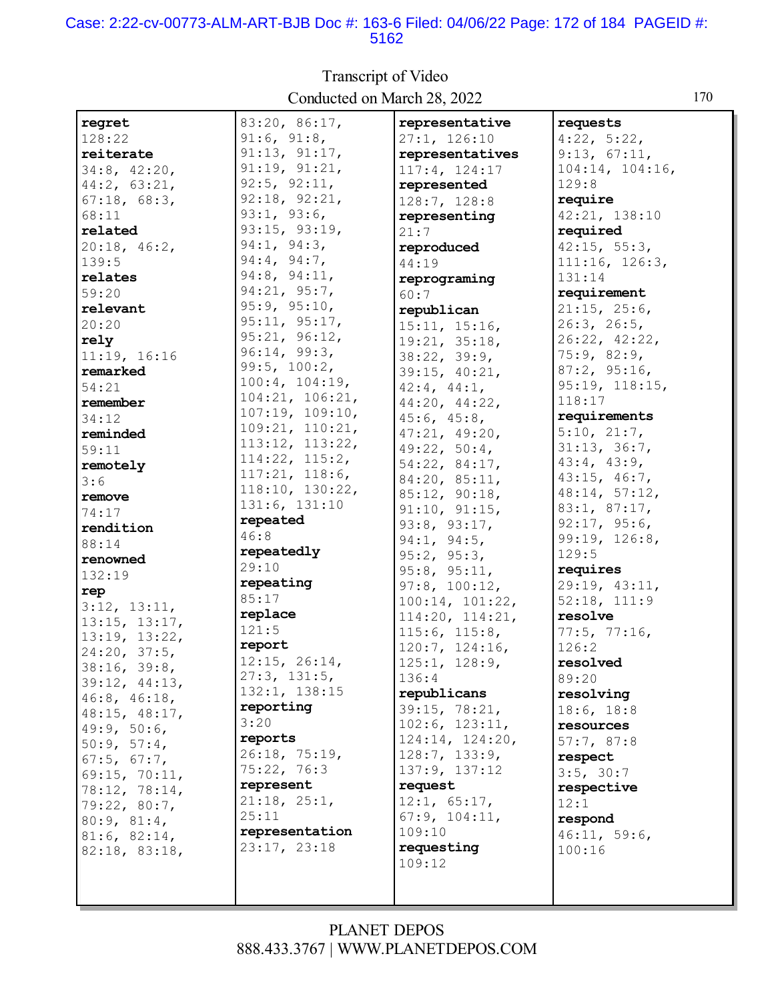#### Case: 2:22-cv-00773-ALM-ART-BJB Doc #: 163-6 Filed: 04/06/22 Page: 172 of 184 PAGEID #: 5162

| regret            | 83:20, 86:17,              | representative                | requests        |
|-------------------|----------------------------|-------------------------------|-----------------|
| 128:22            | 91:6, 91:8,                | 27:1, 126:10                  | 4:22, 5:22,     |
| reiterate         | 91:13, 91:17,              | representatives               | 9:13, 67:11,    |
| 34:8, 42:20,      | 91:19, 91:21,              | 117:4, 124:17                 | 104:14, 104:16, |
| 44:2, 63:21,      | 92:5, 92:11,               | represented                   | 129:8           |
|                   | 92:18, 92:21,              |                               | require         |
| 67:18, 68:3,      | 93:1, 93:6,                | 128:7, 128:8                  |                 |
| 68:11             |                            | representing                  | 42:21, 138:10   |
| related           | 93:15, 93:19,              | 21:7                          | required        |
| 20:18, 46:2,      | 94:1, 94:3,                | reproduced                    | 42:15, 55:3,    |
| 139:5             | 94:4, 94:7,                | 44:19                         | 111:16, 126:3,  |
| relates           | 94:8, 94:11,               | reprograming                  | 131:14          |
| 59:20             | 94:21, 95:7,               | 60:7                          | requirement     |
| relevant          | 95:9, 95:10,               | republican                    | 21:15, 25:6,    |
| 20:20             | 95:11, 95:17,              | 15:11, 15:16,                 | 26:3, 26:5,     |
| rely              | 95:21, 96:12,              | 19:21, 35:18,                 | 26:22, 42:22,   |
| 11:19, 16:16      | 96:14, 99:3,               | 38:22, 39:9,                  | 75:9,82:9,      |
| remarked          | 99:5, 100:2,               | 39:15, 40:21,                 | 87:2, 95:16,    |
| 54:21             | 100:4, 104:19,             | $42:4$ , $44:1$ ,             | 95:19, 118:15,  |
| remember          | 104:21, 106:21,            | 44:20, 44:22,                 | 118:17          |
| 34:12             | 107:19, 109:10,            | 45:6, 45:8,                   | requirements    |
| reminded          | 109:21, 110:21,            | 47:21, 49:20,                 | 5:10, 21:7,     |
| 59:11             | 113:12, 113:22,            | 49:22, 50:4,                  | 31:13, 36:7,    |
| remotely          | 114:22, 115:2,             | 54:22, 84:17,                 | 43:4, 43:9,     |
|                   | 117:21, 118:6,             | 84:20, 85:11,                 | 43:15, 46:7,    |
| 3:6               | 118:10, 130:22,            | 85:12, 90:18,                 | 48:14, 57:12,   |
| remove            | 131:6, 131:10              | 91:10, 91:15,                 | 83:1, 87:17,    |
| 74:17             | repeated                   | 93:8, 93:17,                  | 92:17, 95:6,    |
| rendition         | 46:8                       | 94:1, 94:5,                   | 99:19, 126:8,   |
| 88:14             | repeatedly                 | 95:2, 95:3,                   | 129:5           |
| renowned          | 29:10                      |                               | requires        |
| 132:19            | repeating                  | 95:8, 95:11,<br>97:8, 100:12, | 29:19, 43:11,   |
| rep               | 85:17                      |                               | 52:18, 111:9    |
| 3:12, 13:11,      | replace                    | 100:14, 101:22,               | resolve         |
| 13:15, 13:17,     | 121:5                      | 114:20, 114:21,               |                 |
| 13:19, 13:22,     | report                     | 115:6, 115:8,                 | 77:5, 77:16,    |
| 24:20, 37:5,      | 12:15, 26:14,              | 120:7, 124:16,                | 126:2           |
| 38:16, 39:8,      | 27:3, 131:5,               | 125:1, 128:9,                 | resolved        |
| 39:12, 44:13,     |                            | 136:4                         | 89:20           |
| 46:8, 46:18,      | 132:1, 138:15<br>reporting | republicans                   | resolving       |
| 48:15, 48:17,     |                            | 39:15, 78:21,                 | 18:6, 18:8      |
| 49:9, 50:6,       | 3:20                       | 102:6, 123:11,                | resources       |
| 50:9, 57:4,       | reports                    | 124:14, 124:20,               | 57:7,87:8       |
| $67:5$ , $67:7$ , | 26:18, 75:19,              | 128:7, 133:9,                 | respect         |
| 69:15, 70:11,     | 75:22, 76:3                | 137:9, 137:12                 | 3:5, 30:7       |
| 78:12, 78:14,     | represent                  | request                       | respective      |
| 79:22, 80:7,      | 21:18, 25:1,               | 12:1, 65:17,                  | 12:1            |
| 80:9, 81:4,       | 25:11                      | 67:9, 104:11,                 | respond         |
| 81:6, 82:14,      | representation             | 109:10                        | 46:11, 59:6,    |
| 82:18, 83:18,     | 23:17, 23:18               | requesting                    | 100:16          |
|                   |                            | 109:12                        |                 |
|                   |                            |                               |                 |
|                   |                            |                               |                 |

# Transcript of Video Conducted on March 28, 2022 170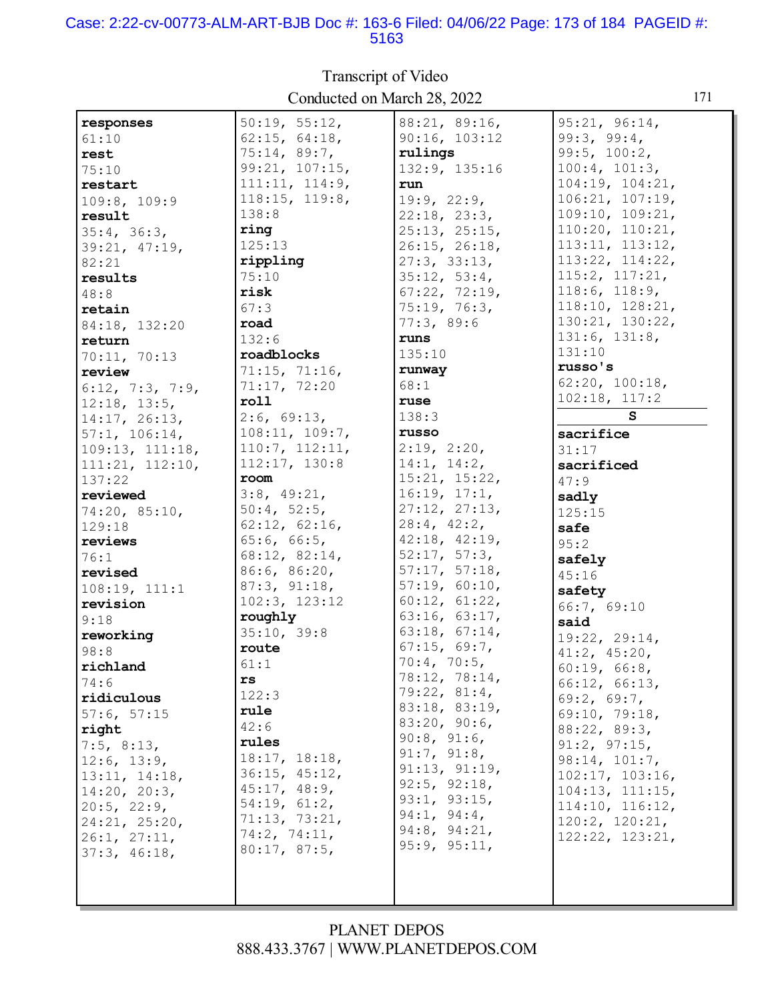#### Case: 2:22-cv-00773-ALM-ART-BJB Doc #: 163-6 Filed: 04/06/22 Page: 173 of 184 PAGEID #: 5163

| responses                          | 50:19, 55:12,  | 88:21, 89:16, | 95:21, 96:14,        |
|------------------------------------|----------------|---------------|----------------------|
| 61:10                              | 62:15, 64:18,  | 90:16, 103:12 | 99:3, 99:4,          |
| rest                               | 75:14, 89:7,   | rulings       | 99:5, 100:2,         |
| 75:10                              | 99:21, 107:15, | 132:9, 135:16 | 100:4, 101:3,        |
| restart                            | 111:11, 114:9, | run           | 104:19, 104:21,      |
| 109:8, 109:9                       | 118:15, 119:8, | 19:9, 22:9,   | 106:21, 107:19,      |
| result                             | 138:8          | 22:18, 23:3,  | 109:10, 109:21,      |
|                                    | ring           | 25:13, 25:15, | 110:20, 110:21,      |
| 35:4, 36:3,                        | 125:13         | 26:15, 26:18, | 113:11, 113:12,      |
| 39:21, 47:19,                      | rippling       | 27:3, 33:13,  | 113:22, 114:22,      |
| 82:21                              | 75:10          | 35:12, 53:4,  | 115:2, 117:21,       |
| results                            | risk           | 67:22, 72:19, | 118:6, 118:9,        |
| 48:8                               |                | 75:19, 76:3,  | 118:10, 128:21,      |
| retain                             | 67:3           |               | 130:21, 130:22,      |
| 84:18, 132:20                      | road           | 77:3,89:6     | 131:6, 131:8,        |
| return                             | 132:6          | runs          | 131:10               |
| 70:11, 70:13                       | roadblocks     | 135:10        | russo's              |
| review                             | 71:15, 71:16,  | runway        |                      |
| 6:12, 7:3, 7:9,                    | 71:17, 72:20   | 68:1          | 62:20, 100:18,       |
| 12:18, 13:5,                       | roll           | ruse          | 102:18, 117:2        |
| 14:17, 26:13,                      | 2:6, 69:13,    | 138:3         | S                    |
| 57:1, 106:14,                      | 108:11, 109:7, | russo         | sacrifice            |
| 109:13, 111:18,                    | 110:7, 112:11, | 2:19, 2:20,   | 31:17                |
| 111:21, 112:10,                    | 112:17, 130:8  | 14:1, 14:2,   | sacrificed           |
| 137:22                             | room           | 15:21, 15:22, | 47:9                 |
| reviewed                           | 3:8, 49:21,    | 16:19, 17:1,  | sadly                |
| 74:20, 85:10,                      | 50:4, 52:5,    | 27:12, 27:13, | 125:15               |
| 129:18                             | 62:12, 62:16,  | 28:4, 42:2,   | safe                 |
| reviews                            | 65:6, 66:5,    | 42:18, 42:19, | 95:2                 |
| 76:1                               | 68:12, 82:14,  | 52:17, 57:3,  | safely               |
| revised                            | 86:6, 86:20,   | 57:17, 57:18, | 45:16                |
| 108:19, 111:1                      | 87:3, 91:18,   | 57:19, 60:10, | safety               |
| revision                           | 102:3, 123:12  | 60:12, 61:22, | 66:7, 69:10          |
| 9:18                               | roughly        | 63:16, 63:17, | said                 |
| reworking                          | 35:10, 39:8    | 63:18, 67:14, | 19:22, 29:14,        |
| 98:8                               | route          | 67:15, 69:7,  | 41:2, 45:20,         |
| richland                           | 61:1           | 70:4, 70:5,   | 60:19, 66:8,         |
| 74:6                               | rs             | 78:12, 78:14, | 66:12, 66:13,        |
| ridiculous                         | 122:3          | 79:22, 81:4,  | 69:2, 69:7,          |
| 57:6, 57:15                        | rule           | 83:18, 83:19, | 69:10, 79:18,        |
| right                              | 42:6           | 83:20, 90:6,  | 88:22, 89:3,         |
| 7:5, 8:13,                         | rules          | 90:8, 91:6,   | 91:2, 97:15,         |
| 12:6, 13:9,                        | 18:17, 18:18,  | 91:7, 91:8,   | 98:14, 101:7,        |
| 13:11, 14:18,                      | 36:15, 45:12,  | 91:13, 91:19, | 102:17, 103:16,      |
| 14:20, 20:3,                       | 45:17, 48:9,   | 92:5, 92:18,  | 104:13, 111:15,      |
|                                    | 54:19, 61:2,   | 93:1, 93:15,  | 114:10, 116:12,      |
| $20:5$ , $22:9$ ,<br>24:21, 25:20, | 71:13, 73:21,  | 94:1, 94:4,   | $120:2$ , $120:21$ , |
|                                    | 74:2, 74:11,   | 94:8, 94:21,  | 122:22, 123:21,      |
| 26:1, 27:11,<br>37:3, 46:18,       | 80:17, 87:5,   | 95:9, 95:11,  |                      |
|                                    |                |               |                      |
|                                    |                |               |                      |
|                                    |                |               |                      |

Transcript of Video Conducted on March 28, 2022 171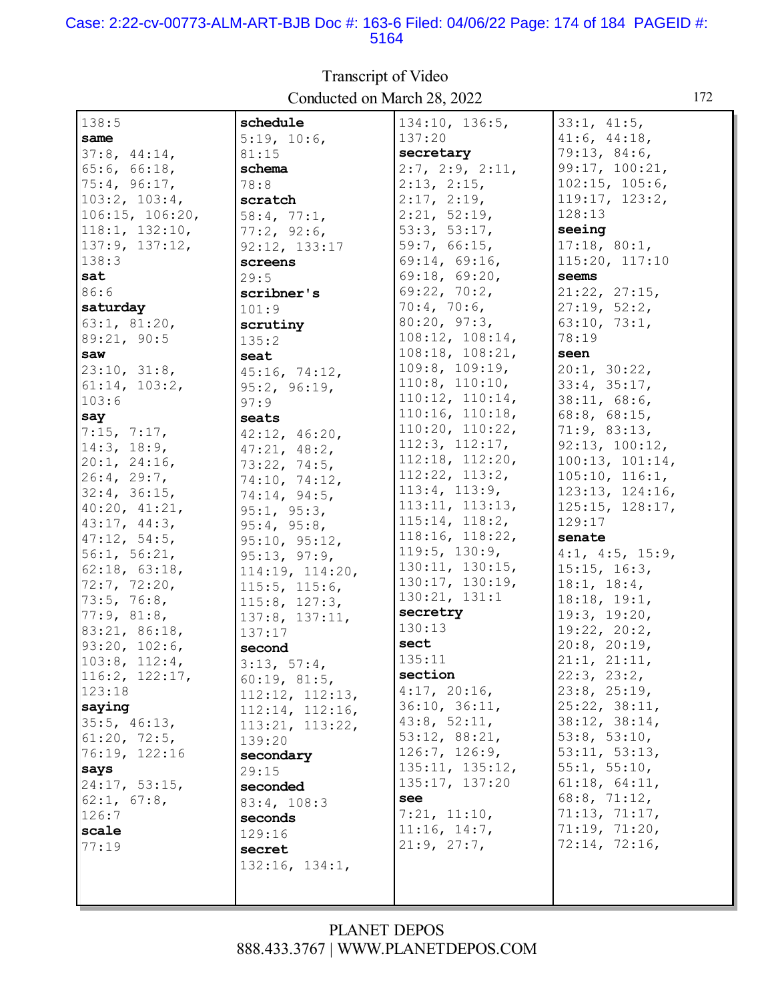#### Case: 2:22-cv-00773-ALM-ART-BJB Doc #: 163-6 Filed: 04/06/22 Page: 174 of 184 PAGEID #: 5164

| 138:5               | schedule        | 134:10, 136:5,       | 33:1, 41:5,          |
|---------------------|-----------------|----------------------|----------------------|
| same                | 5:19, 10:6,     | 137:20               | 41:6, 44:18,         |
| 37:8, 44:14,        | 81:15           | secretary            | 79:13, 84:6,         |
| 65:6, 66:18,        |                 | 2:7, 2:9, 2:11,      | 99:17, 100:21,       |
|                     | schema          |                      |                      |
| 75:4, 96:17,        | 78:8            | 2:13, 2:15,          | $102:15$ , $105:6$ , |
| $103:2$ , $103:4$ , | scratch         | 2:17, 2:19,          | 119:17, 123:2,       |
| 106:15, 106:20,     | 58:4, 77:1,     | 2:21, 52:19,         | 128:13               |
| 118:1, 132:10,      | 77:2, 92:6,     | 53:3, 53:17,         | seeing               |
| 137:9, 137:12,      | 92:12, 133:17   | 59:7, 66:15,         | 17:18, 80:1,         |
| 138:3               | screens         | 69:14, 69:16,        | 115:20, 117:10       |
| sat                 | 29:5            | 69:18, 69:20,        | seems                |
| 86:6                | scribner's      | 69:22, 70:2,         | 21:22, 27:15,        |
| saturday            | 101:9           | 70:4, 70:6,          | 27:19, 52:2,         |
| 63:1, 81:20,        | scrutiny        | 80:20, 97:3,         | 63:10, 73:1,         |
| 89:21, 90:5         |                 | 108:12, 108:14,      | 78:19                |
| saw                 | 135:2           | 108:18, 108:21,      | seen                 |
|                     | seat            | 109:8, 109:19,       | 20:1, 30:22,         |
| 23:10, 31:8,        | 45:16, 74:12,   | $110:8$ , $110:10$ , |                      |
| 61:14, 103:2,       | 95:2, 96:19,    |                      | 33:4, 35:17,         |
| 103:6               | 97:9            | 110:12, 110:14,      | 38:11, 68:6,         |
| say                 | seats           | 110:16, 110:18,      | 68:8, 68:15,         |
| 7:15, 7:17,         | 42:12, 46:20,   | 110:20, 110:22,      | 71:9, 83:13,         |
| 14:3, 18:9,         | 47:21, 48:2,    | 112:3, 112:17,       | 92:13, 100:12,       |
| 20:1, 24:16,        | 73:22, 74:5,    | 112:18, 112:20,      | 100:13, 101:14,      |
| 26:4, 29:7,         | 74:10, 74:12,   | 112:22, 113:2,       | 105:10, 116:1,       |
| 32:4, 36:15,        | 74:14, 94:5,    | 113:4, 113:9,        | 123:13, 124:16,      |
| 40:20, 41:21,       | 95:1, 95:3,     | 113:11, 113:13,      | 125:15, 128:17,      |
| 43:17, 44:3,        | 95:4, 95:8,     | 115:14, 118:2,       | 129:17               |
| 47:12, 54:5,        | 95:10, 95:12,   | 118:16, 118:22,      | senate               |
| 56:1, 56:21,        | 95:13, 97:9,    | 119:5, 130:9,        | 4:1, 4:5, 15:9,      |
| 62:18, 63:18,       |                 | 130:11, 130:15,      | 15:15, 16:3,         |
| 72:7, 72:20,        | 114:19, 114:20, | 130:17, 130:19,      | 18:1, 18:4,          |
| 73:5, 76:8,         | 115:5, 115:6,   | 130:21, 131:1        | 18:18, 19:1,         |
| 77:9, 81:8,         | 115:8, 127:3,   | secretry             | 19:3, 19:20,         |
|                     | 137:8, 137:11,  | 130:13               |                      |
| 83:21, 86:18,       | 137:17          | sect                 | 19:22, 20:2,         |
| 93:20, 102:6,       | second          |                      | $20:8$ , $20:19$ ,   |
| 103:8, 112:4,       | 3:13, 57:4,     | 135:11               | 21:1, 21:11,         |
| 116:2, 122:17,      | 60:19, 81:5,    | section              | 22:3, 23:2,          |
| 123:18              | 112:12, 112:13, | 4:17, 20:16,         | 23:8, 25:19,         |
| saying              | 112:14, 112:16, | 36:10, 36:11,        | 25:22, 38:11,        |
| 35:5, 46:13,        | 113:21, 113:22, | 43:8, 52:11,         | 38:12, 38:14,        |
| 61:20, 72:5,        | 139:20          | 53:12, 88:21,        | 53:8, 53:10,         |
| 76:19, 122:16       | secondary       | 126:7, 126:9,        | 53:11, 53:13,        |
| says                | 29:15           | 135:11, 135:12,      | 55:1, 55:10,         |
| 24:17, 53:15,       | seconded        | 135:17, 137:20       | 61:18, 64:11,        |
| 62:1, 67:8,         | 83:4, 108:3     | see                  | 68:8, 71:12,         |
| 126:7               | seconds         | 7:21, 11:10,         | 71:13, 71:17,        |
| scale               |                 | 11:16, 14:7,         | 71:19, 71:20,        |
| 77:19               | 129:16          | 21:9, 27:7,          | 72:14, 72:16,        |
|                     | secret          |                      |                      |
|                     | 132:16, 134:1,  |                      |                      |
|                     |                 |                      |                      |
|                     |                 |                      |                      |

# Transcript of Video Conducted on March 28, 2022

## PLANET DEPOS 888.433.3767 | WWW.PLANETDEPOS.COM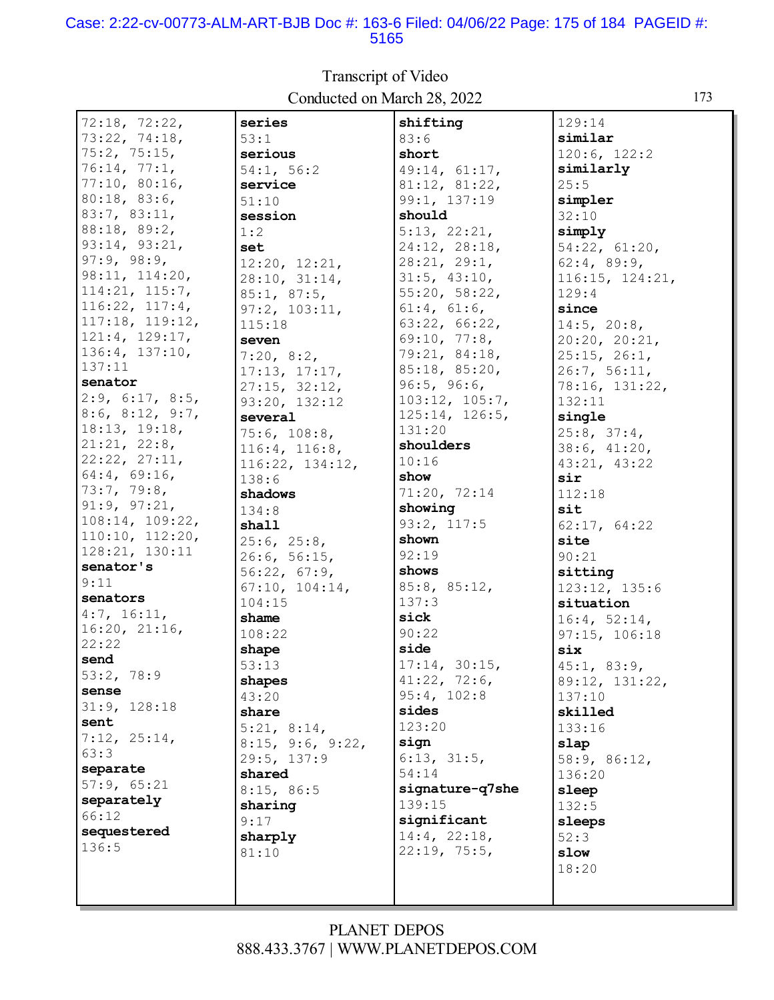#### Case: 2:22-cv-00773-ALM-ART-BJB Doc #: 163-6 Filed: 04/06/22 Page: 175 of 184 PAGEID #: 5165

 $72:18, 72:22,$ series shifting  $129:14$ 73:22, 74:18, similar  $53:1$  $83:6$ 75:2, 75:15,  $120:6, 122:2$ serious short 76:14, 77:1,  $54:1.56:2$  $49:14.61:17.$ similarly 77:10, 80:16, service 81:12, 81:22,  $25:5$  $80:18, 83:6,$ 99:1, 137:19  $51:10$ simpler 83:7, 83:11, should session  $32:10$ 88:18, 89:2,  $5:13, 22:21,$ simply  $1:2$  $93:14, 93:21,$ set 24:12, 28:18,  $54:22, 61:20,$  $97:9, 98:9,$  $28:21, 29:1,$  $12:20, 12:21,$  $62:4, 89:9,$ 98:11, 114:20, 28:10, 31:14,  $31:5, 43:10,$  $116:15, 124:21,$  $114:21, 115:7,$  $55:20, 58:22,$  $129:4$  $85:1, 87:5,$ 116:22, 117:4,  $61:4, 61:6,$  $97:2, 103:11,$ since  $117:18, 119:12,$  $63:22, 66:22,$  $115:18$  $14:5$ ,  $20:8$ ,  $121:4, 129:17,$  $69:10, 77:8,$ seven  $20:20, 20:21,$ 136:4, 137:10, 79:21, 84:18,  $25:15, 26:1,$  $7:20, 8:2,$  $137:11$ 85:18, 85:20,  $17:13, 17:17,$  $26:7, 56:11,$ senator  $96:5, 96:6,$ 78:16, 131:22,  $27:15, 32:12,$  $2:9, 6:17, 8:5,$  $103:12, 105:7,$ 93:20, 132:12  $132:11$  $8:6, 8:12, 9:7,$  $125:14, 126:5,$ single several  $18:13, 19:18,$  $131:20$  $25:8, 37:4,$  $75:6, 108:8,$  $21:21, 22:8,$ shoulders  $38:6, 41:20.$ 116:4, 116:8, 22:22, 27:11,  $10:16$ 116:22, 134:12, 43:21, 43:22  $64:4, 69:16,$ show  $138:6$ sir 73:7, 79:8, 71:20, 72:14 shadows  $112:18$  $91:9, 97:21,$ showing  $134:8$ sit 108:14, 109:22,  $93:2, 117:5$ 62:17, 64:22 shall  $110:10, 112:20,$  $25:6, 25:8,$ shown site 128:21, 130:11  $92:19$  $26:6, 56:15,$  $90:21$ senator's shows  $56:22, 67:9,$ sitting  $9:11$ 85:8, 85:12,  $67:10, 104:14,$ 123:12, 135:6 senators  $137:3$  $104:15$ situation  $4:7, 16:11,$ shame sick  $16:4, 52:14,$  $16:20, 21:16,$ 108:22  $90:22$  $97:15, 106:18$  $22:22$ side shape six send  $53:13$  $17:14, 30:15,$  $45:1, 83:9,$ 53:2, 78:9  $41:22, 72:6,$ shapes 89:12, 131:22, sense  $95:4, 102:8$  $43:20$  $137:10$ 31:9, 128:18 sides share skilled sent  $5:21, 8:14,$  $123:20$  $133:16$  $7:12, 25:14,$ sign  $8:15$ ,  $9:6$ ,  $9:22$ , slap  $63:3$ 29:5, 137:9  $6:13, 31:5,$ 58:9, 86:12, separate  $54:14$ shared 136:20 57:9, 65:21 signature-q7she  $8:15, 86:5$ sleep separately 139:15 sharing  $132:5$  $66:12$ significant  $9:17$ sleeps sequestered  $14:4, 22:18,$ sharply  $52:3$  $136:5$  $22:19, 75:5,$  $81:10$ slow 18:20

#### Transcript of Video Conducted on March 28, 2022

### PLANET DEPOS 888.433.3767 | WWW.PLANETDEPOS.COM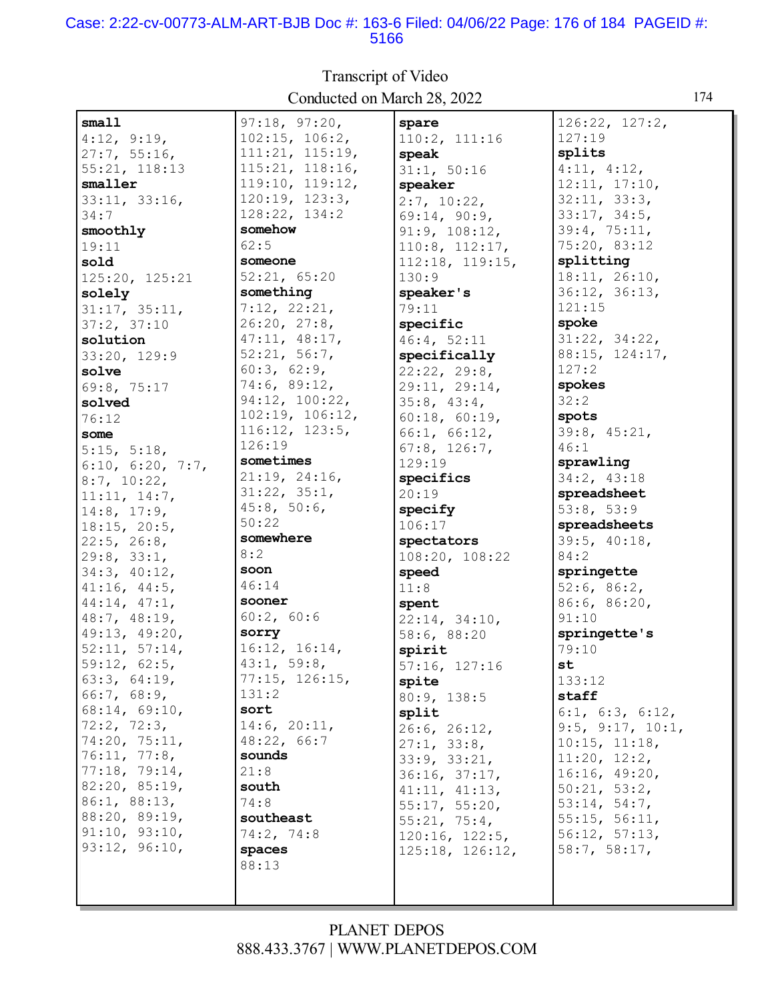#### Case: 2:22-cv-00773-ALM-ART-BJB Doc #: 163-6 Filed: 04/06/22 Page: 176 of 184 PAGEID #: 5166

 $s$ mall  $97:18, 97:20,$ spare  $126:22, 127:2,$  $4:12, 9:19,$  $102:15, 106:2,$  $110:2, 111:16$ 127:19 111:21, 115:19,  $27:7, 55:16,$ splits speak 115:21, 118:16,  $4:11, 4:12,$ 55:21, 118:13  $31:1, 50:16$ smaller 119:10, 119:12,  $12:11, 17:10,$ speaker  $120:19, 123:3,$  $32:11, 33:3,$  $33:11, 33:16,$  $2:7, 10:22,$ 128:22, 134:2  $33:17, 34:5,$  $34:7$  $69:14, 90:9,$ somehow  $39:4, 75:11,$ smoothly  $91:9, 108:12,$ 75:20, 83:12  $62:5$  $19:11$  $110:8, 112:17,$ someone splitting sold  $112:18, 119:15,$  $52:21, 65:20$  $18:11, 26:10,$ 125:20, 125:21  $130:9$  $36:12, 36:13,$ something speaker's solely  $7:12, 22:21,$  $121:15$  $31:17, 35:11,$ 79:11  $37:2, 37:10$  $26:20, 27:8,$ spoke specific 47:11, 48:17,  $31:22, 34:22,$ solution 46:4, 52:11  $52:21, 56:7,$ 88:15, 124:17, specifically  $33:20, 129:9$  $60:3, 62:9,$  $127:2$  $22:22, 29:8,$ solve 74:6, 89:12, spokes 69:8, 75:17 29:11, 29:14, 94:12, 100:22,  $35:8, 43:4,$  $32:2$ solved  $102:19, 106:12,$  $60:18, 60:19,$ spots 76:12  $116:12, 123:5,$  $39:8, 45:21,$  $66:1, 66:12$ some 126:19  $67:8, 126:7,$  $46:1$  $5:15, 5:18,$ sometimes 129:19 sprawling 6:10, 6:20, 7:7,  $21:19, 24:16,$ 34:2, 43:18 specifics  $8:7, 10:22,$  $31:22, 35:1,$  $20:19$ spreadsheet  $11:11, 14:7,$  $45:8, 50:6,$  $14:8, 17:9,$ specify  $53:8, 53:9$  $50:22$ spreadsheets  $18:15, 20:5,$ 106:17 somewhere  $39:5, 40:18,$ spectators  $22:5, 26:8,$  $8:2$  $84:2$  $29:8, 33:1,$  $108:20, 108:22$ soon 34:3, 40:12, springette speed  $46:14$  $41:16, 44:5,$  $52:6, 86:2,$  $11:8$ sooner 44:14, 47:1, 86:6, 86:20, spent 48:7, 48:19,  $60:2, 60:6$  $91:10$  $22:14, 34:10,$ 49:13, 49:20, sorry springette's 58:6, 88:20 16:12, 16:14,  $52:11, 57:14,$  $79:10$ spirit  $43:1, 59:8,$  $59:12, 62:5,$ st.  $57:16, 127:16$  $77:15, 126:15,$  $63:3, 64:19,$  $133:12$ spite  $131:2$ 66:7, 68:9, staff 80:9, 138:5  $68:14, 69:10,$ sort  $6:1, 6:3, 6:12,$ split 72:2, 72:3,  $14:6, 20:11,$  $9:5, 9:17, 10:1,$  $26:6, 26:12,$ 74:20, 75:11, 48:22, 66:7  $27:1, 33:8,$  $10:15, 11:18,$  $76:11, 77:8,$ sounds  $33:9, 33:21,$  $11:20, 12:2,$ 77:18, 79:14,  $21:8$  $16:16, 49:20,$  $36:16, 37:17,$ 82:20, 85:19, south  $41:11, 41:13,$  $50:21, 53:2,$ 86:1, 88:13,  $74:8$  $55:17, 55:20,$  $53:14, 54:7$ 88:20, 89:19, southeast  $55:15, 56:11,$  $55:21, 75:4,$  $91:10, 93:10,$ 74:2, 74:8  $56:12, 57:13,$  $120:16, 122:5,$ 93:12, 96:10, spaces  $58:7, 58:17,$  $125:18, 126:12,$ 88:13

### Transcript of Video Conducted on March 28, 2022

### **PLANET DEPOS** 888.433.3767 | WWW.PLANETDEPOS.COM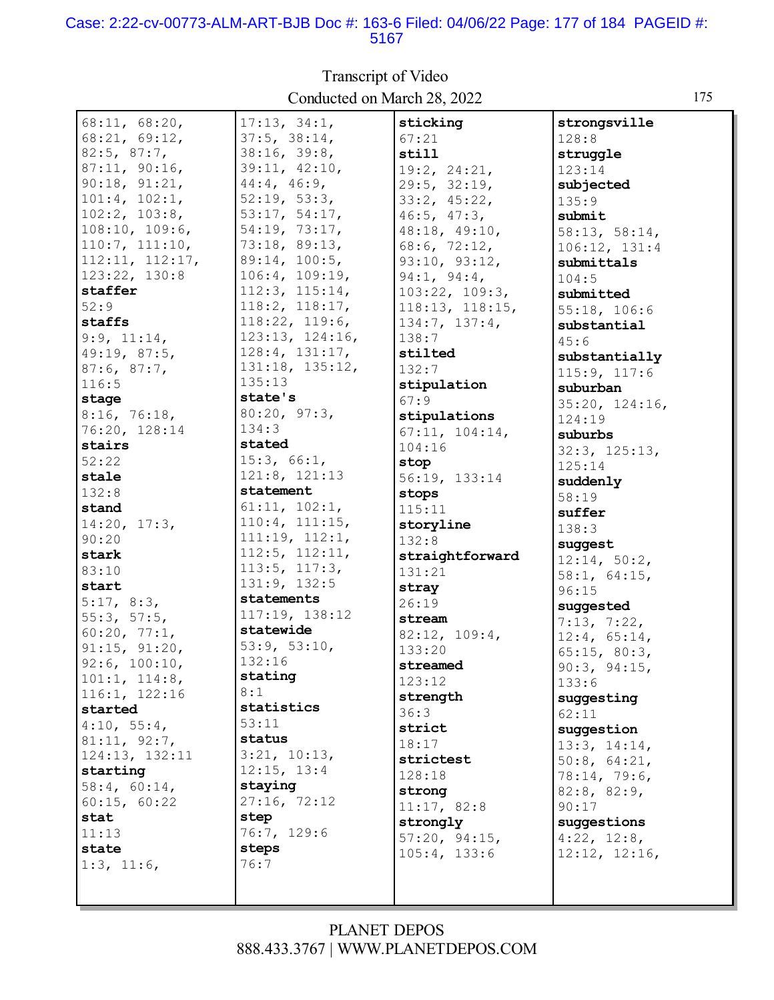#### Case: 2:22-cv-00773-ALM-ART-BJB Doc #: 163-6 Filed: 04/06/22 Page: 177 of 184 PAGEID #: 5167

 $68:11, 68:20,$  $17:13, 34:1,$ sticking strongsville 68:21, 69:12,  $37:5, 38:14,$  $67:21$  $128:8$ 38:16, 39:8,  $82:5, 87:7,$ still struggle 87:11, 90:16, 39:11, 42:10,  $19:2, 24:21.$  $123:14$  $90:18, 91:21,$ 44:4, 46:9,  $29:5, 32:19,$ subjected  $101:4, 102:1,$  $52:19, 53:3,$  $33:2, 45:22,$  $135:9$  $102:2, 103:8,$ 53:17, 54:17,  $46:5, 47:3,$ submit  $108:10, 109:6,$ 54:19, 73:17, 48:18, 49:10, 58:13, 58:14, 73:18, 89:13,  $110:7, 111:10,$  $68:6, 72:12,$  $106:12, 131:4$ 89:14, 100:5, 112:11, 112:17, 93:10, 93:12, submittals  $123:22, 130:8$  $106:4, 109:19,$  $94:1, 94:4,$  $104:5$  $112:3, 115:14,$ staffer  $103:22, 109:3,$ submitted 118:2, 118:17,  $52:9$ 118:13, 118:15,  $55:18.106:6$ staffs 118:22, 119:6,  $134:7, 137:4,$ substantial  $123:13, 124:16,$  $9:9, 11:14,$  $138:7$  $45:6$  $128:4, 131:17,$ 49:19, 87:5, stilted substantially 131:18, 135:12,  $87:6, 87:7,$  $132:7$  $115:9, 117:6$  $135:13$  $116:5$ stipulation suburban state's stage  $67:9$  $35:20, 124:16,$  $80:20, 97:3,$  $8:16, 76:18,$ stipulations  $124:19$  $134:3$ 76:20, 128:14  $67:11, 104:14,$ suburbs stated stairs  $104:16$  $32:3, 125:13,$  $52:22$  $15:3, 66:1,$ stop  $125:14$  $121:8, 121:13$ stale 56:19, 133:14 suddenly statement  $132:8$ stops  $58:19$  $61:11, 102:1,$ stand  $115:11$ suffer  $110:4, 111:15,$  $14:20, 17:3,$ storyline  $138:3$  $111:19, 112:1,$  $90:20$  $132:8$ suggest  $112:5, 112:11,$ stark straightforward  $12:14, 50:2,$  $113:5, 117:3,$  $83:10$  $131:21$  $58:1, 64:15,$ 131:9, 132:5 start stray  $96:15$ statements  $5:17, 8:3$  $26:19$ suggested 117:19, 138:12  $55:3, 57:5,$ stream  $7:13, 7:22,$ statewide  $60:20, 77:1,$ 82:12, 109:4,  $12:4, 65:14,$  $53:9, 53:10,$  $91:15, 91:20,$  $133:20$  $65:15, 80:3,$ 132:16  $92:6, 100:10,$ streamed  $90:3, 94:15,$ stating  $101:1, 114:8,$  $123:12$  $133:6$ 116:1, 122:16  $8:1$ strength suggesting statistics started  $36:3$  $62:11$  $4:10, 55:4,$  $53:11$ strict suggestion  $81:11, 92:7,$ status  $18:17$  $13:3, 14:14,$  $3:21, 10:13,$ 124:13, 132:11 strictest  $50:8, 64:21,$ starting  $12:15, 13:4$  $128:18$ 78:14, 79:6, staying  $58:4, 60:14,$ strong  $82:8, 82:9,$ 27:16, 72:12  $60:15, 60:22$  $11:17, 82:8$  $90:17$ stat step strongly suggestions  $11:13$ 76:7, 129:6  $57:20, 94:15,$  $4:22$ ,  $12:8$ , steps state  $105:4, 133:6$  $12:12, 12:16.$  $1:3, 11:6,$  $76:7$ 

### **Transcript of Video** Conducted on March 28, 2022

175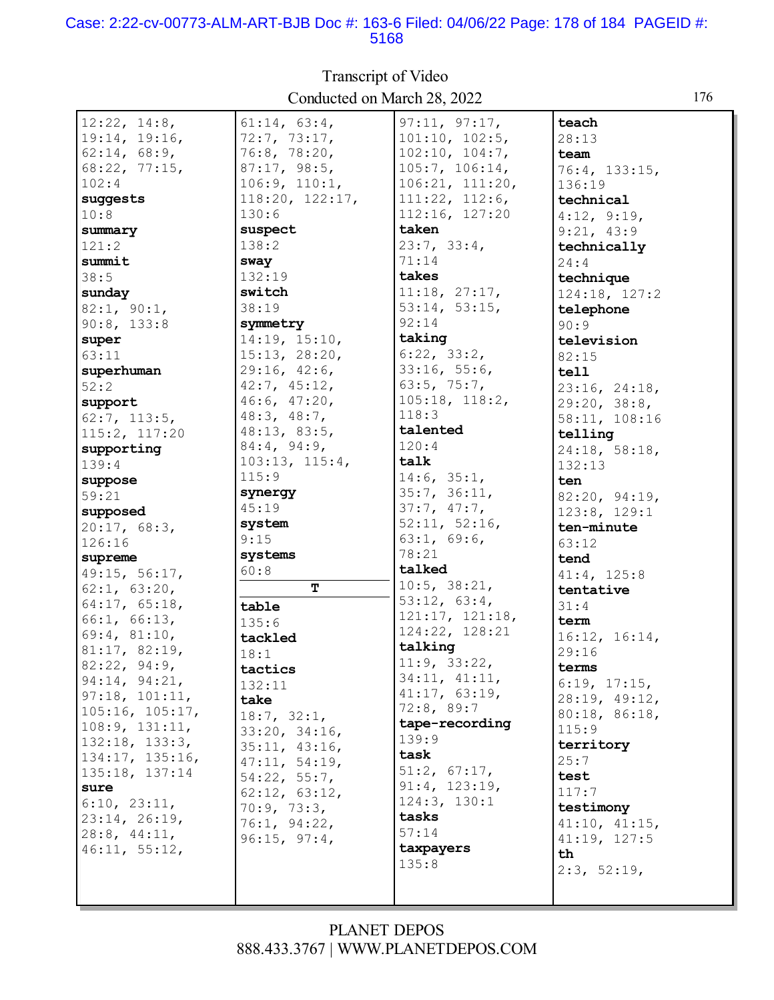#### Case: 2:22-cv-00773-ALM-ART-BJB Doc #: 163-6 Filed: 04/06/22 Page: 178 of 184 PAGEID #: 5168

| 12:22, 14:8,    | 61:14, 63:4,                 | 97:11, 97:17,   | teach                         |
|-----------------|------------------------------|-----------------|-------------------------------|
| 19:14, 19:16,   | 72:7, 73:17,                 | 101:10, 102:5,  | 28:13                         |
| 62:14, 68:9,    | 76:8, 78:20,                 | 102:10, 104:7,  | team                          |
| 68:22, 77:15,   | 87:17, 98:5,                 | 105:7, 106:14,  | 76:4, 133:15,                 |
| 102:4           | 106:9, 110:1,                | 106:21, 111:20, | 136:19                        |
| suggests        | 118:20, 122:17,              | 111:22, 112:6,  | technical                     |
| 10:8            | 130:6                        | 112:16, 127:20  | 4:12, 9:19,                   |
| summary         | suspect                      | taken           | 9:21, 43:9                    |
| 121:2           | 138:2                        | 23:7, 33:4,     | technically                   |
| summit          | sway                         | 71:14           | 24:4                          |
| 38:5            | 132:19                       | takes           | technique                     |
| sunday          | switch                       | 11:18, 27:17,   | 124:18, 127:2                 |
| 82:1, 90:1,     | 38:19                        | 53:14, 53:15,   | telephone                     |
| 90:8, 133:8     | symmetry                     | 92:14           | 90:9                          |
| super           | 14:19, 15:10,                | taking          | television                    |
| 63:11           | 15:13, 28:20,                | 6:22, 33:2,     | 82:15                         |
| superhuman      | 29:16, 42:6,                 | 33:16, 55:6,    | tell                          |
| 52:2            | 42:7, 45:12,                 | 63:5, 75:7,     | 23:16, 24:18,                 |
| support         | 46:6, 47:20,                 | 105:18, 118:2,  | 29:20, 38:8,                  |
| 62:7, 113:5,    | 48:3, 48:7,                  | 118:3           | 58:11, 108:16                 |
| 115:2, 117:20   | 48:13, 83:5,                 | talented        | telling                       |
| supporting      | 84:4, 94:9,                  | 120:4           | 24:18, 58:18,                 |
| 139:4           | 103:13, 115:4,               | talk            | 132:13                        |
| suppose         | 115:9                        | 14:6, 35:1,     | ten                           |
| 59:21           | synergy                      | 35:7, 36:11,    |                               |
| supposed        | 45:19                        | 37:7, 47:7,     | 82:20, 94:19,<br>123:8, 129:1 |
| 20:17, 68:3,    | system                       | 52:11, 52:16,   | ten-minute                    |
| 126:16          | 9:15                         | 63:1, 69:6,     | 63:12                         |
| supreme         | systems                      | 78:21           | tend                          |
| 49:15, 56:17,   | 60:8                         | talked          | 41:4, 125:8                   |
| 62:1, 63:20,    | T                            | 10:5, 38:21,    | tentative                     |
| 64:17, 65:18,   | table                        | 53:12, 63:4,    | 31:4                          |
| 66:1, 66:13,    | 135:6                        | 121:17, 121:18, | term                          |
| 69:4, 81:10,    | tackled                      | 124:22, 128:21  | 16:12, 16:14,                 |
| 81:17, 82:19,   | 18:1                         | talking         | 29:16                         |
| 82:22, 94:9,    |                              | 11:9, 33:22,    | terms                         |
| 94:14, 94:21,   | tactics                      | 34:11, 41:11,   | 6:19, 17:15,                  |
| 97:18, 101:11,  | 132:11                       | 41:17, 63:19,   | 28:19, 49:12,                 |
| 105:16, 105:17, | take                         | 72:8, 89:7      | 80:18, 86:18,                 |
| 108:9, 131:11,  | 18:7, 32:1,                  | tape-recording  | 115:9                         |
| 132:18, 133:3,  | 33:20, 34:16,                | 139:9           | territory                     |
| 134:17, 135:16, | 35:11, 43:16,                | task            | 25:7                          |
| 135:18, 137:14  | 47:11, 54:19,                | 51:2, 67:17,    | test                          |
| sure            | 54:22, 55:7,                 | 91:4, 123:19,   | 117:7                         |
| 6:10, 23:11,    | 62:12, 63:12,                | 124:3, 130:1    | testimony                     |
| 23:14, 26:19,   | 70:9, 73:3,                  | tasks           |                               |
| 28:8, 44:11,    | 76:1, 94:22,<br>96:15, 97:4, | 57:14           | 41:10, 41:15,<br>41:19, 127:5 |
| 46:11, 55:12,   |                              | taxpayers       | th                            |
|                 |                              | 135:8           | 2:3, 52:19,                   |
|                 |                              |                 |                               |
|                 |                              |                 |                               |

Transcript of Video Conducted on March 28, 2022 176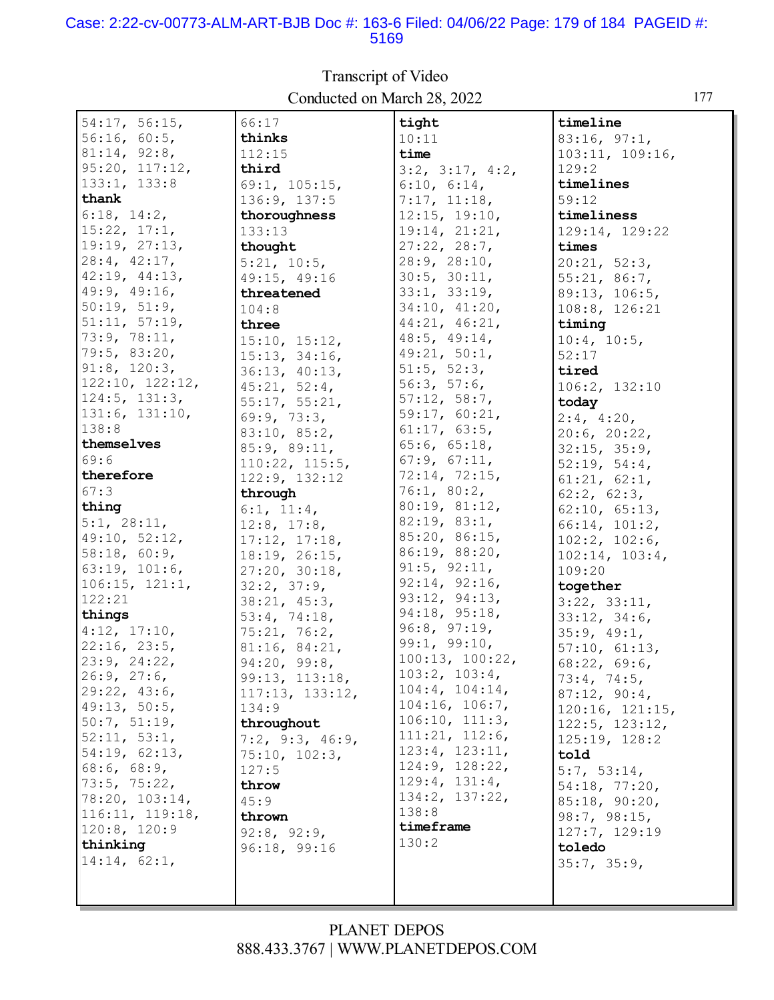#### Case: 2:22-cv-00773-ALM-ART-BJB Doc #: 163-6 Filed: 04/06/22 Page: 179 of 184 PAGEID #: 5169

 $54:17, 56:15,$ 66:17 tight timeline  $56:16, 60:5,$ thinks  $10:11$  $83:16, 97:1,$  $81:14, 92:8,$  $112:15$ time  $103:11, 109:16,$  $95:20, 117:12,$ third  $3:2$ ,  $3:17$ ,  $4:2$ ,  $129:2$  $133:1, 133:8$ 69:1, 105:15, timelines  $6:10, 6:14,$ thank 136:9, 137:5  $7:17, 11:18,$  $59:12$  $6:18, 14:2,$  $12:15, 19:10,$ timeliness thoroughness  $15:22, 17:1,$  $133:13$  $19:14, 21:21,$ 129:14, 129:22 19:19, 27:13,  $27:22, 28:7,$ thought times  $28:4, 42:17,$  $28:9, 28:10,$  $20:21, 52:3,$  $5:21, 10:5,$ 42:19, 44:13,  $30:5, 30:11,$ 49:15, 49:16  $55:21, 86:7,$ 49:9, 49:16,  $33:1, 33:19,$ threatened 89:13, 106:5,  $50:19, 51:9,$  $34:10, 41:20,$  $104:8$  $108:8, 126:21$  $51:11, 57:19,$  $44:21, 46:21,$ three timing 73:9, 78:11,  $48:5, 49:14,$  $15:10, 15:12,$  $10:4, 10:5,$ 79:5, 83:20,  $49:21, 50:1,$  $52:17$  $15:13, 34:16,$  $91:8, 120:3,$  $51:5$ ,  $52:3$ , 36:13, 40:13, tired  $122:10, 122:12,$  $56:3, 57:6,$ 106:2, 132:10  $45:21, 52:4,$  $124:5$ ,  $131:3$ ,  $57:12, 58:7,$  $55:17, 55:21,$ today  $131:6, 131:10,$  $59:17, 60:21,$ 69:9, 73:3,  $2:4, 4:20,$  $138:8$  $61:17, 63:5,$ 83:10, 85:2,  $20:6, 20:22,$ themselves  $65:6, 65:18,$ 85:9, 89:11,  $32:15, 35:9,$  $69:6$  $67:9, 67:11,$  $110:22, 115:5,$  $52:19, 54:4,$ 72:14, 72:15, therefore 122:9, 132:12  $61:21, 62:1,$  $67:3$  $76:1, 80:2,$ through  $62:2, 62:3,$ 80:19, 81:12, thing  $6:1, 11:4,$  $62:10, 65:13,$  $82:19, 83:1,$  $5:1, 28:11,$  $12:8$ ,  $17:8$ , 66:14, 101:2, 85:20, 86:15, 49:10, 52:12,  $17:12, 17:18,$  $102:2, 102:6,$ 86:19, 88:20, 58:18, 60:9,  $18:19, 26:15,$  $102:14, 103:4,$  $91:5, 92:11,$  $63:19, 101:6,$  $27:20, 30:18,$ 109:20  $92:14, 92:16,$  $106:15, 121:1,$  $32:2, 37:9,$ together 93:12, 94:13, 122:21  $38:21, 45:3,$  $3:22, 33:11,$ 94:18, 95:18, things  $53:4, 74:18,$  $33:12, 34:6.$  $96:8, 97:19,$  $4:12, 17:10.$  $75:21, 76:2,$  $35:9, 49:1,$  $99:1, 99:10,$  $22:16, 23:5,$ 81:16, 84:21,  $57:10, 61:13,$  $100:13, 100:22,$  $23:9, 24:22,$  $94:20, 99:8,$  $68:22, 69:6,$  $103:2, 103:4,$  $26:9, 27:6,$ 99:13, 113:18,  $73:4, 74:5,$  $104:4, 104:14,$ 29:22, 43:6, 117:13, 133:12,  $87:12, 90:4,$  $104:16, 106:7,$ 49:13, 50:5, 134:9  $120:16, 121:15,$  $106:10, 111:3,$  $50:7, 51:19,$  $122:5, 123:12,$ throughout  $111:21, 112:6,$  $52:11, 53:1,$  $7:2$ ,  $9:3$ ,  $46:9$ ,  $125:19, 128:2$  $123:4, 123:11,$ 54:19, 62:13,  $75:10, 102:3,$ told 124:9, 128:22,  $68:6, 68:9,$  $127:5$  $5:7, 53:14,$  $129:4, 131:4,$ 73:5, 75:22, throw  $54:18, 77:20,$ 134:2, 137:22, 78:20, 103:14,  $45:9$  $85:18, 90:20,$ 138:8 116:11, 119:18, thrown  $98:7, 98:15,$ timeframe  $120:8, 120:9$ 127:7, 129:19  $92:8, 92:9,$  $130:2$ thinking 96:18, 99:16 toledo  $14:14, 62:1,$  $35:7, 35:9,$ 

### Transcript of Video Conducted on March 28, 2022

177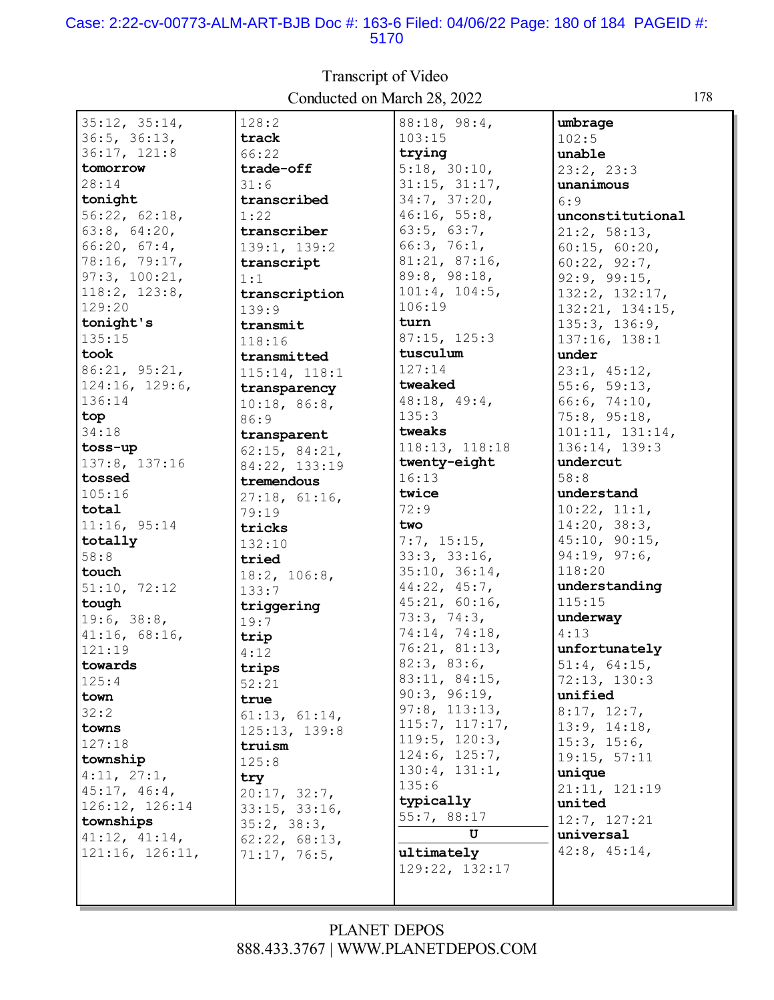#### Case: 2:22-cv-00773-ALM-ART-BJB Doc #: 163-6 Filed: 04/06/22 Page: 180 of 184 PAGEID #: 5170

35:12, 35:14, 36:5, 36:13, 36:17, 121:8 **tomorrow** 28:14 **tonight** 56:22, 62:18, 63:8, 64:20, 66:20, 67:4, 78:16, 79:17, 97:3, 100:21, 118:2, 123:8, 129:20 **tonight's** 135:15 **took** 86:21, 95:21, 124:16, 129:6, 136:14 **top** 34:18 **toss-up** 137:8, 137:16 **tossed** 105:16 **total** 11:16, 95:14 **totally** 58:8 **touch** 51:10, 72:12 **tough** 19:6, 38:8, 41:16, 68:16, 121:19 **towards** 125:4 **town** 32:2 **towns** 127:18 **township** 4:11, 27:1, 45:17, 46:4, 126:12, 126:14 **townships** 41:12, 41:14, 121:16, 126:11, 128:2 **track** 66:22 **trade-off** 31:6 **transcribed** 1:22 **transcriber** 139:1, 139:2 **transcript** 1:1 **transcription** 139:9 **transmit** 118:16 **transmitted** 115:14, 118:1 **transparency** 10:18, 86:8, 86:9 **transparent** 62:15, 84:21, 84:22, 133:19 **tremendous** 27:18, 61:16, 79:19 **tricks** 132:10 **tried** 18:2, 106:8, 133:7 **triggering** 19:7 **trip** 4:12 **trips** 52:21 **true** 61:13, 61:14, 125:13, 139:8 **truism** 125:8 **try** 20:17, 32:7, 33:15, 33:16, 35:2, 38:3, 62:22, 68:13, 71:17, 76:5, 88:18, 98:4, 103:15 **trying** 5:18, 30:10, 31:15, 31:17, 34:7, 37:20, 46:16, 55:8, 63:5, 63:7, 66:3, 76:1, 81:21, 87:16, 89:8, 98:18, 101:4, 104:5, 106:19 **turn** 87:15, 125:3 **tusculum** 127:14 **tweaked** 48:18, 49:4, 135:3 **tweaks** 118:13, 118:18 **twenty-eight** 16:13 **twice** 72:9 **two** 7:7, 15:15, 33:3, 33:16, 35:10, 36:14, 44:22, 45:7, 45:21, 60:16, 73:3, 74:3, 74:14, 74:18, 76:21, 81:13, 82:3, 83:6, 83:11, 84:15, 90:3, 96:19, 97:8, 113:13, 115:7, 117:17, 119:5, 120:3, 124:6, 125:7, 130:4, 131:1, 135:6 **typically** 55:7, 88:17 **U ultimately** 129:22, 132:17 **umbrage** 102:5 **unable** 23:2, 23:3 **unanimous** 6:9 **unconstitutional** 21:2, 58:13, 60:15, 60:20, 60:22, 92:7, 92:9, 99:15, 132:2, 132:17, 132:21, 134:15, 135:3, 136:9, 137:16, 138:1 **under** 23:1, 45:12, 55:6, 59:13, 66:6, 74:10, 75:8, 95:18, 101:11, 131:14, 136:14, 139:3 **undercut** 58:8 **understand** 10:22, 11:1, 14:20, 38:3, 45:10, 90:15, 94:19, 97:6, 118:20 **understanding** 115:15 **underway** 4:13 **unfortunately** 51:4, 64:15, 72:13, 130:3 **unified** 8:17, 12:7, 13:9, 14:18, 15:3, 15:6, 19:15, 57:11 **unique** 21:11, 121:19 **united** 12:7, 127:21 **universal** 42:8, 45:14,

### Transcript of Video Conducted on March 28, 2022 178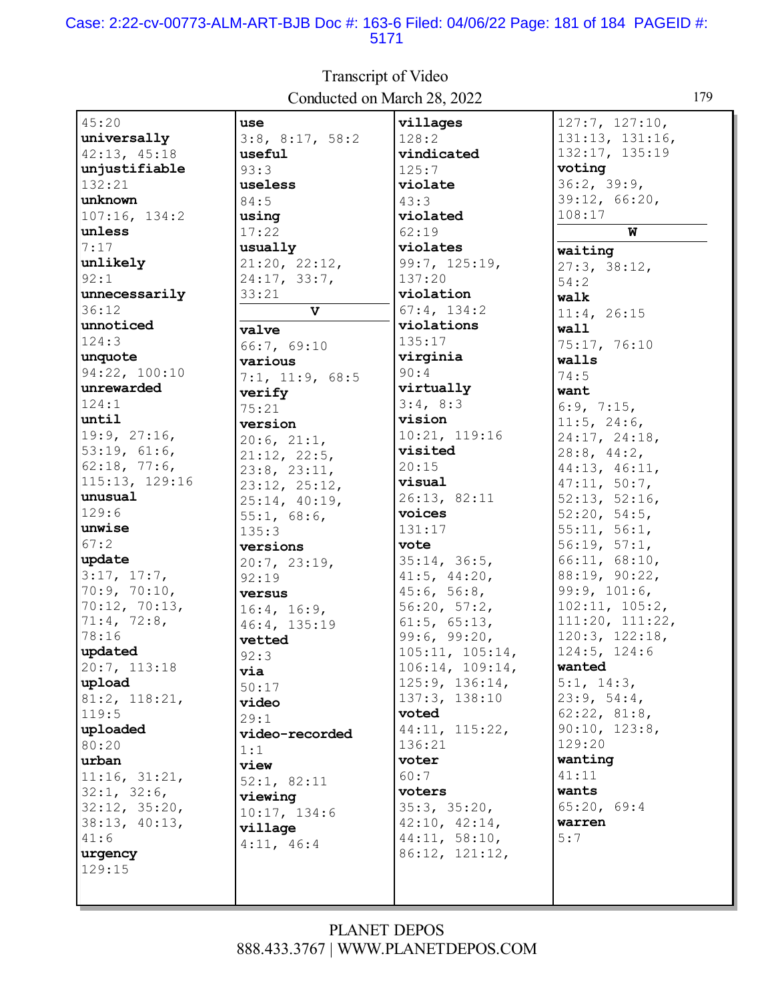#### Case: 2:22-cv-00773-ALM-ART-BJB Doc #: 163-6 Filed: 04/06/22 Page: 181 of 184 PAGEID #: 5171

 $45:20$ use villages  $127:7, 127:10,$ universally 131:13, 131:16,  $3:8$ ,  $8:17$ ,  $58:2$  $128:2$ 132:17, 135:19 42:13, 45:18 useful vindicated voting unjustifiable  $93:3$  $125:7$  $36:2, 39:9,$  $132:21$ useless violate unknown 39:12, 66:20,  $84:5$  $43:3$  $108:17$  $107:16, 134:2$ using violated unless  $62:19$ W  $17:22$ usually  $7:17$ violates waiting 99:7, 125:19, unlikely  $21:20, 22:12,$  $27:3, 38:12,$  $24:17, 33:7,$  $92:1$ 137:20  $54:2$ unnecessarily  $33:21$ violation walk  $36:12$  $\overline{\mathtt{v}}$  $67:4, 134:2$  $11:4, 26:15$ unnoticed violations wall valve  $124:3$  $135:17$ 75:17, 76:10 66:7, 69:10 unquote virginia walls various 94:22, 100:10  $90:4$  $74:5$  $7:1, 11:9, 68:5$ unrewarded virtually want verify  $124:1$  $3:4, 8:3$  $75:21$  $6:9, 7:15,$ until vision  $11:5, 24:6,$ version 19:9, 27:16, 10:21, 119:16 24:17, 24:18,  $20:6.21:1.$ visited  $53:19, 61:6,$  $28:8, 44:2,$  $21:12, 22:5,$  $62:18, 77:6,$  $20:15$ 44:13, 46:11,  $23:8, 23:11,$ 115:13, 129:16 visual  $47:11, 50:7,$ 23:12, 25:12, unusual 26:13, 82:11  $52:13, 52:16,$  $25:14, 40:19,$  $129:6$ voices  $52:20, 54:5,$  $55:1, 68:6$ unwise 131:17  $55:11, 56:1,$  $135:3$  $67:2$  $56:19, 57:1,$ vote versions update  $35:14, 36:5,$  $66:11, 68:10,$  $20:7, 23:19,$ 88:19, 90:22,  $3:17, 17:7,$  $92:19$  $41:5, 44:20,$ 70:9, 70:10,  $45:6, 56:8,$  $99:9, 101:6,$ versus  $70:12, 70:13,$  $56:20, 57:2,$  $102:11, 105:2,$  $16:4, 16:9,$ 71:4, 72:8,  $111:20, 111:22,$  $61:5, 65:13,$ 46:4, 135:19  $99:6, 99:20,$ 78:16  $120:3, 122:18,$ vetted updated  $105:11, 105:14,$  $124:5, 124:6$  $92:3$ 20:7, 113:18  $106:14, 109:14,$ wanted via upload  $125:9, 136:14,$  $5:1, 14:3,$  $50:17$ 137:3, 138:10  $23:9, 54:4,$  $81:2, 118:21,$ video  $119:5$ voted  $62:22, 81:8,$  $29:1$ 44:11, 115:22,  $90:10, 123:8,$ uploaded video-recorded 136:21 129:20 80:20  $1:1$ wanting voter urban view  $11:16, 31:21,$  $60:7$  $41:11$  $52:1, 82:11$  $32:1, 32:6,$ voters wants viewing  $65:20, 69:4$  $35:3, 35:20,$  $32:12, 35:20,$  $10:17, 134:6$ warren  $38:13, 40:13,$  $42:10, 42:14,$ village  $41:6$  $44:11, 58:10,$  $5:7$  $4:11, 46:4$ 86:12, 121:12, urgency  $129:15$ 

### **Transcript of Video** Conducted on March 28, 2022

#### **PLANET DEPOS** 888.433.3767 | WWW.PLANETDEPOS.COM

179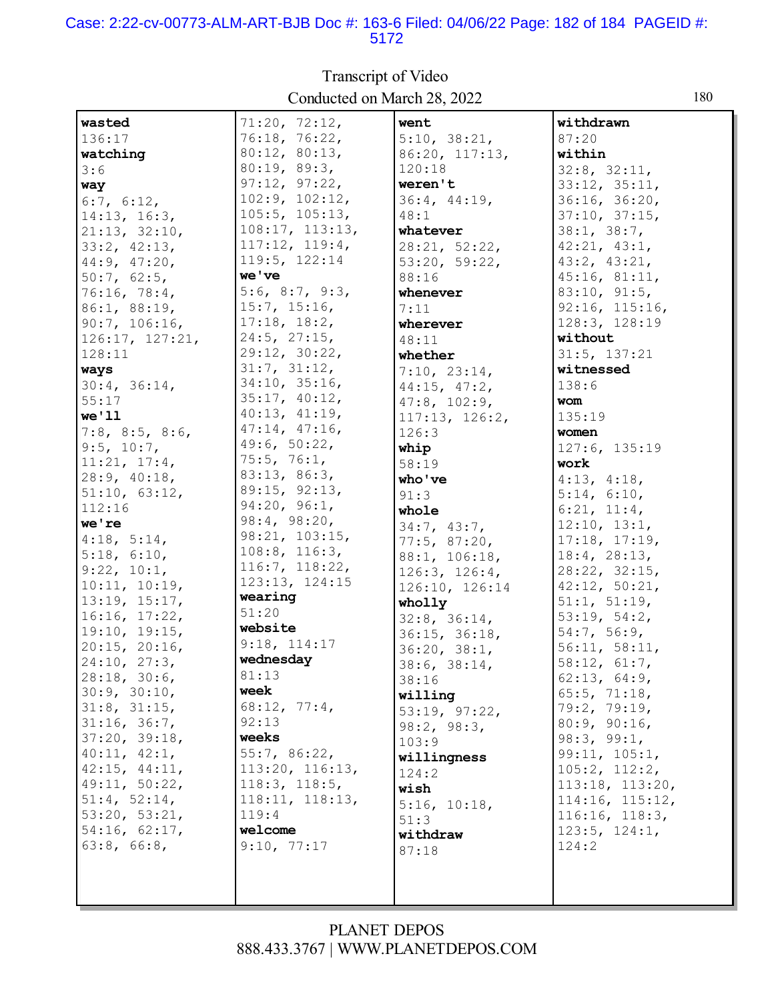#### Case: 2:22-cv-00773-ALM-ART-BJB Doc #: 163-6 Filed: 04/06/22 Page: 182 of 184 PAGEID #: 5172

wasted  $71:20, 72:12,$ went withdrawn 76:18, 76:22,  $5:10, 38:21,$ 136:17 87:20  $80:12, 80:13,$ 86:20, 117:13, within watching 80:19, 89:3,  $3:6$  $120:18$  $32:8, 32:11.$  $97:12, 97:22,$ weren't  $33:12, 35:11,$ way  $102:9, 102:12,$  $36:4, 44:19,$ 36:16, 36:20,  $6:7, 6:12,$  $105:5, 105:13,$  $48:1$  $37:10, 37:15,$  $14:13, 16:3,$  $108:17, 113:13,$  $38:1, 38:7,$  $21:13, 32:10,$ whatever  $117:12, 119:4,$ 42:21, 43:1,  $33:2, 42:13,$  $28:21, 52:22,$ 119:5, 122:14 44:9, 47:20,  $53:20, 59:22$  $43:2, 43:21,$ we've  $45:16, 81:11,$  $50:7, 62:5,$ 88:16 5:6, 8:7, 9:3,  $83:10, 91:5,$ 76:16, 78:4, whenever  $15:7, 15:16,$  $92:16, 115:16,$ 86:1, 88:19,  $7:11$  $17:18, 18:2,$  $90:7, 106:16,$ 128:3, 128:19 wherever  $24:5$ ,  $27:15$ , without  $126:17, 127:21,$  $48:11$ 29:12, 30:22,  $31:5, 137:21$  $128:11$ whether  $31:7, 31:12,$ witnessed ways  $7:10, 23:14,$  $34:10, 35:16,$  $30:4, 36:14,$  $138:6$ 44:15, 47:2,  $35:17, 40:12,$  $55:17$  $47:8$ ,  $102:9$ , **wom**  $40:13, 41:19.$  $we'11$  $117:13, 126:2,$  $135:19$  $47:14, 47:16,$  $7:8$ ,  $8:5$ ,  $8:6$ , women  $126:3$ 49:6, 50:22, 127:6, 135:19  $9:5, 10:7,$ whip  $75:5, 76:1,$  $11:21, 17:4,$  $58:19$ work 83:13, 86:3,  $28:9, 40:18,$ who've  $4:13, 4:18,$ 89:15, 92:13,  $51:10, 63:12,$  $91:3$  $5:14, 6:10,$  $94:20, 96:1,$ 112:16 whole  $6:21, 11:4,$ 98:4, 98:20, we're  $34:7, 43:7,$  $12:10, 13:1,$ 98:21, 103:15,  $4:18, 5:14,$  $17:18, 17:19,$ 77:5, 87:20,  $108:8, 116:3,$  $5:18, 6:10,$  $18:4, 28:13,$  $88:1, 106:18,$ 116:7, 118:22,  $9:22, 10:1,$  $28:22$ ,  $32:15$ ,  $126:3, 126:4,$ 123:13, 124:15  $10:11, 10:19,$  $42:12, 50:21,$ 126:10, 126:14 wearing  $13:19, 15:17,$  $51:1, 51:19,$ wholly  $51:20$  $16:16, 17:22,$  $53:19, 54:2,$  $32:8, 36:14,$ website 19:10, 19:15, 54:7, 56:9,  $36:15, 36:18,$  $9:18, 114:17$  $20:15, 20:16,$  $56:11, 58:11,$  $36:20, 38:1.$ wednesday  $24:10, 27:3$  $58:12, 61:7,$  $38:6, 38:14,$  $28:18, 30:6,$  $81:13$  $62:13, 64:9,$ 38:16 week  $30:9, 30:10,$ 65:5, 71:18, willing 68:12, 77:4,  $31:8, 31:15,$ 79:2, 79:19,  $53:19, 97:22,$  $92:13$  $31:16, 36:7,$  $80:9, 90:16,$  $98:2, 98:3,$ 37:20, 39:18, weeks  $98:3, 99:1,$  $103:9$  $40:11, 42:1,$  $55:7, 86:22,$  $99:11, 105:1,$ willingness 42:15, 44:11, 113:20, 116:13,  $105:2, 112:2,$  $124:2$ 49:11, 50:22,  $118:3, 118:5,$ 113:18, 113:20, wish  $118:11, 118:13,$  $51:4, 52:14,$ 114:16, 115:12,  $5:16, 10:18,$  $53:20, 53:21,$  $119:4$  $116:16, 118:3,$  $51:3$  $54:16, 62:17,$ welcome  $123:5, 124:1,$ withdraw  $63:8, 66:8,$  $9:10, 77:17$  $124:2$  $87:18$ 

#### Transcript of Video Conducted on March 28, 2022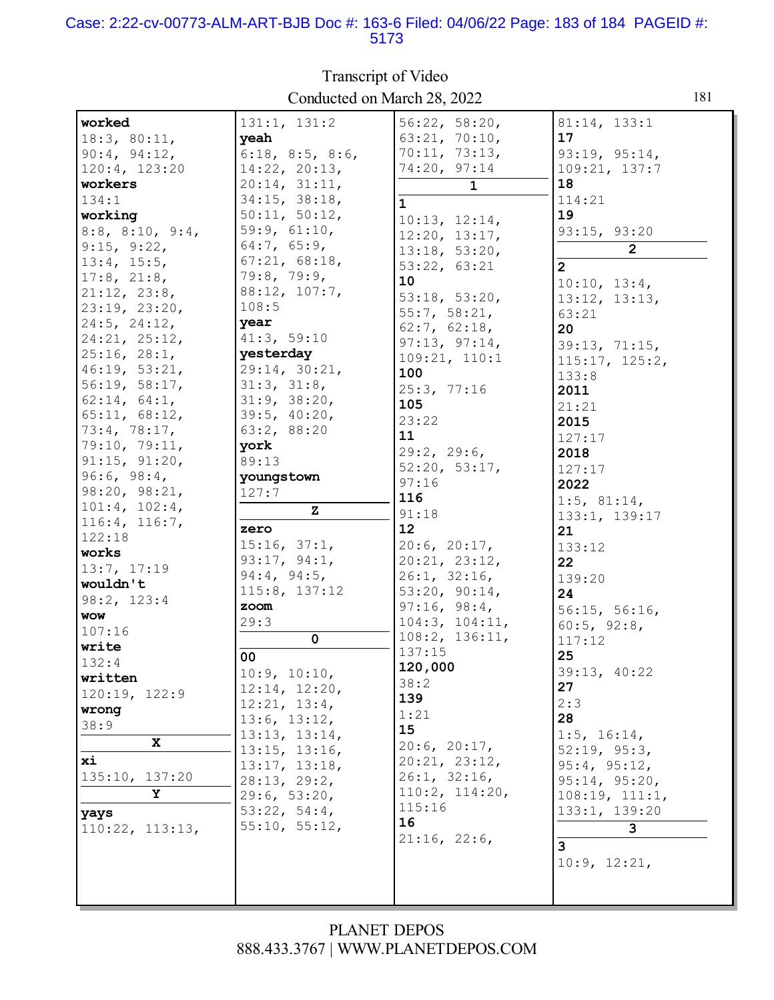# Case: 2:22-cv-00773-ALM-ART-BJB Doc #: 163-6 Filed: 04/06/22 Page: 183 of 184 PAGEID #:<br>5173

| worked                    | 131:1, 131:2             | 56:22, 58:20,  | 81:14, 133:1      |
|---------------------------|--------------------------|----------------|-------------------|
| 18:3, 80:11,              | yeah                     | 63:21, 70:10,  | 17                |
| 90:4, 94:12,              | $6:18$ , $8:5$ , $8:6$ , | 70:11, 73:13,  | 93:19, 95:14,     |
| 120:4, 123:20             | 14:22, 20:13,            | 74:20, 97:14   | 109:21, 137:7     |
| workers                   | 20:14, 31:11,            | $\mathbf{1}$   | 18                |
| 134:1                     | 34:15, 38:18,            |                | 114:21            |
|                           |                          | $\mathbf{1}$   | 19                |
| working                   | 50:11, 50:12,            | 10:13, 12:14,  |                   |
| $8:8$ , $8:10$ , $9:4$ ,  | 59:9, 61:10,             | 12:20, 13:17,  | 93:15, 93:20      |
| 9:15, 9:22,               | 64:7, 65:9,              | 13:18, 53:20,  | $\overline{2}$    |
| 13:4, 15:5,               | 67:21, 68:18,            | 53:22, 63:21   | $\overline{2}$    |
| $17:8$ , $21:8$ ,         | 79:8, 79:9,              | 10             | 10:10, 13:4,      |
| 21:12, 23:8,              | 88:12, 107:7,            | 53:18, 53:20,  | 13:12, 13:13,     |
| 23:19, 23:20,             | 108:5                    | 55:7, 58:21,   | 63:21             |
| $24:5$ , $24:12$ ,        | year                     | 62:7, 62:18,   | 20                |
| 24:21, 25:12,             | 41:3, 59:10              | 97:13, 97:14,  | 39:13, 71:15,     |
| 25:16, 28:1,              | yesterday                | 109:21, 110:1  | 115:17, 125:2,    |
| 46:19, 53:21,             | 29:14, 30:21,            | 100            | 133:8             |
| 56:19, 58:17,             | 31:3, 31:8,              | 25:3, 77:16    | 2011              |
| 62:14, 64:1,              | 31:9, 38:20,             | 105            | 21:21             |
| 65:11, 68:12,             | 39:5, 40:20,             | 23:22          | 2015              |
| 73:4, 78:17,              | 63:2, 88:20              | 11             |                   |
| 79:10, 79:11,             | york                     | 29:2, 29:6,    | 127:17            |
| 91:15, 91:20,             | 89:13                    | 52:20, 53:17,  | 2018              |
| 96:6, 98:4,               | youngstown               | 97:16          | 127:17            |
| 98:20, 98:21,             | 127:7                    | 116            | 2022              |
| 101:4, 102:4,             | $\mathbf{z}$             |                | $1:5$ , 81:14,    |
| 116:4, 116:7,             |                          | 91:18<br>12    | 133:1, 139:17     |
| 122:18                    | zero                     |                | 21                |
| works                     | 15:16, 37:1,             | 20:6, 20:17,   | 133:12            |
|                           |                          |                |                   |
| 13:7, 17:19               | 93:17, 94:1,             | 20:21, 23:12,  | 22                |
| wouldn't                  | 94:4, 94:5,              | 26:1, 32:16,   | 139:20            |
|                           | 115:8, 137:12            | 53:20, 90:14,  | 24                |
| 98:2, 123:4<br><b>WOW</b> | zoom                     | 97:16, 98:4,   | 56:15, 56:16,     |
| 107:16                    | 29:3                     | 104:3, 104:11, | 60:5, 92:8,       |
|                           | $\mathbf 0$              | 108:2, 136:11, | 117:12            |
| write                     | 00                       | 137:15         | 25                |
| 132:4                     | 10:9, 10:10,             | 120,000        | 39:13, 40:22      |
| written                   | 12:14, 12:20,            | 38:2           | 27                |
| 120:19, 122:9             | 12:21, 13:4,             | 139            | 2:3               |
| wrong                     | 13:6, 13:12,             | 1:21           | 28                |
| 38:9                      | 13:13, 13:14,            | 15             | $1:5$ , $16:14$ , |
| X                         | 13:15, 13:16,            | 20:6, 20:17,   | 52:19, 95:3,      |
| xi                        | 13:17, 13:18,            | 20:21, 23:12,  | 95:4, 95:12,      |
| 135:10, 137:20            | 28:13, 29:2,             | 26:1, 32:16,   | 95:14, 95:20,     |
| Y                         | 29:6, 53:20,             | 110:2, 114:20, | 108:19, 111:1,    |
|                           | 53:22, 54:4,             | 115:16         | 133:1, 139:20     |
| yays                      | 55:10, 55:12,            | 16             | 3                 |
| $110:22$ , $113:13$ ,     |                          | 21:16, 22:6,   |                   |
|                           |                          |                | 3                 |
|                           |                          |                | 10:9, 12:21,      |
|                           |                          |                |                   |

Transcript of Video Conducted on March 28, 2022

181

### PLANET DEPOS 888.433.3767 | WWW.PLANETDEPOS.COM